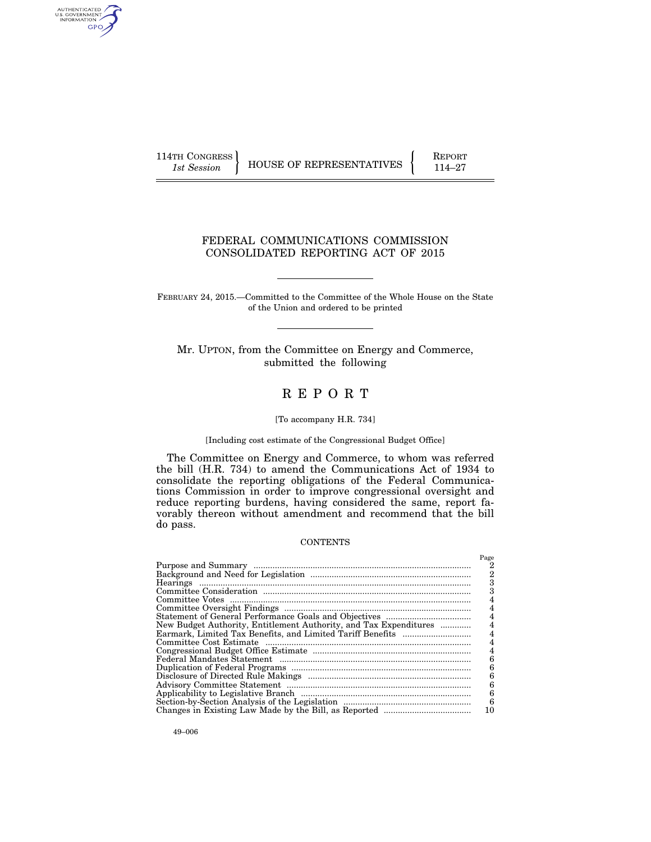AUTHENTICATED<br>U.S. GOVERNMENT<br>INFORMATION GPO

114TH CONGRESS **REPORT 114-27** HOUSE OF REPRESENTATIVES **PERIODE 114–27** 

## FEDERAL COMMUNICATIONS COMMISSION CONSOLIDATED REPORTING ACT OF 2015

FEBRUARY 24, 2015.—Committed to the Committee of the Whole House on the State of the Union and ordered to be printed

Mr. UPTON, from the Committee on Energy and Commerce, submitted the following

# R E P O R T

### [To accompany H.R. 734]

#### [Including cost estimate of the Congressional Budget Office]

The Committee on Energy and Commerce, to whom was referred the bill (H.R. 734) to amend the Communications Act of 1934 to consolidate the reporting obligations of the Federal Communications Commission in order to improve congressional oversight and reduce reporting burdens, having considered the same, report favorably thereon without amendment and recommend that the bill do pass.

### **CONTENTS**

|                                                                   | Page           |
|-------------------------------------------------------------------|----------------|
|                                                                   |                |
|                                                                   | $\overline{2}$ |
|                                                                   | 3              |
|                                                                   |                |
|                                                                   |                |
|                                                                   |                |
|                                                                   | 4              |
| New Budget Authority, Entitlement Authority, and Tax Expenditures |                |
|                                                                   |                |
|                                                                   |                |
|                                                                   |                |
|                                                                   | 6              |
|                                                                   | 6              |
|                                                                   | 6              |
|                                                                   | 6              |
|                                                                   | 6              |
|                                                                   | 6              |
|                                                                   | 10             |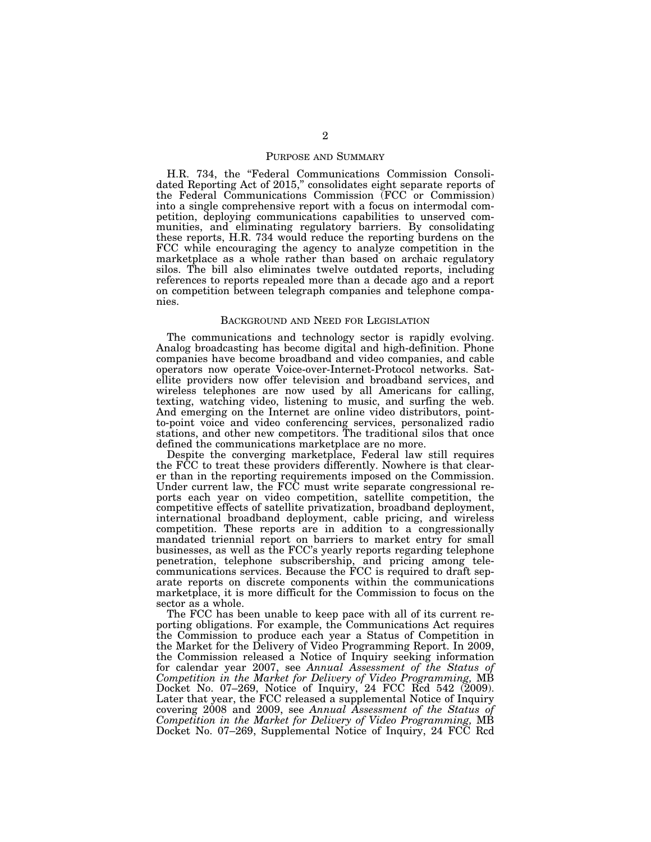### PURPOSE AND SUMMARY

H.R. 734, the "Federal Communications Commission Consolidated Reporting Act of 2015," consolidates eight separate reports of the Federal Communications Commission (FCC or Commission) into a single comprehensive report with a focus on intermodal competition, deploying communications capabilities to unserved communities, and eliminating regulatory barriers. By consolidating these reports, H.R. 734 would reduce the reporting burdens on the FCC while encouraging the agency to analyze competition in the marketplace as a whole rather than based on archaic regulatory silos. The bill also eliminates twelve outdated reports, including references to reports repealed more than a decade ago and a report on competition between telegraph companies and telephone companies.

### BACKGROUND AND NEED FOR LEGISLATION

The communications and technology sector is rapidly evolving. Analog broadcasting has become digital and high-definition. Phone companies have become broadband and video companies, and cable operators now operate Voice-over-Internet-Protocol networks. Satellite providers now offer television and broadband services, and wireless telephones are now used by all Americans for calling, texting, watching video, listening to music, and surfing the web. And emerging on the Internet are online video distributors, pointto-point voice and video conferencing services, personalized radio stations, and other new competitors. The traditional silos that once defined the communications marketplace are no more.

Despite the converging marketplace, Federal law still requires the FCC to treat these providers differently. Nowhere is that clearer than in the reporting requirements imposed on the Commission. Under current law, the FCC must write separate congressional reports each year on video competition, satellite competition, the competitive effects of satellite privatization, broadband deployment, international broadband deployment, cable pricing, and wireless competition. These reports are in addition to a congressionally mandated triennial report on barriers to market entry for small businesses, as well as the FCC's yearly reports regarding telephone penetration, telephone subscribership, and pricing among telecommunications services. Because the FCC is required to draft separate reports on discrete components within the communications marketplace, it is more difficult for the Commission to focus on the sector as a whole.

The FCC has been unable to keep pace with all of its current reporting obligations. For example, the Communications Act requires the Commission to produce each year a Status of Competition in the Market for the Delivery of Video Programming Report. In 2009, the Commission released a Notice of Inquiry seeking information for calendar year 2007, see *Annual Assessment of the Status of Competition in the Market for Delivery of Video Programming,* MB Docket No. 07–269, Notice of Inquiry, 24 FCC Rcd 542 (2009). Later that year, the FCC released a supplemental Notice of Inquiry covering 2008 and 2009, see *Annual Assessment of the Status of Competition in the Market for Delivery of Video Programming,* MB Docket No. 07–269, Supplemental Notice of Inquiry, 24 FCC Rcd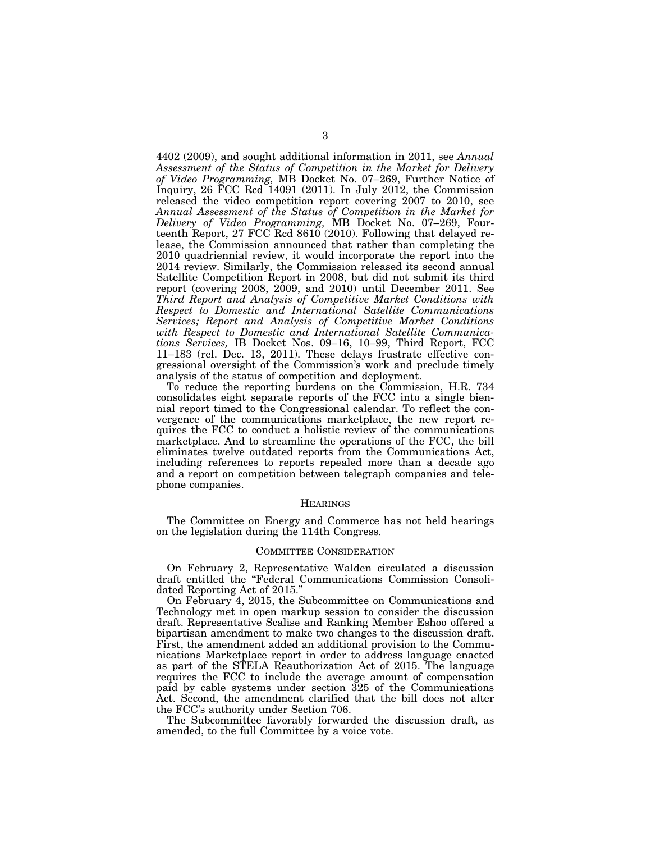4402 (2009), and sought additional information in 2011, see *Annual Assessment of the Status of Competition in the Market for Delivery of Video Programming,* MB Docket No. 07–269, Further Notice of Inquiry, 26 FCC Rcd 14091 (2011). In July 2012, the Commission released the video competition report covering 2007 to 2010, see *Annual Assessment of the Status of Competition in the Market for Delivery of Video Programming,* MB Docket No. 07–269, Fourteenth Report, 27 FCC Rcd 8610 (2010). Following that delayed release, the Commission announced that rather than completing the 2010 quadriennial review, it would incorporate the report into the 2014 review. Similarly, the Commission released its second annual Satellite Competition Report in 2008, but did not submit its third report (covering 2008, 2009, and 2010) until December 2011. See *Third Report and Analysis of Competitive Market Conditions with Respect to Domestic and International Satellite Communications Services; Report and Analysis of Competitive Market Conditions with Respect to Domestic and International Satellite Communications Services,* IB Docket Nos. 09–16, 10–99, Third Report, FCC 11–183 (rel. Dec. 13, 2011). These delays frustrate effective congressional oversight of the Commission's work and preclude timely analysis of the status of competition and deployment.

To reduce the reporting burdens on the Commission, H.R. 734 consolidates eight separate reports of the FCC into a single biennial report timed to the Congressional calendar. To reflect the convergence of the communications marketplace, the new report requires the FCC to conduct a holistic review of the communications marketplace. And to streamline the operations of the FCC, the bill eliminates twelve outdated reports from the Communications Act, including references to reports repealed more than a decade ago and a report on competition between telegraph companies and telephone companies.

### **HEARINGS**

The Committee on Energy and Commerce has not held hearings on the legislation during the 114th Congress.

#### COMMITTEE CONSIDERATION

On February 2, Representative Walden circulated a discussion draft entitled the ''Federal Communications Commission Consolidated Reporting Act of 2015.''

On February 4, 2015, the Subcommittee on Communications and Technology met in open markup session to consider the discussion draft. Representative Scalise and Ranking Member Eshoo offered a bipartisan amendment to make two changes to the discussion draft. First, the amendment added an additional provision to the Communications Marketplace report in order to address language enacted as part of the STELA Reauthorization Act of 2015. The language requires the FCC to include the average amount of compensation paid by cable systems under section 325 of the Communications Act. Second, the amendment clarified that the bill does not alter the FCC's authority under Section 706.

The Subcommittee favorably forwarded the discussion draft, as amended, to the full Committee by a voice vote.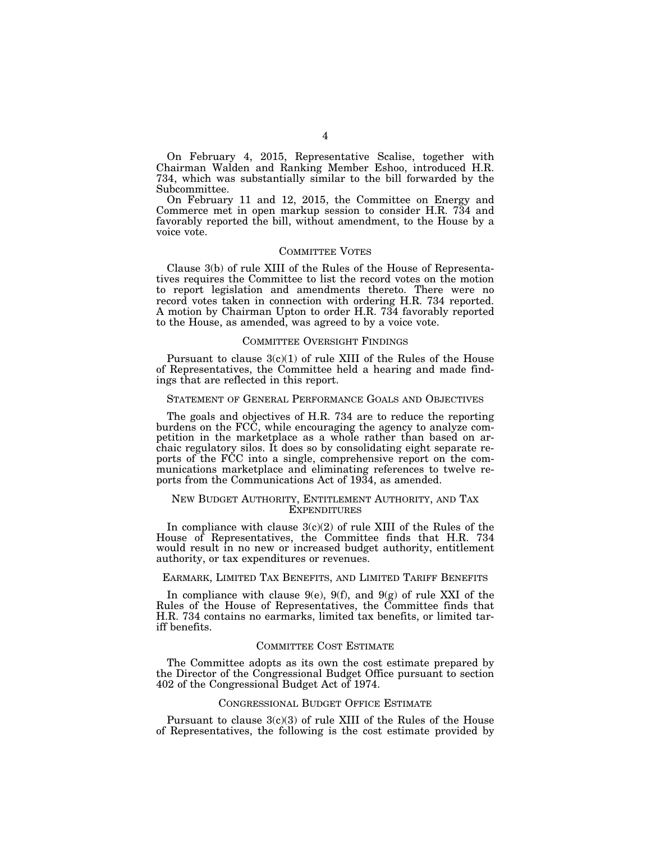On February 4, 2015, Representative Scalise, together with Chairman Walden and Ranking Member Eshoo, introduced H.R. 734, which was substantially similar to the bill forwarded by the Subcommittee.

On February 11 and 12, 2015, the Committee on Energy and Commerce met in open markup session to consider H.R. 734 and favorably reported the bill, without amendment, to the House by a voice vote.

#### COMMITTEE VOTES

Clause 3(b) of rule XIII of the Rules of the House of Representatives requires the Committee to list the record votes on the motion to report legislation and amendments thereto. There were no record votes taken in connection with ordering H.R. 734 reported. A motion by Chairman Upton to order H.R. 734 favorably reported to the House, as amended, was agreed to by a voice vote.

#### COMMITTEE OVERSIGHT FINDINGS

Pursuant to clause  $3(c)(1)$  of rule XIII of the Rules of the House of Representatives, the Committee held a hearing and made findings that are reflected in this report.

### STATEMENT OF GENERAL PERFORMANCE GOALS AND OBJECTIVES

The goals and objectives of H.R. 734 are to reduce the reporting burdens on the FCC, while encouraging the agency to analyze competition in the marketplace as a whole rather than based on archaic regulatory silos. It does so by consolidating eight separate reports of the FCC into a single, comprehensive report on the communications marketplace and eliminating references to twelve reports from the Communications Act of 1934, as amended.

### NEW BUDGET AUTHORITY, ENTITLEMENT AUTHORITY, AND TAX EXPENDITURES

In compliance with clause  $3(c)(2)$  of rule XIII of the Rules of the House of Representatives, the Committee finds that H.R. 734 would result in no new or increased budget authority, entitlement authority, or tax expenditures or revenues.

### EARMARK, LIMITED TAX BENEFITS, AND LIMITED TARIFF BENEFITS

In compliance with clause 9(e), 9(f), and 9(g) of rule XXI of the Rules of the House of Representatives, the Committee finds that H.R. 734 contains no earmarks, limited tax benefits, or limited tariff benefits.

### COMMITTEE COST ESTIMATE

The Committee adopts as its own the cost estimate prepared by the Director of the Congressional Budget Office pursuant to section 402 of the Congressional Budget Act of 1974.

### CONGRESSIONAL BUDGET OFFICE ESTIMATE

Pursuant to clause  $3(c)(3)$  of rule XIII of the Rules of the House of Representatives, the following is the cost estimate provided by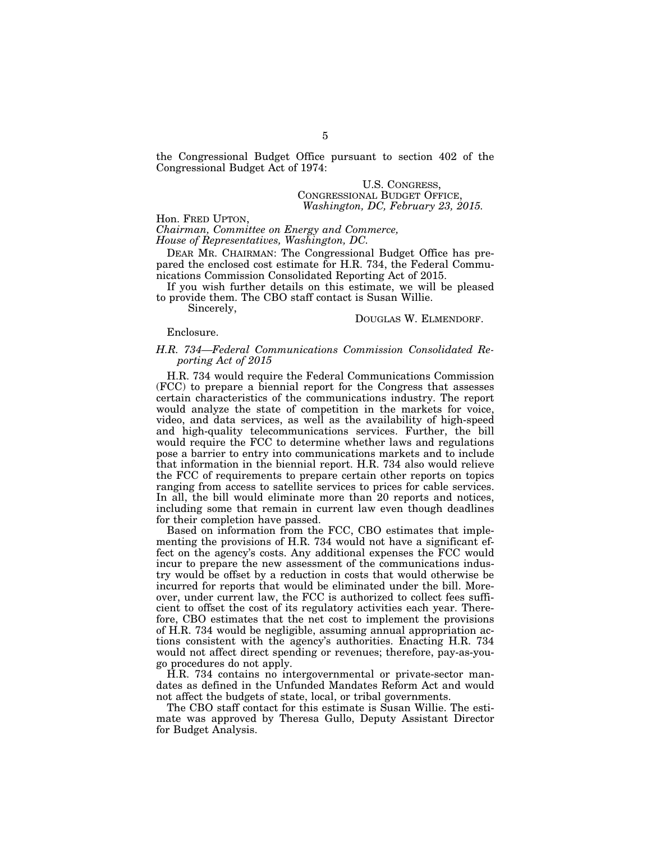the Congressional Budget Office pursuant to section 402 of the Congressional Budget Act of 1974:

### U.S. CONGRESS, CONGRESSIONAL BUDGET OFFICE, *Washington, DC, February 23, 2015.*

Hon. FRED UPTON,

*Chairman, Committee on Energy and Commerce,* 

*House of Representatives, Washington, DC.* 

DEAR MR. CHAIRMAN: The Congressional Budget Office has prepared the enclosed cost estimate for H.R. 734, the Federal Communications Commission Consolidated Reporting Act of 2015.

If you wish further details on this estimate, we will be pleased to provide them. The CBO staff contact is Susan Willie.

Sincerely,

#### DOUGLAS W. ELMENDORF.

### Enclosure.

### *H.R. 734—Federal Communications Commission Consolidated Reporting Act of 2015*

H.R. 734 would require the Federal Communications Commission (FCC) to prepare a biennial report for the Congress that assesses certain characteristics of the communications industry. The report would analyze the state of competition in the markets for voice, video, and data services, as well as the availability of high-speed and high-quality telecommunications services. Further, the bill would require the FCC to determine whether laws and regulations pose a barrier to entry into communications markets and to include that information in the biennial report. H.R. 734 also would relieve the FCC of requirements to prepare certain other reports on topics ranging from access to satellite services to prices for cable services. In all, the bill would eliminate more than 20 reports and notices, including some that remain in current law even though deadlines for their completion have passed.

Based on information from the FCC, CBO estimates that implementing the provisions of H.R. 734 would not have a significant effect on the agency's costs. Any additional expenses the FCC would incur to prepare the new assessment of the communications industry would be offset by a reduction in costs that would otherwise be incurred for reports that would be eliminated under the bill. Moreover, under current law, the FCC is authorized to collect fees sufficient to offset the cost of its regulatory activities each year. Therefore, CBO estimates that the net cost to implement the provisions of H.R. 734 would be negligible, assuming annual appropriation actions consistent with the agency's authorities. Enacting H.R. 734 would not affect direct spending or revenues; therefore, pay-as-yougo procedures do not apply.

H.R. 734 contains no intergovernmental or private-sector mandates as defined in the Unfunded Mandates Reform Act and would not affect the budgets of state, local, or tribal governments.

The CBO staff contact for this estimate is Susan Willie. The estimate was approved by Theresa Gullo, Deputy Assistant Director for Budget Analysis.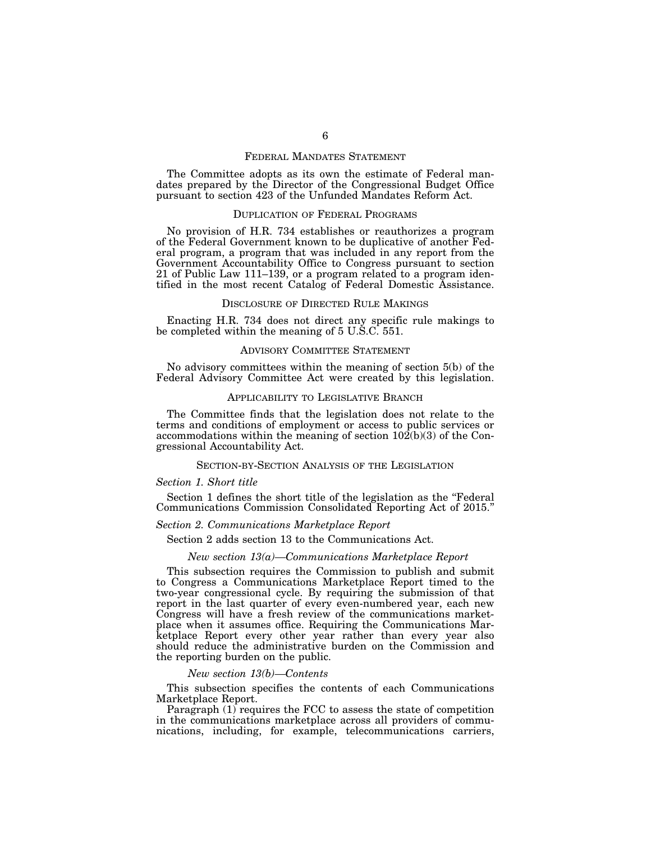### FEDERAL MANDATES STATEMENT

The Committee adopts as its own the estimate of Federal mandates prepared by the Director of the Congressional Budget Office pursuant to section 423 of the Unfunded Mandates Reform Act.

### DUPLICATION OF FEDERAL PROGRAMS

No provision of H.R. 734 establishes or reauthorizes a program of the Federal Government known to be duplicative of another Federal program, a program that was included in any report from the Government Accountability Office to Congress pursuant to section 21 of Public Law 111–139, or a program related to a program identified in the most recent Catalog of Federal Domestic Assistance.

#### DISCLOSURE OF DIRECTED RULE MAKINGS

Enacting H.R. 734 does not direct any specific rule makings to be completed within the meaning of 5 U.S.C. 551.

### ADVISORY COMMITTEE STATEMENT

No advisory committees within the meaning of section 5(b) of the Federal Advisory Committee Act were created by this legislation.

### APPLICABILITY TO LEGISLATIVE BRANCH

The Committee finds that the legislation does not relate to the terms and conditions of employment or access to public services or accommodations within the meaning of section  $10\overline{2}(b)(3)$  of the Congressional Accountability Act.

#### SECTION-BY-SECTION ANALYSIS OF THE LEGISLATION

#### *Section 1. Short title*

Section 1 defines the short title of the legislation as the ''Federal Communications Commission Consolidated Reporting Act of 2015.''

### *Section 2. Communications Marketplace Report*

Section 2 adds section 13 to the Communications Act.

### *New section 13(a)—Communications Marketplace Report*

This subsection requires the Commission to publish and submit to Congress a Communications Marketplace Report timed to the two-year congressional cycle. By requiring the submission of that report in the last quarter of every even-numbered year, each new Congress will have a fresh review of the communications marketplace when it assumes office. Requiring the Communications Marketplace Report every other year rather than every year also should reduce the administrative burden on the Commission and the reporting burden on the public.

### *New section 13(b)—Contents*

This subsection specifies the contents of each Communications Marketplace Report.

Paragraph (1) requires the FCC to assess the state of competition in the communications marketplace across all providers of communications, including, for example, telecommunications carriers,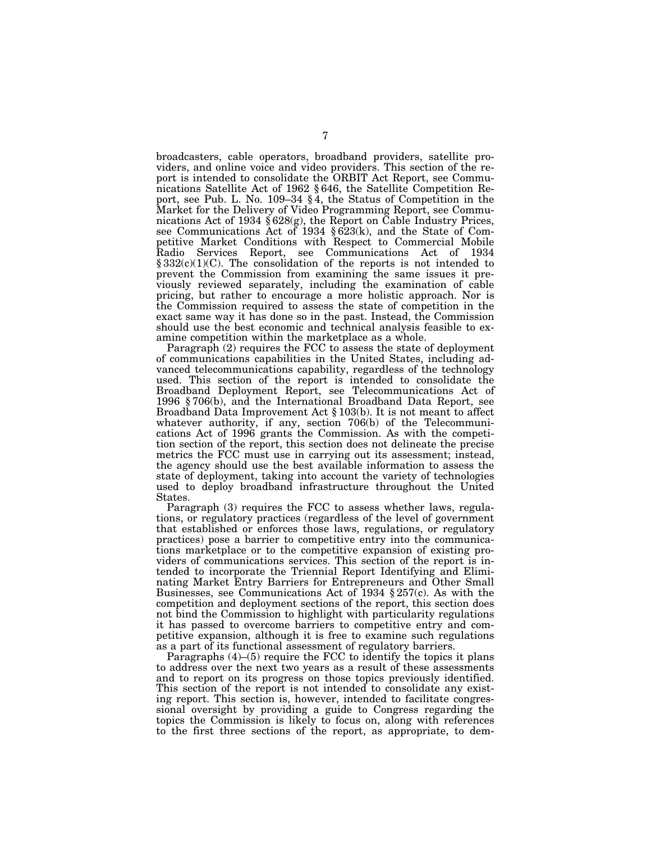broadcasters, cable operators, broadband providers, satellite providers, and online voice and video providers. This section of the report is intended to consolidate the ORBIT Act Report, see Communications Satellite Act of 1962 § 646, the Satellite Competition Report, see Pub. L. No. 109–34 § 4, the Status of Competition in the Market for the Delivery of Video Programming Report, see Communications Act of 1934  $\S 628(g)$ , the Report on Cable Industry Prices, see Communications Act of 1934 § 623(k), and the State of Competitive Market Conditions with Respect to Commercial Mobile Radio Services Report, see Communications Act of 1934  $\S 332(c)(1)(C)$ . The consolidation of the reports is not intended to prevent the Commission from examining the same issues it previously reviewed separately, including the examination of cable pricing, but rather to encourage a more holistic approach. Nor is the Commission required to assess the state of competition in the exact same way it has done so in the past. Instead, the Commission should use the best economic and technical analysis feasible to examine competition within the marketplace as a whole.

Paragraph (2) requires the FCC to assess the state of deployment of communications capabilities in the United States, including advanced telecommunications capability, regardless of the technology used. This section of the report is intended to consolidate the Broadband Deployment Report, see Telecommunications Act of 1996 § 706(b), and the International Broadband Data Report, see Broadband Data Improvement Act § 103(b). It is not meant to affect whatever authority, if any, section 706(b) of the Telecommunications Act of 1996 grants the Commission. As with the competition section of the report, this section does not delineate the precise metrics the FCC must use in carrying out its assessment; instead, the agency should use the best available information to assess the state of deployment, taking into account the variety of technologies used to deploy broadband infrastructure throughout the United States.

Paragraph (3) requires the FCC to assess whether laws, regulations, or regulatory practices (regardless of the level of government that established or enforces those laws, regulations, or regulatory practices) pose a barrier to competitive entry into the communications marketplace or to the competitive expansion of existing providers of communications services. This section of the report is intended to incorporate the Triennial Report Identifying and Eliminating Market Entry Barriers for Entrepreneurs and Other Small Businesses, see Communications Act of 1934 § 257(c). As with the competition and deployment sections of the report, this section does not bind the Commission to highlight with particularity regulations it has passed to overcome barriers to competitive entry and competitive expansion, although it is free to examine such regulations as a part of its functional assessment of regulatory barriers.

Paragraphs (4)–(5) require the FCC to identify the topics it plans to address over the next two years as a result of these assessments and to report on its progress on those topics previously identified. This section of the report is not intended to consolidate any existing report. This section is, however, intended to facilitate congressional oversight by providing a guide to Congress regarding the topics the Commission is likely to focus on, along with references to the first three sections of the report, as appropriate, to dem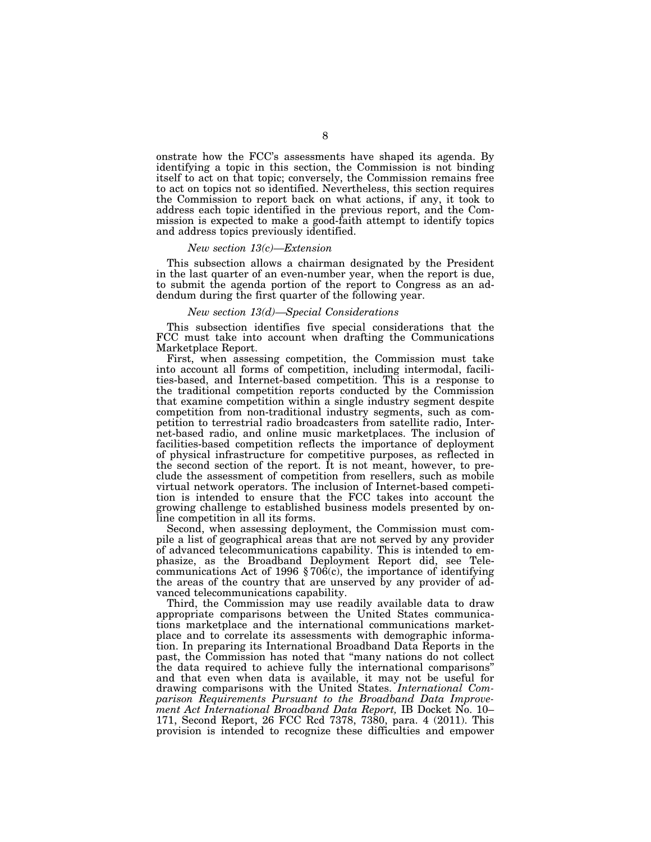onstrate how the FCC's assessments have shaped its agenda. By identifying a topic in this section, the Commission is not binding itself to act on that topic; conversely, the Commission remains free to act on topics not so identified. Nevertheless, this section requires the Commission to report back on what actions, if any, it took to address each topic identified in the previous report, and the Commission is expected to make a good-faith attempt to identify topics and address topics previously identified.

#### *New section 13(c)—Extension*

This subsection allows a chairman designated by the President in the last quarter of an even-number year, when the report is due, to submit the agenda portion of the report to Congress as an addendum during the first quarter of the following year.

#### *New section 13(d)—Special Considerations*

This subsection identifies five special considerations that the FCC must take into account when drafting the Communications Marketplace Report.

First, when assessing competition, the Commission must take into account all forms of competition, including intermodal, facilities-based, and Internet-based competition. This is a response to the traditional competition reports conducted by the Commission that examine competition within a single industry segment despite competition from non-traditional industry segments, such as competition to terrestrial radio broadcasters from satellite radio, Internet-based radio, and online music marketplaces. The inclusion of facilities-based competition reflects the importance of deployment of physical infrastructure for competitive purposes, as reflected in the second section of the report. It is not meant, however, to preclude the assessment of competition from resellers, such as mobile virtual network operators. The inclusion of Internet-based competition is intended to ensure that the FCC takes into account the growing challenge to established business models presented by online competition in all its forms.

Second, when assessing deployment, the Commission must compile a list of geographical areas that are not served by any provider of advanced telecommunications capability. This is intended to emphasize, as the Broadband Deployment Report did, see Telecommunications Act of 1996 § 706(c), the importance of identifying the areas of the country that are unserved by any provider of advanced telecommunications capability.

Third, the Commission may use readily available data to draw appropriate comparisons between the United States communications marketplace and the international communications marketplace and to correlate its assessments with demographic information. In preparing its International Broadband Data Reports in the past, the Commission has noted that ''many nations do not collect the data required to achieve fully the international comparisons'' and that even when data is available, it may not be useful for drawing comparisons with the United States. *International Comparison Requirements Pursuant to the Broadband Data Improvement Act International Broadband Data Report,* IB Docket No. 10– 171, Second Report, 26 FCC Rcd 7378, 7380, para. 4 (2011). This provision is intended to recognize these difficulties and empower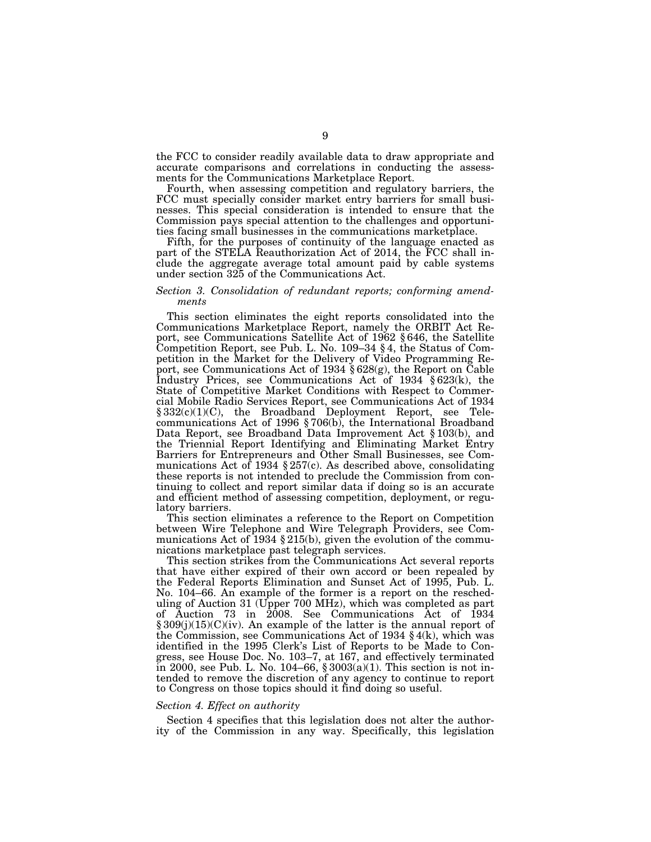the FCC to consider readily available data to draw appropriate and accurate comparisons and correlations in conducting the assessments for the Communications Marketplace Report.

Fourth, when assessing competition and regulatory barriers, the FCC must specially consider market entry barriers for small businesses. This special consideration is intended to ensure that the Commission pays special attention to the challenges and opportunities facing small businesses in the communications marketplace.

Fifth, for the purposes of continuity of the language enacted as part of the STELA Reauthorization Act of 2014, the FCC shall include the aggregate average total amount paid by cable systems under section 325 of the Communications Act.

### *Section 3. Consolidation of redundant reports; conforming amendments*

This section eliminates the eight reports consolidated into the Communications Marketplace Report, namely the ORBIT Act Report, see Communications Satellite Act of 1962 § 646, the Satellite Competition Report, see Pub. L. No. 109–34 § 4, the Status of Competition in the Market for the Delivery of Video Programming Report, see Communications Act of 1934 § 628(g), the Report on Cable Industry Prices, see Communications Act of 1934 § 623(k), the State of Competitive Market Conditions with Respect to Commercial Mobile Radio Services Report, see Communications Act of 1934 § 332(c)(1)(C), the Broadband Deployment Report, see Telecommunications Act of 1996 § 706(b), the International Broadband Data Report, see Broadband Data Improvement Act § 103(b), and the Triennial Report Identifying and Eliminating Market Entry Barriers for Entrepreneurs and Other Small Businesses, see Communications Act of 1934 § 257(c). As described above, consolidating these reports is not intended to preclude the Commission from continuing to collect and report similar data if doing so is an accurate and efficient method of assessing competition, deployment, or regulatory barriers.

This section eliminates a reference to the Report on Competition between Wire Telephone and Wire Telegraph Providers, see Communications Act of 1934 § 215(b), given the evolution of the communications marketplace past telegraph services.

This section strikes from the Communications Act several reports that have either expired of their own accord or been repealed by the Federal Reports Elimination and Sunset Act of 1995, Pub. L. No. 104–66. An example of the former is a report on the rescheduling of Auction 31 (Upper 700 MHz), which was completed as part of Auction 73 in 2008. See Communications Act of 1934 § 309(j)(15)(C)(iv). An example of the latter is the annual report of the Commission, see Communications Act of 1934 § 4(k), which was identified in the 1995 Clerk's List of Reports to be Made to Congress, see House Doc. No. 103–7, at 167, and effectively terminated in 2000, see Pub. L. No. 104–66, § 3003(a)(1). This section is not intended to remove the discretion of any agency to continue to report to Congress on those topics should it find doing so useful.

#### *Section 4. Effect on authority*

Section 4 specifies that this legislation does not alter the authority of the Commission in any way. Specifically, this legislation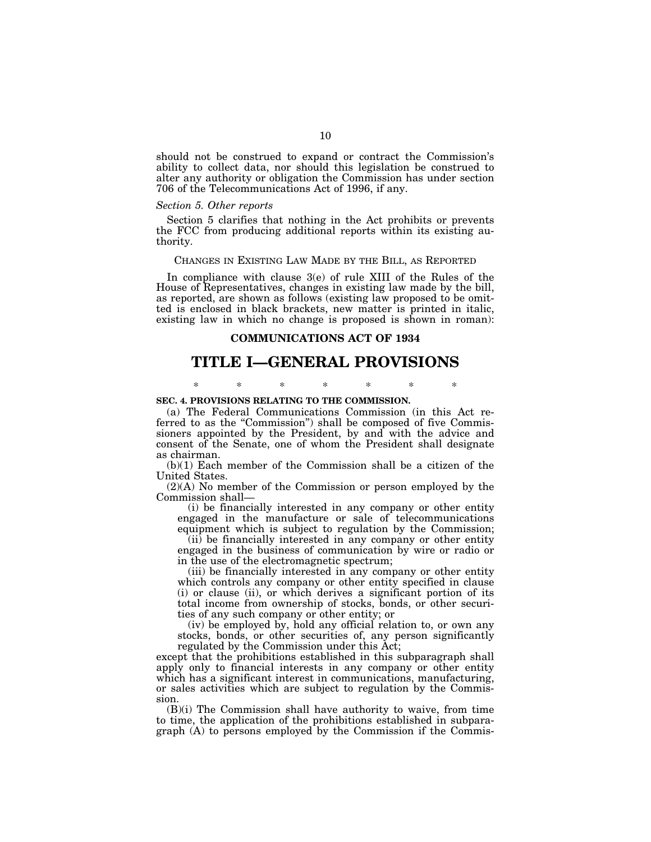should not be construed to expand or contract the Commission's ability to collect data, nor should this legislation be construed to alter any authority or obligation the Commission has under section 706 of the Telecommunications Act of 1996, if any.

### *Section 5. Other reports*

Section 5 clarifies that nothing in the Act prohibits or prevents the FCC from producing additional reports within its existing authority.

#### CHANGES IN EXISTING LAW MADE BY THE BILL, AS REPORTED

In compliance with clause 3(e) of rule XIII of the Rules of the House of Representatives, changes in existing law made by the bill, as reported, are shown as follows (existing law proposed to be omitted is enclosed in black brackets, new matter is printed in italic, existing law in which no change is proposed is shown in roman):

### **COMMUNICATIONS ACT OF 1934**

## **TITLE I—GENERAL PROVISIONS**

\* \* \* \* \* \* \*

### **SEC. 4. PROVISIONS RELATING TO THE COMMISSION.**

(a) The Federal Communications Commission (in this Act referred to as the "Commission") shall be composed of five Commissioners appointed by the President, by and with the advice and consent of the Senate, one of whom the President shall designate as chairman.

(b)(1) Each member of the Commission shall be a citizen of the United States.

(2)(A) No member of the Commission or person employed by the Commission shall—

(i) be financially interested in any company or other entity engaged in the manufacture or sale of telecommunications equipment which is subject to regulation by the Commission;

(ii) be financially interested in any company or other entity engaged in the business of communication by wire or radio or in the use of the electromagnetic spectrum;

(iii) be financially interested in any company or other entity which controls any company or other entity specified in clause (i) or clause (ii), or which derives a significant portion of its total income from ownership of stocks, bonds, or other securities of any such company or other entity; or

(iv) be employed by, hold any official relation to, or own any stocks, bonds, or other securities of, any person significantly regulated by the Commission under this Act;

except that the prohibitions established in this subparagraph shall apply only to financial interests in any company or other entity which has a significant interest in communications, manufacturing, or sales activities which are subject to regulation by the Commission.

(B)(i) The Commission shall have authority to waive, from time to time, the application of the prohibitions established in subparagraph (A) to persons employed by the Commission if the Commis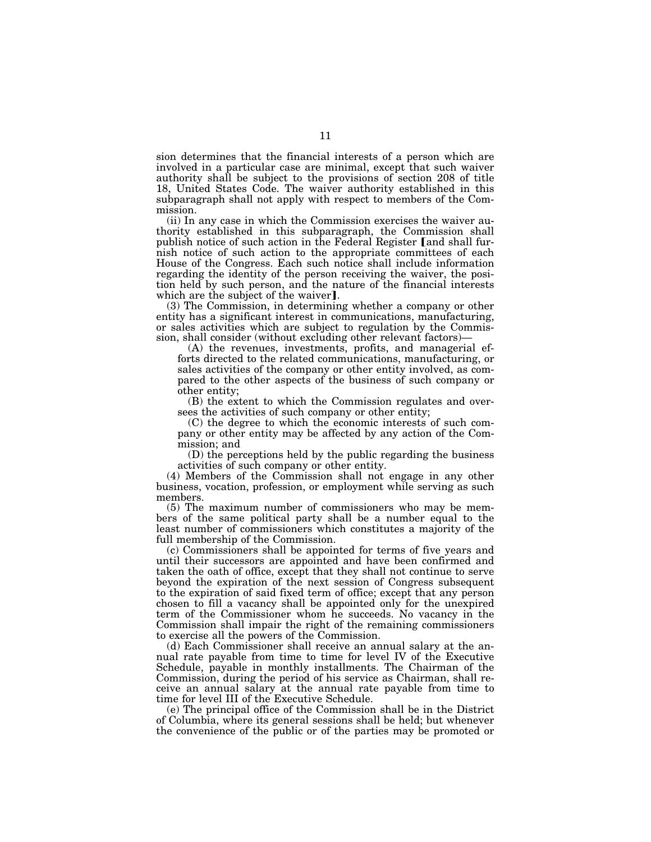sion determines that the financial interests of a person which are involved in a particular case are minimal, except that such waiver authority shall be subject to the provisions of section 208 of title 18, United States Code. The waiver authority established in this subparagraph shall not apply with respect to members of the Commission.

(ii) In any case in which the Commission exercises the waiver authority established in this subparagraph, the Commission shall<br>publish notice of such action in the Federal Register [and shall furnish notice of such action to the appropriate committees of each House of the Congress. Each such notice shall include information regarding the identity of the person receiving the waiver, the position held by such person, and the nature of the financial interests

(3) The Commission, in determining whether a company or other entity has a significant interest in communications, manufacturing, or sales activities which are subject to regulation by the Commission, shall consider (without excluding other relevant factors)—

(A) the revenues, investments, profits, and managerial efforts directed to the related communications, manufacturing, or sales activities of the company or other entity involved, as compared to the other aspects of the business of such company or other entity;

(B) the extent to which the Commission regulates and oversees the activities of such company or other entity;

(C) the degree to which the economic interests of such company or other entity may be affected by any action of the Commission; and

(D) the perceptions held by the public regarding the business activities of such company or other entity.

(4) Members of the Commission shall not engage in any other business, vocation, profession, or employment while serving as such members.

(5) The maximum number of commissioners who may be members of the same political party shall be a number equal to the least number of commissioners which constitutes a majority of the full membership of the Commission.

(c) Commissioners shall be appointed for terms of five years and until their successors are appointed and have been confirmed and taken the oath of office, except that they shall not continue to serve beyond the expiration of the next session of Congress subsequent to the expiration of said fixed term of office; except that any person chosen to fill a vacancy shall be appointed only for the unexpired term of the Commissioner whom he succeeds. No vacancy in the Commission shall impair the right of the remaining commissioners to exercise all the powers of the Commission.

(d) Each Commissioner shall receive an annual salary at the annual rate payable from time to time for level IV of the Executive Schedule, payable in monthly installments. The Chairman of the Commission, during the period of his service as Chairman, shall receive an annual salary at the annual rate payable from time to time for level III of the Executive Schedule.

(e) The principal office of the Commission shall be in the District of Columbia, where its general sessions shall be held; but whenever the convenience of the public or of the parties may be promoted or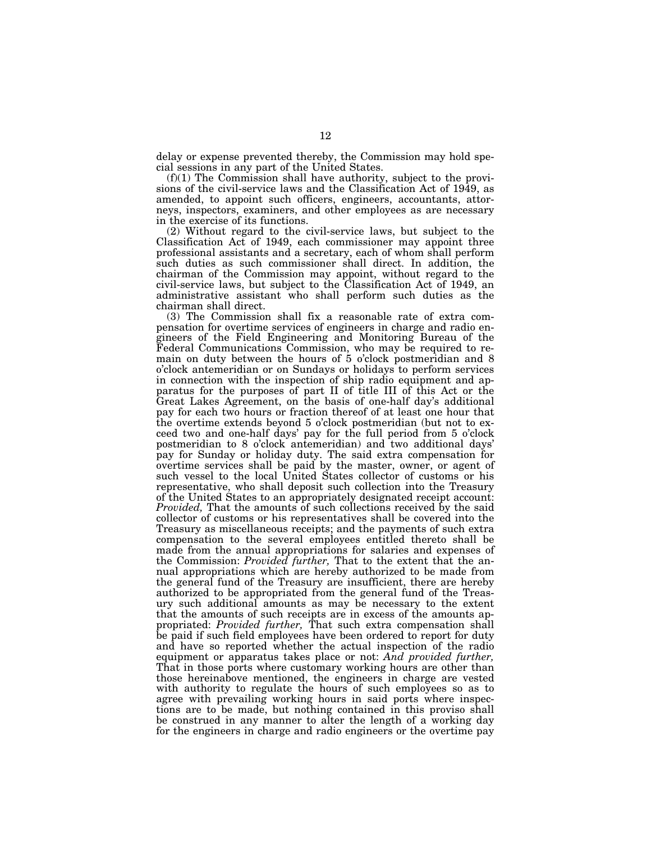delay or expense prevented thereby, the Commission may hold special sessions in any part of the United States.

 $(f)(1)$  The Commission shall have authority, subject to the provisions of the civil-service laws and the Classification Act of 1949, as amended, to appoint such officers, engineers, accountants, attorneys, inspectors, examiners, and other employees as are necessary in the exercise of its functions.

(2) Without regard to the civil-service laws, but subject to the Classification Act of 1949, each commissioner may appoint three professional assistants and a secretary, each of whom shall perform such duties as such commissioner shall direct. In addition, the chairman of the Commission may appoint, without regard to the civil-service laws, but subject to the Classification Act of 1949, an administrative assistant who shall perform such duties as the chairman shall direct.

(3) The Commission shall fix a reasonable rate of extra compensation for overtime services of engineers in charge and radio engineers of the Field Engineering and Monitoring Bureau of the Federal Communications Commission, who may be required to remain on duty between the hours of 5 o'clock postmeridian and 8 o'clock antemeridian or on Sundays or holidays to perform services in connection with the inspection of ship radio equipment and apparatus for the purposes of part II of title III of this Act or the Great Lakes Agreement, on the basis of one-half day's additional pay for each two hours or fraction thereof of at least one hour that the overtime extends beyond 5 o'clock postmeridian (but not to exceed two and one-half days' pay for the full period from 5 o'clock postmeridian to 8 o'clock antemeridian) and two additional days' pay for Sunday or holiday duty. The said extra compensation for overtime services shall be paid by the master, owner, or agent of such vessel to the local United States collector of customs or his representative, who shall deposit such collection into the Treasury of the United States to an appropriately designated receipt account: *Provided*, That the amounts of such collections received by the said collector of customs or his representatives shall be covered into the Treasury as miscellaneous receipts; and the payments of such extra compensation to the several employees entitled thereto shall be made from the annual appropriations for salaries and expenses of the Commission: *Provided further,* That to the extent that the annual appropriations which are hereby authorized to be made from the general fund of the Treasury are insufficient, there are hereby authorized to be appropriated from the general fund of the Treasury such additional amounts as may be necessary to the extent that the amounts of such receipts are in excess of the amounts appropriated: *Provided further,* That such extra compensation shall be paid if such field employees have been ordered to report for duty and have so reported whether the actual inspection of the radio equipment or apparatus takes place or not: *And provided further,*  That in those ports where customary working hours are other than those hereinabove mentioned, the engineers in charge are vested with authority to regulate the hours of such employees so as to agree with prevailing working hours in said ports where inspections are to be made, but nothing contained in this proviso shall be construed in any manner to alter the length of a working day for the engineers in charge and radio engineers or the overtime pay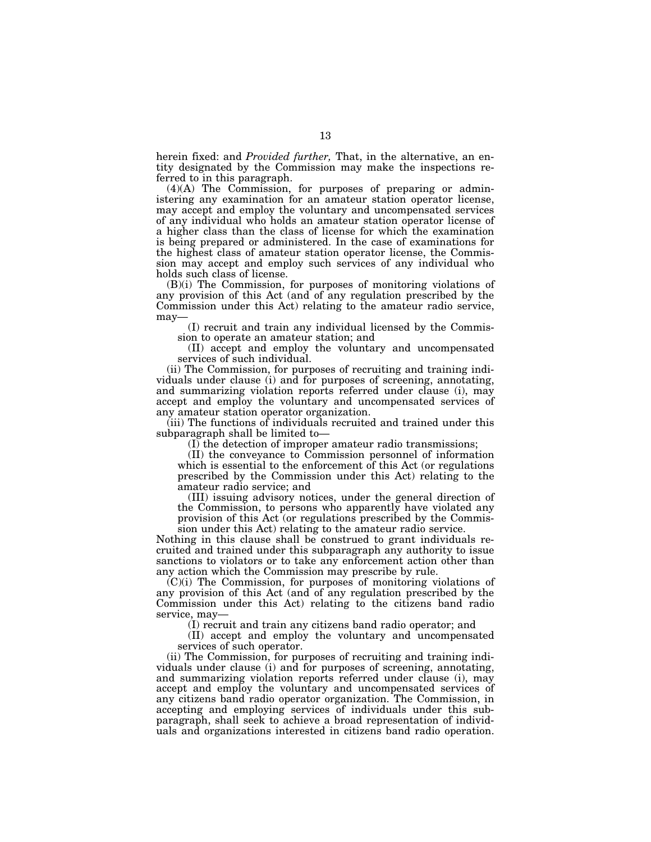herein fixed: and *Provided further,* That, in the alternative, an entity designated by the Commission may make the inspections referred to in this paragraph.

(4)(A) The Commission, for purposes of preparing or administering any examination for an amateur station operator license, may accept and employ the voluntary and uncompensated services of any individual who holds an amateur station operator license of a higher class than the class of license for which the examination is being prepared or administered. In the case of examinations for the highest class of amateur station operator license, the Commission may accept and employ such services of any individual who holds such class of license.

(B)(i) The Commission, for purposes of monitoring violations of any provision of this Act (and of any regulation prescribed by the Commission under this Act) relating to the amateur radio service, may—

(I) recruit and train any individual licensed by the Commission to operate an amateur station; and

(II) accept and employ the voluntary and uncompensated services of such individual.

(ii) The Commission, for purposes of recruiting and training individuals under clause (i) and for purposes of screening, annotating, and summarizing violation reports referred under clause (i), may accept and employ the voluntary and uncompensated services of any amateur station operator organization.

(iii) The functions of individuals recruited and trained under this subparagraph shall be limited to—

(I) the detection of improper amateur radio transmissions;

(II) the conveyance to Commission personnel of information which is essential to the enforcement of this Act (or regulations prescribed by the Commission under this Act) relating to the amateur radio service; and

(III) issuing advisory notices, under the general direction of the Commission, to persons who apparently have violated any provision of this Act (or regulations prescribed by the Commission under this Act) relating to the amateur radio service.

Nothing in this clause shall be construed to grant individuals recruited and trained under this subparagraph any authority to issue sanctions to violators or to take any enforcement action other than any action which the Commission may prescribe by rule.

(C)(i) The Commission, for purposes of monitoring violations of any provision of this Act (and of any regulation prescribed by the Commission under this Act) relating to the citizens band radio service, may—

(I) recruit and train any citizens band radio operator; and

(II) accept and employ the voluntary and uncompensated services of such operator.

(ii) The Commission, for purposes of recruiting and training individuals under clause (i) and for purposes of screening, annotating, and summarizing violation reports referred under clause (i), may accept and employ the voluntary and uncompensated services of any citizens band radio operator organization. The Commission, in accepting and employing services of individuals under this subparagraph, shall seek to achieve a broad representation of individuals and organizations interested in citizens band radio operation.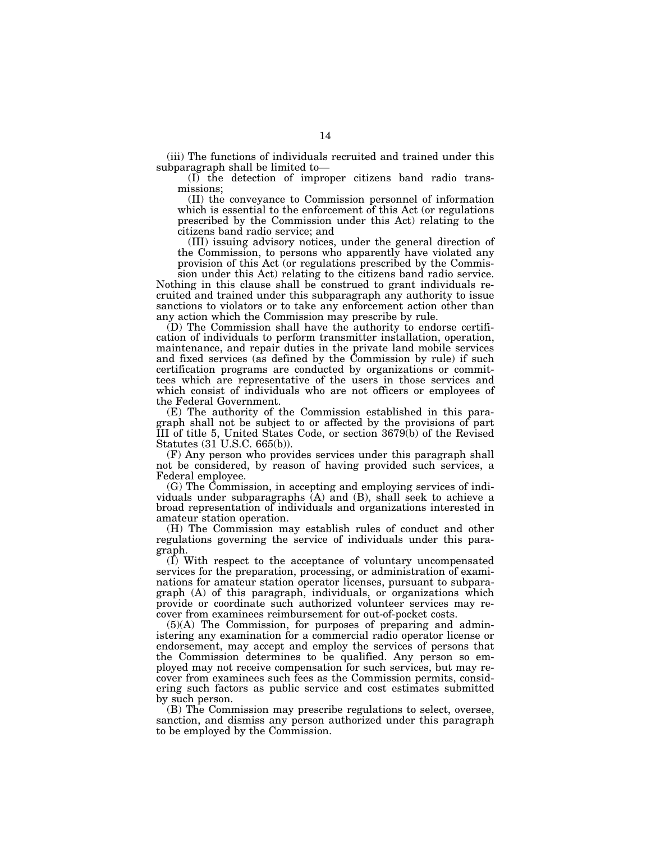(iii) The functions of individuals recruited and trained under this subparagraph shall be limited to—

(I) the detection of improper citizens band radio transmissions;

(II) the conveyance to Commission personnel of information which is essential to the enforcement of this Act (or regulations prescribed by the Commission under this Act) relating to the citizens band radio service; and

(III) issuing advisory notices, under the general direction of the Commission, to persons who apparently have violated any provision of this Act (or regulations prescribed by the Commis-

sion under this Act) relating to the citizens band radio service. Nothing in this clause shall be construed to grant individuals recruited and trained under this subparagraph any authority to issue sanctions to violators or to take any enforcement action other than any action which the Commission may prescribe by rule.

(D) The Commission shall have the authority to endorse certification of individuals to perform transmitter installation, operation, maintenance, and repair duties in the private land mobile services and fixed services (as defined by the Commission by rule) if such certification programs are conducted by organizations or committees which are representative of the users in those services and which consist of individuals who are not officers or employees of the Federal Government.

(E) The authority of the Commission established in this paragraph shall not be subject to or affected by the provisions of part III of title 5, United States Code, or section 3679(b) of the Revised Statutes (31 U.S.C. 665(b)).

(F) Any person who provides services under this paragraph shall not be considered, by reason of having provided such services, a Federal employee.

(G) The Commission, in accepting and employing services of individuals under subparagraphs  $(A)$  and  $(B)$ , shall seek to achieve a broad representation of individuals and organizations interested in amateur station operation.

(H) The Commission may establish rules of conduct and other regulations governing the service of individuals under this paragraph.

 $(I)$  With respect to the acceptance of voluntary uncompensated services for the preparation, processing, or administration of examinations for amateur station operator licenses, pursuant to subparagraph (A) of this paragraph, individuals, or organizations which provide or coordinate such authorized volunteer services may recover from examinees reimbursement for out-of-pocket costs.

(5)(A) The Commission, for purposes of preparing and administering any examination for a commercial radio operator license or endorsement, may accept and employ the services of persons that the Commission determines to be qualified. Any person so employed may not receive compensation for such services, but may recover from examinees such fees as the Commission permits, considering such factors as public service and cost estimates submitted by such person.

(B) The Commission may prescribe regulations to select, oversee, sanction, and dismiss any person authorized under this paragraph to be employed by the Commission.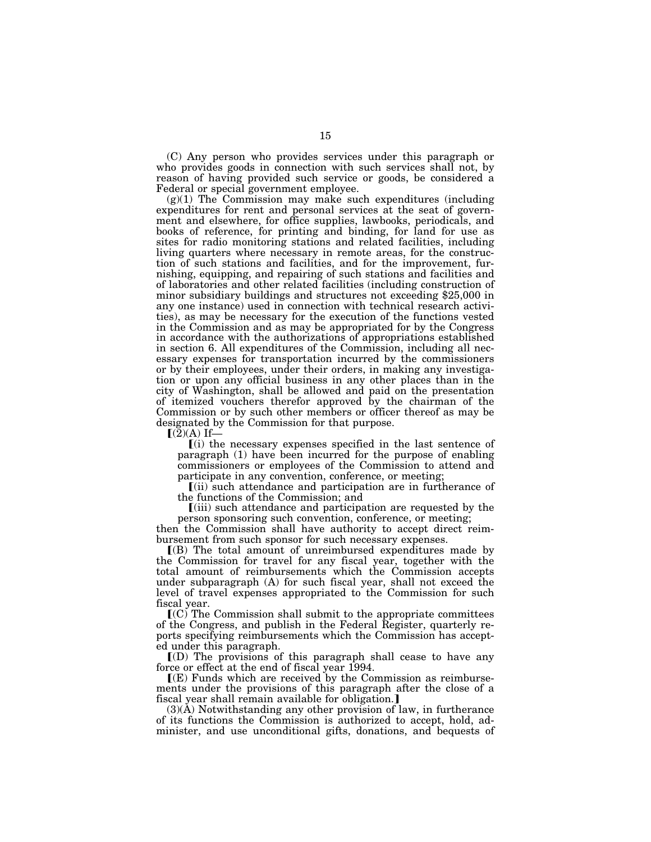(C) Any person who provides services under this paragraph or who provides goods in connection with such services shall not, by reason of having provided such service or goods, be considered a Federal or special government employee.

 $(g)(1)$  The Commission may make such expenditures (including expenditures for rent and personal services at the seat of government and elsewhere, for office supplies, lawbooks, periodicals, and books of reference, for printing and binding, for land for use as sites for radio monitoring stations and related facilities, including living quarters where necessary in remote areas, for the construction of such stations and facilities, and for the improvement, furnishing, equipping, and repairing of such stations and facilities and of laboratories and other related facilities (including construction of minor subsidiary buildings and structures not exceeding \$25,000 in any one instance) used in connection with technical research activities), as may be necessary for the execution of the functions vested in the Commission and as may be appropriated for by the Congress in accordance with the authorizations of appropriations established in section 6. All expenditures of the Commission, including all necessary expenses for transportation incurred by the commissioners or by their employees, under their orders, in making any investigation or upon any official business in any other places than in the city of Washington, shall be allowed and paid on the presentation of itemized vouchers therefor approved by the chairman of the Commission or by such other members or officer thereof as may be designated by the Commission for that purpose.

 $[(2)(A)$  If—

ø(i) the necessary expenses specified in the last sentence of paragraph (1) have been incurred for the purpose of enabling commissioners or employees of the Commission to attend and participate in any convention, conference, or meeting;

ø(ii) such attendance and participation are in furtherance of the functions of the Commission; and

ø(iii) such attendance and participation are requested by the person sponsoring such convention, conference, or meeting;

then the Commission shall have authority to accept direct reimbursement from such sponsor for such necessary expenses.

ø(B) The total amount of unreimbursed expenditures made by the Commission for travel for any fiscal year, together with the total amount of reimbursements which the Commission accepts under subparagraph (A) for such fiscal year, shall not exceed the level of travel expenses appropriated to the Commission for such fiscal year.

 $\mathbb{I}(C)$  The Commission shall submit to the appropriate committees of the Congress, and publish in the Federal Register, quarterly reports specifying reimbursements which the Commission has accepted under this paragraph.

 $I(D)$  The provisions of this paragraph shall cease to have any force or effect at the end of fiscal year 1994.

 $I(E)$  Funds which are received by the Commission as reimbursements under the provisions of this paragraph after the close of a fiscal year shall remain available for obligation.]

(3)(A) Notwithstanding any other provision of law, in furtherance of its functions the Commission is authorized to accept, hold, administer, and use unconditional gifts, donations, and bequests of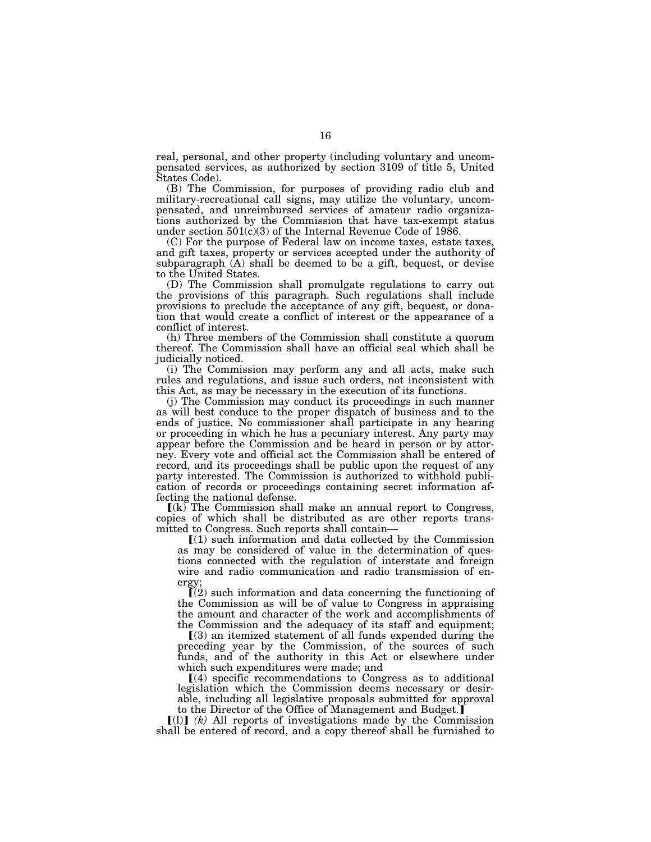real, personal, and other property (including voluntary and uncompensated services, as authorized by section 3109 of title 5, United States Code).

(B) The Commission, for purposes of providing radio club and military-recreational call signs, may utilize the voluntary, uncompensated, and unreimbursed services of amateur radio organizations authorized by the Commission that have tax-exempt status under section 501(c)(3) of the Internal Revenue Code of 1986.

(C) For the purpose of Federal law on income taxes, estate taxes, and gift taxes, property or services accepted under the authority of subparagraph (A) shall be deemed to be a gift, bequest, or devise to the United States.

(D) The Commission shall promulgate regulations to carry out the provisions of this paragraph. Such regulations shall include provisions to preclude the acceptance of any gift, bequest, or donation that would create a conflict of interest or the appearance of a conflict of interest.

(h) Three members of the Commission shall constitute a quorum thereof. The Commission shall have an official seal which shall be judicially noticed.

(i) The Commission may perform any and all acts, make such rules and regulations, and issue such orders, not inconsistent with this Act, as may be necessary in the execution of its functions.

(j) The Commission may conduct its proceedings in such manner as will best conduce to the proper dispatch of business and to the ends of justice. No commissioner shall participate in any hearing or proceeding in which he has a pecuniary interest. Any party may appear before the Commission and be heard in person or by attorney. Every vote and official act the Commission shall be entered of record, and its proceedings shall be public upon the request of any party interested. The Commission is authorized to withhold publication of records or proceedings containing secret information affecting the national defense.

 $\lfloor (k) \rfloor$  The Commission shall make an annual report to Congress, copies of which shall be distributed as are other reports transmitted to Congress. Such reports shall contain—

 $(1)$  such information and data collected by the Commission as may be considered of value in the determination of questions connected with the regulation of interstate and foreign wire and radio communication and radio transmission of energy

 $(a)$  such information and data concerning the functioning of the Commission as will be of value to Congress in appraising the amount and character of the work and accomplishments of the Commission and the adequacy of its staff and equipment;

 $(3)$  an itemized statement of all funds expended during the preceding year by the Commission, of the sources of such funds, and of the authority in this Act or elsewhere under which such expenditures were made; and

 $(a)$  specific recommendations to Congress as to additional legislation which the Commission deems necessary or desirable, including all legislative proposals submitted for approval to the Director of the Office of Management and Budget.

 $\lceil (1) \rceil$  (k) All reports of investigations made by the Commission shall be entered of record, and a copy thereof shall be furnished to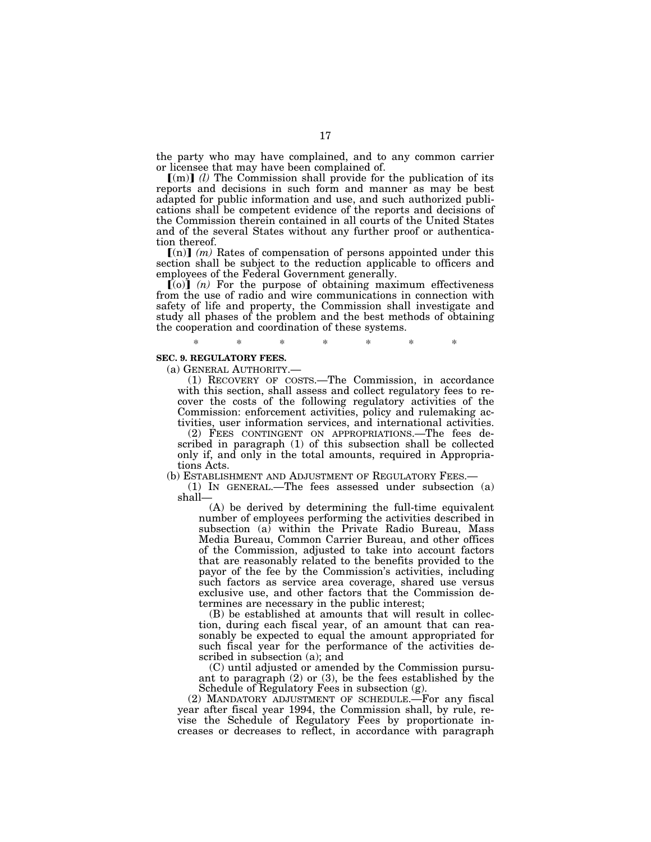the party who may have complained, and to any common carrier or licensee that may have been complained of.

 $\lceil (m) \rceil$  *(l)* The Commission shall provide for the publication of its reports and decisions in such form and manner as may be best adapted for public information and use, and such authorized publications shall be competent evidence of the reports and decisions of the Commission therein contained in all courts of the United States and of the several States without any further proof or authentication thereof.

 $\lceil$ (n) $\rceil$  (*m*) Rates of compensation of persons appointed under this section shall be subject to the reduction applicable to officers and employees of the Federal Government generally.

 $\left[\!\!\left[0\right]\!\!\right]$   $(n)$  For the purpose of obtaining maximum effectiveness from the use of radio and wire communications in connection with safety of life and property, the Commission shall investigate and study all phases of the problem and the best methods of obtaining the cooperation and coordination of these systems.

\* \* \* \* \* \* \*

### **SEC. 9. REGULATORY FEES.**

(a) GENERAL AUTHORITY.— (1) RECOVERY OF COSTS.—The Commission, in accordance with this section, shall assess and collect regulatory fees to recover the costs of the following regulatory activities of the Commission: enforcement activities, policy and rulemaking activities, user information services, and international activities.

(2) FEES CONTINGENT ON APPROPRIATIONS.—The fees described in paragraph (1) of this subsection shall be collected only if, and only in the total amounts, required in Appropriations Acts.<br>(b) Establishment and Adjustment of Regulatory Fees.—

(1) IN GENERAL.—The fees assessed under subsection  $(a)$ shall—

(A) be derived by determining the full-time equivalent number of employees performing the activities described in subsection (a) within the Private Radio Bureau, Mass Media Bureau, Common Carrier Bureau, and other offices of the Commission, adjusted to take into account factors that are reasonably related to the benefits provided to the payor of the fee by the Commission's activities, including such factors as service area coverage, shared use versus exclusive use, and other factors that the Commission determines are necessary in the public interest;

(B) be established at amounts that will result in collection, during each fiscal year, of an amount that can reasonably be expected to equal the amount appropriated for such fiscal year for the performance of the activities described in subsection (a); and

(C) until adjusted or amended by the Commission pursuant to paragraph (2) or (3), be the fees established by the Schedule of Regulatory Fees in subsection (g).

(2) MANDATORY ADJUSTMENT OF SCHEDULE.—For any fiscal year after fiscal year 1994, the Commission shall, by rule, revise the Schedule of Regulatory Fees by proportionate increases or decreases to reflect, in accordance with paragraph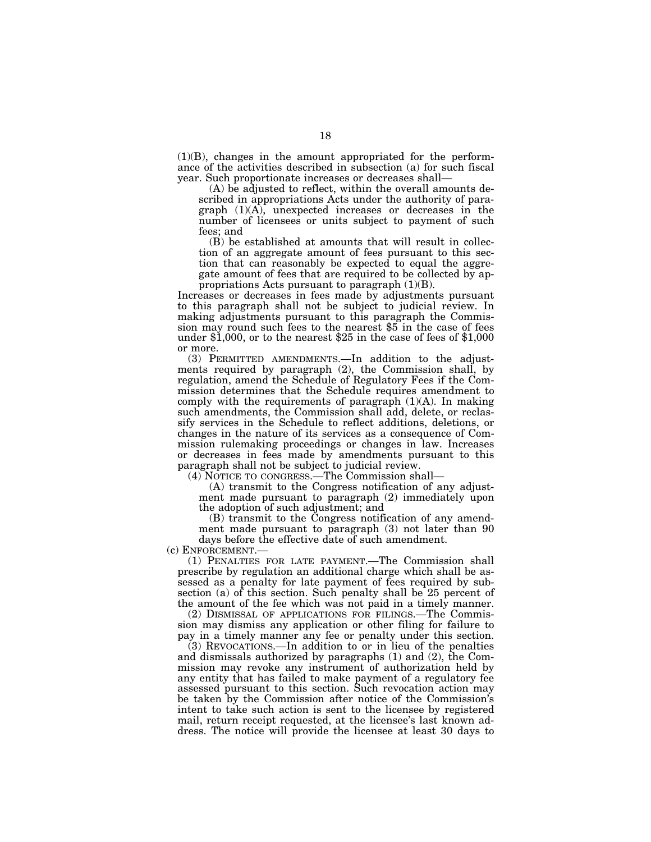(1)(B), changes in the amount appropriated for the performance of the activities described in subsection (a) for such fiscal year. Such proportionate increases or decreases shall—

(A) be adjusted to reflect, within the overall amounts described in appropriations Acts under the authority of paragraph (1)(A), unexpected increases or decreases in the number of licensees or units subject to payment of such fees; and

(B) be established at amounts that will result in collection of an aggregate amount of fees pursuant to this section that can reasonably be expected to equal the aggregate amount of fees that are required to be collected by appropriations Acts pursuant to paragraph (1)(B).

Increases or decreases in fees made by adjustments pursuant to this paragraph shall not be subject to judicial review. In making adjustments pursuant to this paragraph the Commission may round such fees to the nearest \$5 in the case of fees under \$1,000, or to the nearest \$25 in the case of fees of \$1,000 or more.

(3) PERMITTED AMENDMENTS.—In addition to the adjustments required by paragraph (2), the Commission shall, by regulation, amend the Schedule of Regulatory Fees if the Commission determines that the Schedule requires amendment to comply with the requirements of paragraph (1)(A). In making such amendments, the Commission shall add, delete, or reclassify services in the Schedule to reflect additions, deletions, or changes in the nature of its services as a consequence of Commission rulemaking proceedings or changes in law. Increases or decreases in fees made by amendments pursuant to this paragraph shall not be subject to judicial review.

(4) NOTICE TO CONGRESS.—The Commission shall—

(A) transmit to the Congress notification of any adjustment made pursuant to paragraph (2) immediately upon the adoption of such adjustment; and

(B) transmit to the Congress notification of any amendment made pursuant to paragraph (3) not later than 90 days before the effective date of such amendment.<br>(c) ENFORCEMENT.—

(1) PENALTIES FOR LATE PAYMENT.—The Commission shall prescribe by regulation an additional charge which shall be assessed as a penalty for late payment of fees required by subsection (a) of this section. Such penalty shall be 25 percent of the amount of the fee which was not paid in a timely manner.

(2) DISMISSAL OF APPLICATIONS FOR FILINGS.—The Commission may dismiss any application or other filing for failure to pay in a timely manner any fee or penalty under this section.

(3) REVOCATIONS.—In addition to or in lieu of the penalties and dismissals authorized by paragraphs (1) and (2), the Commission may revoke any instrument of authorization held by any entity that has failed to make payment of a regulatory fee assessed pursuant to this section. Such revocation action may be taken by the Commission after notice of the Commission's intent to take such action is sent to the licensee by registered mail, return receipt requested, at the licensee's last known address. The notice will provide the licensee at least 30 days to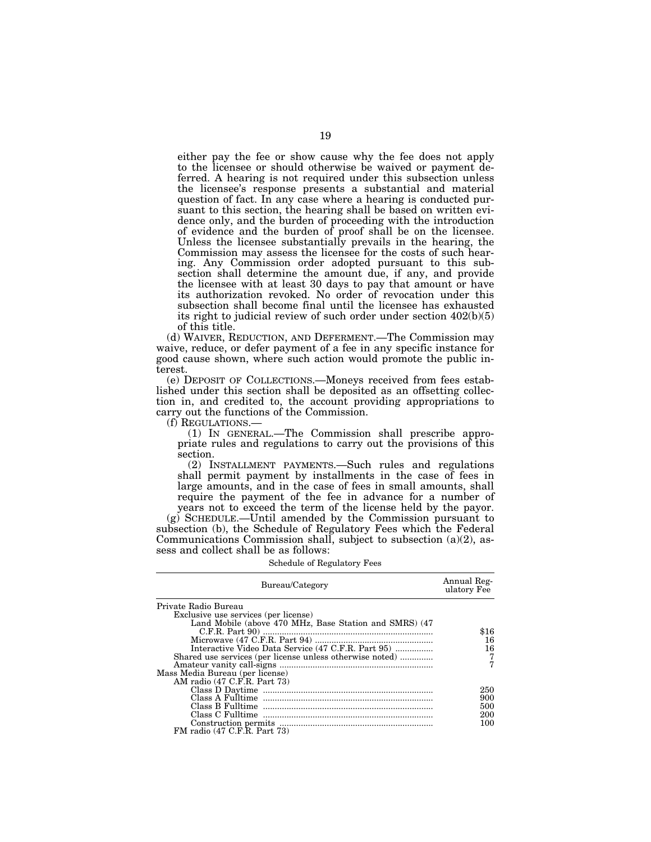either pay the fee or show cause why the fee does not apply to the licensee or should otherwise be waived or payment deferred. A hearing is not required under this subsection unless the licensee's response presents a substantial and material question of fact. In any case where a hearing is conducted pursuant to this section, the hearing shall be based on written evidence only, and the burden of proceeding with the introduction of evidence and the burden of proof shall be on the licensee. Unless the licensee substantially prevails in the hearing, the Commission may assess the licensee for the costs of such hearing. Any Commission order adopted pursuant to this subsection shall determine the amount due, if any, and provide the licensee with at least 30 days to pay that amount or have its authorization revoked. No order of revocation under this subsection shall become final until the licensee has exhausted its right to judicial review of such order under section 402(b)(5) of this title.

(d) WAIVER, REDUCTION, AND DEFERMENT.—The Commission may waive, reduce, or defer payment of a fee in any specific instance for good cause shown, where such action would promote the public interest.

(e) DEPOSIT OF COLLECTIONS.—Moneys received from fees established under this section shall be deposited as an offsetting collection in, and credited to, the account providing appropriations to carry out the functions of the Commission.

(f) REGULATIONS.— (1) IN GENERAL.—The Commission shall prescribe appropriate rules and regulations to carry out the provisions of this section.

(2) INSTALLMENT PAYMENTS.—Such rules and regulations shall permit payment by installments in the case of fees in large amounts, and in the case of fees in small amounts, shall require the payment of the fee in advance for a number of years not to exceed the term of the license held by the payor.

(g) SCHEDULE.—Until amended by the Commission pursuant to subsection (b), the Schedule of Regulatory Fees which the Federal Communications Commission shall, subject to subsection (a)(2), assess and collect shall be as follows:

Schedule of Regulatory Fees

| Bureau/Category                                                                                                                                                                                                                                                                                                        | Annual Reg-<br>ulatory Fee      |
|------------------------------------------------------------------------------------------------------------------------------------------------------------------------------------------------------------------------------------------------------------------------------------------------------------------------|---------------------------------|
| Private Radio Bureau<br>Exclusive use services (per license)<br>Land Mobile (above 470 MHz, Base Station and SMRS) (47<br>Interactive Video Data Service (47 C.F.R. Part 95)<br>Shared use services (per license unless otherwise noted)<br>Mass Media Bureau (per license)<br>AM radio $(47 \text{ C.F.R. Part } 73)$ | \$16<br>16<br>16                |
| FM radio $(47 \text{ C.F.R. Part } 73)$                                                                                                                                                                                                                                                                                | 250<br>900<br>500<br>200<br>100 |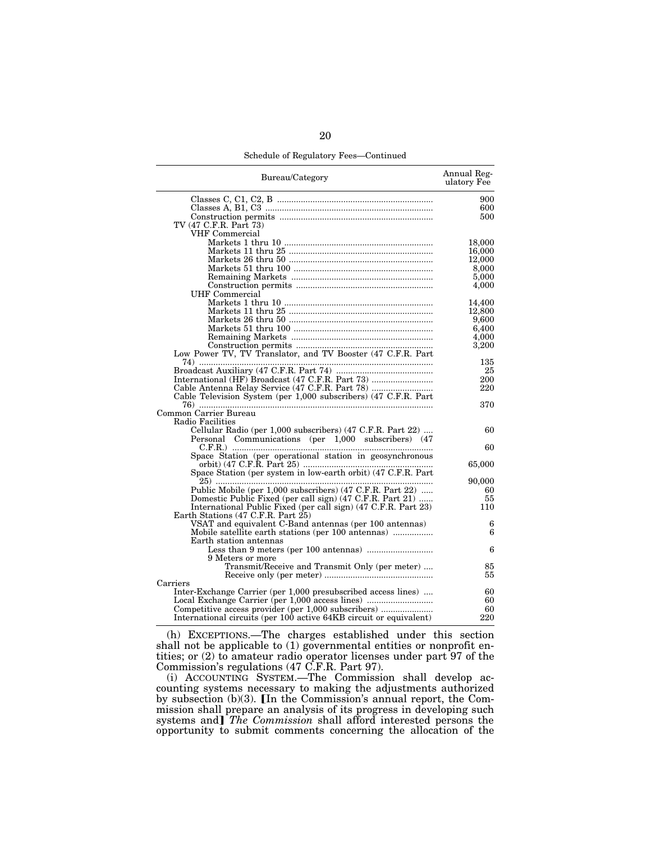Schedule of Regulatory Fees—Continued

| Bureau/Category                                                    | Annual Reg-<br>ulatory Fee |
|--------------------------------------------------------------------|----------------------------|
|                                                                    | 900                        |
|                                                                    | 600                        |
|                                                                    | 500                        |
| TV (47 C.F.R. Part 73)                                             |                            |
| VHF Commercial                                                     |                            |
|                                                                    | 18,000                     |
|                                                                    | 16,000                     |
|                                                                    | 12,000                     |
|                                                                    | 8,000                      |
|                                                                    | 5,000                      |
|                                                                    | 4,000                      |
| UHF Commercial                                                     |                            |
|                                                                    | 14,400                     |
|                                                                    | 12,800                     |
|                                                                    | 9,600                      |
|                                                                    | 6,400                      |
|                                                                    | 4,000                      |
|                                                                    | 3,200                      |
| Low Power TV, TV Translator, and TV Booster (47 C.F.R. Part        |                            |
|                                                                    | 135                        |
|                                                                    | 25                         |
|                                                                    | 200                        |
| Cable Antenna Relay Service (47 C.F.R. Part 78)                    | 220                        |
| Cable Television System (per 1,000 subscribers) (47 C.F.R. Part    |                            |
|                                                                    | 370                        |
| Common Carrier Bureau                                              |                            |
| Radio Facilities                                                   |                            |
| Cellular Radio (per 1,000 subscribers) (47 C.F.R. Part 22)         | 60                         |
| Personal Communications (per 1,000 subscribers) (47                |                            |
|                                                                    | 60                         |
| Space Station (per operational station in geosynchronous           |                            |
|                                                                    | 65,000                     |
| Space Station (per system in low-earth orbit) (47 C.F.R. Part      |                            |
|                                                                    | 90,000                     |
| Public Mobile (per 1,000 subscribers) (47 C.F.R. Part 22)          | 60                         |
| Domestic Public Fixed (per call sign) (47 C.F.R. Part 21)          | 55                         |
| International Public Fixed (per call sign) (47 C.F.R. Part 23)     | 110                        |
| Earth Stations (47 C.F.R. Part 25)                                 |                            |
| VSAT and equivalent C-Band antennas (per 100 antennas)             | 6                          |
|                                                                    | 6                          |
| Earth station antennas                                             |                            |
|                                                                    | 6                          |
| 9 Meters or more                                                   |                            |
| Transmit/Receive and Transmit Only (per meter)                     | 85                         |
|                                                                    | 55                         |
| Carriers                                                           |                            |
| Inter-Exchange Carrier (per 1,000 presubscribed access lines)      | 60                         |
| Local Exchange Carrier (per 1,000 access lines)                    | 60                         |
| Competitive access provider (per 1,000 subscribers)                | 60                         |
| International circuits (per 100 active 64KB circuit or equivalent) | 220                        |
|                                                                    |                            |

(h) EXCEPTIONS.—The charges established under this section shall not be applicable to (1) governmental entities or nonprofit entities; or (2) to amateur radio operator licenses under part 97 of the Commission's regulations (47 C.F.R. Part 97).

(i) ACCOUNTING SYSTEM.—The Commission shall develop accounting systems necessary to making the adjustments authorized by subsection  $(b)(3)$ . [In the Commission's annual report, the Commission shall prepare an analysis of its progress in developing such systems and *The Commission* shall afford interested persons the opportunity to submit comments concerning the allocation of the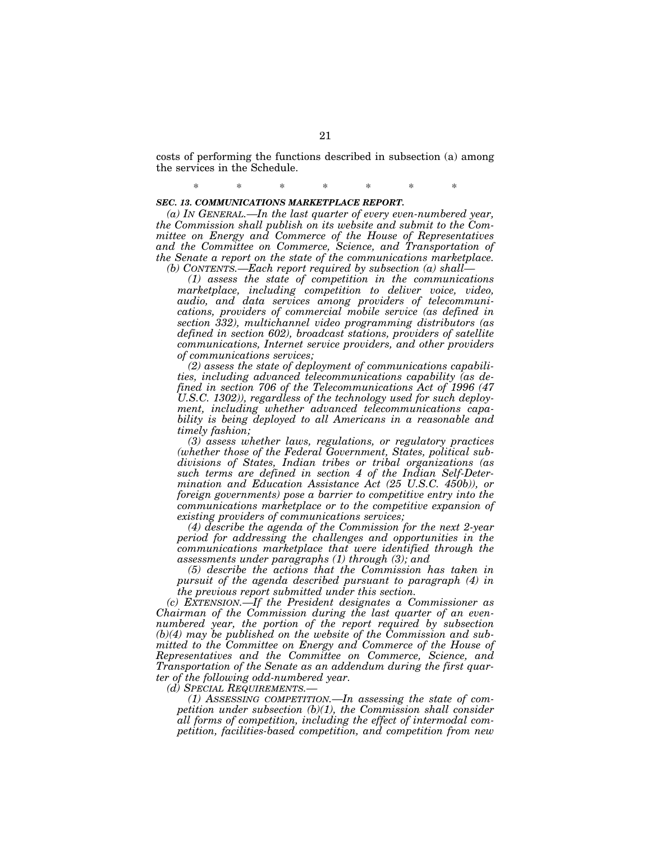costs of performing the functions described in subsection (a) among the services in the Schedule.

## \* \* \* \* \* \* \*

### *SEC. 13. COMMUNICATIONS MARKETPLACE REPORT.*

*(a) IN GENERAL.—In the last quarter of every even-numbered year, the Commission shall publish on its website and submit to the Committee on Energy and Commerce of the House of Representatives and the Committee on Commerce, Science, and Transportation of the Senate a report on the state of the communications marketplace. (b) CONTENTS.—Each report required by subsection (a) shall—* 

*(1) assess the state of competition in the communications marketplace, including competition to deliver voice, video, audio, and data services among providers of telecommunications, providers of commercial mobile service (as defined in section 332), multichannel video programming distributors (as defined in section 602), broadcast stations, providers of satellite communications, Internet service providers, and other providers of communications services;* 

*(2) assess the state of deployment of communications capabilities, including advanced telecommunications capability (as defined in section 706 of the Telecommunications Act of 1996 (47 U.S.C. 1302)), regardless of the technology used for such deployment, including whether advanced telecommunications capability is being deployed to all Americans in a reasonable and timely fashion;* 

*(3) assess whether laws, regulations, or regulatory practices (whether those of the Federal Government, States, political subdivisions of States, Indian tribes or tribal organizations (as such terms are defined in section 4 of the Indian Self-Determination and Education Assistance Act (25 U.S.C. 450b)), or foreign governments) pose a barrier to competitive entry into the communications marketplace or to the competitive expansion of existing providers of communications services;* 

*(4) describe the agenda of the Commission for the next 2-year period for addressing the challenges and opportunities in the communications marketplace that were identified through the assessments under paragraphs (1) through (3); and* 

*(5) describe the actions that the Commission has taken in pursuit of the agenda described pursuant to paragraph (4) in the previous report submitted under this section.* 

*(c) EXTENSION.—If the President designates a Commissioner as Chairman of the Commission during the last quarter of an evennumbered year, the portion of the report required by subsection (b)(4) may be published on the website of the Commission and submitted to the Committee on Energy and Commerce of the House of Representatives and the Committee on Commerce, Science, and Transportation of the Senate as an addendum during the first quarter of the following odd-numbered year.* 

*(d) SPECIAL REQUIREMENTS.—* 

*(1) ASSESSING COMPETITION.—In assessing the state of competition under subsection (b)(1), the Commission shall consider all forms of competition, including the effect of intermodal competition, facilities-based competition, and competition from new*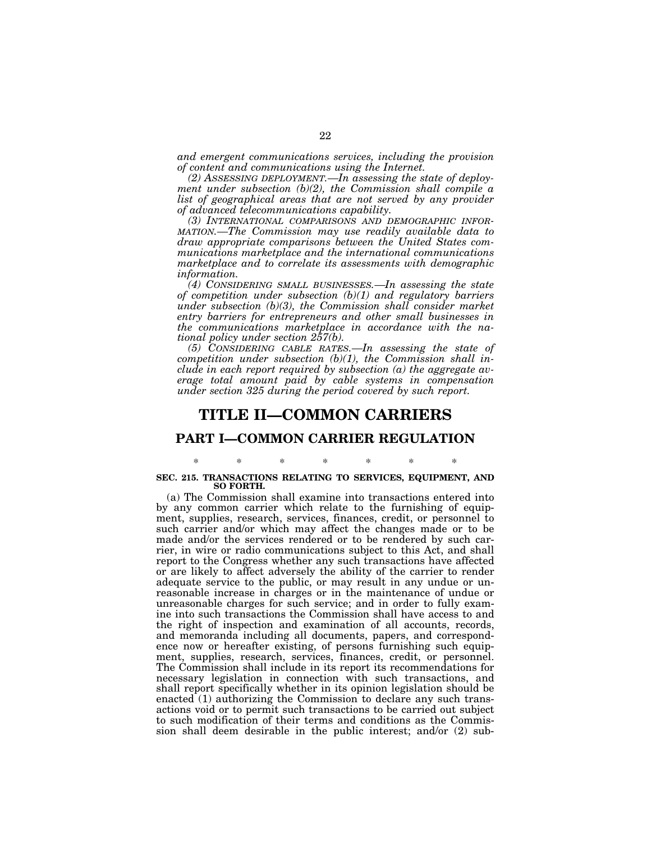*and emergent communications services, including the provision of content and communications using the Internet.* 

*(2) ASSESSING DEPLOYMENT.—In assessing the state of deployment under subsection (b)(2), the Commission shall compile a*  list of geographical areas that are not served by any provider *of advanced telecommunications capability.* 

*(3) INTERNATIONAL COMPARISONS AND DEMOGRAPHIC INFOR- MATION.—The Commission may use readily available data to draw appropriate comparisons between the United States communications marketplace and the international communications marketplace and to correlate its assessments with demographic information.* 

*(4) CONSIDERING SMALL BUSINESSES.—In assessing the state of competition under subsection (b)(1) and regulatory barriers under subsection (b)(3), the Commission shall consider market entry barriers for entrepreneurs and other small businesses in the communications marketplace in accordance with the national policy under section 257(b).* 

*(5) CONSIDERING CABLE RATES.—In assessing the state of competition under subsection (b)(1), the Commission shall include in each report required by subsection (a) the aggregate average total amount paid by cable systems in compensation under section 325 during the period covered by such report.* 

## **TITLE II—COMMON CARRIERS**

## **PART I—COMMON CARRIER REGULATION**

### \* \* \* \* \* \* \* **SEC. 215. TRANSACTIONS RELATING TO SERVICES, EQUIPMENT, AND SO FORTH.**

(a) The Commission shall examine into transactions entered into by any common carrier which relate to the furnishing of equipment, supplies, research, services, finances, credit, or personnel to such carrier and/or which may affect the changes made or to be made and/or the services rendered or to be rendered by such carrier, in wire or radio communications subject to this Act, and shall report to the Congress whether any such transactions have affected or are likely to affect adversely the ability of the carrier to render adequate service to the public, or may result in any undue or unreasonable increase in charges or in the maintenance of undue or unreasonable charges for such service; and in order to fully examine into such transactions the Commission shall have access to and the right of inspection and examination of all accounts, records, and memoranda including all documents, papers, and correspondence now or hereafter existing, of persons furnishing such equipment, supplies, research, services, finances, credit, or personnel. The Commission shall include in its report its recommendations for necessary legislation in connection with such transactions, and shall report specifically whether in its opinion legislation should be enacted  $(1)$  authorizing the Commission to declare any such transactions void or to permit such transactions to be carried out subject to such modification of their terms and conditions as the Commission shall deem desirable in the public interest; and/or (2) sub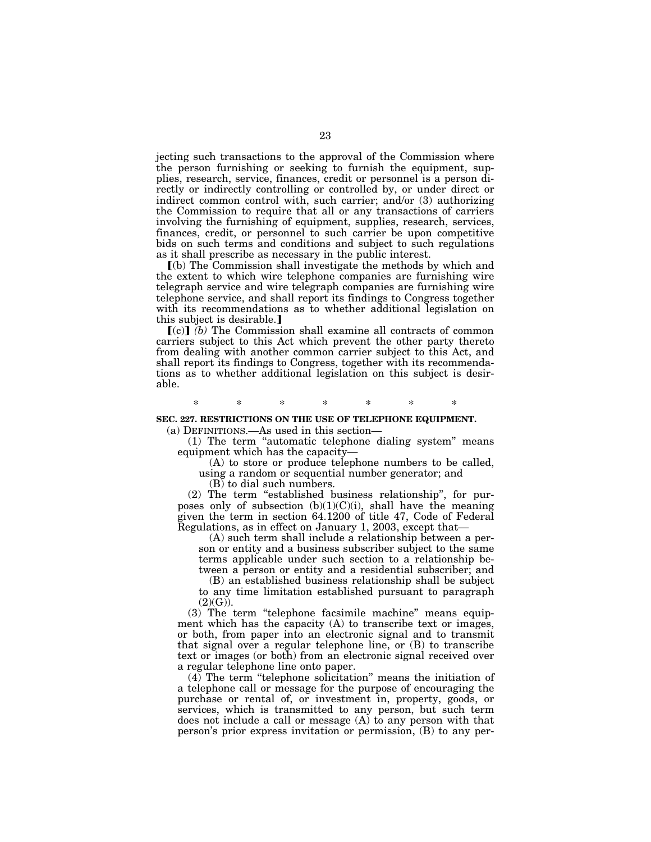jecting such transactions to the approval of the Commission where the person furnishing or seeking to furnish the equipment, supplies, research, service, finances, credit or personnel is a person directly or indirectly controlling or controlled by, or under direct or indirect common control with, such carrier; and/or (3) authorizing the Commission to require that all or any transactions of carriers involving the furnishing of equipment, supplies, research, services, finances, credit, or personnel to such carrier be upon competitive bids on such terms and conditions and subject to such regulations as it shall prescribe as necessary in the public interest.

ø(b) The Commission shall investigate the methods by which and the extent to which wire telephone companies are furnishing wire telegraph service and wire telegraph companies are furnishing wire telephone service, and shall report its findings to Congress together with its recommendations as to whether additional legislation on this subject is desirable.]

 $\lceil$ (c) $\rceil$  (b) The Commission shall examine all contracts of common carriers subject to this Act which prevent the other party thereto from dealing with another common carrier subject to this Act, and shall report its findings to Congress, together with its recommendations as to whether additional legislation on this subject is desirable.

# \* \* \* \* \* \* \*

**SEC. 227. RESTRICTIONS ON THE USE OF TELEPHONE EQUIPMENT.**  (a) DEFINITIONS.—As used in this section—

(1) The term ''automatic telephone dialing system'' means equipment which has the capacity—

(A) to store or produce telephone numbers to be called,

using a random or sequential number generator; and

(B) to dial such numbers.

(2) The term ''established business relationship'', for purposes only of subsection  $(b)(1)(C)(i)$ , shall have the meaning given the term in section 64.1200 of title 47, Code of Federal Regulations, as in effect on January 1, 2003, except that—

(A) such term shall include a relationship between a person or entity and a business subscriber subject to the same terms applicable under such section to a relationship between a person or entity and a residential subscriber; and

(B) an established business relationship shall be subject to any time limitation established pursuant to paragraph  $(2)(G)$ ).

(3) The term ''telephone facsimile machine'' means equipment which has the capacity (A) to transcribe text or images, or both, from paper into an electronic signal and to transmit that signal over a regular telephone line, or (B) to transcribe text or images (or both) from an electronic signal received over a regular telephone line onto paper.

(4) The term ''telephone solicitation'' means the initiation of a telephone call or message for the purpose of encouraging the purchase or rental of, or investment in, property, goods, or services, which is transmitted to any person, but such term does not include a call or message (A) to any person with that person's prior express invitation or permission, (B) to any per-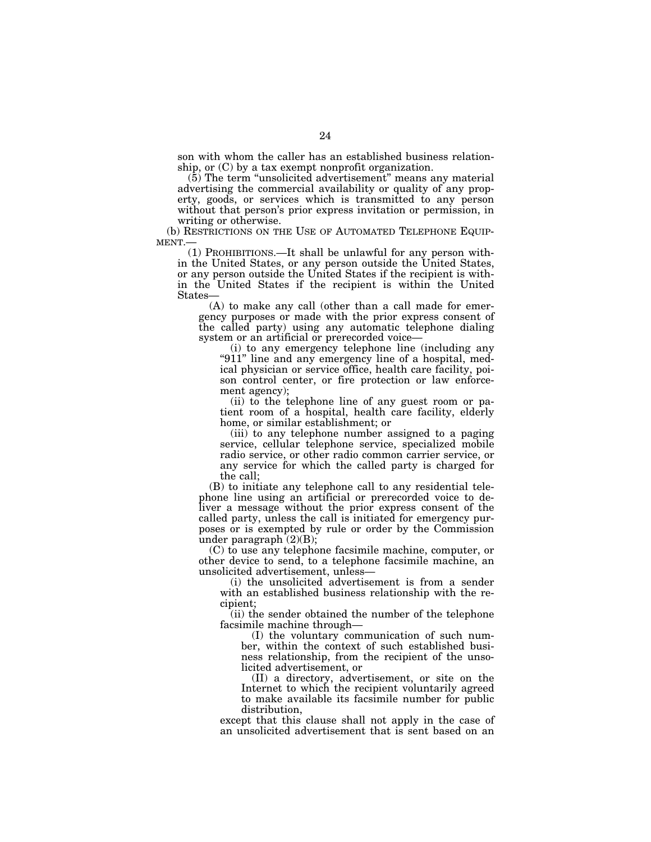son with whom the caller has an established business relationship, or (C) by a tax exempt nonprofit organization.

 $(5)$  The term "unsolicited advertisement" means any material advertising the commercial availability or quality of any property, goods, or services which is transmitted to any person without that person's prior express invitation or permission, in writing or otherwise.

(b) RESTRICTIONS ON THE USE OF AUTOMATED TELEPHONE EQUIPMENT.—

(1) PROHIBITIONS.—It shall be unlawful for any person within the United States, or any person outside the United States, or any person outside the United States if the recipient is within the United States if the recipient is within the United States—

(A) to make any call (other than a call made for emergency purposes or made with the prior express consent of the called party) using any automatic telephone dialing system or an artificial or prerecorded voice—

(i) to any emergency telephone line (including any "911" line and any emergency line of a hospital, medical physician or service office, health care facility, poison control center, or fire protection or law enforcement agency);

(ii) to the telephone line of any guest room or patient room of a hospital, health care facility, elderly home, or similar establishment; or

(iii) to any telephone number assigned to a paging service, cellular telephone service, specialized mobile radio service, or other radio common carrier service, or any service for which the called party is charged for the call;

(B) to initiate any telephone call to any residential telephone line using an artificial or prerecorded voice to deliver a message without the prior express consent of the called party, unless the call is initiated for emergency purposes or is exempted by rule or order by the Commission under paragraph  $(2)(B)$ ;

(C) to use any telephone facsimile machine, computer, or other device to send, to a telephone facsimile machine, an unsolicited advertisement, unless—

(i) the unsolicited advertisement is from a sender with an established business relationship with the recipient;

(ii) the sender obtained the number of the telephone facsimile machine through—

(I) the voluntary communication of such number, within the context of such established business relationship, from the recipient of the unsolicited advertisement, or

(II) a directory, advertisement, or site on the Internet to which the recipient voluntarily agreed to make available its facsimile number for public distribution,

except that this clause shall not apply in the case of an unsolicited advertisement that is sent based on an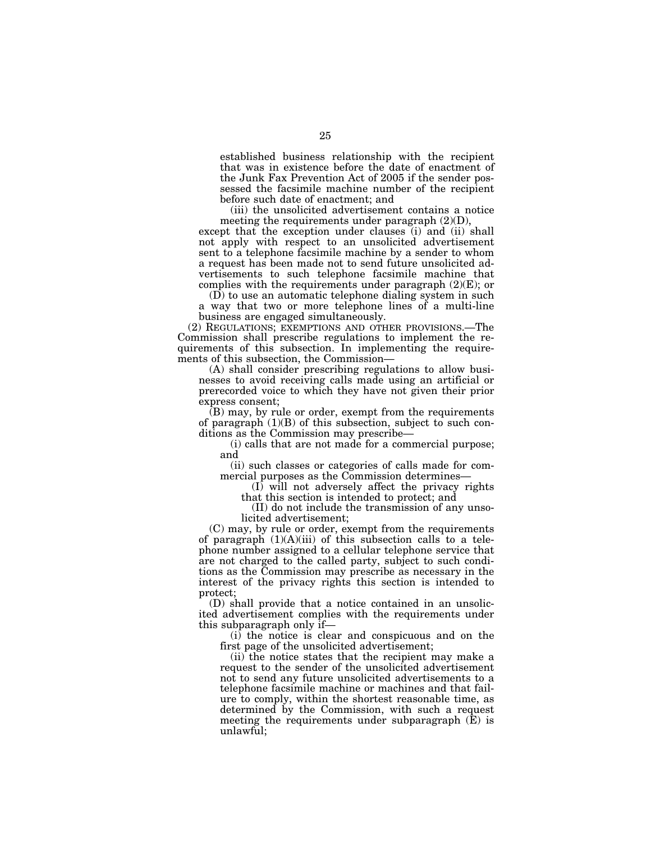established business relationship with the recipient that was in existence before the date of enactment of the Junk Fax Prevention Act of 2005 if the sender possessed the facsimile machine number of the recipient before such date of enactment; and

(iii) the unsolicited advertisement contains a notice meeting the requirements under paragraph  $(2)(D)$ ,

except that the exception under clauses (i) and (ii) shall not apply with respect to an unsolicited advertisement sent to a telephone facsimile machine by a sender to whom a request has been made not to send future unsolicited advertisements to such telephone facsimile machine that complies with the requirements under paragraph  $(2)(E)$ ; or

(D) to use an automatic telephone dialing system in such a way that two or more telephone lines of a multi-line business are engaged simultaneously.

(2) REGULATIONS; EXEMPTIONS AND OTHER PROVISIONS.—The Commission shall prescribe regulations to implement the requirements of this subsection. In implementing the requirements of this subsection, the Commission—

(A) shall consider prescribing regulations to allow businesses to avoid receiving calls made using an artificial or prerecorded voice to which they have not given their prior express consent;

(B) may, by rule or order, exempt from the requirements of paragraph  $(1)(B)$  of this subsection, subject to such conditions as the Commission may prescribe—

(i) calls that are not made for a commercial purpose; and

(ii) such classes or categories of calls made for commercial purposes as the Commission determines—

(I) will not adversely affect the privacy rights that this section is intended to protect; and

(II) do not include the transmission of any unsolicited advertisement;

(C) may, by rule or order, exempt from the requirements of paragraph  $(1)(A)(iii)$  of this subsection calls to a telephone number assigned to a cellular telephone service that are not charged to the called party, subject to such conditions as the Commission may prescribe as necessary in the interest of the privacy rights this section is intended to protect;

(D) shall provide that a notice contained in an unsolicited advertisement complies with the requirements under this subparagraph only if—

(i) the notice is clear and conspicuous and on the first page of the unsolicited advertisement;

(ii) the notice states that the recipient may make a request to the sender of the unsolicited advertisement not to send any future unsolicited advertisements to a telephone facsimile machine or machines and that failure to comply, within the shortest reasonable time, as determined by the Commission, with such a request meeting the requirements under subparagraph (E) is unlawful;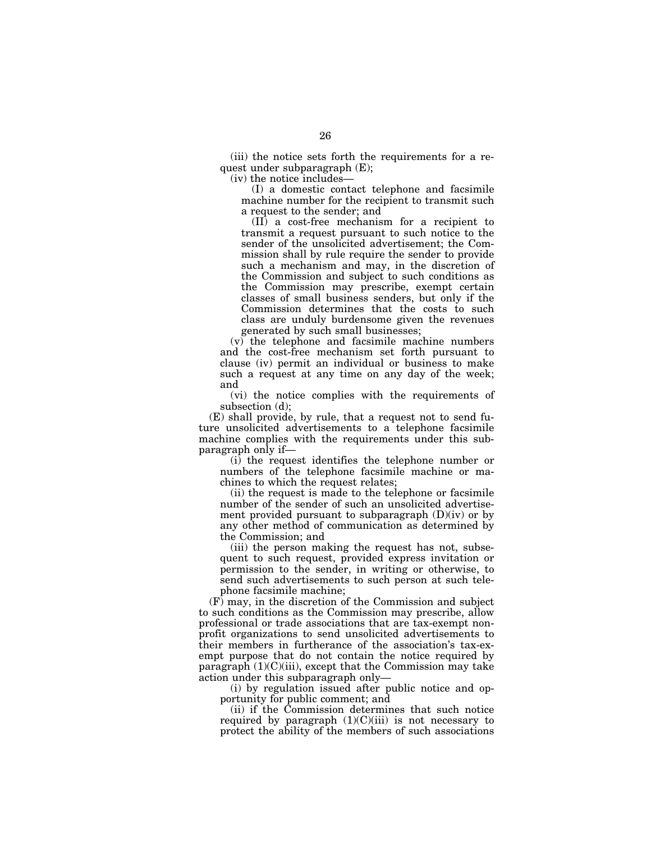(iii) the notice sets forth the requirements for a request under subparagraph (E);

(iv) the notice includes—

(I) a domestic contact telephone and facsimile machine number for the recipient to transmit such a request to the sender; and

(II) a cost-free mechanism for a recipient to transmit a request pursuant to such notice to the sender of the unsolicited advertisement; the Commission shall by rule require the sender to provide such a mechanism and may, in the discretion of the Commission and subject to such conditions as the Commission may prescribe, exempt certain classes of small business senders, but only if the Commission determines that the costs to such class are unduly burdensome given the revenues generated by such small businesses;

(v) the telephone and facsimile machine numbers and the cost-free mechanism set forth pursuant to clause (iv) permit an individual or business to make such a request at any time on any day of the week; and

(vi) the notice complies with the requirements of subsection (d);

(E) shall provide, by rule, that a request not to send future unsolicited advertisements to a telephone facsimile machine complies with the requirements under this subparagraph only if—

(i) the request identifies the telephone number or numbers of the telephone facsimile machine or machines to which the request relates;

(ii) the request is made to the telephone or facsimile number of the sender of such an unsolicited advertisement provided pursuant to subparagraph  $(D)(iv)$  or by any other method of communication as determined by the Commission; and

(iii) the person making the request has not, subsequent to such request, provided express invitation or permission to the sender, in writing or otherwise, to send such advertisements to such person at such telephone facsimile machine;

(F) may, in the discretion of the Commission and subject to such conditions as the Commission may prescribe, allow professional or trade associations that are tax-exempt nonprofit organizations to send unsolicited advertisements to their members in furtherance of the association's tax-exempt purpose that do not contain the notice required by paragraph  $(1)(C)(iii)$ , except that the Commission may take action under this subparagraph only—

(i) by regulation issued after public notice and opportunity for public comment; and

(ii) if the Commission determines that such notice required by paragraph  $(1)(C)(iii)$  is not necessary to protect the ability of the members of such associations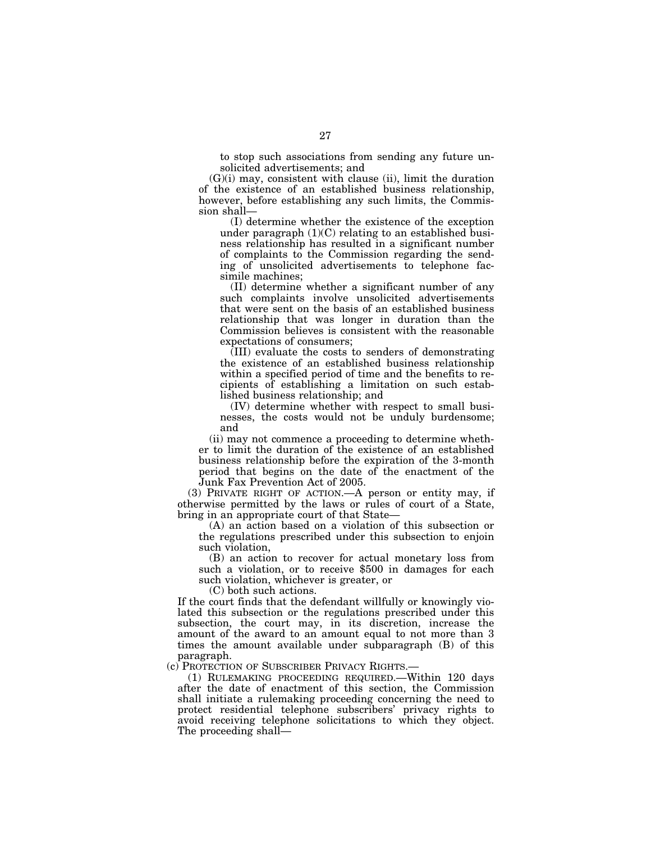to stop such associations from sending any future unsolicited advertisements; and

 $(G)(i)$  may, consistent with clause (ii), limit the duration of the existence of an established business relationship, however, before establishing any such limits, the Commission shall—

(I) determine whether the existence of the exception under paragraph (1)(C) relating to an established business relationship has resulted in a significant number of complaints to the Commission regarding the sending of unsolicited advertisements to telephone facsimile machines;

(II) determine whether a significant number of any such complaints involve unsolicited advertisements that were sent on the basis of an established business relationship that was longer in duration than the Commission believes is consistent with the reasonable expectations of consumers;

(III) evaluate the costs to senders of demonstrating the existence of an established business relationship within a specified period of time and the benefits to recipients of establishing a limitation on such established business relationship; and

(IV) determine whether with respect to small businesses, the costs would not be unduly burdensome; and

(ii) may not commence a proceeding to determine whether to limit the duration of the existence of an established business relationship before the expiration of the 3-month period that begins on the date of the enactment of the Junk Fax Prevention Act of 2005.

(3) PRIVATE RIGHT OF ACTION.—A person or entity may, if otherwise permitted by the laws or rules of court of a State, bring in an appropriate court of that State—

(A) an action based on a violation of this subsection or the regulations prescribed under this subsection to enjoin such violation,

(B) an action to recover for actual monetary loss from such a violation, or to receive \$500 in damages for each such violation, whichever is greater, or

(C) both such actions.

If the court finds that the defendant willfully or knowingly violated this subsection or the regulations prescribed under this subsection, the court may, in its discretion, increase the amount of the award to an amount equal to not more than 3 times the amount available under subparagraph (B) of this paragraph.

(c) PROTECTION OF SUBSCRIBER PRIVACY RIGHTS.—

(1) RULEMAKING PROCEEDING REQUIRED.—Within 120 days after the date of enactment of this section, the Commission shall initiate a rulemaking proceeding concerning the need to protect residential telephone subscribers' privacy rights to avoid receiving telephone solicitations to which they object. The proceeding shall—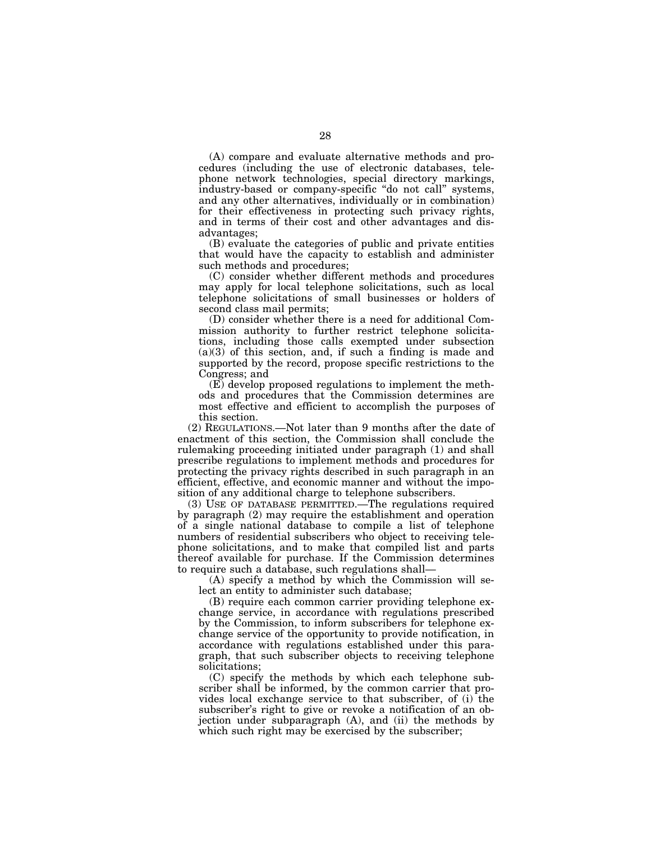(A) compare and evaluate alternative methods and procedures (including the use of electronic databases, telephone network technologies, special directory markings, industry-based or company-specific "do not call" systems, and any other alternatives, individually or in combination) for their effectiveness in protecting such privacy rights, and in terms of their cost and other advantages and disadvantages;

(B) evaluate the categories of public and private entities that would have the capacity to establish and administer such methods and procedures;

(C) consider whether different methods and procedures may apply for local telephone solicitations, such as local telephone solicitations of small businesses or holders of second class mail permits;

(D) consider whether there is a need for additional Commission authority to further restrict telephone solicitations, including those calls exempted under subsection  $(a)(3)$  of this section, and, if such a finding is made and supported by the record, propose specific restrictions to the Congress; and

(E) develop proposed regulations to implement the methods and procedures that the Commission determines are most effective and efficient to accomplish the purposes of this section.

(2) REGULATIONS.—Not later than 9 months after the date of enactment of this section, the Commission shall conclude the rulemaking proceeding initiated under paragraph (1) and shall prescribe regulations to implement methods and procedures for protecting the privacy rights described in such paragraph in an efficient, effective, and economic manner and without the imposition of any additional charge to telephone subscribers.

(3) USE OF DATABASE PERMITTED.—The regulations required by paragraph (2) may require the establishment and operation of a single national database to compile a list of telephone numbers of residential subscribers who object to receiving telephone solicitations, and to make that compiled list and parts thereof available for purchase. If the Commission determines to require such a database, such regulations shall—

(A) specify a method by which the Commission will select an entity to administer such database;

(B) require each common carrier providing telephone exchange service, in accordance with regulations prescribed by the Commission, to inform subscribers for telephone exchange service of the opportunity to provide notification, in accordance with regulations established under this paragraph, that such subscriber objects to receiving telephone solicitations;

(C) specify the methods by which each telephone subscriber shall be informed, by the common carrier that provides local exchange service to that subscriber, of (i) the subscriber's right to give or revoke a notification of an objection under subparagraph (A), and (ii) the methods by which such right may be exercised by the subscriber;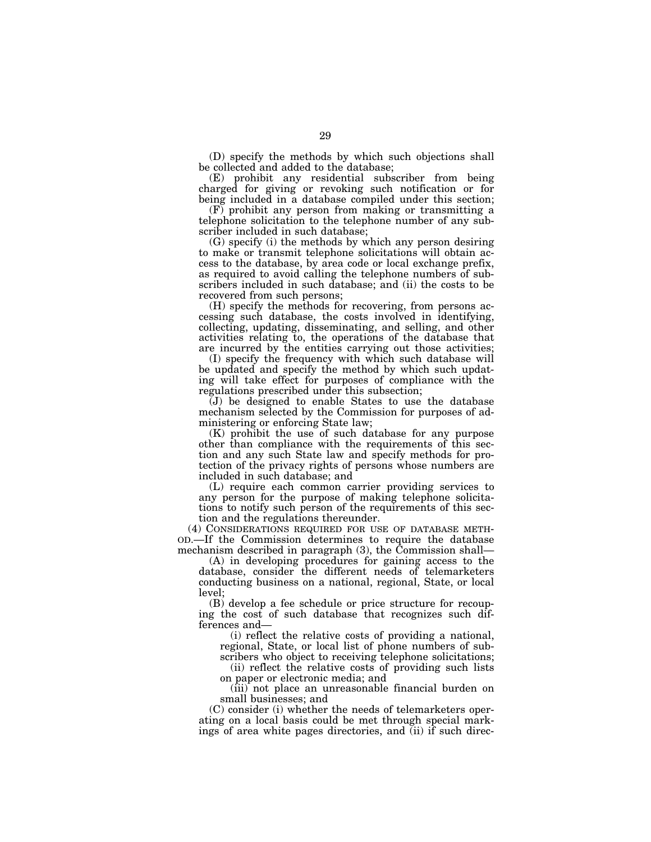(D) specify the methods by which such objections shall be collected and added to the database;

(E) prohibit any residential subscriber from being charged for giving or revoking such notification or for being included in a database compiled under this section;

(F) prohibit any person from making or transmitting a telephone solicitation to the telephone number of any subscriber included in such database;

(G) specify (i) the methods by which any person desiring to make or transmit telephone solicitations will obtain access to the database, by area code or local exchange prefix, as required to avoid calling the telephone numbers of subscribers included in such database; and (ii) the costs to be recovered from such persons;

(H) specify the methods for recovering, from persons accessing such database, the costs involved in identifying, collecting, updating, disseminating, and selling, and other activities relating to, the operations of the database that are incurred by the entities carrying out those activities;

(I) specify the frequency with which such database will be updated and specify the method by which such updating will take effect for purposes of compliance with the regulations prescribed under this subsection;

(J) be designed to enable States to use the database mechanism selected by the Commission for purposes of administering or enforcing State law;

(K) prohibit the use of such database for any purpose other than compliance with the requirements of this section and any such State law and specify methods for protection of the privacy rights of persons whose numbers are included in such database; and

(L) require each common carrier providing services to any person for the purpose of making telephone solicitations to notify such person of the requirements of this section and the regulations thereunder.

(4) CONSIDERATIONS REQUIRED FOR USE OF DATABASE METH- OD.—If the Commission determines to require the database mechanism described in paragraph (3), the Commission shall—

(A) in developing procedures for gaining access to the database, consider the different needs of telemarketers conducting business on a national, regional, State, or local level;

(B) develop a fee schedule or price structure for recouping the cost of such database that recognizes such differences and—

(i) reflect the relative costs of providing a national, regional, State, or local list of phone numbers of sub-

scribers who object to receiving telephone solicitations; (ii) reflect the relative costs of providing such lists on paper or electronic media; and

(iii) not place an unreasonable financial burden on small businesses; and

(C) consider (i) whether the needs of telemarketers operating on a local basis could be met through special markings of area white pages directories, and (ii) if such direc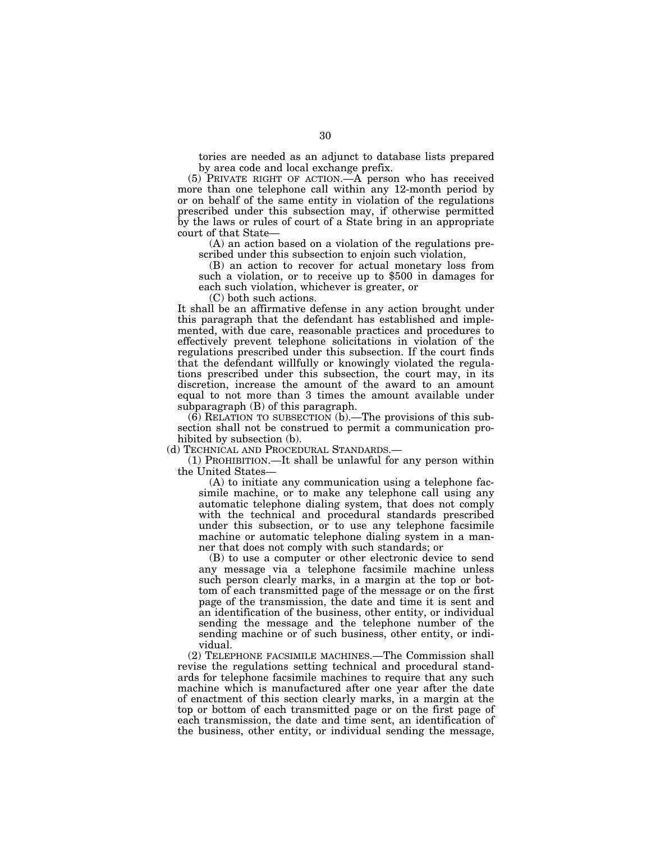tories are needed as an adjunct to database lists prepared by area code and local exchange prefix.

(5) PRIVATE RIGHT OF ACTION.—A person who has received more than one telephone call within any 12-month period by or on behalf of the same entity in violation of the regulations prescribed under this subsection may, if otherwise permitted by the laws or rules of court of a State bring in an appropriate court of that State—

(A) an action based on a violation of the regulations prescribed under this subsection to enjoin such violation,

(B) an action to recover for actual monetary loss from such a violation, or to receive up to \$500 in damages for each such violation, whichever is greater, or

(C) both such actions.

It shall be an affirmative defense in any action brought under this paragraph that the defendant has established and implemented, with due care, reasonable practices and procedures to effectively prevent telephone solicitations in violation of the regulations prescribed under this subsection. If the court finds that the defendant willfully or knowingly violated the regulations prescribed under this subsection, the court may, in its discretion, increase the amount of the award to an amount equal to not more than 3 times the amount available under subparagraph (B) of this paragraph.

(6) RELATION TO SUBSECTION (b).—The provisions of this subsection shall not be construed to permit a communication prohibited by subsection (b).

(d) TECHNICAL AND PROCEDURAL STANDARDS.—

(1) PROHIBITION.—It shall be unlawful for any person within the United States—

(A) to initiate any communication using a telephone facsimile machine, or to make any telephone call using any automatic telephone dialing system, that does not comply with the technical and procedural standards prescribed under this subsection, or to use any telephone facsimile machine or automatic telephone dialing system in a manner that does not comply with such standards; or

(B) to use a computer or other electronic device to send any message via a telephone facsimile machine unless such person clearly marks, in a margin at the top or bottom of each transmitted page of the message or on the first page of the transmission, the date and time it is sent and an identification of the business, other entity, or individual sending the message and the telephone number of the sending machine or of such business, other entity, or individual.

(2) TELEPHONE FACSIMILE MACHINES.—The Commission shall revise the regulations setting technical and procedural standards for telephone facsimile machines to require that any such machine which is manufactured after one year after the date of enactment of this section clearly marks, in a margin at the top or bottom of each transmitted page or on the first page of each transmission, the date and time sent, an identification of the business, other entity, or individual sending the message,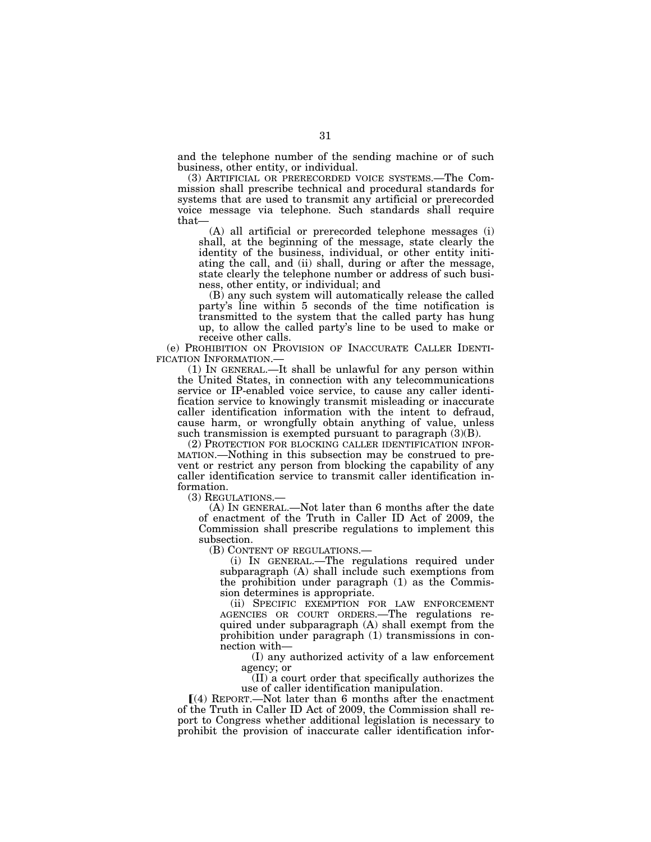and the telephone number of the sending machine or of such business, other entity, or individual.

(3) ARTIFICIAL OR PRERECORDED VOICE SYSTEMS.—The Commission shall prescribe technical and procedural standards for systems that are used to transmit any artificial or prerecorded voice message via telephone. Such standards shall require that—

(A) all artificial or prerecorded telephone messages (i) shall, at the beginning of the message, state clearly the identity of the business, individual, or other entity initiating the call, and (ii) shall, during or after the message, state clearly the telephone number or address of such business, other entity, or individual; and

(B) any such system will automatically release the called party's line within 5 seconds of the time notification is transmitted to the system that the called party has hung up, to allow the called party's line to be used to make or receive other calls.

(e) PROHIBITION ON PROVISION OF INACCURATE CALLER IDENTI-FICATION INFORMATION.—

(1) IN GENERAL.—It shall be unlawful for any person within the United States, in connection with any telecommunications service or IP-enabled voice service, to cause any caller identification service to knowingly transmit misleading or inaccurate caller identification information with the intent to defraud, cause harm, or wrongfully obtain anything of value, unless such transmission is exempted pursuant to paragraph  $(3)(B)$ .

(2) PROTECTION FOR BLOCKING CALLER IDENTIFICATION INFOR-MATION.—Nothing in this subsection may be construed to prevent or restrict any person from blocking the capability of any caller identification service to transmit caller identification information.<br>(3) REGULATIONS.—

 $(A)$  In GENERAL.—Not later than 6 months after the date of enactment of the Truth in Caller ID Act of 2009, the Commission shall prescribe regulations to implement this subsection.<br>(B) CONTENT OF REGULATIONS.—

(i) IN GENERAL.—The regulations required under subparagraph (A) shall include such exemptions from the prohibition under paragraph (1) as the Commission determines is appropriate.

(ii) SPECIFIC EXEMPTION FOR LAW ENFORCEMENT AGENCIES OR COURT ORDERS.—The regulations required under subparagraph (A) shall exempt from the prohibition under paragraph (1) transmissions in connection with—

(I) any authorized activity of a law enforcement agency; or

(II) a court order that specifically authorizes the use of caller identification manipulation.

 $(4)$  REPORT.—Not later than 6 months after the enactment of the Truth in Caller ID Act of 2009, the Commission shall report to Congress whether additional legislation is necessary to prohibit the provision of inaccurate caller identification infor-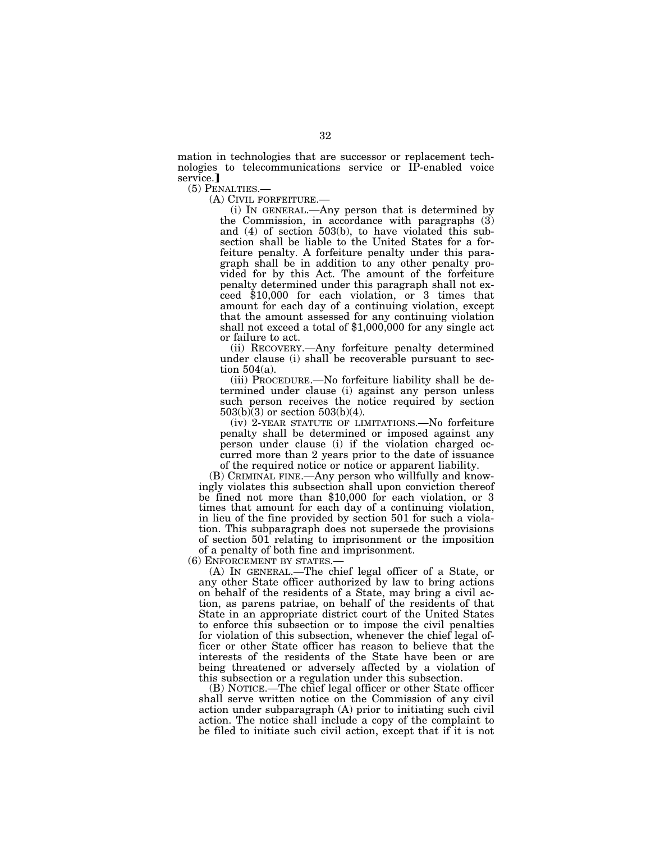mation in technologies that are successor or replacement technologies to telecommunications service or IP-enabled voice service.]<br>(5) PENALTIES.—

(A) CIVIL FORFEITURE.—<br>(i) IN GENERAL.—Any person that is determined by the Commission, in accordance with paragraphs (3) and (4) of section 503(b), to have violated this subsection shall be liable to the United States for a forfeiture penalty. A forfeiture penalty under this paragraph shall be in addition to any other penalty provided for by this Act. The amount of the forfeiture penalty determined under this paragraph shall not exceed \$10,000 for each violation, or 3 times that amount for each day of a continuing violation, except that the amount assessed for any continuing violation shall not exceed a total of \$1,000,000 for any single act or failure to act.

(ii) RECOVERY.—Any forfeiture penalty determined under clause (i) shall be recoverable pursuant to section 504(a).

(iii) PROCEDURE.—No forfeiture liability shall be determined under clause (i) against any person unless such person receives the notice required by section 503(b)(3) or section 503(b)(4).

(iv) 2-YEAR STATUTE OF LIMITATIONS.—No forfeiture penalty shall be determined or imposed against any person under clause (i) if the violation charged occurred more than 2 years prior to the date of issuance of the required notice or notice or apparent liability.

(B) CRIMINAL FINE.—Any person who willfully and knowingly violates this subsection shall upon conviction thereof be fined not more than \$10,000 for each violation, or 3 times that amount for each day of a continuing violation, in lieu of the fine provided by section 501 for such a violation. This subparagraph does not supersede the provisions of section 501 relating to imprisonment or the imposition of a penalty of both fine and imprisonment.<br>(6) ENFORCEMENT BY STATES.—

 $(A)$  In GENERAL.—The chief legal officer of a State, or any other State officer authorized by law to bring actions on behalf of the residents of a State, may bring a civil action, as parens patriae, on behalf of the residents of that State in an appropriate district court of the United States to enforce this subsection or to impose the civil penalties for violation of this subsection, whenever the chief legal officer or other State officer has reason to believe that the interests of the residents of the State have been or are being threatened or adversely affected by a violation of this subsection or a regulation under this subsection.

(B) NOTICE.—The chief legal officer or other State officer shall serve written notice on the Commission of any civil action under subparagraph (A) prior to initiating such civil action. The notice shall include a copy of the complaint to be filed to initiate such civil action, except that if it is not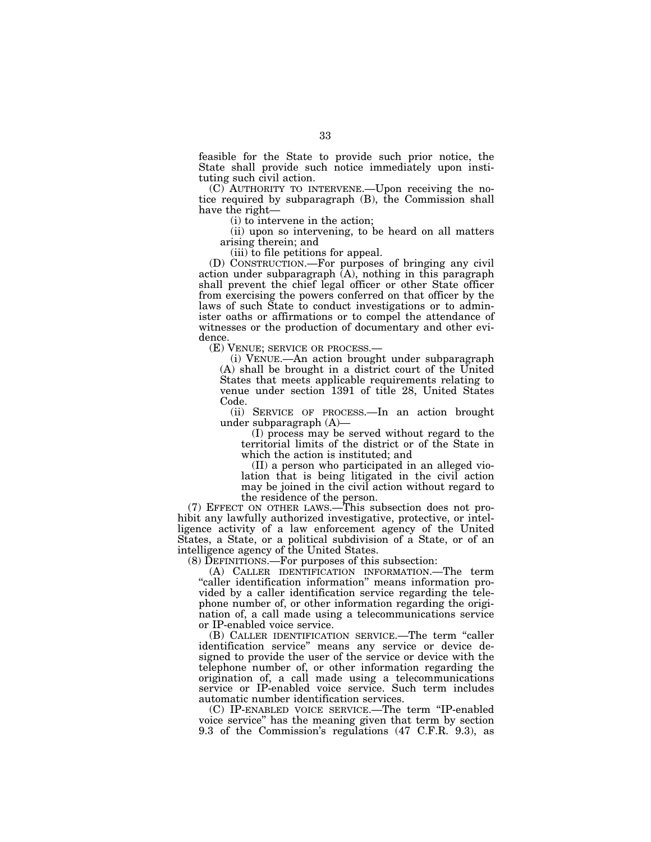feasible for the State to provide such prior notice, the State shall provide such notice immediately upon instituting such civil action.

(C) AUTHORITY TO INTERVENE.—Upon receiving the notice required by subparagraph (B), the Commission shall have the right—

(i) to intervene in the action;

(ii) upon so intervening, to be heard on all matters arising therein; and

(iii) to file petitions for appeal.

(D) CONSTRUCTION.—For purposes of bringing any civil action under subparagraph (A), nothing in this paragraph shall prevent the chief legal officer or other State officer from exercising the powers conferred on that officer by the laws of such State to conduct investigations or to administer oaths or affirmations or to compel the attendance of witnesses or the production of documentary and other evidence.

(E) VENUE; SERVICE OR PROCESS.—

(i) VENUE.—An action brought under subparagraph (A) shall be brought in a district court of the United States that meets applicable requirements relating to venue under section 1391 of title 28, United States Code.

(ii) SERVICE OF PROCESS.—In an action brought under subparagraph (A)—

(I) process may be served without regard to the territorial limits of the district or of the State in which the action is instituted; and

(II) a person who participated in an alleged violation that is being litigated in the civil action may be joined in the civil action without regard to the residence of the person.

(7) EFFECT ON OTHER LAWS.—This subsection does not prohibit any lawfully authorized investigative, protective, or intelligence activity of a law enforcement agency of the United States, a State, or a political subdivision of a State, or of an intelligence agency of the United States.

(8) DEFINITIONS.—For purposes of this subsection:

(A) CALLER IDENTIFICATION INFORMATION.—The term "caller identification information" means information provided by a caller identification service regarding the telephone number of, or other information regarding the origination of, a call made using a telecommunications service or IP-enabled voice service.

(B) CALLER IDENTIFICATION SERVICE.—The term ''caller identification service'' means any service or device designed to provide the user of the service or device with the telephone number of, or other information regarding the origination of, a call made using a telecommunications service or IP-enabled voice service. Such term includes automatic number identification services.

(C) IP-ENABLED VOICE SERVICE.—The term ''IP-enabled voice service'' has the meaning given that term by section 9.3 of the Commission's regulations (47 C.F.R. 9.3), as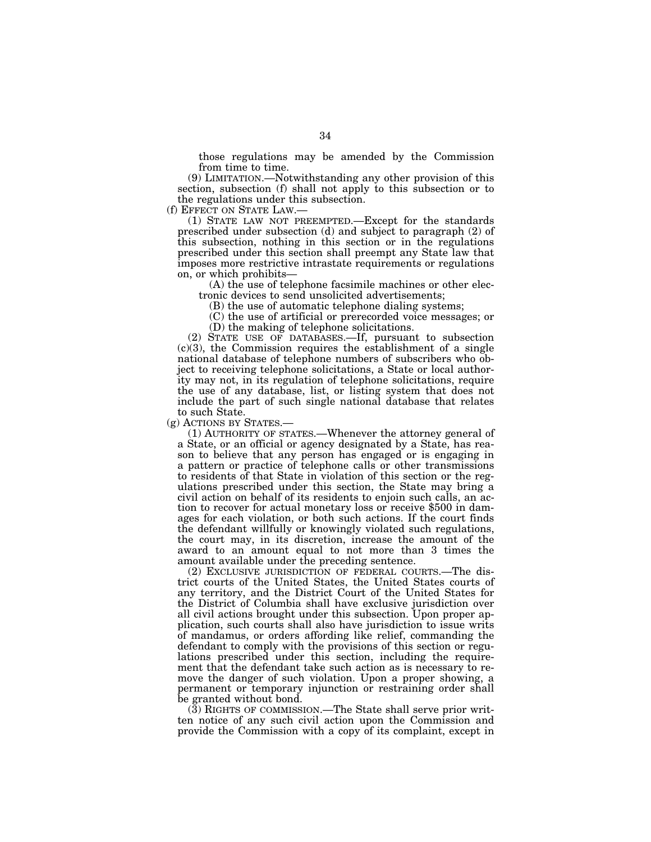those regulations may be amended by the Commission from time to time.

(9) LIMITATION.—Notwithstanding any other provision of this section, subsection (f) shall not apply to this subsection or to the regulations under this subsection.<br>(f) EFFECT ON STATE LAW.—

(1) STATE LAW NOT PREEMPTED.—Except for the standards prescribed under subsection (d) and subject to paragraph (2) of this subsection, nothing in this section or in the regulations prescribed under this section shall preempt any State law that imposes more restrictive intrastate requirements or regulations on, or which prohibits—

(A) the use of telephone facsimile machines or other electronic devices to send unsolicited advertisements;

(B) the use of automatic telephone dialing systems;

(C) the use of artificial or prerecorded voice messages; or

(D) the making of telephone solicitations.

(2) STATE USE OF DATABASES.—If, pursuant to subsection  $(c)(3)$ , the Commission requires the establishment of a single national database of telephone numbers of subscribers who object to receiving telephone solicitations, a State or local authority may not, in its regulation of telephone solicitations, require the use of any database, list, or listing system that does not include the part of such single national database that relates to such State.

(g) ACTIONS BY STATES.— (1) AUTHORITY OF STATES.—Whenever the attorney general of a State, or an official or agency designated by a State, has reason to believe that any person has engaged or is engaging in a pattern or practice of telephone calls or other transmissions to residents of that State in violation of this section or the regulations prescribed under this section, the State may bring a civil action on behalf of its residents to enjoin such calls, an action to recover for actual monetary loss or receive \$500 in damages for each violation, or both such actions. If the court finds the defendant willfully or knowingly violated such regulations, the court may, in its discretion, increase the amount of the award to an amount equal to not more than 3 times the amount available under the preceding sentence.

(2) EXCLUSIVE JURISDICTION OF FEDERAL COURTS.—The district courts of the United States, the United States courts of any territory, and the District Court of the United States for the District of Columbia shall have exclusive jurisdiction over all civil actions brought under this subsection. Upon proper application, such courts shall also have jurisdiction to issue writs of mandamus, or orders affording like relief, commanding the defendant to comply with the provisions of this section or regulations prescribed under this section, including the requirement that the defendant take such action as is necessary to remove the danger of such violation. Upon a proper showing, a permanent or temporary injunction or restraining order shall be granted without bond.

(3) RIGHTS OF COMMISSION.—The State shall serve prior written notice of any such civil action upon the Commission and provide the Commission with a copy of its complaint, except in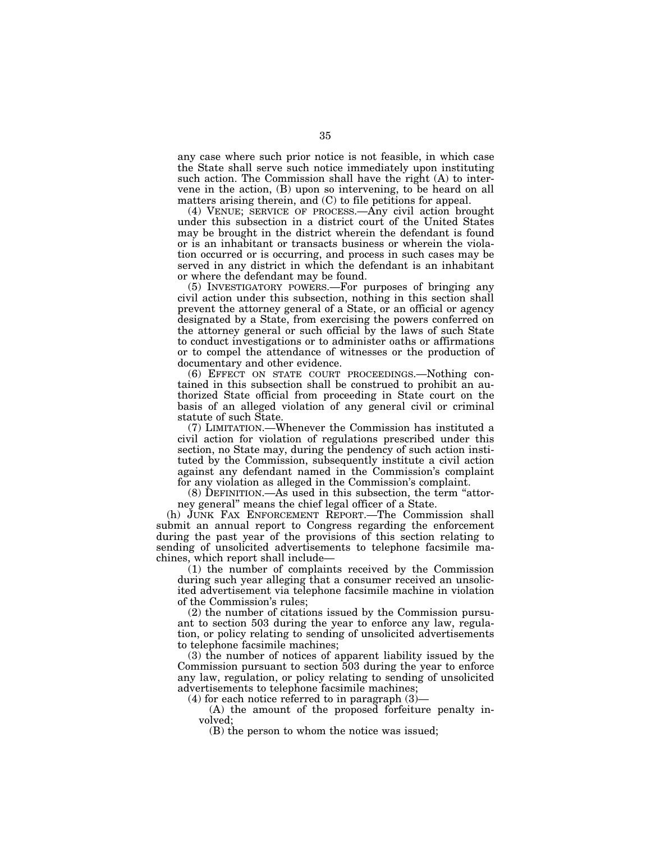any case where such prior notice is not feasible, in which case the State shall serve such notice immediately upon instituting such action. The Commission shall have the right (A) to intervene in the action, (B) upon so intervening, to be heard on all matters arising therein, and (C) to file petitions for appeal.

(4) VENUE; SERVICE OF PROCESS.—Any civil action brought under this subsection in a district court of the United States may be brought in the district wherein the defendant is found or is an inhabitant or transacts business or wherein the violation occurred or is occurring, and process in such cases may be served in any district in which the defendant is an inhabitant or where the defendant may be found.

(5) INVESTIGATORY POWERS.—For purposes of bringing any civil action under this subsection, nothing in this section shall prevent the attorney general of a State, or an official or agency designated by a State, from exercising the powers conferred on the attorney general or such official by the laws of such State to conduct investigations or to administer oaths or affirmations or to compel the attendance of witnesses or the production of documentary and other evidence.

(6) EFFECT ON STATE COURT PROCEEDINGS.—Nothing contained in this subsection shall be construed to prohibit an authorized State official from proceeding in State court on the basis of an alleged violation of any general civil or criminal statute of such State.

(7) LIMITATION.—Whenever the Commission has instituted a civil action for violation of regulations prescribed under this section, no State may, during the pendency of such action instituted by the Commission, subsequently institute a civil action against any defendant named in the Commission's complaint for any violation as alleged in the Commission's complaint.

(8) DEFINITION.—As used in this subsection, the term ''attorney general'' means the chief legal officer of a State.

(h) JUNK FAX ENFORCEMENT REPORT.—The Commission shall submit an annual report to Congress regarding the enforcement during the past year of the provisions of this section relating to sending of unsolicited advertisements to telephone facsimile machines, which report shall include—

(1) the number of complaints received by the Commission during such year alleging that a consumer received an unsolicited advertisement via telephone facsimile machine in violation of the Commission's rules;

(2) the number of citations issued by the Commission pursuant to section 503 during the year to enforce any law, regulation, or policy relating to sending of unsolicited advertisements to telephone facsimile machines;

(3) the number of notices of apparent liability issued by the Commission pursuant to section 503 during the year to enforce any law, regulation, or policy relating to sending of unsolicited advertisements to telephone facsimile machines;

(4) for each notice referred to in paragraph (3)—

(A) the amount of the proposed forfeiture penalty involved;

(B) the person to whom the notice was issued;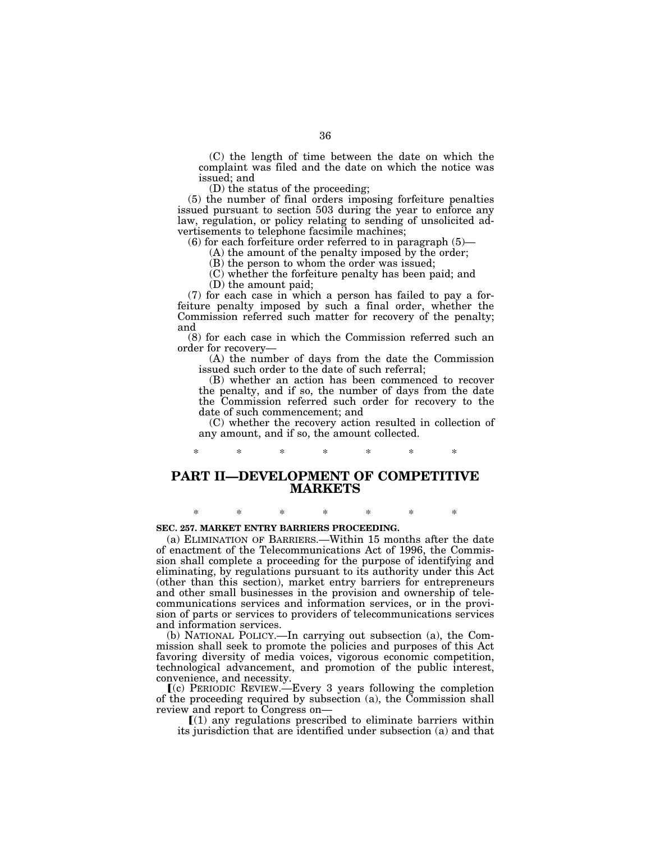(C) the length of time between the date on which the complaint was filed and the date on which the notice was issued; and

(D) the status of the proceeding;

(5) the number of final orders imposing forfeiture penalties issued pursuant to section 503 during the year to enforce any law, regulation, or policy relating to sending of unsolicited advertisements to telephone facsimile machines;

 $(6)$  for each forfeiture order referred to in paragraph  $(5)$ —

(A) the amount of the penalty imposed by the order;

(B) the person to whom the order was issued;

(C) whether the forfeiture penalty has been paid; and

(D) the amount paid;

(7) for each case in which a person has failed to pay a forfeiture penalty imposed by such a final order, whether the Commission referred such matter for recovery of the penalty; and

(8) for each case in which the Commission referred such an order for recovery—

(A) the number of days from the date the Commission issued such order to the date of such referral;

(B) whether an action has been commenced to recover the penalty, and if so, the number of days from the date the Commission referred such order for recovery to the date of such commencement; and

(C) whether the recovery action resulted in collection of any amount, and if so, the amount collected.

## **PART II—DEVELOPMENT OF COMPETITIVE MARKETS**

\* \* \* \* \* \* \*

\* \* \* \* \* \* \*

### **SEC. 257. MARKET ENTRY BARRIERS PROCEEDING.**

(a) ELIMINATION OF BARRIERS.—Within 15 months after the date of enactment of the Telecommunications Act of 1996, the Commission shall complete a proceeding for the purpose of identifying and eliminating, by regulations pursuant to its authority under this Act (other than this section), market entry barriers for entrepreneurs and other small businesses in the provision and ownership of telecommunications services and information services, or in the provision of parts or services to providers of telecommunications services and information services.

(b) NATIONAL POLICY.—In carrying out subsection (a), the Commission shall seek to promote the policies and purposes of this Act favoring diversity of media voices, vigorous economic competition, technological advancement, and promotion of the public interest,

convenience, and necessity.<br>
[(c) PERIODIC REVIEW.—Every 3 years following the completion of the proceeding required by subsection (a), the Commission shall review and report to Congress on—

 $(1)$  any regulations prescribed to eliminate barriers within its jurisdiction that are identified under subsection (a) and that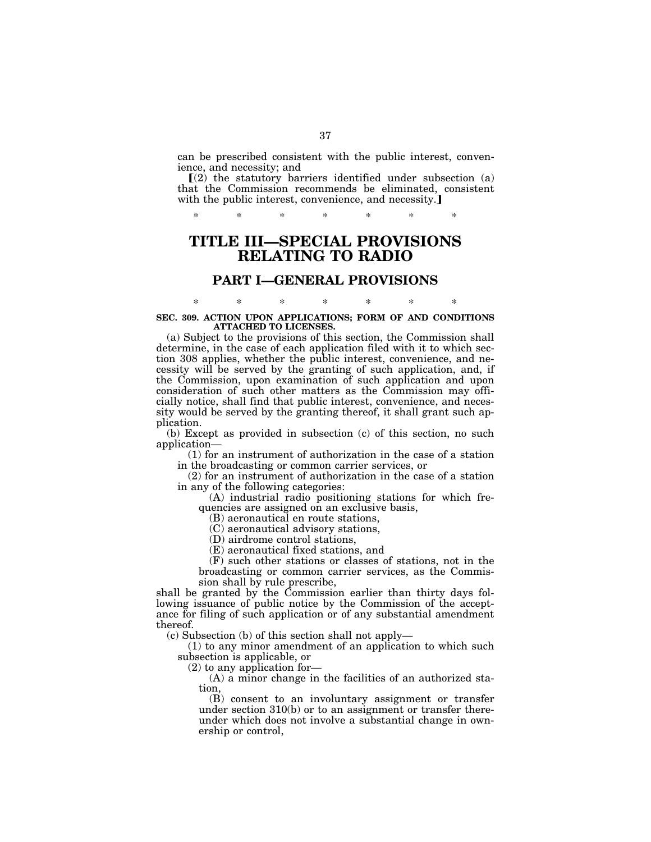can be prescribed consistent with the public interest, convenience, and necessity; and

 $(2)$  the statutory barriers identified under subsection (a) that the Commission recommends be eliminated, consistent with the public interest, convenience, and necessity.]

\* \* \* \* \* \* \*

# **TITLE III—SPECIAL PROVISIONS RELATING TO RADIO**

## **PART I—GENERAL PROVISIONS**

### \* \* \* \* \* \* \* **SEC. 309. ACTION UPON APPLICATIONS; FORM OF AND CONDITIONS ATTACHED TO LICENSES.**

(a) Subject to the provisions of this section, the Commission shall determine, in the case of each application filed with it to which section 308 applies, whether the public interest, convenience, and necessity will be served by the granting of such application, and, if the Commission, upon examination of such application and upon consideration of such other matters as the Commission may officially notice, shall find that public interest, convenience, and necessity would be served by the granting thereof, it shall grant such application.

(b) Except as provided in subsection (c) of this section, no such application—

(1) for an instrument of authorization in the case of a station in the broadcasting or common carrier services, or

(2) for an instrument of authorization in the case of a station in any of the following categories:

(A) industrial radio positioning stations for which frequencies are assigned on an exclusive basis,

(B) aeronautical en route stations,

(C) aeronautical advisory stations,

(D) airdrome control stations,

(E) aeronautical fixed stations, and

(F) such other stations or classes of stations, not in the broadcasting or common carrier services, as the Commission shall by rule prescribe,

shall be granted by the Commission earlier than thirty days following issuance of public notice by the Commission of the acceptance for filing of such application or of any substantial amendment thereof.

(c) Subsection (b) of this section shall not apply—

(1) to any minor amendment of an application to which such subsection is applicable, or

(2) to any application for—

(A) a minor change in the facilities of an authorized station

(B) consent to an involuntary assignment or transfer under section 310(b) or to an assignment or transfer thereunder which does not involve a substantial change in ownership or control,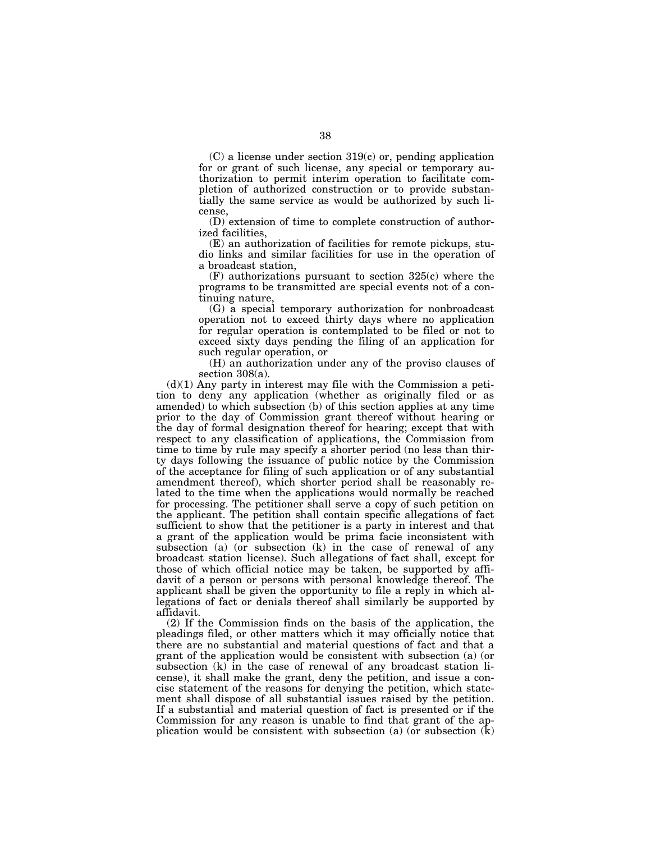(C) a license under section 319(c) or, pending application for or grant of such license, any special or temporary authorization to permit interim operation to facilitate completion of authorized construction or to provide substantially the same service as would be authorized by such license,

(D) extension of time to complete construction of authorized facilities,

(E) an authorization of facilities for remote pickups, studio links and similar facilities for use in the operation of a broadcast station,

(F) authorizations pursuant to section 325(c) where the programs to be transmitted are special events not of a continuing nature,

(G) a special temporary authorization for nonbroadcast operation not to exceed thirty days where no application for regular operation is contemplated to be filed or not to exceed sixty days pending the filing of an application for such regular operation, or

(H) an authorization under any of the proviso clauses of section  $308(a)$ .

 $(d)(1)$  Any party in interest may file with the Commission a petition to deny any application (whether as originally filed or as amended) to which subsection (b) of this section applies at any time prior to the day of Commission grant thereof without hearing or the day of formal designation thereof for hearing; except that with respect to any classification of applications, the Commission from time to time by rule may specify a shorter period (no less than thirty days following the issuance of public notice by the Commission of the acceptance for filing of such application or of any substantial amendment thereof), which shorter period shall be reasonably related to the time when the applications would normally be reached for processing. The petitioner shall serve a copy of such petition on the applicant. The petition shall contain specific allegations of fact sufficient to show that the petitioner is a party in interest and that a grant of the application would be prima facie inconsistent with subsection (a) (or subsection (k) in the case of renewal of any broadcast station license). Such allegations of fact shall, except for those of which official notice may be taken, be supported by affidavit of a person or persons with personal knowledge thereof. The applicant shall be given the opportunity to file a reply in which allegations of fact or denials thereof shall similarly be supported by affidavit.

(2) If the Commission finds on the basis of the application, the pleadings filed, or other matters which it may officially notice that there are no substantial and material questions of fact and that a grant of the application would be consistent with subsection (a) (or subsection (k) in the case of renewal of any broadcast station license), it shall make the grant, deny the petition, and issue a concise statement of the reasons for denying the petition, which statement shall dispose of all substantial issues raised by the petition. If a substantial and material question of fact is presented or if the Commission for any reason is unable to find that grant of the application would be consistent with subsection (a) (or subsection (k)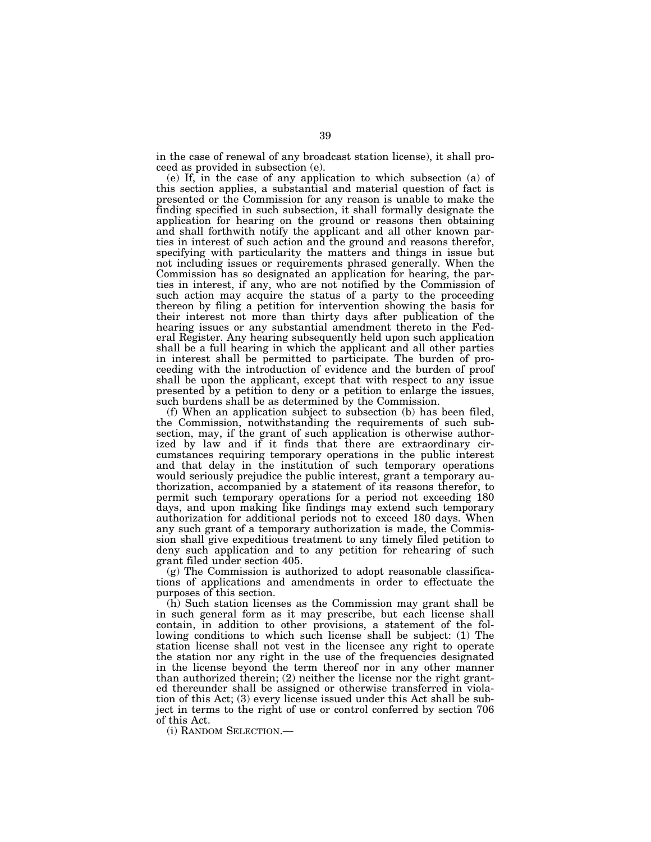in the case of renewal of any broadcast station license), it shall proceed as provided in subsection (e).

(e) If, in the case of any application to which subsection (a) of this section applies, a substantial and material question of fact is presented or the Commission for any reason is unable to make the finding specified in such subsection, it shall formally designate the application for hearing on the ground or reasons then obtaining and shall forthwith notify the applicant and all other known parties in interest of such action and the ground and reasons therefor, specifying with particularity the matters and things in issue but not including issues or requirements phrased generally. When the Commission has so designated an application for hearing, the parties in interest, if any, who are not notified by the Commission of such action may acquire the status of a party to the proceeding thereon by filing a petition for intervention showing the basis for their interest not more than thirty days after publication of the hearing issues or any substantial amendment thereto in the Federal Register. Any hearing subsequently held upon such application shall be a full hearing in which the applicant and all other parties in interest shall be permitted to participate. The burden of proceeding with the introduction of evidence and the burden of proof shall be upon the applicant, except that with respect to any issue presented by a petition to deny or a petition to enlarge the issues, such burdens shall be as determined by the Commission.

(f) When an application subject to subsection (b) has been filed, the Commission, notwithstanding the requirements of such subsection, may, if the grant of such application is otherwise authorized by law and if it finds that there are extraordinary circumstances requiring temporary operations in the public interest and that delay in the institution of such temporary operations would seriously prejudice the public interest, grant a temporary authorization, accompanied by a statement of its reasons therefor, to permit such temporary operations for a period not exceeding 180 days, and upon making like findings may extend such temporary authorization for additional periods not to exceed 180 days. When any such grant of a temporary authorization is made, the Commission shall give expeditious treatment to any timely filed petition to deny such application and to any petition for rehearing of such grant filed under section 405.

(g) The Commission is authorized to adopt reasonable classifications of applications and amendments in order to effectuate the purposes of this section.

(h) Such station licenses as the Commission may grant shall be in such general form as it may prescribe, but each license shall contain, in addition to other provisions, a statement of the following conditions to which such license shall be subject: (1) The station license shall not vest in the licensee any right to operate the station nor any right in the use of the frequencies designated in the license beyond the term thereof nor in any other manner than authorized therein; (2) neither the license nor the right granted thereunder shall be assigned or otherwise transferred in violation of this Act; (3) every license issued under this Act shall be subject in terms to the right of use or control conferred by section 706 of this Act.

(i) RANDOM SELECTION.—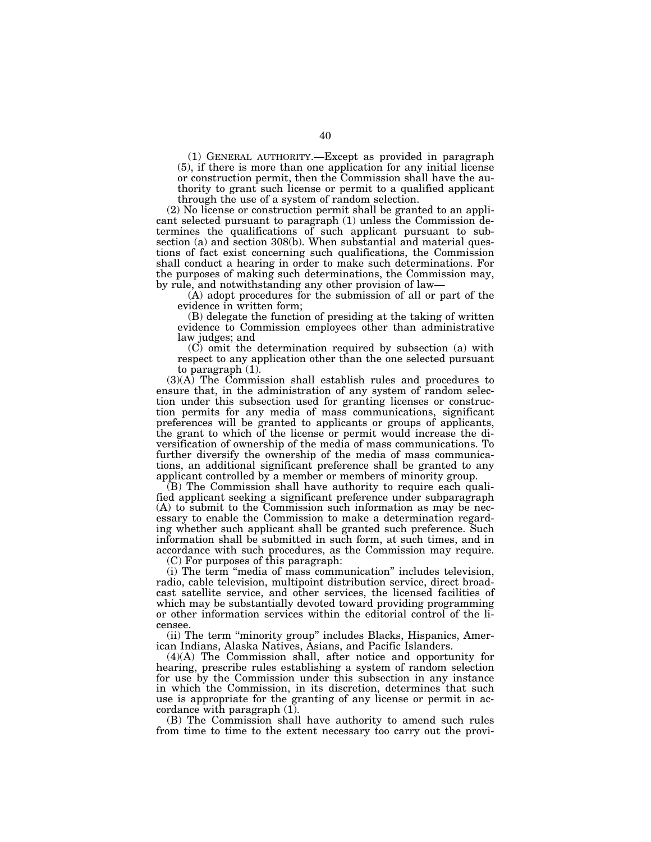(1) GENERAL AUTHORITY.—Except as provided in paragraph (5), if there is more than one application for any initial license or construction permit, then the Commission shall have the authority to grant such license or permit to a qualified applicant through the use of a system of random selection.

(2) No license or construction permit shall be granted to an applicant selected pursuant to paragraph (1) unless the Commission determines the qualifications of such applicant pursuant to subsection (a) and section 308(b). When substantial and material questions of fact exist concerning such qualifications, the Commission shall conduct a hearing in order to make such determinations. For the purposes of making such determinations, the Commission may, by rule, and notwithstanding any other provision of law—

(A) adopt procedures for the submission of all or part of the evidence in written form;

(B) delegate the function of presiding at the taking of written evidence to Commission employees other than administrative law judges; and

(C) omit the determination required by subsection (a) with respect to any application other than the one selected pursuant to paragraph (1).

 $(3)(A)$  The Commission shall establish rules and procedures to ensure that, in the administration of any system of random selection under this subsection used for granting licenses or construction permits for any media of mass communications, significant preferences will be granted to applicants or groups of applicants, the grant to which of the license or permit would increase the diversification of ownership of the media of mass communications. To further diversify the ownership of the media of mass communications, an additional significant preference shall be granted to any applicant controlled by a member or members of minority group.

(B) The Commission shall have authority to require each qualified applicant seeking a significant preference under subparagraph (A) to submit to the Commission such information as may be necessary to enable the Commission to make a determination regarding whether such applicant shall be granted such preference. Such information shall be submitted in such form, at such times, and in accordance with such procedures, as the Commission may require.

(C) For purposes of this paragraph:

(i) The term ''media of mass communication'' includes television, radio, cable television, multipoint distribution service, direct broadcast satellite service, and other services, the licensed facilities of which may be substantially devoted toward providing programming or other information services within the editorial control of the licensee.

(ii) The term ''minority group'' includes Blacks, Hispanics, American Indians, Alaska Natives, Asians, and Pacific Islanders.

(4)(A) The Commission shall, after notice and opportunity for hearing, prescribe rules establishing a system of random selection for use by the Commission under this subsection in any instance in which the Commission, in its discretion, determines that such use is appropriate for the granting of any license or permit in accordance with paragraph (1).

(B) The Commission shall have authority to amend such rules from time to time to the extent necessary too carry out the provi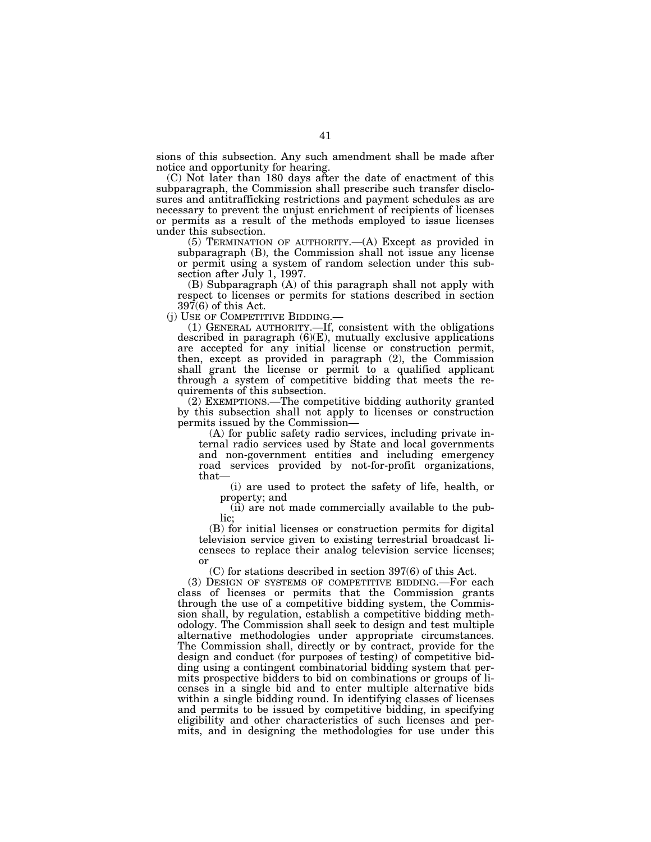sions of this subsection. Any such amendment shall be made after notice and opportunity for hearing.

(C) Not later than 180 days after the date of enactment of this subparagraph, the Commission shall prescribe such transfer disclosures and antitrafficking restrictions and payment schedules as are necessary to prevent the unjust enrichment of recipients of licenses or permits as a result of the methods employed to issue licenses under this subsection.

(5) TERMINATION OF AUTHORITY.—(A) Except as provided in subparagraph (B), the Commission shall not issue any license or permit using a system of random selection under this subsection after July 1, 1997.

(B) Subparagraph (A) of this paragraph shall not apply with respect to licenses or permits for stations described in section 397(6) of this Act.

(j) USE OF COMPETITIVE BIDDING.—

(1) GENERAL AUTHORITY.—If, consistent with the obligations described in paragraph (6)(E), mutually exclusive applications are accepted for any initial license or construction permit, then, except as provided in paragraph (2), the Commission shall grant the license or permit to a qualified applicant through a system of competitive bidding that meets the requirements of this subsection.

(2) EXEMPTIONS.—The competitive bidding authority granted by this subsection shall not apply to licenses or construction permits issued by the Commission—

(A) for public safety radio services, including private internal radio services used by State and local governments and non-government entities and including emergency road services provided by not-for-profit organizations, that—

(i) are used to protect the safety of life, health, or property; and

(ii) are not made commercially available to the public;

(B) for initial licenses or construction permits for digital television service given to existing terrestrial broadcast licensees to replace their analog television service licenses; or

(C) for stations described in section 397(6) of this Act.

(3) DESIGN OF SYSTEMS OF COMPETITIVE BIDDING.—For each class of licenses or permits that the Commission grants through the use of a competitive bidding system, the Commission shall, by regulation, establish a competitive bidding methodology. The Commission shall seek to design and test multiple alternative methodologies under appropriate circumstances. The Commission shall, directly or by contract, provide for the design and conduct (for purposes of testing) of competitive bidding using a contingent combinatorial bidding system that permits prospective bidders to bid on combinations or groups of licenses in a single bid and to enter multiple alternative bids within a single bidding round. In identifying classes of licenses and permits to be issued by competitive bidding, in specifying eligibility and other characteristics of such licenses and permits, and in designing the methodologies for use under this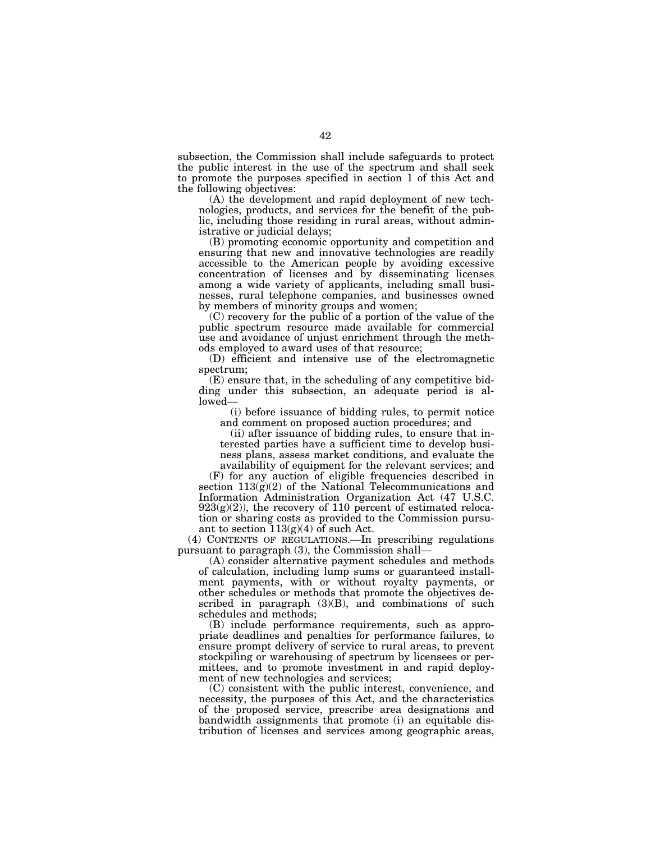subsection, the Commission shall include safeguards to protect the public interest in the use of the spectrum and shall seek to promote the purposes specified in section 1 of this Act and the following objectives:

(A) the development and rapid deployment of new technologies, products, and services for the benefit of the public, including those residing in rural areas, without administrative or judicial delays;

(B) promoting economic opportunity and competition and ensuring that new and innovative technologies are readily accessible to the American people by avoiding excessive concentration of licenses and by disseminating licenses among a wide variety of applicants, including small businesses, rural telephone companies, and businesses owned by members of minority groups and women;

(C) recovery for the public of a portion of the value of the public spectrum resource made available for commercial use and avoidance of unjust enrichment through the methods employed to award uses of that resource;

(D) efficient and intensive use of the electromagnetic spectrum;

(E) ensure that, in the scheduling of any competitive bidding under this subsection, an adequate period is allowed—

(i) before issuance of bidding rules, to permit notice and comment on proposed auction procedures; and

(ii) after issuance of bidding rules, to ensure that interested parties have a sufficient time to develop business plans, assess market conditions, and evaluate the availability of equipment for the relevant services; and

(F) for any auction of eligible frequencies described in section  $113(g)(2)$  of the National Telecommunications and Information Administration Organization Act (47 U.S.C.  $923(g)(2)$ , the recovery of 110 percent of estimated relocation or sharing costs as provided to the Commission pursuant to section  $113(g)(4)$  of such Act.

(4) CONTENTS OF REGULATIONS.—In prescribing regulations pursuant to paragraph (3), the Commission shall—

(A) consider alternative payment schedules and methods of calculation, including lump sums or guaranteed installment payments, with or without royalty payments, or other schedules or methods that promote the objectives described in paragraph  $(3)(B)$ , and combinations of such schedules and methods;

(B) include performance requirements, such as appropriate deadlines and penalties for performance failures, to ensure prompt delivery of service to rural areas, to prevent stockpiling or warehousing of spectrum by licensees or permittees, and to promote investment in and rapid deployment of new technologies and services;

(C) consistent with the public interest, convenience, and necessity, the purposes of this Act, and the characteristics of the proposed service, prescribe area designations and bandwidth assignments that promote (i) an equitable distribution of licenses and services among geographic areas,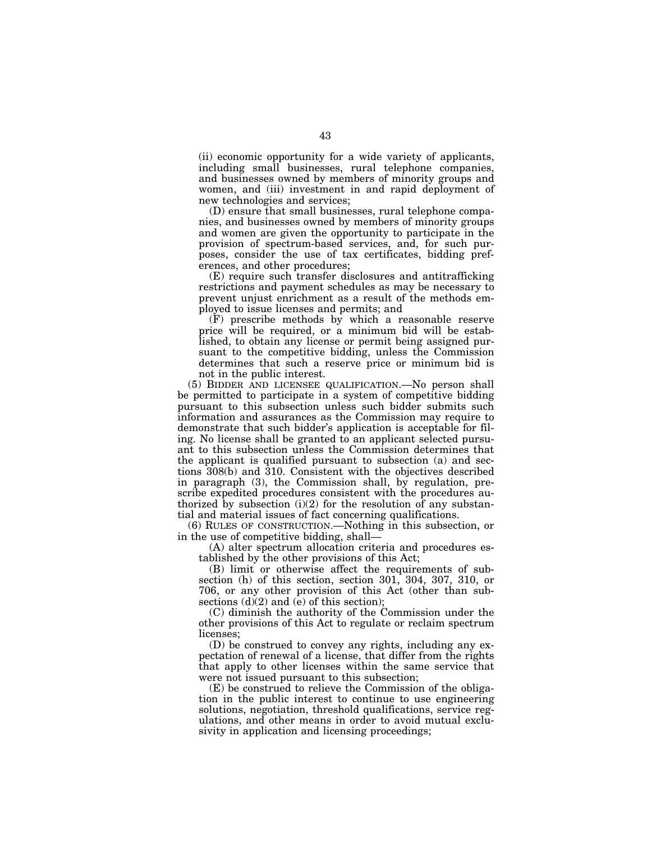(ii) economic opportunity for a wide variety of applicants, including small businesses, rural telephone companies, and businesses owned by members of minority groups and women, and (iii) investment in and rapid deployment of new technologies and services;

(D) ensure that small businesses, rural telephone companies, and businesses owned by members of minority groups and women are given the opportunity to participate in the provision of spectrum-based services, and, for such purposes, consider the use of tax certificates, bidding preferences, and other procedures;

(E) require such transfer disclosures and antitrafficking restrictions and payment schedules as may be necessary to prevent unjust enrichment as a result of the methods employed to issue licenses and permits; and

(F) prescribe methods by which a reasonable reserve price will be required, or a minimum bid will be established, to obtain any license or permit being assigned pursuant to the competitive bidding, unless the Commission determines that such a reserve price or minimum bid is not in the public interest.

(5) BIDDER AND LICENSEE QUALIFICATION.—No person shall be permitted to participate in a system of competitive bidding pursuant to this subsection unless such bidder submits such information and assurances as the Commission may require to demonstrate that such bidder's application is acceptable for filing. No license shall be granted to an applicant selected pursuant to this subsection unless the Commission determines that the applicant is qualified pursuant to subsection (a) and sections 308(b) and 310. Consistent with the objectives described in paragraph (3), the Commission shall, by regulation, prescribe expedited procedures consistent with the procedures authorized by subsection  $(i)(2)$  for the resolution of any substantial and material issues of fact concerning qualifications.

(6) RULES OF CONSTRUCTION.—Nothing in this subsection, or in the use of competitive bidding, shall—

(A) alter spectrum allocation criteria and procedures established by the other provisions of this Act;

(B) limit or otherwise affect the requirements of subsection (h) of this section, section 301, 304, 307, 310, or 706, or any other provision of this Act (other than subsections  $(d)(2)$  and  $(e)$  of this section);

(C) diminish the authority of the Commission under the other provisions of this Act to regulate or reclaim spectrum licenses;

(D) be construed to convey any rights, including any expectation of renewal of a license, that differ from the rights that apply to other licenses within the same service that were not issued pursuant to this subsection;

(E) be construed to relieve the Commission of the obligation in the public interest to continue to use engineering solutions, negotiation, threshold qualifications, service regulations, and other means in order to avoid mutual exclusivity in application and licensing proceedings;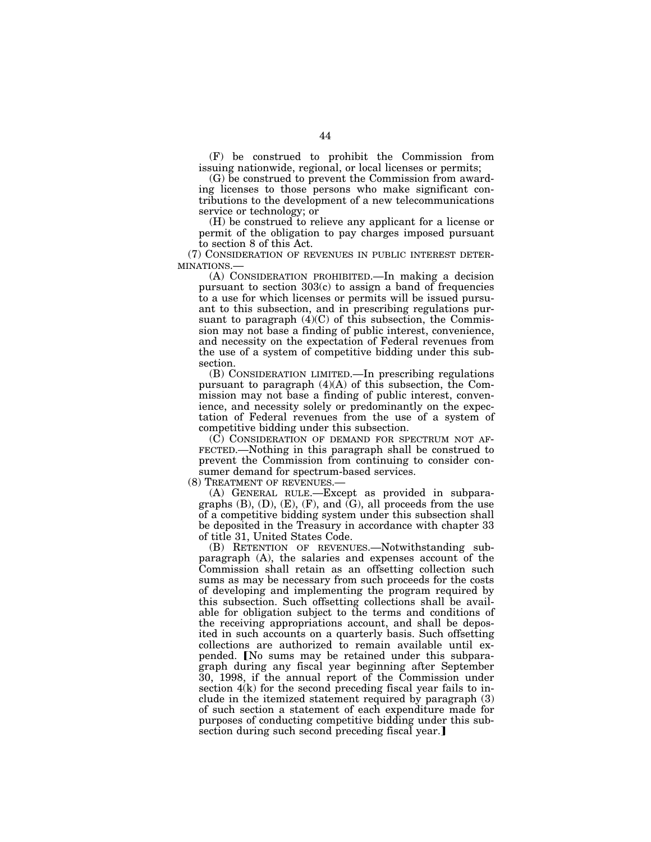(F) be construed to prohibit the Commission from issuing nationwide, regional, or local licenses or permits;

(G) be construed to prevent the Commission from awarding licenses to those persons who make significant contributions to the development of a new telecommunications service or technology; or

(H) be construed to relieve any applicant for a license or permit of the obligation to pay charges imposed pursuant to section 8 of this Act.

(7) CONSIDERATION OF REVENUES IN PUBLIC INTEREST DETER-MINATIONS.—

(A) CONSIDERATION PROHIBITED.—In making a decision pursuant to section  $303(c)$  to assign a band of frequencies to a use for which licenses or permits will be issued pursuant to this subsection, and in prescribing regulations pursuant to paragraph  $(4)(C)$  of this subsection, the Commission may not base a finding of public interest, convenience, and necessity on the expectation of Federal revenues from the use of a system of competitive bidding under this subsection.

(B) CONSIDERATION LIMITED.—In prescribing regulations pursuant to paragraph (4)(A) of this subsection, the Commission may not base a finding of public interest, convenience, and necessity solely or predominantly on the expectation of Federal revenues from the use of a system of competitive bidding under this subsection.

(C) CONSIDERATION OF DEMAND FOR SPECTRUM NOT AF-FECTED.—Nothing in this paragraph shall be construed to prevent the Commission from continuing to consider consumer demand for spectrum-based services.

(8) TREATMENT OF REVENUES.—

(A) GENERAL RULE.—Except as provided in subparagraphs  $(B)$ ,  $(D)$ ,  $(E)$ ,  $(F)$ , and  $(G)$ , all proceeds from the use of a competitive bidding system under this subsection shall be deposited in the Treasury in accordance with chapter 33 of title 31, United States Code.

(B) RETENTION OF REVENUES.—Notwithstanding subparagraph (A), the salaries and expenses account of the Commission shall retain as an offsetting collection such sums as may be necessary from such proceeds for the costs of developing and implementing the program required by this subsection. Such offsetting collections shall be available for obligation subject to the terms and conditions of the receiving appropriations account, and shall be deposited in such accounts on a quarterly basis. Such offsetting collections are authorized to remain available until expended. No sums may be retained under this subparagraph during any fiscal year beginning after September 30, 1998, if the annual report of the Commission under section 4(k) for the second preceding fiscal year fails to include in the itemized statement required by paragraph (3) of such section a statement of each expenditure made for purposes of conducting competitive bidding under this subsection during such second preceding fiscal year.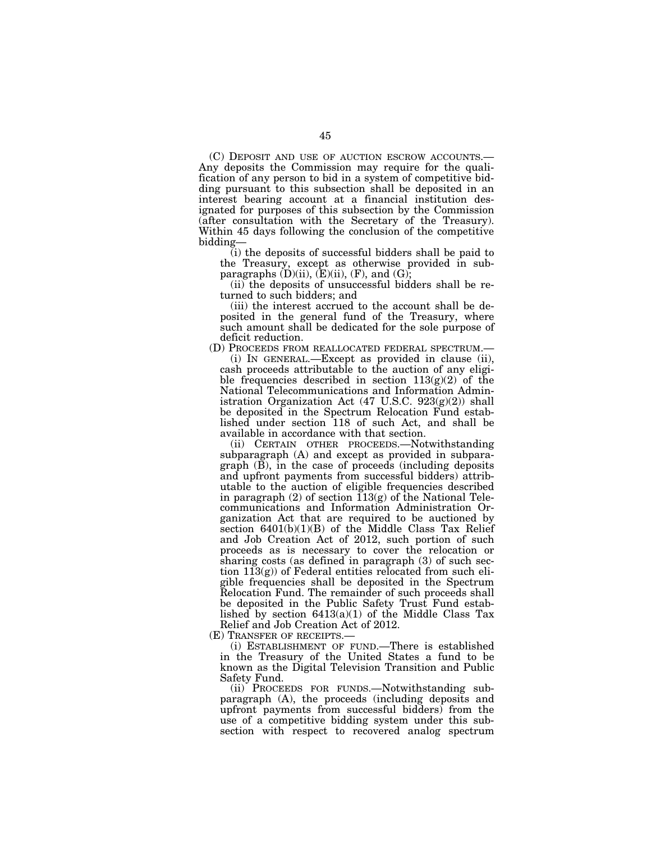(C) DEPOSIT AND USE OF AUCTION ESCROW ACCOUNTS.— Any deposits the Commission may require for the qualification of any person to bid in a system of competitive bidding pursuant to this subsection shall be deposited in an interest bearing account at a financial institution designated for purposes of this subsection by the Commission (after consultation with the Secretary of the Treasury). Within 45 days following the conclusion of the competitive bidding—

 $\lambda$ <sub>(i)</sub> the deposits of successful bidders shall be paid to the Treasury, except as otherwise provided in subparagraphs  $(D)(ii)$ ,  $(E)(ii)$ ,  $(F)$ , and  $(G)$ ;

(ii) the deposits of unsuccessful bidders shall be returned to such bidders; and

(iii) the interest accrued to the account shall be deposited in the general fund of the Treasury, where such amount shall be dedicated for the sole purpose of deficit reduction.

(D) PROCEEDS FROM REALLOCATED FEDERAL SPECTRUM.—

(i) IN GENERAL.—Except as provided in clause (ii), cash proceeds attributable to the auction of any eligible frequencies described in section  $113(g)(2)$  of the National Telecommunications and Information Administration Organization Act (47 U.S.C. 923(g)(2)) shall be deposited in the Spectrum Relocation Fund established under section 118 of such Act, and shall be available in accordance with that section.

(ii) CERTAIN OTHER PROCEEDS.—Notwithstanding subparagraph (A) and except as provided in subparagraph (B), in the case of proceeds (including deposits and upfront payments from successful bidders) attributable to the auction of eligible frequencies described in paragraph  $(2)$  of section  $\overline{113(g)}$  of the National Telecommunications and Information Administration Organization Act that are required to be auctioned by section 6401(b)(1)(B) of the Middle Class Tax Relief and Job Creation Act of 2012, such portion of such proceeds as is necessary to cover the relocation or sharing costs (as defined in paragraph (3) of such section  $113(g)$  of Federal entities relocated from such eligible frequencies shall be deposited in the Spectrum Relocation Fund. The remainder of such proceeds shall be deposited in the Public Safety Trust Fund established by section  $6413(a)(1)$  of the Middle Class Tax Relief and Job Creation Act of 2012.

(E) TRANSFER OF RECEIPTS.—

(i) ESTABLISHMENT OF FUND.—There is established in the Treasury of the United States a fund to be known as the Digital Television Transition and Public Safety Fund.

(ii) PROCEEDS FOR FUNDS.—Notwithstanding subparagraph (A), the proceeds (including deposits and upfront payments from successful bidders) from the use of a competitive bidding system under this subsection with respect to recovered analog spectrum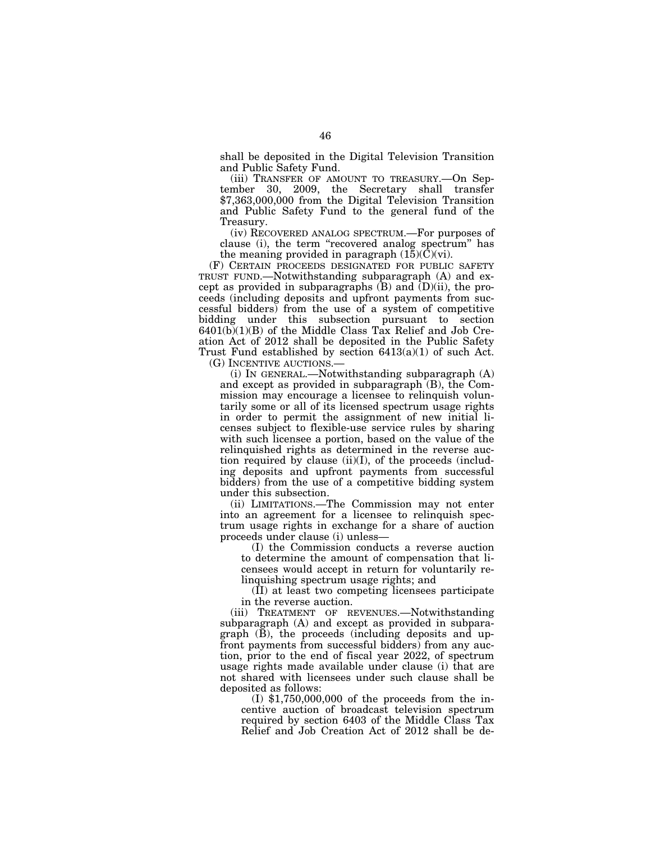shall be deposited in the Digital Television Transition and Public Safety Fund.

(iii) TRANSFER OF AMOUNT TO TREASURY.—On September 30, 2009, the Secretary shall transfer \$7,363,000,000 from the Digital Television Transition and Public Safety Fund to the general fund of the Treasury.

(iv) RECOVERED ANALOG SPECTRUM.—For purposes of clause (i), the term "recovered analog spectrum" has the meaning provided in paragraph  $(15)(C)(vi)$ .

(F) CERTAIN PROCEEDS DESIGNATED FOR PUBLIC SAFETY TRUST FUND.—Notwithstanding subparagraph (A) and except as provided in subparagraphs  $(B)$  and  $(D)(ii)$ , the proceeds (including deposits and upfront payments from successful bidders) from the use of a system of competitive bidding under this subsection pursuant to section 6401(b)(1)(B) of the Middle Class Tax Relief and Job Creation Act of 2012 shall be deposited in the Public Safety Trust Fund established by section  $6413(a)(1)$  of such Act. (G) INCENTIVE AUCTIONS.—

(i) IN GENERAL.—Notwithstanding subparagraph (A) and except as provided in subparagraph (B), the Commission may encourage a licensee to relinquish voluntarily some or all of its licensed spectrum usage rights in order to permit the assignment of new initial licenses subject to flexible-use service rules by sharing with such licensee a portion, based on the value of the relinquished rights as determined in the reverse auction required by clause (ii)(I), of the proceeds (including deposits and upfront payments from successful bidders) from the use of a competitive bidding system under this subsection.

(ii) LIMITATIONS.—The Commission may not enter into an agreement for a licensee to relinquish spectrum usage rights in exchange for a share of auction proceeds under clause (i) unless—

(I) the Commission conducts a reverse auction to determine the amount of compensation that licensees would accept in return for voluntarily relinquishing spectrum usage rights; and

(II) at least two competing licensees participate in the reverse auction.

(iii) TREATMENT OF REVENUES.—Notwithstanding subparagraph (A) and except as provided in subparagraph (B), the proceeds (including deposits and upfront payments from successful bidders) from any auction, prior to the end of fiscal year 2022, of spectrum usage rights made available under clause (i) that are not shared with licensees under such clause shall be deposited as follows:

(I) \$1,750,000,000 of the proceeds from the incentive auction of broadcast television spectrum required by section 6403 of the Middle Class Tax Relief and Job Creation Act of 2012 shall be de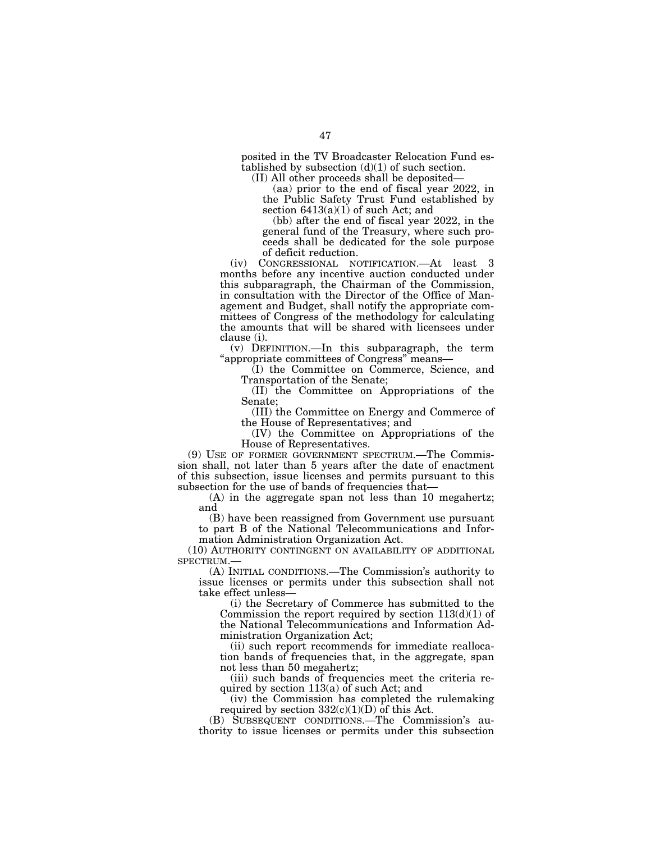posited in the TV Broadcaster Relocation Fund established by subsection  $(d)(1)$  of such section.

(II) All other proceeds shall be deposited—

(aa) prior to the end of fiscal year 2022, in the Public Safety Trust Fund established by section  $6413(a)(1)$  of such Act; and

(bb) after the end of fiscal year 2022, in the general fund of the Treasury, where such proceeds shall be dedicated for the sole purpose of deficit reduction.

(iv) CONGRESSIONAL NOTIFICATION.—At least 3 months before any incentive auction conducted under this subparagraph, the Chairman of the Commission, in consultation with the Director of the Office of Management and Budget, shall notify the appropriate committees of Congress of the methodology for calculating the amounts that will be shared with licensees under clause (i).

(v) DEFINITION.—In this subparagraph, the term ''appropriate committees of Congress'' means—

(I) the Committee on Commerce, Science, and Transportation of the Senate;

(II) the Committee on Appropriations of the Senate;

(III) the Committee on Energy and Commerce of the House of Representatives; and

(IV) the Committee on Appropriations of the House of Representatives.

(9) USE OF FORMER GOVERNMENT SPECTRUM.—The Commission shall, not later than 5 years after the date of enactment of this subsection, issue licenses and permits pursuant to this subsection for the use of bands of frequencies that—

(A) in the aggregate span not less than 10 megahertz; and

(B) have been reassigned from Government use pursuant to part B of the National Telecommunications and Information Administration Organization Act.

 $(10)$  AUTHORITY CONTINGENT ON AVAILABILITY OF ADDITIONAL SPECTRUM.—

(A) INITIAL CONDITIONS.—The Commission's authority to issue licenses or permits under this subsection shall not take effect unless—

(i) the Secretary of Commerce has submitted to the Commission the report required by section  $113(d)(1)$  of the National Telecommunications and Information Administration Organization Act;

(ii) such report recommends for immediate reallocation bands of frequencies that, in the aggregate, span not less than 50 megahertz;

(iii) such bands of frequencies meet the criteria required by section 113(a) of such Act; and

(iv) the Commission has completed the rulemaking required by section  $332(c)(1)(D)$  of this Act.

(B) SUBSEQUENT CONDITIONS.—The Commission's authority to issue licenses or permits under this subsection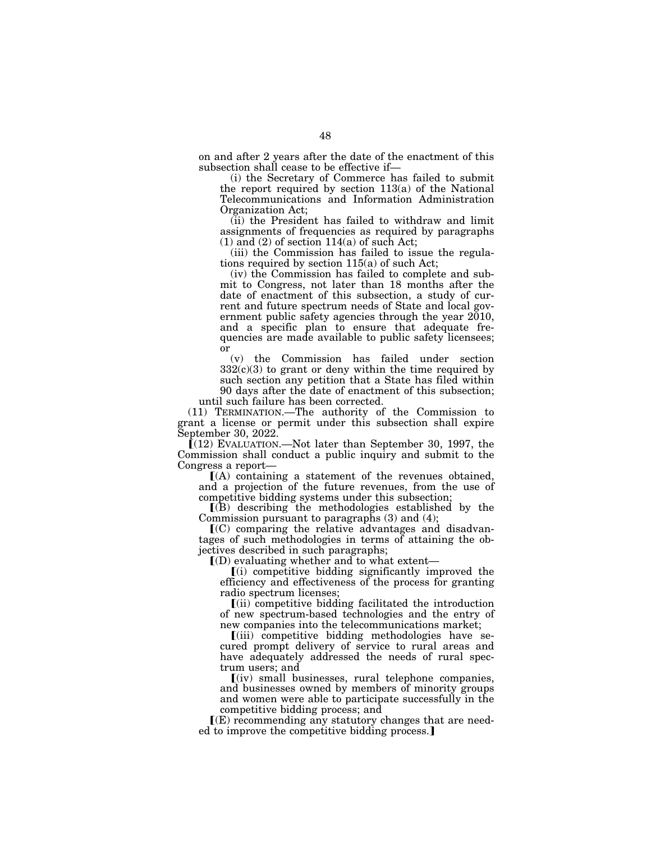on and after 2 years after the date of the enactment of this subsection shall cease to be effective if—

(i) the Secretary of Commerce has failed to submit the report required by section 113(a) of the National Telecommunications and Information Administration Organization Act;

(ii) the President has failed to withdraw and limit assignments of frequencies as required by paragraphs  $(1)$  and  $(2)$  of section 114(a) of such Act;

(iii) the Commission has failed to issue the regulations required by section 115(a) of such Act;

(iv) the Commission has failed to complete and submit to Congress, not later than 18 months after the date of enactment of this subsection, a study of current and future spectrum needs of State and local government public safety agencies through the year 2010, and a specific plan to ensure that adequate frequencies are made available to public safety licensees; or

(v) the Commission has failed under section  $332(c)(3)$  to grant or deny within the time required by such section any petition that a State has filed within

90 days after the date of enactment of this subsection; until such failure has been corrected.

(11) TERMINATION.—The authority of the Commission to grant a license or permit under this subsection shall expire September 30, 2022.

 $(12)$  EVALUATION.—Not later than September 30, 1997, the Commission shall conduct a public inquiry and submit to the Congress a report—

 $\Gamma(A)$  containing a statement of the revenues obtained, and a projection of the future revenues, from the use of competitive bidding systems under this subsection;

 $\lfloor$ (B) describing the methodologies established by the Commission pursuant to paragraphs (3) and (4);

 $(C)$  comparing the relative advantages and disadvantages of such methodologies in terms of attaining the objectives described in such paragraphs;

 $I(D)$  evaluating whether and to what extent—

 $(i)$  competitive bidding significantly improved the efficiency and effectiveness of the process for granting radio spectrum licenses;

 $\lceil$ (ii) competitive bidding facilitated the introduction of new spectrum-based technologies and the entry of new companies into the telecommunications market;

ø(iii) competitive bidding methodologies have secured prompt delivery of service to rural areas and have adequately addressed the needs of rural spectrum users; and

 $(iv)$  small businesses, rural telephone companies, and businesses owned by members of minority groups and women were able to participate successfully in the competitive bidding process; and

 $\mathcal{I}(E)$  recommending any statutory changes that are needed to improve the competitive bidding process.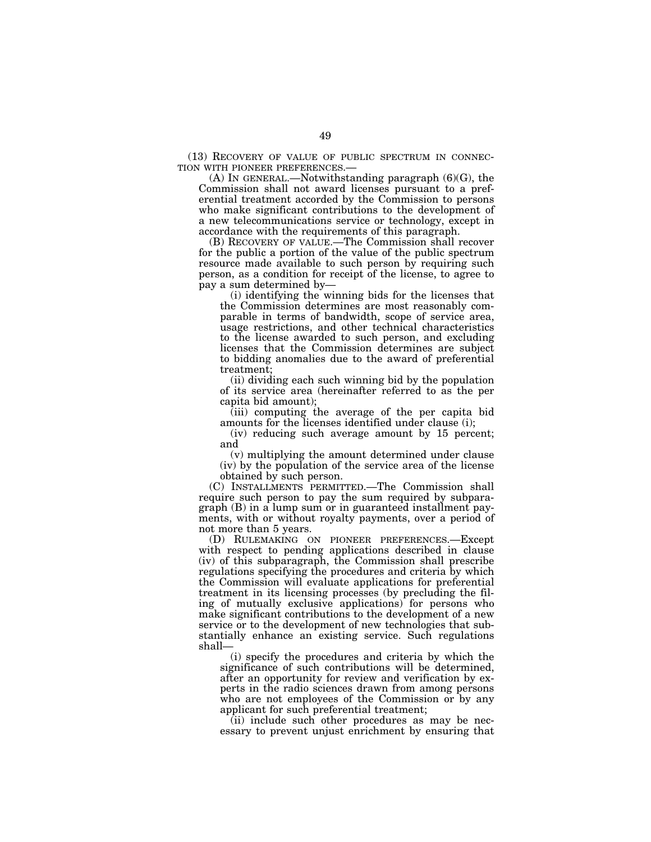(13) RECOVERY OF VALUE OF PUBLIC SPECTRUM IN CONNECTION WITH PIONEER PREFERENCES.—<br>(A) IN GENERAL.—Notwithstanding paragraph (6)(G), the

Commission shall not award licenses pursuant to a preferential treatment accorded by the Commission to persons who make significant contributions to the development of a new telecommunications service or technology, except in accordance with the requirements of this paragraph.

(B) RECOVERY OF VALUE.—The Commission shall recover for the public a portion of the value of the public spectrum resource made available to such person by requiring such person, as a condition for receipt of the license, to agree to pay a sum determined by—

(i) identifying the winning bids for the licenses that the Commission determines are most reasonably comparable in terms of bandwidth, scope of service area, usage restrictions, and other technical characteristics to the license awarded to such person, and excluding licenses that the Commission determines are subject to bidding anomalies due to the award of preferential treatment;

(ii) dividing each such winning bid by the population of its service area (hereinafter referred to as the per capita bid amount);

(iii) computing the average of the per capita bid amounts for the licenses identified under clause (i);

(iv) reducing such average amount by 15 percent; and

(v) multiplying the amount determined under clause (iv) by the population of the service area of the license obtained by such person.

(C) INSTALLMENTS PERMITTED.—The Commission shall require such person to pay the sum required by subparagraph (B) in a lump sum or in guaranteed installment payments, with or without royalty payments, over a period of not more than 5 years.

(D) RULEMAKING ON PIONEER PREFERENCES.—Except with respect to pending applications described in clause (iv) of this subparagraph, the Commission shall prescribe regulations specifying the procedures and criteria by which the Commission will evaluate applications for preferential treatment in its licensing processes (by precluding the filing of mutually exclusive applications) for persons who make significant contributions to the development of a new service or to the development of new technologies that substantially enhance an existing service. Such regulations shall—

(i) specify the procedures and criteria by which the significance of such contributions will be determined, after an opportunity for review and verification by experts in the radio sciences drawn from among persons who are not employees of the Commission or by any applicant for such preferential treatment;

(ii) include such other procedures as may be necessary to prevent unjust enrichment by ensuring that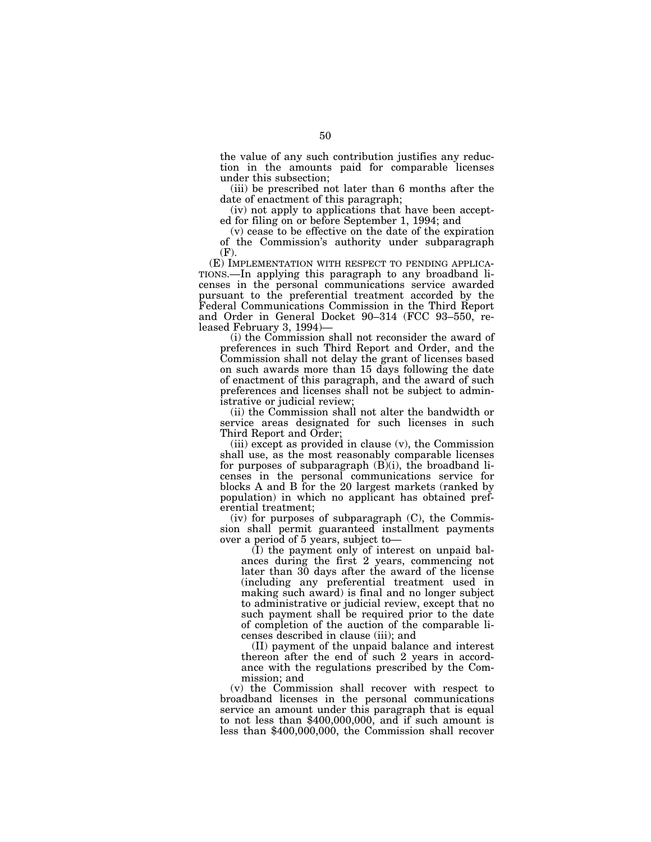the value of any such contribution justifies any reduction in the amounts paid for comparable licenses under this subsection;

(iii) be prescribed not later than 6 months after the date of enactment of this paragraph;

(iv) not apply to applications that have been accepted for filing on or before September 1, 1994; and

(v) cease to be effective on the date of the expiration of the Commission's authority under subparagraph (F).

(E) IMPLEMENTATION WITH RESPECT TO PENDING APPLICA-TIONS.—In applying this paragraph to any broadband licenses in the personal communications service awarded pursuant to the preferential treatment accorded by the Federal Communications Commission in the Third Report and Order in General Docket 90–314 (FCC 93–550, released February 3, 1994)—

(i) the Commission shall not reconsider the award of preferences in such Third Report and Order, and the Commission shall not delay the grant of licenses based on such awards more than 15 days following the date of enactment of this paragraph, and the award of such preferences and licenses shall not be subject to administrative or judicial review;

(ii) the Commission shall not alter the bandwidth or service areas designated for such licenses in such Third Report and Order;

(iii) except as provided in clause (v), the Commission shall use, as the most reasonably comparable licenses for purposes of subparagraph (B)(i), the broadband licenses in the personal communications service for blocks A and B for the 20 largest markets (ranked by population) in which no applicant has obtained preferential treatment;

 $(iv)$  for purposes of subparagraph  $(C)$ , the Commission shall permit guaranteed installment payments over a period of 5 years, subject to—

(I) the payment only of interest on unpaid balances during the first 2 years, commencing not later than 30 days after the award of the license (including any preferential treatment used in making such award) is final and no longer subject to administrative or judicial review, except that no such payment shall be required prior to the date of completion of the auction of the comparable licenses described in clause (iii); and

(II) payment of the unpaid balance and interest thereon after the end of such 2 years in accordance with the regulations prescribed by the Commission; and

(v) the Commission shall recover with respect to broadband licenses in the personal communications service an amount under this paragraph that is equal to not less than \$400,000,000, and if such amount is less than \$400,000,000, the Commission shall recover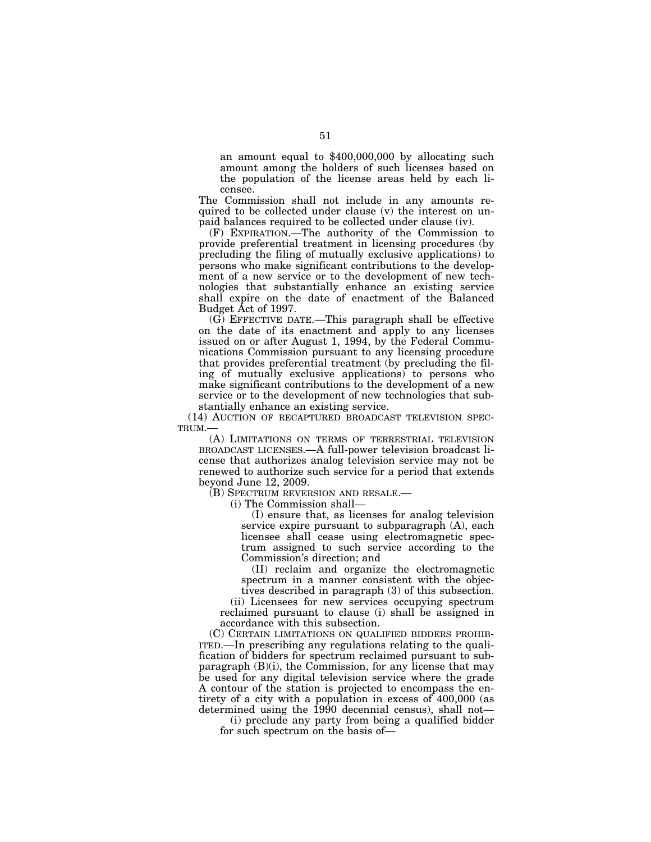an amount equal to \$400,000,000 by allocating such amount among the holders of such licenses based on the population of the license areas held by each licensee.

The Commission shall not include in any amounts required to be collected under clause (v) the interest on unpaid balances required to be collected under clause (iv).

(F) EXPIRATION.—The authority of the Commission to provide preferential treatment in licensing procedures (by precluding the filing of mutually exclusive applications) to persons who make significant contributions to the development of a new service or to the development of new technologies that substantially enhance an existing service shall expire on the date of enactment of the Balanced Budget Act of 1997.

(G) EFFECTIVE DATE.—This paragraph shall be effective on the date of its enactment and apply to any licenses issued on or after August 1, 1994, by the Federal Communications Commission pursuant to any licensing procedure that provides preferential treatment (by precluding the filing of mutually exclusive applications) to persons who make significant contributions to the development of a new service or to the development of new technologies that substantially enhance an existing service.

(14) AUCTION OF RECAPTURED BROADCAST TELEVISION SPEC-TRUM.—

(A) LIMITATIONS ON TERMS OF TERRESTRIAL TELEVISION BROADCAST LICENSES.—A full-power television broadcast license that authorizes analog television service may not be renewed to authorize such service for a period that extends beyond June 12, 2009.

(B) SPECTRUM REVERSION AND RESALE.—

(i) The Commission shall—

(I) ensure that, as licenses for analog television service expire pursuant to subparagraph (A), each licensee shall cease using electromagnetic spectrum assigned to such service according to the Commission's direction; and

(II) reclaim and organize the electromagnetic spectrum in a manner consistent with the objectives described in paragraph (3) of this subsection.

(ii) Licensees for new services occupying spectrum reclaimed pursuant to clause (i) shall be assigned in accordance with this subsection.

(C) CERTAIN LIMITATIONS ON QUALIFIED BIDDERS PROHIB-ITED.—In prescribing any regulations relating to the qualification of bidders for spectrum reclaimed pursuant to subparagraph (B)(i), the Commission, for any license that may be used for any digital television service where the grade A contour of the station is projected to encompass the entirety of a city with a population in excess of 400,000 (as determined using the 1990 decennial census), shall not—

(i) preclude any party from being a qualified bidder for such spectrum on the basis of—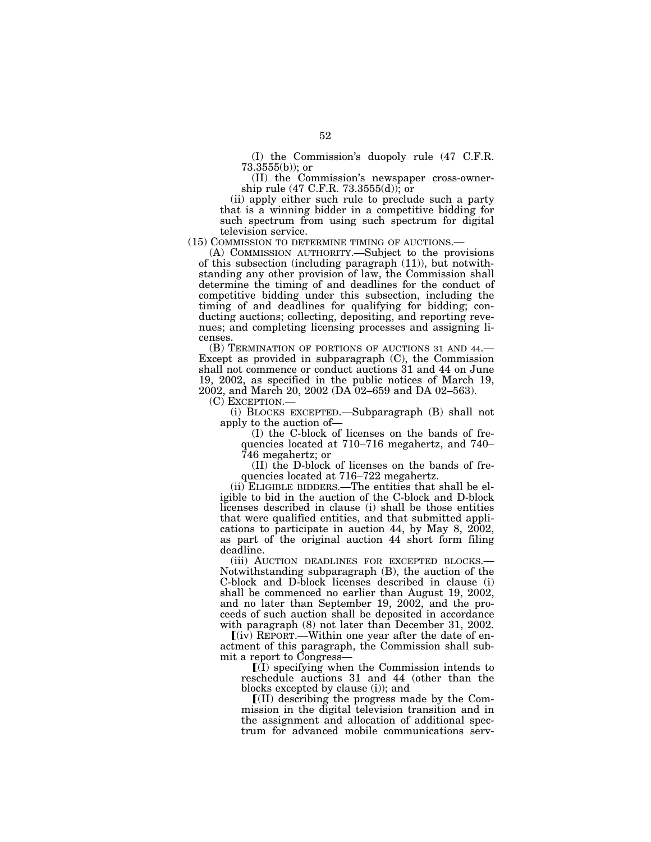(I) the Commission's duopoly rule (47 C.F.R.  $73.3555(b)$ ; or

(II) the Commission's newspaper cross-ownership rule (47 C.F.R. 73.3555(d)); or

(ii) apply either such rule to preclude such a party that is a winning bidder in a competitive bidding for such spectrum from using such spectrum for digital

television service.<br>(15) COMMISSION TO DETERMINE TIMING OF AUCTIONS.—

 $(A)$  COMMISSION AUTHORITY.—Subject to the provisions of this subsection (including paragraph (11)), but notwithstanding any other provision of law, the Commission shall determine the timing of and deadlines for the conduct of competitive bidding under this subsection, including the timing of and deadlines for qualifying for bidding; conducting auctions; collecting, depositing, and reporting revenues; and completing licensing processes and assigning licenses.

(B) TERMINATION OF PORTIONS OF AUCTIONS 31 AND 44.— Except as provided in subparagraph (C), the Commission shall not commence or conduct auctions 31 and 44 on June 19, 2002, as specified in the public notices of March 19, 2002, and March 20, 2002 (DA 02–659 and DA 02–563).

 $(i)$  BLOCKS EXCEPTED.—Subparagraph  $(B)$  shall not apply to the auction of—

(I) the C-block of licenses on the bands of frequencies located at 710–716 megahertz, and 740– 746 megahertz; or

(II) the D-block of licenses on the bands of frequencies located at 716–722 megahertz.

(ii) ELIGIBLE BIDDERS.—The entities that shall be eligible to bid in the auction of the C-block and D-block licenses described in clause (i) shall be those entities that were qualified entities, and that submitted applications to participate in auction 44, by May 8, 2002, as part of the original auction 44 short form filing deadline.<br>(iii) AUCTION DEADLINES FOR EXCEPTED BLOCKS.-

Notwithstanding subparagraph (B), the auction of the C-block and D-block licenses described in clause (i) shall be commenced no earlier than August 19, 2002, and no later than September 19, 2002, and the proceeds of such auction shall be deposited in accordance with paragraph (8) not later than December 31, 2002.

 $(i\nu)$  REPORT.—Within one year after the date of enactment of this paragraph, the Commission shall submit a report to Congress—

 $\overline{I}(I)$  specifying when the Commission intends to reschedule auctions 31 and 44 (other than the blocks excepted by clause (i)); and

 $\left[ \text{[II]} \right]$  describing the progress made by the Commission in the digital television transition and in the assignment and allocation of additional spectrum for advanced mobile communications serv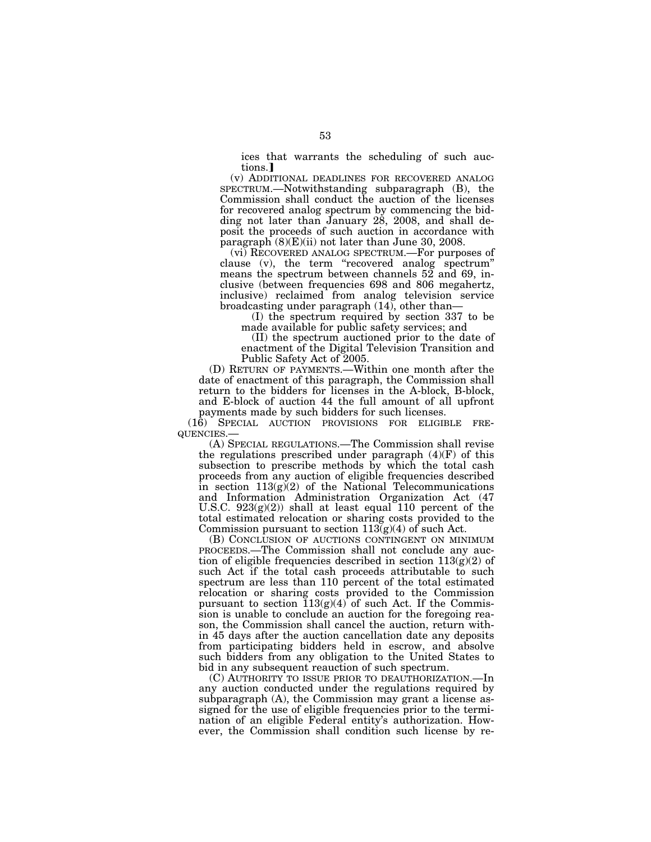ices that warrants the scheduling of such auctions.

(v) ADDITIONAL DEADLINES FOR RECOVERED ANALOG SPECTRUM.—Notwithstanding subparagraph (B), the Commission shall conduct the auction of the licenses for recovered analog spectrum by commencing the bidding not later than January 28, 2008, and shall deposit the proceeds of such auction in accordance with paragraph (8)(E)(ii) not later than June 30, 2008.

(vi) RECOVERED ANALOG SPECTRUM.—For purposes of clause (v), the term ''recovered analog spectrum'' means the spectrum between channels 52 and 69, inclusive (between frequencies 698 and 806 megahertz, inclusive) reclaimed from analog television service broadcasting under paragraph  $(14)$ , other than-

(I) the spectrum required by section 337 to be made available for public safety services; and

(II) the spectrum auctioned prior to the date of enactment of the Digital Television Transition and Public Safety Act of 2005.

(D) RETURN OF PAYMENTS.—Within one month after the date of enactment of this paragraph, the Commission shall return to the bidders for licenses in the A-block, B-block, and E-block of auction 44 the full amount of all upfront payments made by such bidders for such licenses.

(16) SPECIAL AUCTION PROVISIONS FOR ELIGIBLE FRE- QUENCIES.— (A) SPECIAL REGULATIONS.—The Commission shall revise

the regulations prescribed under paragraph (4)(F) of this subsection to prescribe methods by which the total cash proceeds from any auction of eligible frequencies described in section  $113(g)(2)$  of the National Telecommunications and Information Administration Organization Act (47 U.S.C.  $923(g)(2)$  shall at least equal 110 percent of the total estimated relocation or sharing costs provided to the Commission pursuant to section  $113(g)(4)$  of such Act.

(B) CONCLUSION OF AUCTIONS CONTINGENT ON MINIMUM PROCEEDS.—The Commission shall not conclude any auction of eligible frequencies described in section  $113(g)(2)$  of such Act if the total cash proceeds attributable to such spectrum are less than 110 percent of the total estimated relocation or sharing costs provided to the Commission pursuant to section  $\tilde{1}13(g)(4)$  of such Act. If the Commission is unable to conclude an auction for the foregoing reason, the Commission shall cancel the auction, return within 45 days after the auction cancellation date any deposits from participating bidders held in escrow, and absolve such bidders from any obligation to the United States to bid in any subsequent reauction of such spectrum.

(C) AUTHORITY TO ISSUE PRIOR TO DEAUTHORIZATION.—In any auction conducted under the regulations required by subparagraph (A), the Commission may grant a license assigned for the use of eligible frequencies prior to the termination of an eligible Federal entity's authorization. However, the Commission shall condition such license by re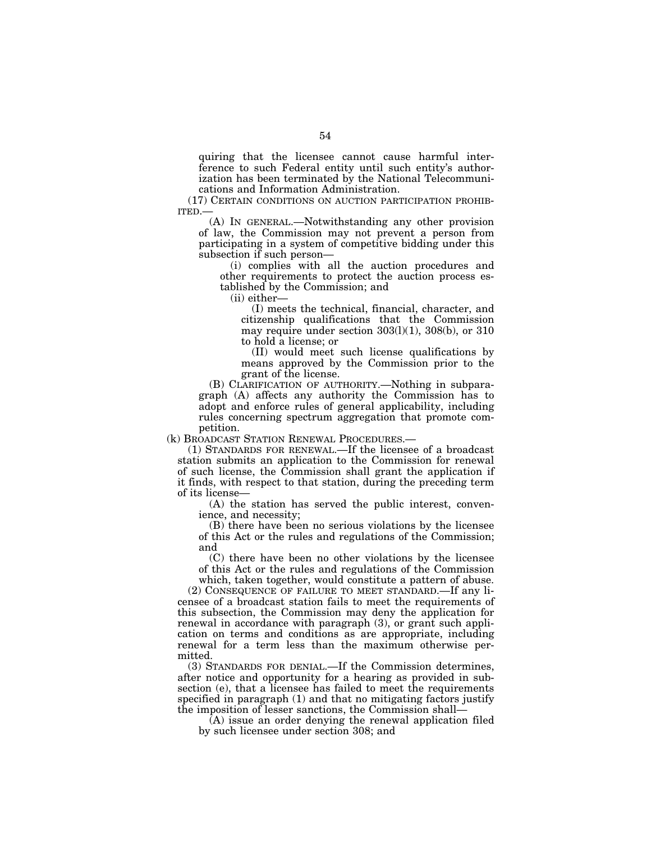quiring that the licensee cannot cause harmful interference to such Federal entity until such entity's authorization has been terminated by the National Telecommunications and Information Administration.

(17) CERTAIN CONDITIONS ON AUCTION PARTICIPATION PROHIB-ITED.—

(A) IN GENERAL.—Notwithstanding any other provision of law, the Commission may not prevent a person from participating in a system of competitive bidding under this subsection if such person—

(i) complies with all the auction procedures and other requirements to protect the auction process established by the Commission; and

(ii) either—

(I) meets the technical, financial, character, and citizenship qualifications that the Commission may require under section  $303(1)(1)$ ,  $308(b)$ , or  $310$ to hold a license; or

(II) would meet such license qualifications by means approved by the Commission prior to the grant of the license.

(B) CLARIFICATION OF AUTHORITY.—Nothing in subparagraph (A) affects any authority the Commission has to adopt and enforce rules of general applicability, including rules concerning spectrum aggregation that promote competition.

(k) BROADCAST STATION RENEWAL PROCEDURES.—

(1) STANDARDS FOR RENEWAL.—If the licensee of a broadcast station submits an application to the Commission for renewal of such license, the Commission shall grant the application if it finds, with respect to that station, during the preceding term of its license—

(A) the station has served the public interest, convenience, and necessity;

(B) there have been no serious violations by the licensee of this Act or the rules and regulations of the Commission; and

(C) there have been no other violations by the licensee of this Act or the rules and regulations of the Commission which, taken together, would constitute a pattern of abuse.

(2) CONSEQUENCE OF FAILURE TO MEET STANDARD.—If any licensee of a broadcast station fails to meet the requirements of this subsection, the Commission may deny the application for renewal in accordance with paragraph (3), or grant such application on terms and conditions as are appropriate, including renewal for a term less than the maximum otherwise permitted.

(3) STANDARDS FOR DENIAL.—If the Commission determines, after notice and opportunity for a hearing as provided in subsection (e), that a licensee has failed to meet the requirements specified in paragraph (1) and that no mitigating factors justify the imposition of lesser sanctions, the Commission shall—

(A) issue an order denying the renewal application filed by such licensee under section 308; and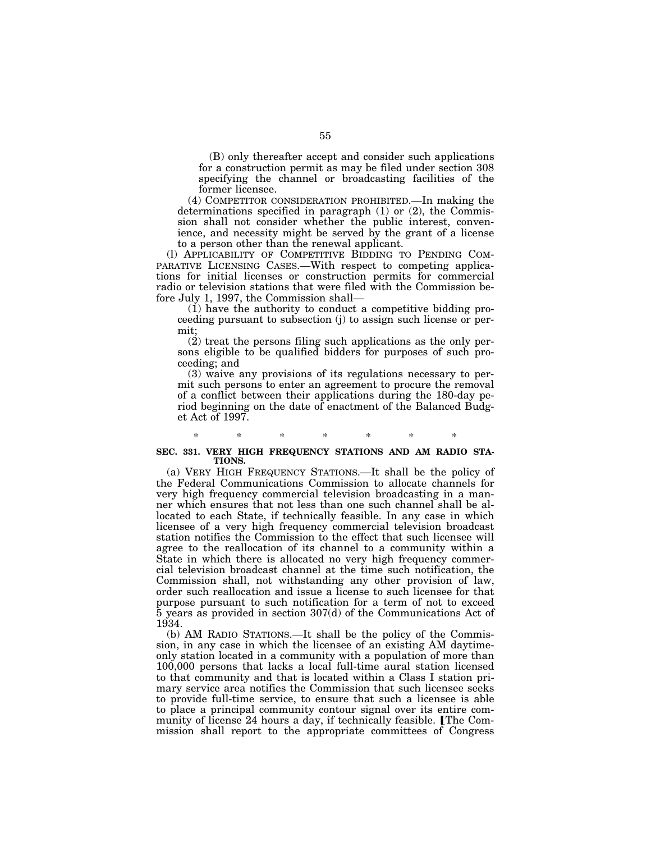(B) only thereafter accept and consider such applications for a construction permit as may be filed under section 308 specifying the channel or broadcasting facilities of the former licensee.

(4) COMPETITOR CONSIDERATION PROHIBITED.—In making the determinations specified in paragraph (1) or (2), the Commission shall not consider whether the public interest, convenience, and necessity might be served by the grant of a license to a person other than the renewal applicant.

(l) APPLICABILITY OF COMPETITIVE BIDDING TO PENDING COM-PARATIVE LICENSING CASES.—With respect to competing applications for initial licenses or construction permits for commercial radio or television stations that were filed with the Commission before July 1, 1997, the Commission shall—

(1) have the authority to conduct a competitive bidding proceeding pursuant to subsection (j) to assign such license or permit;

(2) treat the persons filing such applications as the only persons eligible to be qualified bidders for purposes of such proceeding; and

(3) waive any provisions of its regulations necessary to permit such persons to enter an agreement to procure the removal of a conflict between their applications during the 180-day period beginning on the date of enactment of the Balanced Budget Act of 1997.

### \* \* \* \* \* \* \* **SEC. 331. VERY HIGH FREQUENCY STATIONS AND AM RADIO STA-TIONS.**

(a) VERY HIGH FREQUENCY STATIONS.—It shall be the policy of the Federal Communications Commission to allocate channels for very high frequency commercial television broadcasting in a manner which ensures that not less than one such channel shall be allocated to each State, if technically feasible. In any case in which licensee of a very high frequency commercial television broadcast station notifies the Commission to the effect that such licensee will agree to the reallocation of its channel to a community within a State in which there is allocated no very high frequency commercial television broadcast channel at the time such notification, the Commission shall, not withstanding any other provision of law, order such reallocation and issue a license to such licensee for that purpose pursuant to such notification for a term of not to exceed 5 years as provided in section 307(d) of the Communications Act of 1934.

(b) AM RADIO STATIONS.—It shall be the policy of the Commission, in any case in which the licensee of an existing AM daytimeonly station located in a community with a population of more than 100,000 persons that lacks a local full-time aural station licensed to that community and that is located within a Class I station primary service area notifies the Commission that such licensee seeks to provide full-time service, to ensure that such a licensee is able to place a principal community contour signal over its entire community of license 24 hours a day, if technically feasible. The Commission shall report to the appropriate committees of Congress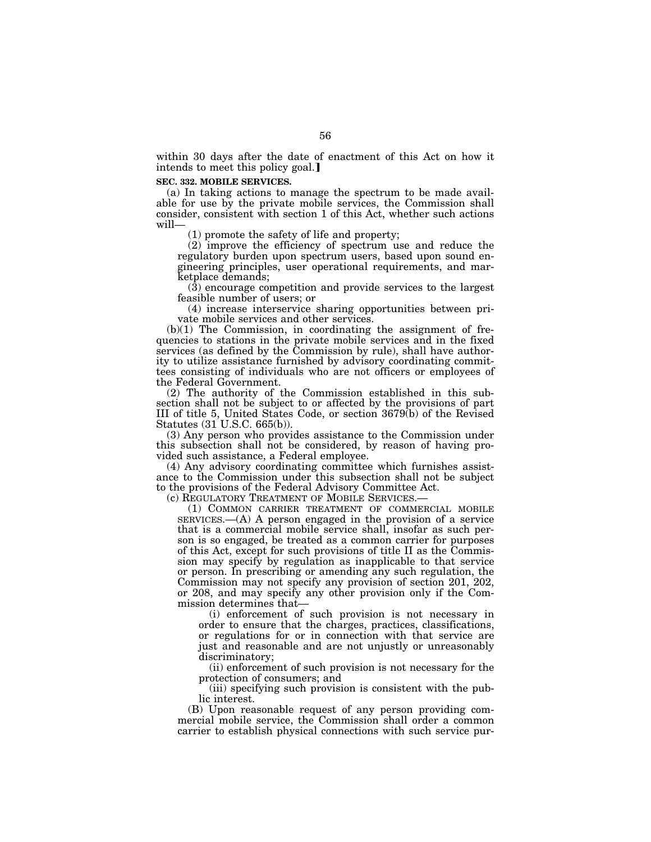within 30 days after the date of enactment of this Act on how it intends to meet this policy goal.

#### **SEC. 332. MOBILE SERVICES.**

(a) In taking actions to manage the spectrum to be made available for use by the private mobile services, the Commission shall consider, consistent with section 1 of this Act, whether such actions will—

(1) promote the safety of life and property;

(2) improve the efficiency of spectrum use and reduce the regulatory burden upon spectrum users, based upon sound engineering principles, user operational requirements, and marketplace demands;

(3) encourage competition and provide services to the largest feasible number of users; or

(4) increase interservice sharing opportunities between private mobile services and other services.

(b)(1) The Commission, in coordinating the assignment of frequencies to stations in the private mobile services and in the fixed services (as defined by the Commission by rule), shall have authority to utilize assistance furnished by advisory coordinating committees consisting of individuals who are not officers or employees of the Federal Government.

(2) The authority of the Commission established in this subsection shall not be subject to or affected by the provisions of part III of title 5, United States Code, or section 3679(b) of the Revised Statutes (31 U.S.C. 665(b)).

(3) Any person who provides assistance to the Commission under this subsection shall not be considered, by reason of having provided such assistance, a Federal employee.

(4) Any advisory coordinating committee which furnishes assistance to the Commission under this subsection shall not be subject to the provisions of the Federal Advisory Committee Act.<br>(c) REGULATORY TREATMENT OF MOBILE SERVICES.—

(1) COMMON CARRIER TREATMENT OF COMMERCIAL MOBILE  $SERVICES. —(A)$  A person engaged in the provision of a service that is a commercial mobile service shall, insofar as such person is so engaged, be treated as a common carrier for purposes of this Act, except for such provisions of title II as the Commission may specify by regulation as inapplicable to that service or person. In prescribing or amending any such regulation, the Commission may not specify any provision of section 201, 202, or 208, and may specify any other provision only if the Commission determines that—

(i) enforcement of such provision is not necessary in order to ensure that the charges, practices, classifications, or regulations for or in connection with that service are just and reasonable and are not unjustly or unreasonably discriminatory;

(ii) enforcement of such provision is not necessary for the protection of consumers; and

(iii) specifying such provision is consistent with the public interest.

(B) Upon reasonable request of any person providing commercial mobile service, the Commission shall order a common carrier to establish physical connections with such service pur-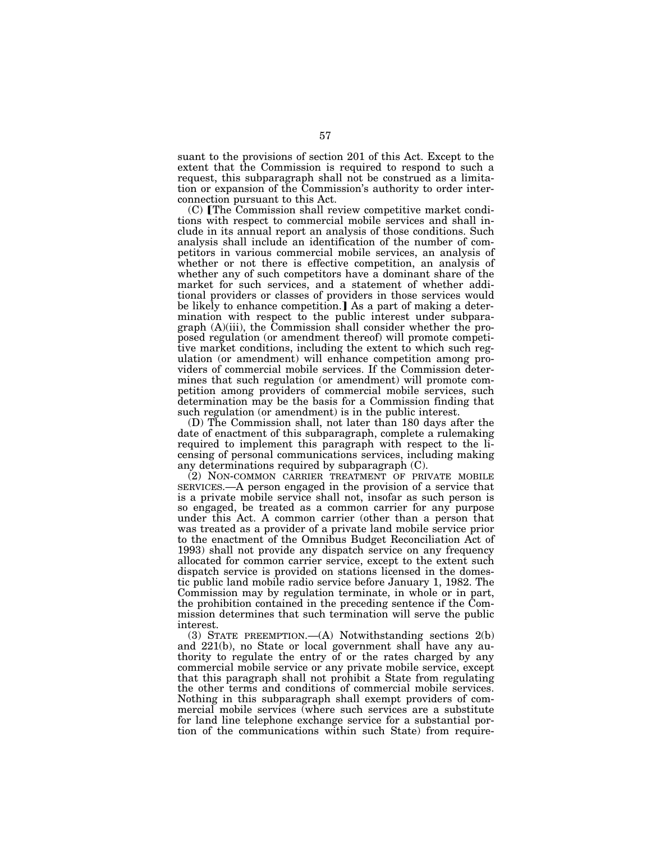suant to the provisions of section 201 of this Act. Except to the extent that the Commission is required to respond to such a request, this subparagraph shall not be construed as a limitation or expansion of the Commission's authority to order interconnection pursuant to this Act.

 $(C)$  The Commission shall review competitive market conditions with respect to commercial mobile services and shall include in its annual report an analysis of those conditions. Such analysis shall include an identification of the number of competitors in various commercial mobile services, an analysis of whether or not there is effective competition, an analysis of whether any of such competitors have a dominant share of the market for such services, and a statement of whether additional providers or classes of providers in those services would be likely to enhance competition.] As a part of making a determination with respect to the public interest under subparagraph (A)(iii), the Commission shall consider whether the proposed regulation (or amendment thereof) will promote competitive market conditions, including the extent to which such regulation (or amendment) will enhance competition among providers of commercial mobile services. If the Commission determines that such regulation (or amendment) will promote competition among providers of commercial mobile services, such determination may be the basis for a Commission finding that such regulation (or amendment) is in the public interest.

(D) The Commission shall, not later than 180 days after the date of enactment of this subparagraph, complete a rulemaking required to implement this paragraph with respect to the licensing of personal communications services, including making any determinations required by subparagraph (C).

(2) NON-COMMON CARRIER TREATMENT OF PRIVATE MOBILE SERVICES.—A person engaged in the provision of a service that is a private mobile service shall not, insofar as such person is so engaged, be treated as a common carrier for any purpose under this Act. A common carrier (other than a person that was treated as a provider of a private land mobile service prior to the enactment of the Omnibus Budget Reconciliation Act of 1993) shall not provide any dispatch service on any frequency allocated for common carrier service, except to the extent such dispatch service is provided on stations licensed in the domestic public land mobile radio service before January 1, 1982. The Commission may by regulation terminate, in whole or in part, the prohibition contained in the preceding sentence if the Commission determines that such termination will serve the public interest.

(3) STATE PREEMPTION.—(A) Notwithstanding sections 2(b) and 221(b), no State or local government shall have any authority to regulate the entry of or the rates charged by any commercial mobile service or any private mobile service, except that this paragraph shall not prohibit a State from regulating the other terms and conditions of commercial mobile services. Nothing in this subparagraph shall exempt providers of commercial mobile services (where such services are a substitute for land line telephone exchange service for a substantial portion of the communications within such State) from require-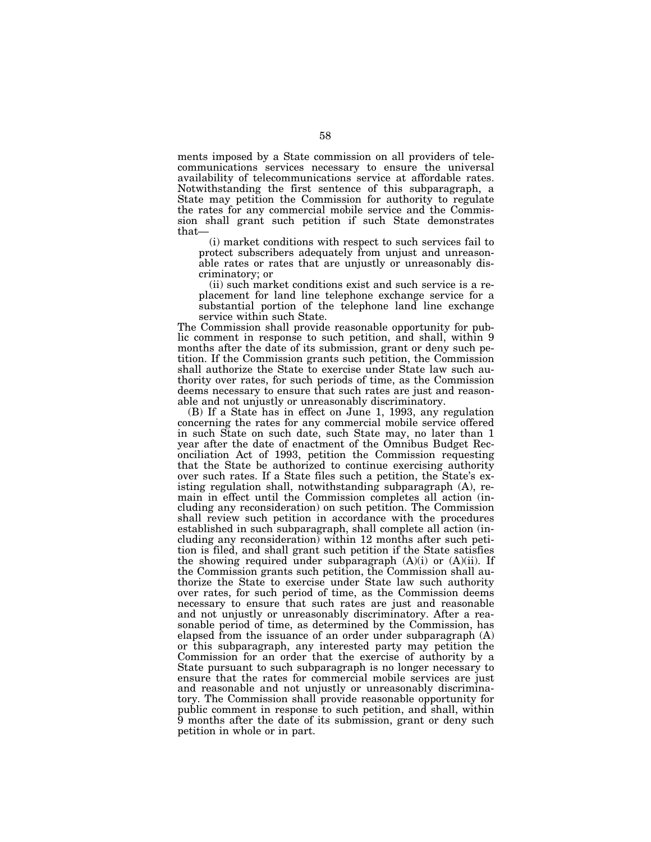ments imposed by a State commission on all providers of telecommunications services necessary to ensure the universal availability of telecommunications service at affordable rates. Notwithstanding the first sentence of this subparagraph, a State may petition the Commission for authority to regulate the rates for any commercial mobile service and the Commission shall grant such petition if such State demonstrates that—

(i) market conditions with respect to such services fail to protect subscribers adequately from unjust and unreasonable rates or rates that are unjustly or unreasonably discriminatory; or

(ii) such market conditions exist and such service is a replacement for land line telephone exchange service for a substantial portion of the telephone land line exchange service within such State.

The Commission shall provide reasonable opportunity for public comment in response to such petition, and shall, within 9 months after the date of its submission, grant or deny such petition. If the Commission grants such petition, the Commission shall authorize the State to exercise under State law such authority over rates, for such periods of time, as the Commission deems necessary to ensure that such rates are just and reasonable and not unjustly or unreasonably discriminatory.

(B) If a State has in effect on June 1, 1993, any regulation concerning the rates for any commercial mobile service offered in such State on such date, such State may, no later than 1 year after the date of enactment of the Omnibus Budget Reconciliation Act of 1993, petition the Commission requesting that the State be authorized to continue exercising authority over such rates. If a State files such a petition, the State's existing regulation shall, notwithstanding subparagraph (A), remain in effect until the Commission completes all action (including any reconsideration) on such petition. The Commission shall review such petition in accordance with the procedures established in such subparagraph, shall complete all action (including any reconsideration) within 12 months after such petition is filed, and shall grant such petition if the State satisfies the showing required under subparagraph  $(A)(i)$  or  $(A)(ii)$ . If the Commission grants such petition, the Commission shall authorize the State to exercise under State law such authority over rates, for such period of time, as the Commission deems necessary to ensure that such rates are just and reasonable and not unjustly or unreasonably discriminatory. After a reasonable period of time, as determined by the Commission, has elapsed from the issuance of an order under subparagraph (A) or this subparagraph, any interested party may petition the Commission for an order that the exercise of authority by a State pursuant to such subparagraph is no longer necessary to ensure that the rates for commercial mobile services are just and reasonable and not unjustly or unreasonably discriminatory. The Commission shall provide reasonable opportunity for public comment in response to such petition, and shall, within 9 months after the date of its submission, grant or deny such petition in whole or in part.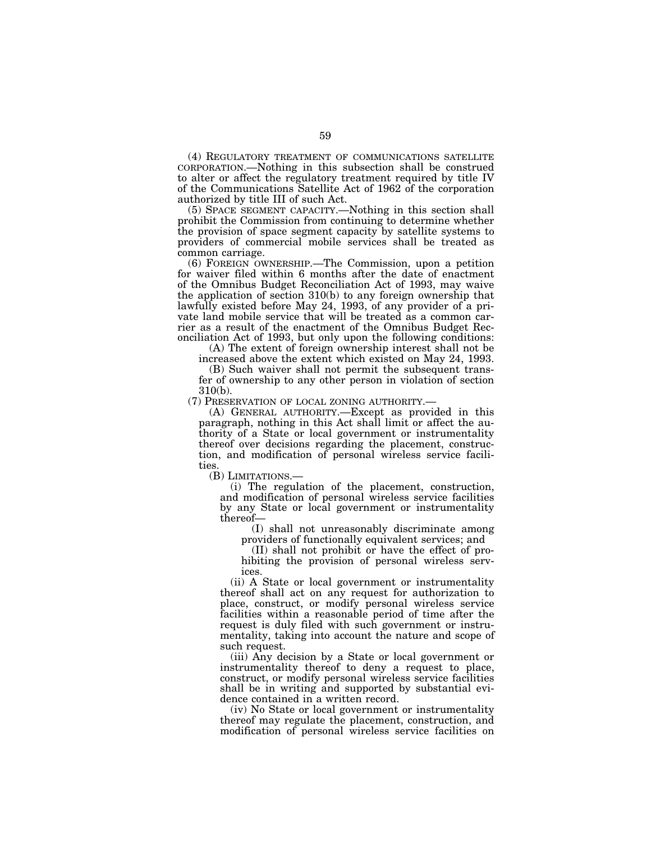(4) REGULATORY TREATMENT OF COMMUNICATIONS SATELLITE CORPORATION.—Nothing in this subsection shall be construed to alter or affect the regulatory treatment required by title IV of the Communications Satellite Act of 1962 of the corporation authorized by title III of such Act.

(5) SPACE SEGMENT CAPACITY.—Nothing in this section shall prohibit the Commission from continuing to determine whether the provision of space segment capacity by satellite systems to providers of commercial mobile services shall be treated as common carriage.

(6) FOREIGN OWNERSHIP.—The Commission, upon a petition for waiver filed within 6 months after the date of enactment of the Omnibus Budget Reconciliation Act of 1993, may waive the application of section 310(b) to any foreign ownership that lawfully existed before May 24, 1993, of any provider of a private land mobile service that will be treated as a common carrier as a result of the enactment of the Omnibus Budget Reconciliation Act of 1993, but only upon the following conditions:

(A) The extent of foreign ownership interest shall not be increased above the extent which existed on May 24, 1993.

(B) Such waiver shall not permit the subsequent transfer of ownership to any other person in violation of section  $310(b)$ .<br>(7) PRESERVATION OF LOCAL ZONING AUTHORITY.—

 $(A)$  GENERAL AUTHORITY.—Except as provided in this paragraph, nothing in this Act shall limit or affect the authority of a State or local government or instrumentality thereof over decisions regarding the placement, construction, and modification of personal wireless service facili-

ties.<br>(B) LIMITATIONS.—

(i) The regulation of the placement, construction, and modification of personal wireless service facilities by any State or local government or instrumentality thereof—

(I) shall not unreasonably discriminate among providers of functionally equivalent services; and

(II) shall not prohibit or have the effect of prohibiting the provision of personal wireless services.

(ii) A State or local government or instrumentality thereof shall act on any request for authorization to place, construct, or modify personal wireless service facilities within a reasonable period of time after the request is duly filed with such government or instrumentality, taking into account the nature and scope of such request.

(iii) Any decision by a State or local government or instrumentality thereof to deny a request to place, construct, or modify personal wireless service facilities shall be in writing and supported by substantial evidence contained in a written record.

(iv) No State or local government or instrumentality thereof may regulate the placement, construction, and modification of personal wireless service facilities on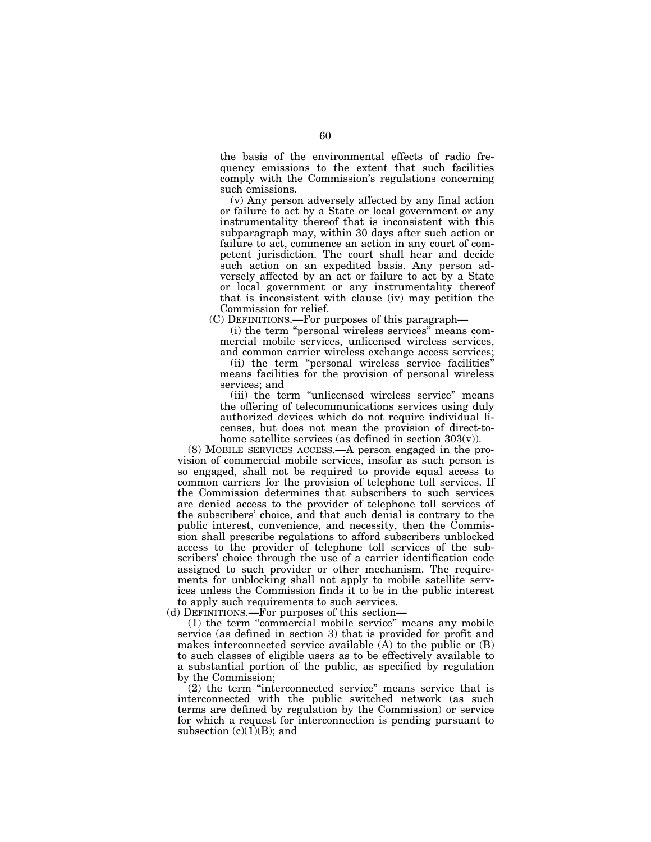the basis of the environmental effects of radio frequency emissions to the extent that such facilities comply with the Commission's regulations concerning such emissions.

(v) Any person adversely affected by any final action or failure to act by a State or local government or any instrumentality thereof that is inconsistent with this subparagraph may, within 30 days after such action or failure to act, commence an action in any court of competent jurisdiction. The court shall hear and decide such action on an expedited basis. Any person adversely affected by an act or failure to act by a State or local government or any instrumentality thereof that is inconsistent with clause (iv) may petition the Commission for relief.

(C) DEFINITIONS.—For purposes of this paragraph—

(i) the term ''personal wireless services'' means commercial mobile services, unlicensed wireless services, and common carrier wireless exchange access services;

(ii) the term ''personal wireless service facilities'' means facilities for the provision of personal wireless services; and

(iii) the term ''unlicensed wireless service'' means the offering of telecommunications services using duly authorized devices which do not require individual licenses, but does not mean the provision of direct-tohome satellite services (as defined in section  $303(v)$ ).

(8) MOBILE SERVICES ACCESS.—A person engaged in the provision of commercial mobile services, insofar as such person is so engaged, shall not be required to provide equal access to common carriers for the provision of telephone toll services. If the Commission determines that subscribers to such services are denied access to the provider of telephone toll services of the subscribers' choice, and that such denial is contrary to the public interest, convenience, and necessity, then the Commission shall prescribe regulations to afford subscribers unblocked access to the provider of telephone toll services of the subscribers' choice through the use of a carrier identification code assigned to such provider or other mechanism. The requirements for unblocking shall not apply to mobile satellite services unless the Commission finds it to be in the public interest to apply such requirements to such services.

(d) DEFINITIONS.—For purposes of this section—

(1) the term ''commercial mobile service'' means any mobile service (as defined in section 3) that is provided for profit and makes interconnected service available  $(A)$  to the public or  $(B)$ to such classes of eligible users as to be effectively available to a substantial portion of the public, as specified by regulation by the Commission;

(2) the term ''interconnected service'' means service that is interconnected with the public switched network (as such terms are defined by regulation by the Commission) or service for which a request for interconnection is pending pursuant to subsection  $(c)(1)(B)$ ; and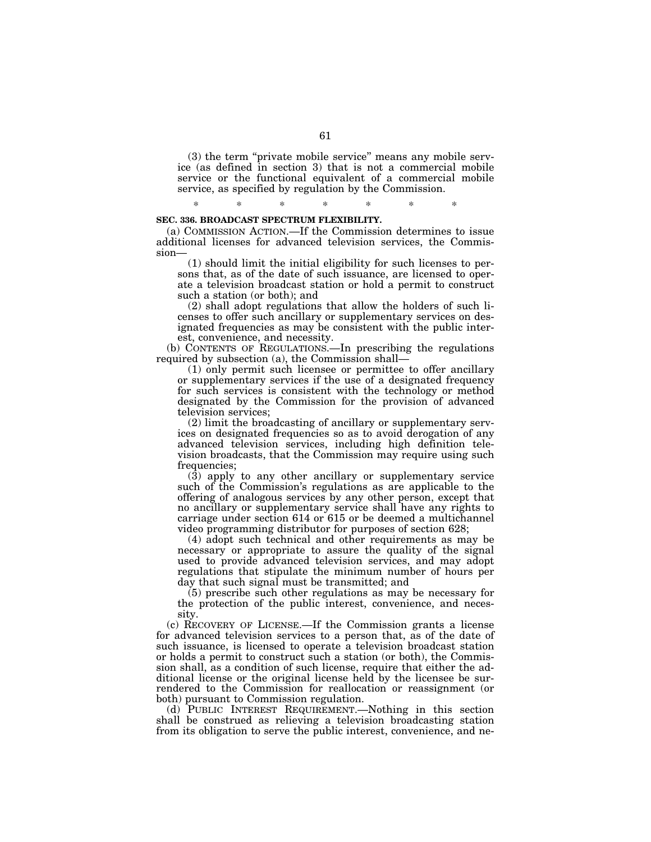(3) the term ''private mobile service'' means any mobile service (as defined in section 3) that is not a commercial mobile service or the functional equivalent of a commercial mobile service, as specified by regulation by the Commission.

#### **SEC. 336. BROADCAST SPECTRUM FLEXIBILITY.**

(a) COMMISSION ACTION.—If the Commission determines to issue additional licenses for advanced television services, the Commission—

\* \* \* \* \* \* \*

(1) should limit the initial eligibility for such licenses to persons that, as of the date of such issuance, are licensed to operate a television broadcast station or hold a permit to construct such a station (or both); and

(2) shall adopt regulations that allow the holders of such licenses to offer such ancillary or supplementary services on designated frequencies as may be consistent with the public interest, convenience, and necessity.

(b) CONTENTS OF REGULATIONS.—In prescribing the regulations required by subsection (a), the Commission shall—

(1) only permit such licensee or permittee to offer ancillary or supplementary services if the use of a designated frequency for such services is consistent with the technology or method designated by the Commission for the provision of advanced television services;

(2) limit the broadcasting of ancillary or supplementary services on designated frequencies so as to avoid derogation of any advanced television services, including high definition television broadcasts, that the Commission may require using such frequencies;

(3) apply to any other ancillary or supplementary service such of the Commission's regulations as are applicable to the offering of analogous services by any other person, except that no ancillary or supplementary service shall have any rights to carriage under section 614 or 615 or be deemed a multichannel video programming distributor for purposes of section 628;

(4) adopt such technical and other requirements as may be necessary or appropriate to assure the quality of the signal used to provide advanced television services, and may adopt regulations that stipulate the minimum number of hours per day that such signal must be transmitted; and

(5) prescribe such other regulations as may be necessary for the protection of the public interest, convenience, and necessity.

(c) RECOVERY OF LICENSE.—If the Commission grants a license for advanced television services to a person that, as of the date of such issuance, is licensed to operate a television broadcast station or holds a permit to construct such a station (or both), the Commission shall, as a condition of such license, require that either the additional license or the original license held by the licensee be surrendered to the Commission for reallocation or reassignment (or both) pursuant to Commission regulation.

(d) PUBLIC INTEREST REQUIREMENT.—Nothing in this section shall be construed as relieving a television broadcasting station from its obligation to serve the public interest, convenience, and ne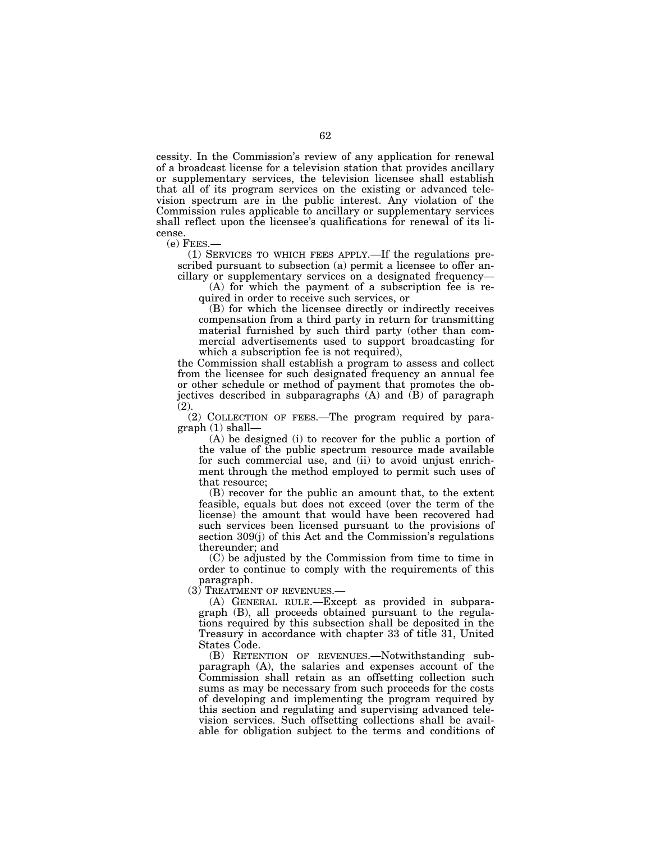cessity. In the Commission's review of any application for renewal of a broadcast license for a television station that provides ancillary or supplementary services, the television licensee shall establish that all of its program services on the existing or advanced television spectrum are in the public interest. Any violation of the Commission rules applicable to ancillary or supplementary services shall reflect upon the licensee's qualifications for renewal of its license.

 $(e)$  FEES. $-$ 

(1) SERVICES TO WHICH FEES APPLY.—If the regulations prescribed pursuant to subsection (a) permit a licensee to offer ancillary or supplementary services on a designated frequency—

(A) for which the payment of a subscription fee is required in order to receive such services, or

(B) for which the licensee directly or indirectly receives compensation from a third party in return for transmitting material furnished by such third party (other than commercial advertisements used to support broadcasting for which a subscription fee is not required),

the Commission shall establish a program to assess and collect from the licensee for such designated frequency an annual fee or other schedule or method of payment that promotes the objectives described in subparagraphs (A) and (B) of paragraph (2).

(2) COLLECTION OF FEES.—The program required by paragraph (1) shall—

(A) be designed (i) to recover for the public a portion of the value of the public spectrum resource made available for such commercial use, and (ii) to avoid unjust enrichment through the method employed to permit such uses of that resource;

(B) recover for the public an amount that, to the extent feasible, equals but does not exceed (over the term of the license) the amount that would have been recovered had such services been licensed pursuant to the provisions of section 309(j) of this Act and the Commission's regulations thereunder; and

(C) be adjusted by the Commission from time to time in order to continue to comply with the requirements of this paragraph.

(3) TREATMENT OF REVENUES.—

(A) GENERAL RULE.—Except as provided in subparagraph (B), all proceeds obtained pursuant to the regulations required by this subsection shall be deposited in the Treasury in accordance with chapter 33 of title 31, United States Code.

(B) RETENTION OF REVENUES.—Notwithstanding subparagraph (A), the salaries and expenses account of the Commission shall retain as an offsetting collection such sums as may be necessary from such proceeds for the costs of developing and implementing the program required by this section and regulating and supervising advanced television services. Such offsetting collections shall be available for obligation subject to the terms and conditions of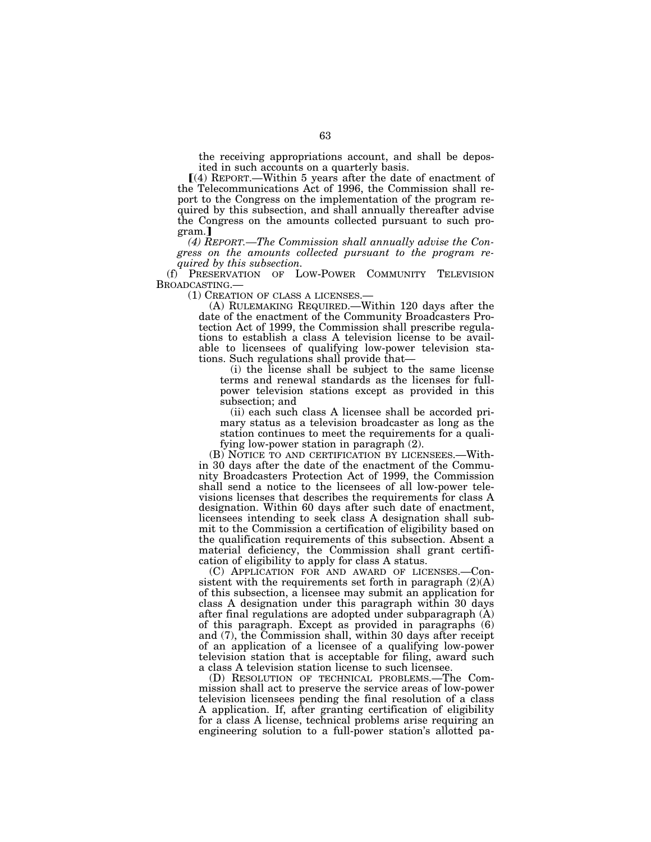the receiving appropriations account, and shall be deposited in such accounts on a quarterly basis.

ø(4) REPORT.—Within 5 years after the date of enactment of the Telecommunications Act of 1996, the Commission shall report to the Congress on the implementation of the program required by this subsection, and shall annually thereafter advise the Congress on the amounts collected pursuant to such program.

*(4) REPORT.—The Commission shall annually advise the Congress on the amounts collected pursuant to the program required by this subsection.* 

(f) PRESERVATION OF LOW-POWER COMMUNITY TELEVISION BROADCASTING.—

(1) CREATION OF CLASS A LICENSES.—

(A) RULEMAKING REQUIRED.—Within 120 days after the date of the enactment of the Community Broadcasters Protection Act of 1999, the Commission shall prescribe regulations to establish a class A television license to be available to licensees of qualifying low-power television stations. Such regulations shall provide that—

(i) the license shall be subject to the same license terms and renewal standards as the licenses for fullpower television stations except as provided in this subsection; and

(ii) each such class A licensee shall be accorded primary status as a television broadcaster as long as the station continues to meet the requirements for a qualifying low-power station in paragraph (2).

(B) NOTICE TO AND CERTIFICATION BY LICENSEES.—Within 30 days after the date of the enactment of the Community Broadcasters Protection Act of 1999, the Commission shall send a notice to the licensees of all low-power televisions licenses that describes the requirements for class A designation. Within 60 days after such date of enactment, licensees intending to seek class A designation shall submit to the Commission a certification of eligibility based on the qualification requirements of this subsection. Absent a material deficiency, the Commission shall grant certification of eligibility to apply for class A status.

(C) APPLICATION FOR AND AWARD OF LICENSES.—Consistent with the requirements set forth in paragraph (2)(A) of this subsection, a licensee may submit an application for class A designation under this paragraph within 30 days after final regulations are adopted under subparagraph (A) of this paragraph. Except as provided in paragraphs (6) and (7), the Commission shall, within 30 days after receipt of an application of a licensee of a qualifying low-power television station that is acceptable for filing, award such a class A television station license to such licensee.

(D) RESOLUTION OF TECHNICAL PROBLEMS.—The Commission shall act to preserve the service areas of low-power television licensees pending the final resolution of a class A application. If, after granting certification of eligibility for a class A license, technical problems arise requiring an engineering solution to a full-power station's allotted pa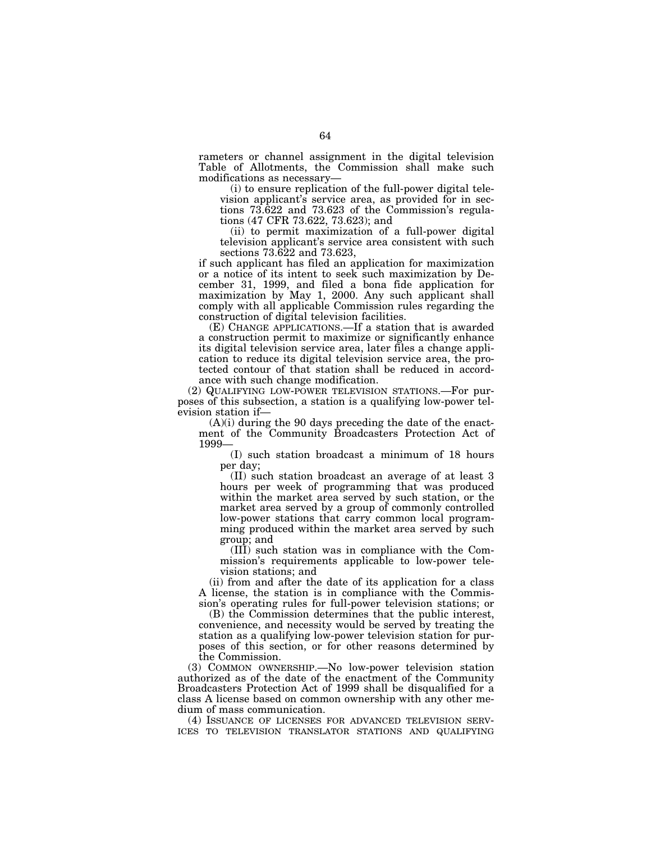rameters or channel assignment in the digital television Table of Allotments, the Commission shall make such modifications as necessary—

(i) to ensure replication of the full-power digital television applicant's service area, as provided for in sections 73.622 and 73.623 of the Commission's regulations (47 CFR 73.622, 73.623); and

(ii) to permit maximization of a full-power digital television applicant's service area consistent with such sections 73.622 and 73.623,

if such applicant has filed an application for maximization or a notice of its intent to seek such maximization by December 31, 1999, and filed a bona fide application for maximization by May 1, 2000. Any such applicant shall comply with all applicable Commission rules regarding the construction of digital television facilities.

(E) CHANGE APPLICATIONS.—If a station that is awarded a construction permit to maximize or significantly enhance its digital television service area, later files a change application to reduce its digital television service area, the protected contour of that station shall be reduced in accordance with such change modification.

(2) QUALIFYING LOW-POWER TELEVISION STATIONS.—For purposes of this subsection, a station is a qualifying low-power television station if—

 $(A)(i)$  during the 90 days preceding the date of the enactment of the Community Broadcasters Protection Act of 1999—

(I) such station broadcast a minimum of 18 hours per day;

(II) such station broadcast an average of at least 3 hours per week of programming that was produced within the market area served by such station, or the market area served by a group of commonly controlled low-power stations that carry common local programming produced within the market area served by such group; and

(III) such station was in compliance with the Commission's requirements applicable to low-power television stations; and

(ii) from and after the date of its application for a class A license, the station is in compliance with the Commission's operating rules for full-power television stations; or

(B) the Commission determines that the public interest, convenience, and necessity would be served by treating the station as a qualifying low-power television station for purposes of this section, or for other reasons determined by the Commission.

(3) COMMON OWNERSHIP.—No low-power television station authorized as of the date of the enactment of the Community Broadcasters Protection Act of 1999 shall be disqualified for a class A license based on common ownership with any other medium of mass communication.

(4) ISSUANCE OF LICENSES FOR ADVANCED TELEVISION SERV-ICES TO TELEVISION TRANSLATOR STATIONS AND QUALIFYING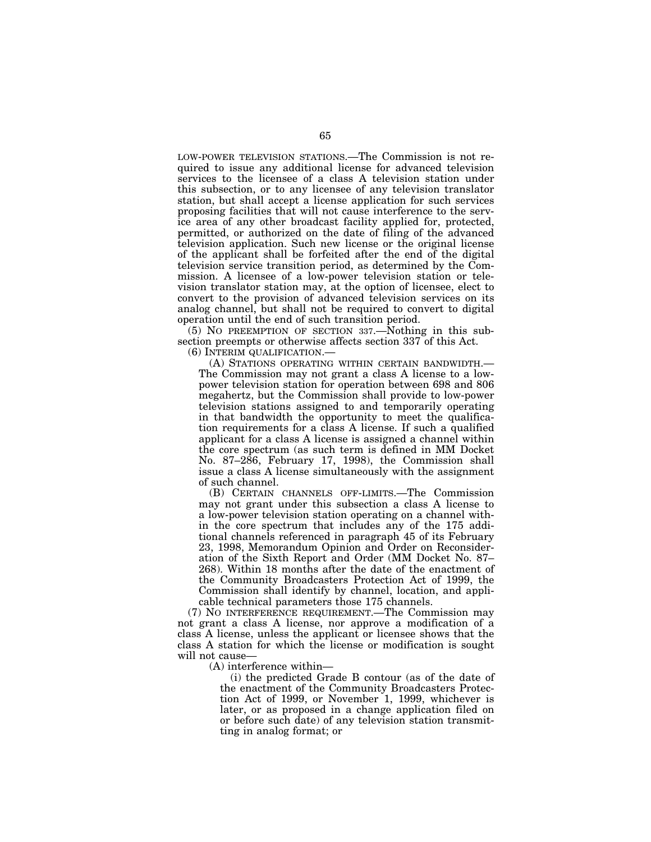LOW-POWER TELEVISION STATIONS.—The Commission is not required to issue any additional license for advanced television services to the licensee of a class A television station under this subsection, or to any licensee of any television translator station, but shall accept a license application for such services proposing facilities that will not cause interference to the service area of any other broadcast facility applied for, protected, permitted, or authorized on the date of filing of the advanced television application. Such new license or the original license of the applicant shall be forfeited after the end of the digital television service transition period, as determined by the Commission. A licensee of a low-power television station or television translator station may, at the option of licensee, elect to convert to the provision of advanced television services on its analog channel, but shall not be required to convert to digital operation until the end of such transition period.

 $(5)$  NO PREEMPTION OF SECTION 337.—Nothing in this subsection preempts or otherwise affects section 337 of this Act.

(6) INTERIM QUALIFICATION.—

(A) STATIONS OPERATING WITHIN CERTAIN BANDWIDTH.— The Commission may not grant a class A license to a lowpower television station for operation between 698 and 806 megahertz, but the Commission shall provide to low-power television stations assigned to and temporarily operating in that bandwidth the opportunity to meet the qualification requirements for a class A license. If such a qualified applicant for a class A license is assigned a channel within the core spectrum (as such term is defined in MM Docket No. 87–286, February 17, 1998), the Commission shall issue a class A license simultaneously with the assignment of such channel.

(B) CERTAIN CHANNELS OFF-LIMITS.—The Commission may not grant under this subsection a class A license to a low-power television station operating on a channel within the core spectrum that includes any of the 175 additional channels referenced in paragraph 45 of its February 23, 1998, Memorandum Opinion and Order on Reconsideration of the Sixth Report and Order (MM Docket No. 87– 268). Within 18 months after the date of the enactment of the Community Broadcasters Protection Act of 1999, the Commission shall identify by channel, location, and applicable technical parameters those 175 channels.

(7) NO INTERFERENCE REQUIREMENT.—The Commission may not grant a class A license, nor approve a modification of a class A license, unless the applicant or licensee shows that the class A station for which the license or modification is sought will not cause—

(A) interference within—

(i) the predicted Grade B contour (as of the date of the enactment of the Community Broadcasters Protection Act of 1999, or November 1, 1999, whichever is later, or as proposed in a change application filed on or before such date) of any television station transmitting in analog format; or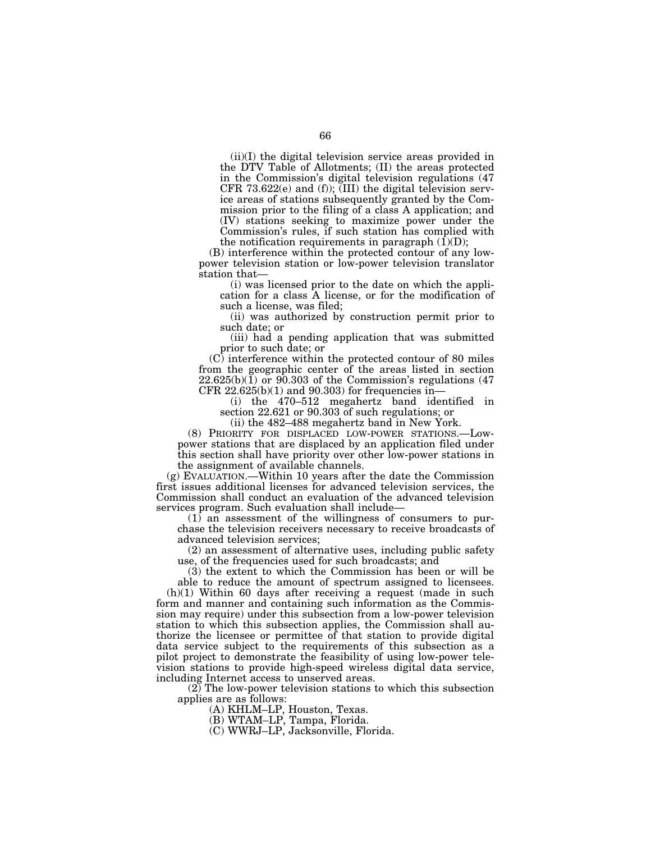(ii)(I) the digital television service areas provided in the DTV Table of Allotments; (II) the areas protected in the Commission's digital television regulations (47 CFR 73.622(e) and (f));  $\overline{(III)}$  the digital television service areas of stations subsequently granted by the Commission prior to the filing of a class A application; and (IV) stations seeking to maximize power under the Commission's rules, if such station has complied with

the notification requirements in paragraph  $(I)(D)$ ; (B) interference within the protected contour of any low-

power television station or low-power television translator station that—

(i) was licensed prior to the date on which the application for a class A license, or for the modification of such a license, was filed;

(ii) was authorized by construction permit prior to such date; or

(iii) had a pending application that was submitted prior to such date; or

(C) interference within the protected contour of 80 miles from the geographic center of the areas listed in section  $22.625(b)(1)$  or  $90.303$  of the Commission's regulations (47) CFR  $22.625(b)(1)$  and  $90.303$ ) for frequencies in-

(i) the 470–512 megahertz band identified in section 22.621 or 90.303 of such regulations; or

(ii) the 482–488 megahertz band in New York.

(8) PRIORITY FOR DISPLACED LOW-POWER STATIONS.—Lowpower stations that are displaced by an application filed under this section shall have priority over other low-power stations in the assignment of available channels.

(g) EVALUATION.—Within 10 years after the date the Commission first issues additional licenses for advanced television services, the Commission shall conduct an evaluation of the advanced television services program. Such evaluation shall include—

(1) an assessment of the willingness of consumers to purchase the television receivers necessary to receive broadcasts of advanced television services;

(2) an assessment of alternative uses, including public safety use, of the frequencies used for such broadcasts; and

(3) the extent to which the Commission has been or will be able to reduce the amount of spectrum assigned to licensees.

(h)(1) Within 60 days after receiving a request (made in such form and manner and containing such information as the Commission may require) under this subsection from a low-power television station to which this subsection applies, the Commission shall authorize the licensee or permittee of that station to provide digital data service subject to the requirements of this subsection as a pilot project to demonstrate the feasibility of using low-power television stations to provide high-speed wireless digital data service, including Internet access to unserved areas.

(2) The low-power television stations to which this subsection applies are as follows:

(A) KHLM–LP, Houston, Texas.

(B) WTAM–LP, Tampa, Florida.

(C) WWRJ–LP, Jacksonville, Florida.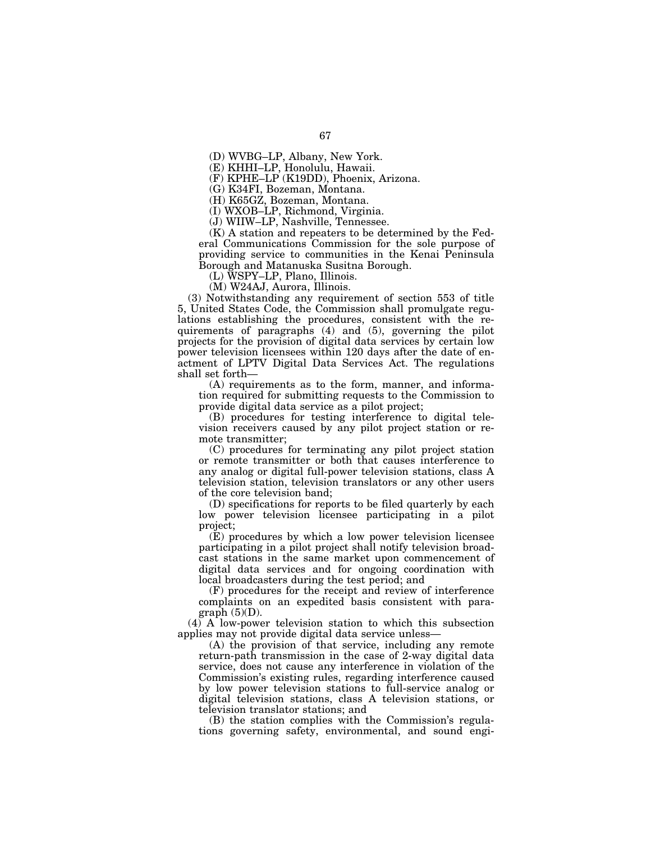(E) KHHI–LP, Honolulu, Hawaii.

(F) KPHE–LP (K19DD), Phoenix, Arizona.

(G) K34FI, Bozeman, Montana.

(H) K65GZ, Bozeman, Montana.

(I) WXOB–LP, Richmond, Virginia.

(J) WIIW–LP, Nashville, Tennessee.

(K) A station and repeaters to be determined by the Federal Communications Commission for the sole purpose of providing service to communities in the Kenai Peninsula Borough and Matanuska Susitna Borough.

(L) WSPY–LP, Plano, Illinois.

(M) W24AJ, Aurora, Illinois.

(3) Notwithstanding any requirement of section 553 of title 5, United States Code, the Commission shall promulgate regulations establishing the procedures, consistent with the requirements of paragraphs (4) and (5), governing the pilot projects for the provision of digital data services by certain low power television licensees within 120 days after the date of enactment of LPTV Digital Data Services Act. The regulations shall set forth—

(A) requirements as to the form, manner, and information required for submitting requests to the Commission to provide digital data service as a pilot project;

(B) procedures for testing interference to digital television receivers caused by any pilot project station or remote transmitter;

(C) procedures for terminating any pilot project station or remote transmitter or both that causes interference to any analog or digital full-power television stations, class A television station, television translators or any other users of the core television band;

(D) specifications for reports to be filed quarterly by each low power television licensee participating in a pilot project;

(E) procedures by which a low power television licensee participating in a pilot project shall notify television broadcast stations in the same market upon commencement of digital data services and for ongoing coordination with local broadcasters during the test period; and

(F) procedures for the receipt and review of interference complaints on an expedited basis consistent with paragraph (5)(D).

(4) A low-power television station to which this subsection applies may not provide digital data service unless—

(A) the provision of that service, including any remote return-path transmission in the case of 2-way digital data service, does not cause any interference in violation of the Commission's existing rules, regarding interference caused by low power television stations to full-service analog or digital television stations, class A television stations, or television translator stations; and

(B) the station complies with the Commission's regulations governing safety, environmental, and sound engi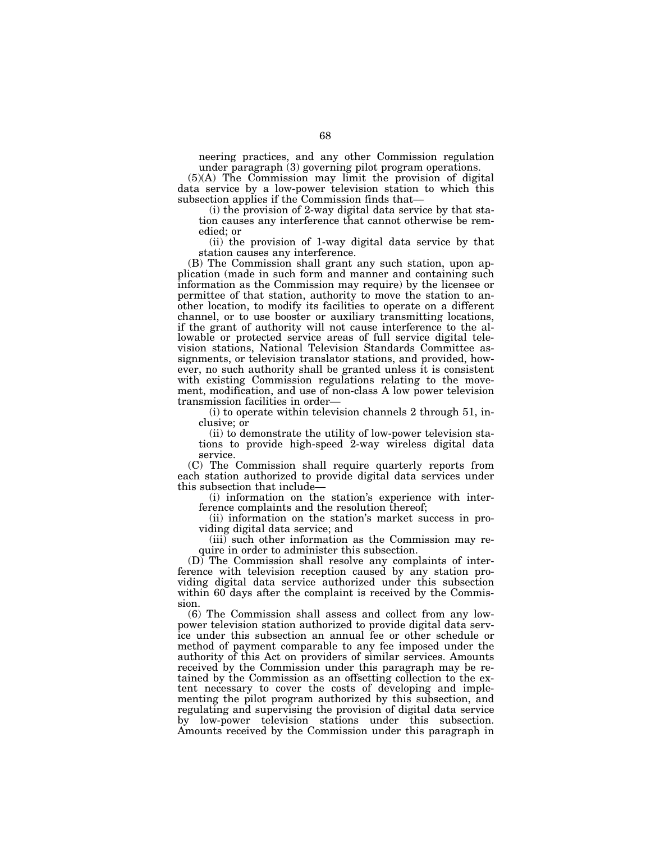neering practices, and any other Commission regulation under paragraph (3) governing pilot program operations.

(5)(A) The Commission may limit the provision of digital data service by a low-power television station to which this subsection applies if the Commission finds that—

(i) the provision of 2-way digital data service by that station causes any interference that cannot otherwise be remedied; or

(ii) the provision of 1-way digital data service by that station causes any interference.

(B) The Commission shall grant any such station, upon application (made in such form and manner and containing such information as the Commission may require) by the licensee or permittee of that station, authority to move the station to another location, to modify its facilities to operate on a different channel, or to use booster or auxiliary transmitting locations, if the grant of authority will not cause interference to the allowable or protected service areas of full service digital television stations, National Television Standards Committee assignments, or television translator stations, and provided, however, no such authority shall be granted unless it is consistent with existing Commission regulations relating to the movement, modification, and use of non-class A low power television transmission facilities in order—

(i) to operate within television channels 2 through 51, inclusive; or

(ii) to demonstrate the utility of low-power television stations to provide high-speed 2-way wireless digital data service.

(C) The Commission shall require quarterly reports from each station authorized to provide digital data services under this subsection that include—

(i) information on the station's experience with interference complaints and the resolution thereof;

(ii) information on the station's market success in providing digital data service; and

(iii) such other information as the Commission may require in order to administer this subsection.

(D) The Commission shall resolve any complaints of interference with television reception caused by any station providing digital data service authorized under this subsection within 60 days after the complaint is received by the Commission.

(6) The Commission shall assess and collect from any lowpower television station authorized to provide digital data service under this subsection an annual fee or other schedule or method of payment comparable to any fee imposed under the authority of this Act on providers of similar services. Amounts received by the Commission under this paragraph may be retained by the Commission as an offsetting collection to the extent necessary to cover the costs of developing and implementing the pilot program authorized by this subsection, and regulating and supervising the provision of digital data service by low-power television stations under this subsection. Amounts received by the Commission under this paragraph in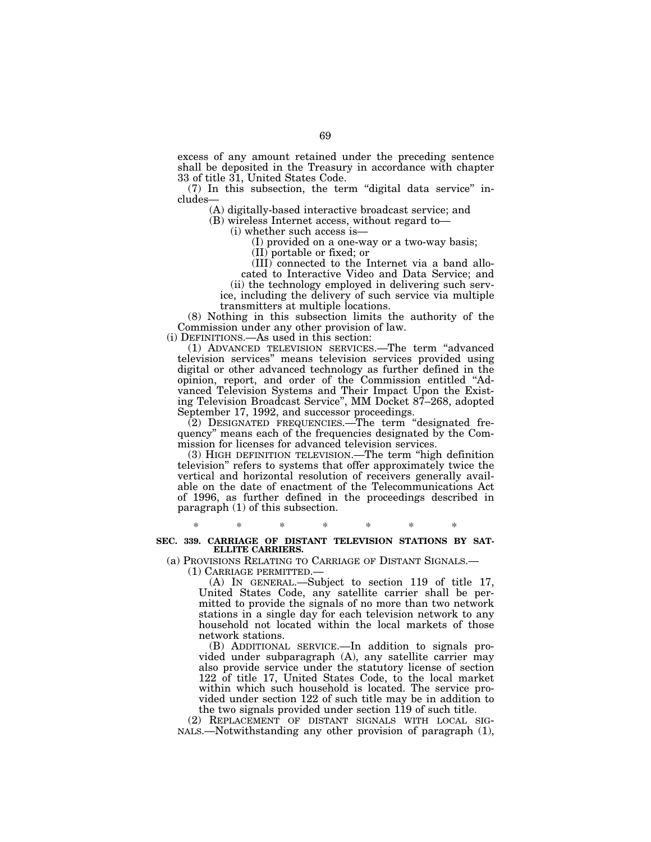excess of any amount retained under the preceding sentence shall be deposited in the Treasury in accordance with chapter 33 of title 31, United States Code.

(7) In this subsection, the term ''digital data service'' includes—

(A) digitally-based interactive broadcast service; and

(B) wireless Internet access, without regard to—

(i) whether such access is—

(I) provided on a one-way or a two-way basis;

(II) portable or fixed; or

(III) connected to the Internet via a band allocated to Interactive Video and Data Service; and

(ii) the technology employed in delivering such service, including the delivery of such service via multiple

transmitters at multiple locations.

(8) Nothing in this subsection limits the authority of the Commission under any other provision of law.

(i) DEFINITIONS.—As used in this section:

(1) ADVANCED TELEVISION SERVICES.—The term ''advanced television services'' means television services provided using digital or other advanced technology as further defined in the opinion, report, and order of the Commission entitled ''Advanced Television Systems and Their Impact Upon the Existing Television Broadcast Service'', MM Docket 87–268, adopted September 17, 1992, and successor proceedings.

(2) DESIGNATED FREQUENCIES.—The term ''designated frequency'' means each of the frequencies designated by the Commission for licenses for advanced television services.

(3) HIGH DEFINITION TELEVISION.—The term ''high definition television'' refers to systems that offer approximately twice the vertical and horizontal resolution of receivers generally available on the date of enactment of the Telecommunications Act of 1996, as further defined in the proceedings described in paragraph (1) of this subsection.

\* \* \* \* \* \* \* **SEC. 339. CARRIAGE OF DISTANT TELEVISION STATIONS BY SAT-ELLITE CARRIERS.** 

(a) PROVISIONS RELATING TO CARRIAGE OF DISTANT SIGNALS.— (1) CARRIAGE PERMITTED.—

(A) IN GENERAL.—Subject to section 119 of title 17, United States Code, any satellite carrier shall be permitted to provide the signals of no more than two network stations in a single day for each television network to any household not located within the local markets of those network stations.

(B) ADDITIONAL SERVICE.—In addition to signals provided under subparagraph (A), any satellite carrier may also provide service under the statutory license of section 122 of title 17, United States Code, to the local market within which such household is located. The service provided under section 122 of such title may be in addition to the two signals provided under section 119 of such title.

(2) REPLACEMENT OF DISTANT SIGNALS WITH LOCAL SIG-NALS.—Notwithstanding any other provision of paragraph (1),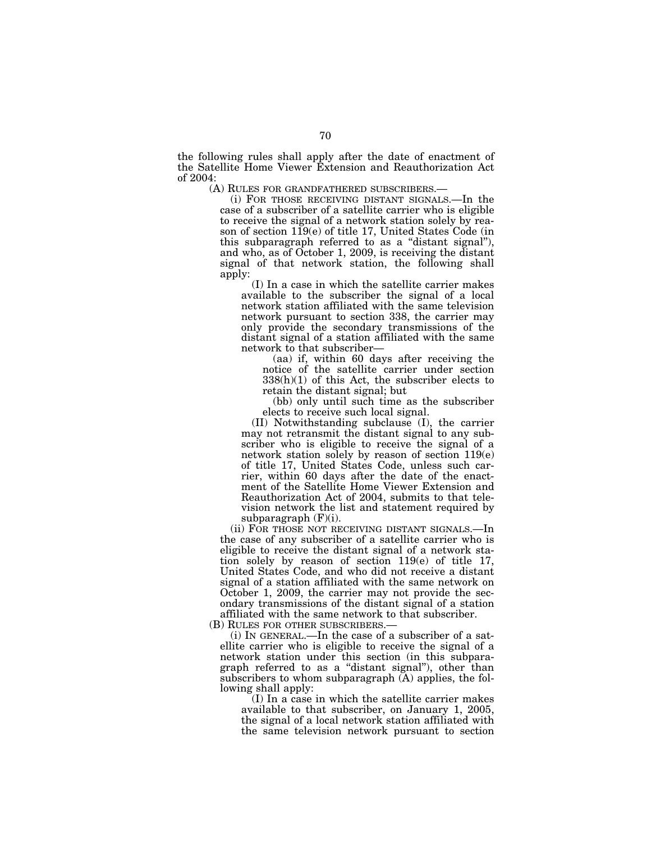the following rules shall apply after the date of enactment of the Satellite Home Viewer Extension and Reauthorization Act of 2004:<br>(A) RULES FOR GRANDFATHERED SUBSCRIBERS.—

(i) FOR THOSE RECEIVING DISTANT SIGNALS.—In the case of a subscriber of a satellite carrier who is eligible to receive the signal of a network station solely by reason of section 119(e) of title 17, United States Code (in this subparagraph referred to as a ''distant signal''), and who, as of October 1, 2009, is receiving the distant signal of that network station, the following shall apply:

(I) In a case in which the satellite carrier makes available to the subscriber the signal of a local network station affiliated with the same television network pursuant to section 338, the carrier may only provide the secondary transmissions of the distant signal of a station affiliated with the same network to that subscriber—

(aa) if, within 60 days after receiving the notice of the satellite carrier under section 338(h)(1) of this Act, the subscriber elects to retain the distant signal; but

(bb) only until such time as the subscriber elects to receive such local signal.

(II) Notwithstanding subclause (I), the carrier may not retransmit the distant signal to any subscriber who is eligible to receive the signal of a network station solely by reason of section 119(e) of title 17, United States Code, unless such carrier, within 60 days after the date of the enactment of the Satellite Home Viewer Extension and Reauthorization Act of 2004, submits to that television network the list and statement required by subparagraph  $(F)(i)$ .

(ii) FOR THOSE NOT RECEIVING DISTANT SIGNALS.—In the case of any subscriber of a satellite carrier who is eligible to receive the distant signal of a network station solely by reason of section 119(e) of title 17, United States Code, and who did not receive a distant signal of a station affiliated with the same network on October 1, 2009, the carrier may not provide the secondary transmissions of the distant signal of a station affiliated with the same network to that subscriber.

(B) RULES FOR OTHER SUBSCRIBERS.—

(i) IN GENERAL.—In the case of a subscriber of a satellite carrier who is eligible to receive the signal of a network station under this section (in this subparagraph referred to as a ''distant signal''), other than subscribers to whom subparagraph (A) applies, the following shall apply:

(I) In a case in which the satellite carrier makes available to that subscriber, on January 1, 2005, the signal of a local network station affiliated with the same television network pursuant to section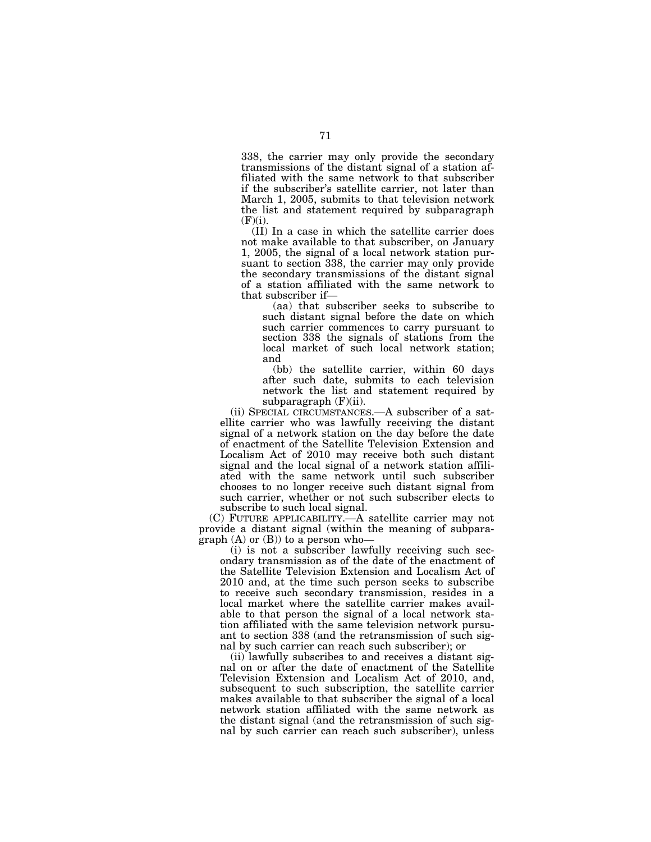338, the carrier may only provide the secondary transmissions of the distant signal of a station affiliated with the same network to that subscriber if the subscriber's satellite carrier, not later than March 1, 2005, submits to that television network the list and statement required by subparagraph  $(F)(i)$ .

(II) In a case in which the satellite carrier does not make available to that subscriber, on January 1, 2005, the signal of a local network station pursuant to section 338, the carrier may only provide the secondary transmissions of the distant signal of a station affiliated with the same network to that subscriber if—

(aa) that subscriber seeks to subscribe to such distant signal before the date on which such carrier commences to carry pursuant to section 338 the signals of stations from the local market of such local network station; and

(bb) the satellite carrier, within 60 days after such date, submits to each television network the list and statement required by subparagraph (F)(ii).

(ii) SPECIAL CIRCUMSTANCES.—A subscriber of a satellite carrier who was lawfully receiving the distant signal of a network station on the day before the date of enactment of the Satellite Television Extension and Localism Act of 2010 may receive both such distant signal and the local signal of a network station affiliated with the same network until such subscriber chooses to no longer receive such distant signal from such carrier, whether or not such subscriber elects to subscribe to such local signal.

(C) FUTURE APPLICABILITY.—A satellite carrier may not provide a distant signal (within the meaning of subparagraph  $(A)$  or  $(B)$ ) to a person who-

(i) is not a subscriber lawfully receiving such secondary transmission as of the date of the enactment of the Satellite Television Extension and Localism Act of 2010 and, at the time such person seeks to subscribe to receive such secondary transmission, resides in a local market where the satellite carrier makes available to that person the signal of a local network station affiliated with the same television network pursuant to section 338 (and the retransmission of such signal by such carrier can reach such subscriber); or

(ii) lawfully subscribes to and receives a distant signal on or after the date of enactment of the Satellite Television Extension and Localism Act of 2010, and, subsequent to such subscription, the satellite carrier makes available to that subscriber the signal of a local network station affiliated with the same network as the distant signal (and the retransmission of such signal by such carrier can reach such subscriber), unless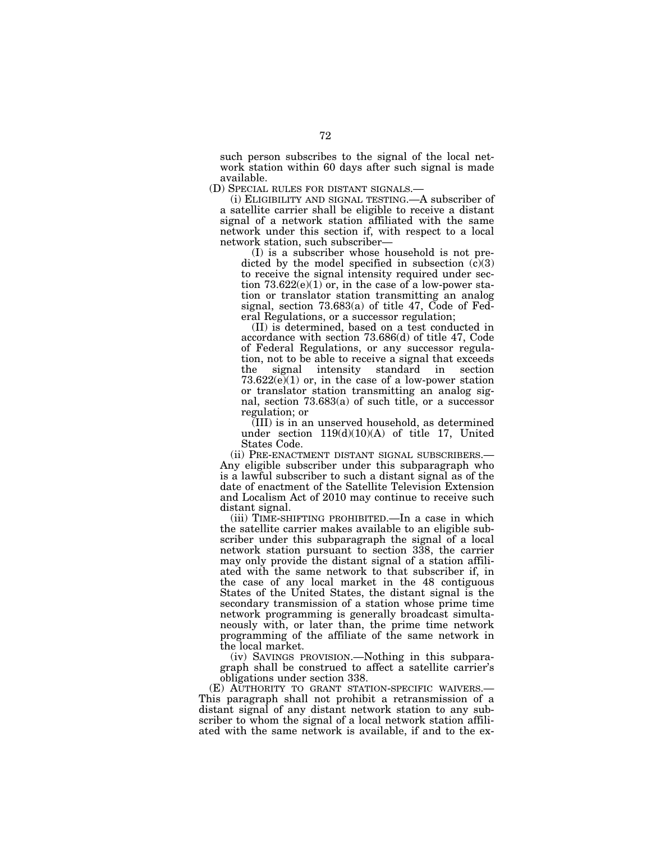such person subscribes to the signal of the local network station within 60 days after such signal is made available.<br>(D) SPECIAL RULES FOR DISTANT SIGNALS.—

(i) ELIGIBILITY AND SIGNAL TESTING.—A subscriber of a satellite carrier shall be eligible to receive a distant signal of a network station affiliated with the same network under this section if, with respect to a local network station, such subscriber—

(I) is a subscriber whose household is not predicted by the model specified in subsection  $(c)(3)$ to receive the signal intensity required under section  $73.622(e)(1)$  or, in the case of a low-power station or translator station transmitting an analog signal, section 73.683(a) of title 47, Code of Federal Regulations, or a successor regulation;

(II) is determined, based on a test conducted in accordance with section 73.686(d) of title 47, Code of Federal Regulations, or any successor regulation, not to be able to receive a signal that exceeds the signal intensity standard in section  $73.622(e)(1)$  or, in the case of a low-power station or translator station transmitting an analog signal, section 73.683(a) of such title, or a successor regulation; or

(III) is in an unserved household, as determined under section 119(d)(10)(A) of title 17, United States Code.

(ii) PRE-ENACTMENT DISTANT SIGNAL SUBSCRIBERS.— Any eligible subscriber under this subparagraph who is a lawful subscriber to such a distant signal as of the date of enactment of the Satellite Television Extension and Localism Act of 2010 may continue to receive such distant signal.

(iii) TIME-SHIFTING PROHIBITED.—In a case in which the satellite carrier makes available to an eligible subscriber under this subparagraph the signal of a local network station pursuant to section 338, the carrier may only provide the distant signal of a station affiliated with the same network to that subscriber if, in the case of any local market in the 48 contiguous States of the United States, the distant signal is the secondary transmission of a station whose prime time network programming is generally broadcast simultaneously with, or later than, the prime time network programming of the affiliate of the same network in the local market.

(iv) SAVINGS PROVISION.—Nothing in this subparagraph shall be construed to affect a satellite carrier's obligations under section 338.<br>(E) AUTHORITY TO GRANT STATION-SPECIFIC WAIVERS.—

This paragraph shall not prohibit a retransmission of a distant signal of any distant network station to any subscriber to whom the signal of a local network station affiliated with the same network is available, if and to the ex-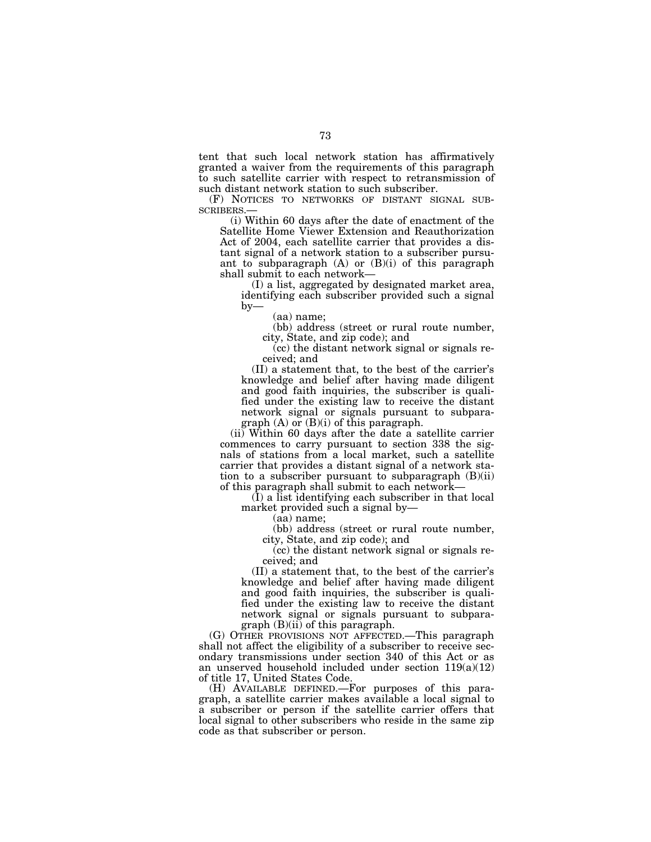tent that such local network station has affirmatively granted a waiver from the requirements of this paragraph to such satellite carrier with respect to retransmission of such distant network station to such subscriber.

(F) NOTICES TO NETWORKS OF DISTANT SIGNAL SUB-<br>SCRIBERS.—<br>(i) Within 60 days after the date of enactment of the

Satellite Home Viewer Extension and Reauthorization Act of 2004, each satellite carrier that provides a distant signal of a network station to a subscriber pursuant to subparagraph  $(A)$  or  $(B)(i)$  of this paragraph shall submit to each network—

(I) a list, aggregated by designated market area, identifying each subscriber provided such a signal by—

(aa) name;

(bb) address (street or rural route number, city, State, and zip code); and

(cc) the distant network signal or signals received; and

(II) a statement that, to the best of the carrier's knowledge and belief after having made diligent and good faith inquiries, the subscriber is qualified under the existing law to receive the distant network signal or signals pursuant to subparagraph  $(A)$  or  $(B)(i)$  of this paragraph.

(ii) Within 60 days after the date a satellite carrier commences to carry pursuant to section 338 the signals of stations from a local market, such a satellite carrier that provides a distant signal of a network station to a subscriber pursuant to subparagraph  $(B)(ii)$ of this paragraph shall submit to each network—

(I) a list identifying each subscriber in that local market provided such a signal by—

(aa) name;

(bb) address (street or rural route number, city, State, and zip code); and

(cc) the distant network signal or signals received; and

(II) a statement that, to the best of the carrier's knowledge and belief after having made diligent and good faith inquiries, the subscriber is qualified under the existing law to receive the distant network signal or signals pursuant to subparagraph (B)(ii) of this paragraph.

(G) OTHER PROVISIONS NOT AFFECTED.—This paragraph shall not affect the eligibility of a subscriber to receive secondary transmissions under section 340 of this Act or as an unserved household included under section 119(a)(12) of title 17, United States Code.

(H) AVAILABLE DEFINED.—For purposes of this paragraph, a satellite carrier makes available a local signal to a subscriber or person if the satellite carrier offers that local signal to other subscribers who reside in the same zip code as that subscriber or person.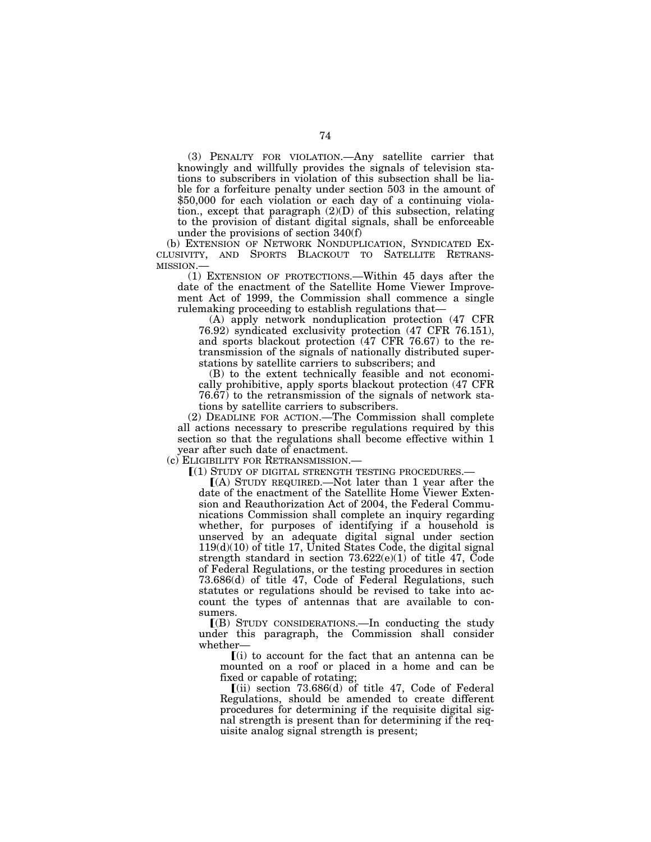(3) PENALTY FOR VIOLATION.—Any satellite carrier that knowingly and willfully provides the signals of television stations to subscribers in violation of this subsection shall be liable for a forfeiture penalty under section 503 in the amount of \$50,000 for each violation or each day of a continuing violation., except that paragraph (2)(D) of this subsection, relating to the provision of distant digital signals, shall be enforceable under the provisions of section 340(f)

(b) EXTENSION OF NETWORK NONDUPLICATION, SYNDICATED EX-CLUSIVITY, AND SPORTS BLACKOUT TO SATELLITE RETRANS-MISSION.—

(1) EXTENSION OF PROTECTIONS.—Within 45 days after the date of the enactment of the Satellite Home Viewer Improvement Act of 1999, the Commission shall commence a single rulemaking proceeding to establish regulations that—

(A) apply network nonduplication protection (47 CFR 76.92) syndicated exclusivity protection (47 CFR 76.151), and sports blackout protection (47 CFR 76.67) to the retransmission of the signals of nationally distributed superstations by satellite carriers to subscribers; and

(B) to the extent technically feasible and not economically prohibitive, apply sports blackout protection (47 CFR 76.67) to the retransmission of the signals of network stations by satellite carriers to subscribers.

(2) DEADLINE FOR ACTION.—The Commission shall complete all actions necessary to prescribe regulations required by this section so that the regulations shall become effective within 1 year after such date of enactment.

(c) ELIGIBILITY FOR RETRANSMISSION.—

 $(1)$  STUDY OF DIGITAL STRENGTH TESTING PROCEDURES.-

 $(A)$  STUDY REQUIRED.—Not later than 1 year after the date of the enactment of the Satellite Home Viewer Extension and Reauthorization Act of 2004, the Federal Communications Commission shall complete an inquiry regarding whether, for purposes of identifying if a household is unserved by an adequate digital signal under section  $119(d)(10)$  of title 17, United States Code, the digital signal strength standard in section 73.622(e)(1) of title 47, Code of Federal Regulations, or the testing procedures in section 73.686(d) of title 47, Code of Federal Regulations, such statutes or regulations should be revised to take into account the types of antennas that are available to consumers.

ø(B) STUDY CONSIDERATIONS.—In conducting the study under this paragraph, the Commission shall consider whether—

 $(i)$  to account for the fact that an antenna can be mounted on a roof or placed in a home and can be fixed or capable of rotating;

 $(iii)$  section 73.686(d) of title 47, Code of Federal Regulations, should be amended to create different procedures for determining if the requisite digital signal strength is present than for determining if the requisite analog signal strength is present;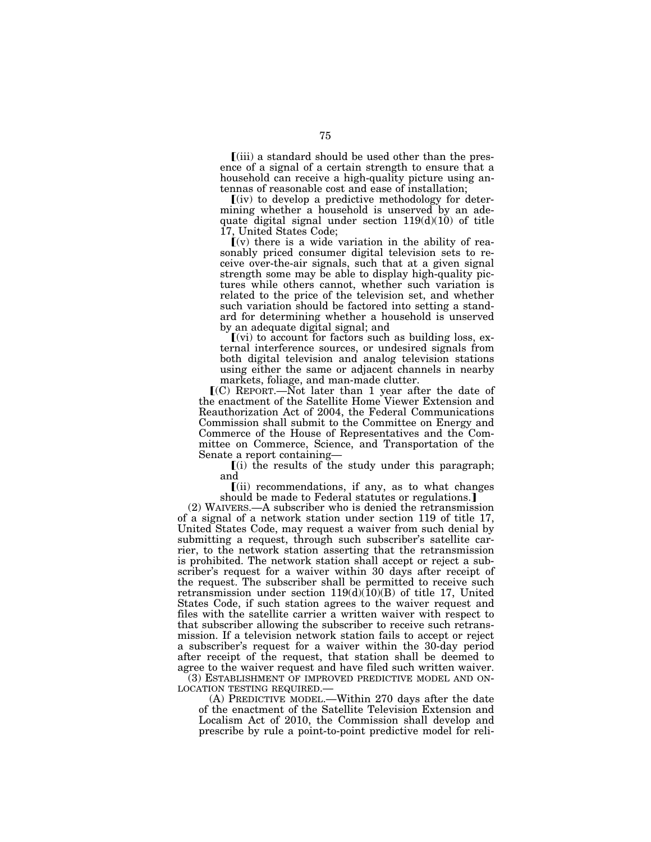$\lceil$ (iii) a standard should be used other than the presence of a signal of a certain strength to ensure that a household can receive a high-quality picture using antennas of reasonable cost and ease of installation;

 $\left[$ (iv) to develop a predictive methodology for determining whether a household is unserved by an adequate digital signal under section  $119(d)(10)$  of title 17, United States Code;

 $(x)$  there is a wide variation in the ability of reasonably priced consumer digital television sets to receive over-the-air signals, such that at a given signal strength some may be able to display high-quality pictures while others cannot, whether such variation is related to the price of the television set, and whether such variation should be factored into setting a standard for determining whether a household is unserved by an adequate digital signal; and

 $\lbrack$ (vi) to account for factors such as building loss, external interference sources, or undesired signals from both digital television and analog television stations using either the same or adjacent channels in nearby markets, foliage, and man-made clutter.

 $(C)$  REPORT.—Not later than 1 year after the date of the enactment of the Satellite Home Viewer Extension and Reauthorization Act of 2004, the Federal Communications Commission shall submit to the Committee on Energy and Commerce of the House of Representatives and the Committee on Commerce, Science, and Transportation of the Senate a report containing—

 $\lceil$ (i) the results of the study under this paragraph; and

 $(iii)$  recommendations, if any, as to what changes should be made to Federal statutes or regulations.]

(2) WAIVERS.—A subscriber who is denied the retransmission of a signal of a network station under section 119 of title 17, United States Code, may request a waiver from such denial by submitting a request, through such subscriber's satellite carrier, to the network station asserting that the retransmission is prohibited. The network station shall accept or reject a subscriber's request for a waiver within 30 days after receipt of the request. The subscriber shall be permitted to receive such retransmission under section  $119(d)(10)(B)$  of title 17, United States Code, if such station agrees to the waiver request and files with the satellite carrier a written waiver with respect to that subscriber allowing the subscriber to receive such retransmission. If a television network station fails to accept or reject a subscriber's request for a waiver within the 30-day period after receipt of the request, that station shall be deemed to agree to the waiver request and have filed such written waiver.<br>(3) ESTABLISHMENT OF IMPROVED PREDICTIVE MODEL AND ON-

LOCATION TESTING REQUIRED.—<br>(A) PREDICTIVE MODEL.—Within 270 days after the date

of the enactment of the Satellite Television Extension and Localism Act of 2010, the Commission shall develop and prescribe by rule a point-to-point predictive model for reli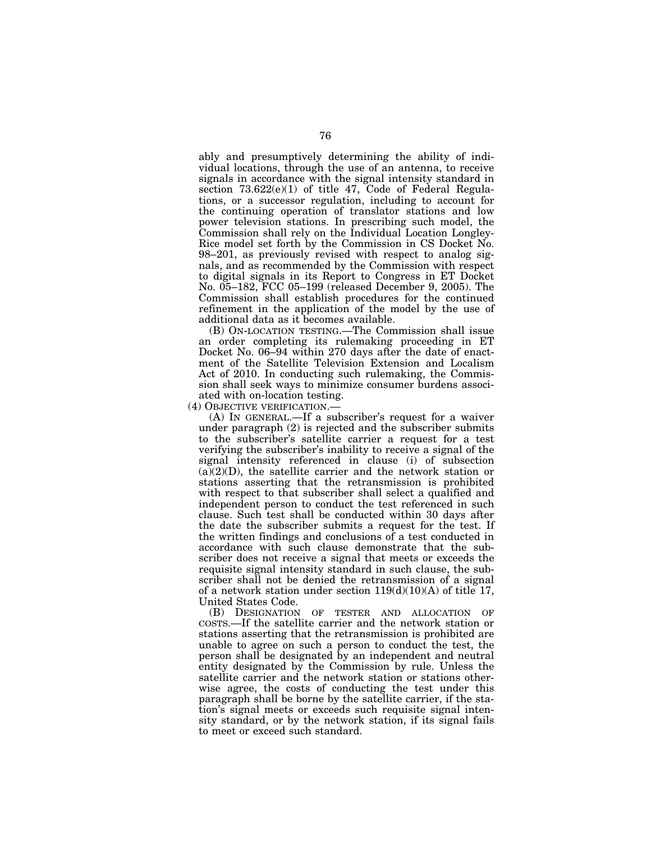ably and presumptively determining the ability of individual locations, through the use of an antenna, to receive signals in accordance with the signal intensity standard in section 73.622(e)(1) of title 47, Code of Federal Regulations, or a successor regulation, including to account for the continuing operation of translator stations and low power television stations. In prescribing such model, the Commission shall rely on the Individual Location Longley-Rice model set forth by the Commission in CS Docket No. 98–201, as previously revised with respect to analog signals, and as recommended by the Commission with respect to digital signals in its Report to Congress in ET Docket No. 05–182, FCC 05–199 (released December 9, 2005). The Commission shall establish procedures for the continued refinement in the application of the model by the use of additional data as it becomes available.

(B) ON-LOCATION TESTING.—The Commission shall issue an order completing its rulemaking proceeding in ET Docket No. 06–94 within 270 days after the date of enactment of the Satellite Television Extension and Localism Act of 2010. In conducting such rulemaking, the Commission shall seek ways to minimize consumer burdens associated with on-location testing.

(4) OBJECTIVE VERIFICATION.—

(A) IN GENERAL.—If a subscriber's request for a waiver under paragraph (2) is rejected and the subscriber submits to the subscriber's satellite carrier a request for a test verifying the subscriber's inability to receive a signal of the signal intensity referenced in clause (i) of subsection  $(a)(2)(D)$ , the satellite carrier and the network station or stations asserting that the retransmission is prohibited with respect to that subscriber shall select a qualified and independent person to conduct the test referenced in such clause. Such test shall be conducted within 30 days after the date the subscriber submits a request for the test. If the written findings and conclusions of a test conducted in accordance with such clause demonstrate that the subscriber does not receive a signal that meets or exceeds the requisite signal intensity standard in such clause, the subscriber shall not be denied the retransmission of a signal of a network station under section  $119(d)(10)(A)$  of title 17, United States Code.<br>(B) DESIGNATION

OF TESTER AND ALLOCATION OF COSTS.—If the satellite carrier and the network station or stations asserting that the retransmission is prohibited are unable to agree on such a person to conduct the test, the person shall be designated by an independent and neutral entity designated by the Commission by rule. Unless the satellite carrier and the network station or stations otherwise agree, the costs of conducting the test under this paragraph shall be borne by the satellite carrier, if the station's signal meets or exceeds such requisite signal intensity standard, or by the network station, if its signal fails to meet or exceed such standard.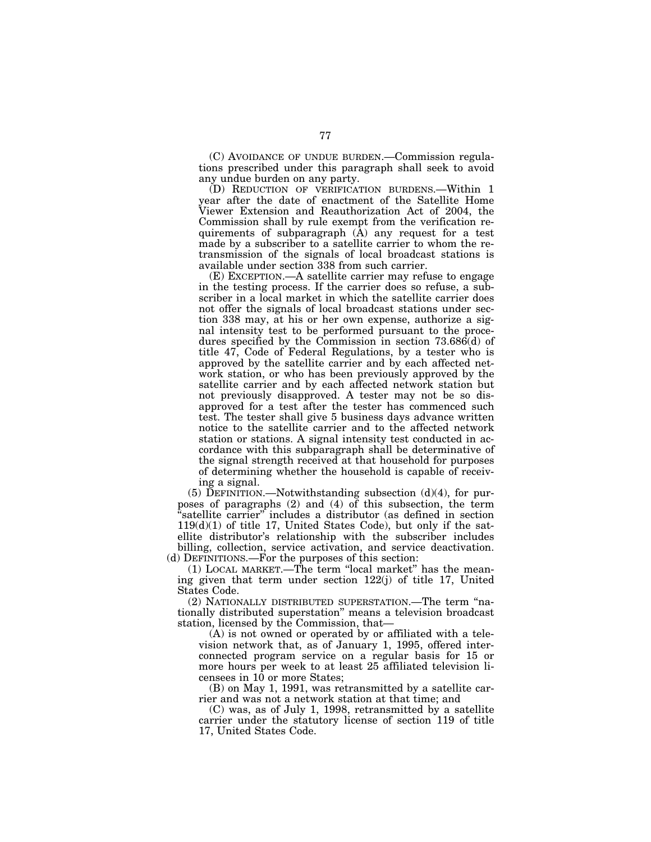(C) AVOIDANCE OF UNDUE BURDEN.—Commission regulations prescribed under this paragraph shall seek to avoid any undue burden on any party.

(D) REDUCTION OF VERIFICATION BURDENS.—Within 1 year after the date of enactment of the Satellite Home Viewer Extension and Reauthorization Act of 2004, the Commission shall by rule exempt from the verification requirements of subparagraph (A) any request for a test made by a subscriber to a satellite carrier to whom the retransmission of the signals of local broadcast stations is available under section 338 from such carrier.

(E) EXCEPTION.—A satellite carrier may refuse to engage in the testing process. If the carrier does so refuse, a subscriber in a local market in which the satellite carrier does not offer the signals of local broadcast stations under section 338 may, at his or her own expense, authorize a signal intensity test to be performed pursuant to the procedures specified by the Commission in section 73.686(d) of title 47, Code of Federal Regulations, by a tester who is approved by the satellite carrier and by each affected network station, or who has been previously approved by the satellite carrier and by each affected network station but not previously disapproved. A tester may not be so disapproved for a test after the tester has commenced such test. The tester shall give 5 business days advance written notice to the satellite carrier and to the affected network station or stations. A signal intensity test conducted in accordance with this subparagraph shall be determinative of the signal strength received at that household for purposes of determining whether the household is capable of receiving a signal.

(5) DEFINITION.—Notwithstanding subsection  $(d)(4)$ , for purposes of paragraphs  $(2)$  and  $(4)$  of this subsection, the term 'satellite carrier" includes a distributor (as defined in section 119(d)(1) of title 17, United States Code), but only if the satellite distributor's relationship with the subscriber includes billing, collection, service activation, and service deactivation. (d) DEFINITIONS.—For the purposes of this section:

(1) LOCAL MARKET.—The term ''local market'' has the meaning given that term under section 122(j) of title 17, United States Code.

(2) NATIONALLY DISTRIBUTED SUPERSTATION.—The term ''nationally distributed superstation'' means a television broadcast station, licensed by the Commission, that—

(A) is not owned or operated by or affiliated with a television network that, as of January 1, 1995, offered interconnected program service on a regular basis for 15 or more hours per week to at least 25 affiliated television licensees in 10 or more States;

(B) on May 1, 1991, was retransmitted by a satellite carrier and was not a network station at that time; and

(C) was, as of July 1, 1998, retransmitted by a satellite carrier under the statutory license of section 119 of title 17, United States Code.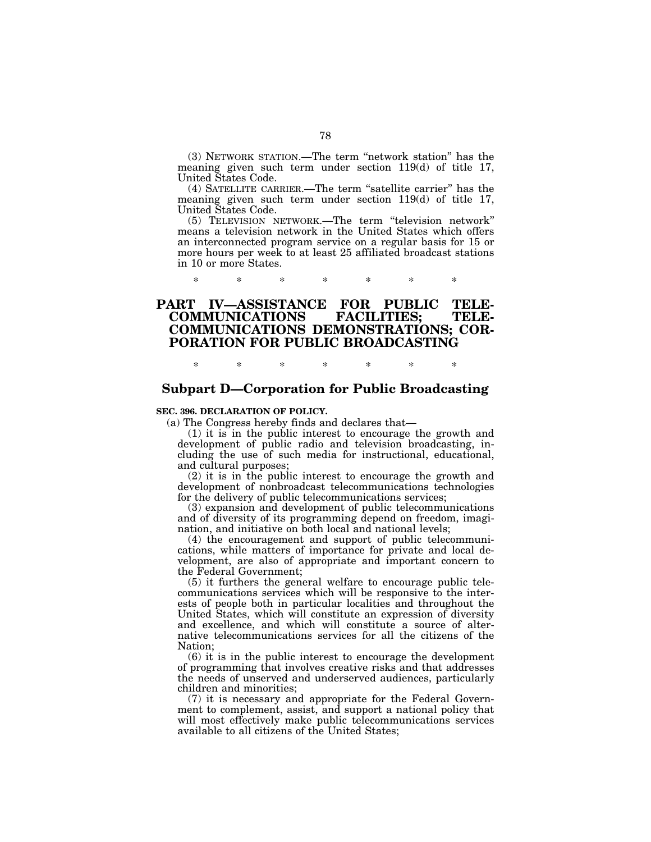(3) NETWORK STATION.—The term ''network station'' has the meaning given such term under section 119(d) of title 17, United States Code.

(4) SATELLITE CARRIER.—The term ''satellite carrier'' has the meaning given such term under section 119(d) of title 17, United States Code.

(5) TELEVISION NETWORK.—The term ''television network'' means a television network in the United States which offers an interconnected program service on a regular basis for 15 or more hours per week to at least 25 affiliated broadcast stations in 10 or more States.

\* \* \* \* \* \* \*

### **PART IV—ASSISTANCE FOR PUBLIC TELE-COMMUNICATIONS FACILITIES; TELE-COMMUNICATIONS DEMONSTRATIONS; COR-PORATION FOR PUBLIC BROADCASTING**

\* \* \* \* \* \* \*

## **Subpart D—Corporation for Public Broadcasting**

#### **SEC. 396. DECLARATION OF POLICY.**

(a) The Congress hereby finds and declares that—

(1) it is in the public interest to encourage the growth and development of public radio and television broadcasting, including the use of such media for instructional, educational, and cultural purposes;

(2) it is in the public interest to encourage the growth and development of nonbroadcast telecommunications technologies for the delivery of public telecommunications services;

(3) expansion and development of public telecommunications and of diversity of its programming depend on freedom, imagination, and initiative on both local and national levels;

(4) the encouragement and support of public telecommunications, while matters of importance for private and local development, are also of appropriate and important concern to the Federal Government;

(5) it furthers the general welfare to encourage public telecommunications services which will be responsive to the interests of people both in particular localities and throughout the United States, which will constitute an expression of diversity and excellence, and which will constitute a source of alternative telecommunications services for all the citizens of the Nation;

(6) it is in the public interest to encourage the development of programming that involves creative risks and that addresses the needs of unserved and underserved audiences, particularly children and minorities;

(7) it is necessary and appropriate for the Federal Government to complement, assist, and support a national policy that will most effectively make public telecommunications services available to all citizens of the United States;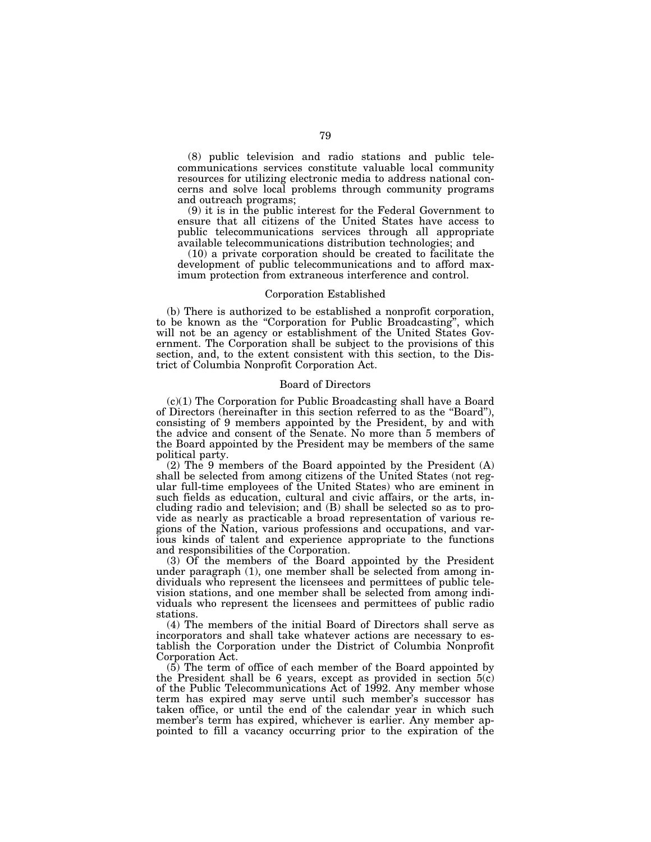(8) public television and radio stations and public telecommunications services constitute valuable local community resources for utilizing electronic media to address national concerns and solve local problems through community programs and outreach programs;

(9) it is in the public interest for the Federal Government to ensure that all citizens of the United States have access to public telecommunications services through all appropriate available telecommunications distribution technologies; and

(10) a private corporation should be created to facilitate the development of public telecommunications and to afford maximum protection from extraneous interference and control.

#### Corporation Established

(b) There is authorized to be established a nonprofit corporation, to be known as the ''Corporation for Public Broadcasting'', which will not be an agency or establishment of the United States Government. The Corporation shall be subject to the provisions of this section, and, to the extent consistent with this section, to the District of Columbia Nonprofit Corporation Act.

#### Board of Directors

(c)(1) The Corporation for Public Broadcasting shall have a Board of Directors (hereinafter in this section referred to as the ''Board''), consisting of 9 members appointed by the President, by and with the advice and consent of the Senate. No more than 5 members of the Board appointed by the President may be members of the same political party.

(2) The 9 members of the Board appointed by the President (A) shall be selected from among citizens of the United States (not regular full-time employees of the United States) who are eminent in such fields as education, cultural and civic affairs, or the arts, including radio and television; and (B) shall be selected so as to provide as nearly as practicable a broad representation of various regions of the Nation, various professions and occupations, and various kinds of talent and experience appropriate to the functions and responsibilities of the Corporation.

(3) Of the members of the Board appointed by the President under paragraph (1), one member shall be selected from among individuals who represent the licensees and permittees of public television stations, and one member shall be selected from among individuals who represent the licensees and permittees of public radio stations.

(4) The members of the initial Board of Directors shall serve as incorporators and shall take whatever actions are necessary to establish the Corporation under the District of Columbia Nonprofit Corporation Act.

(5) The term of office of each member of the Board appointed by the President shall be 6 years, except as provided in section  $5(c)$ of the Public Telecommunications Act of 1992. Any member whose term has expired may serve until such member's successor has taken office, or until the end of the calendar year in which such member's term has expired, whichever is earlier. Any member appointed to fill a vacancy occurring prior to the expiration of the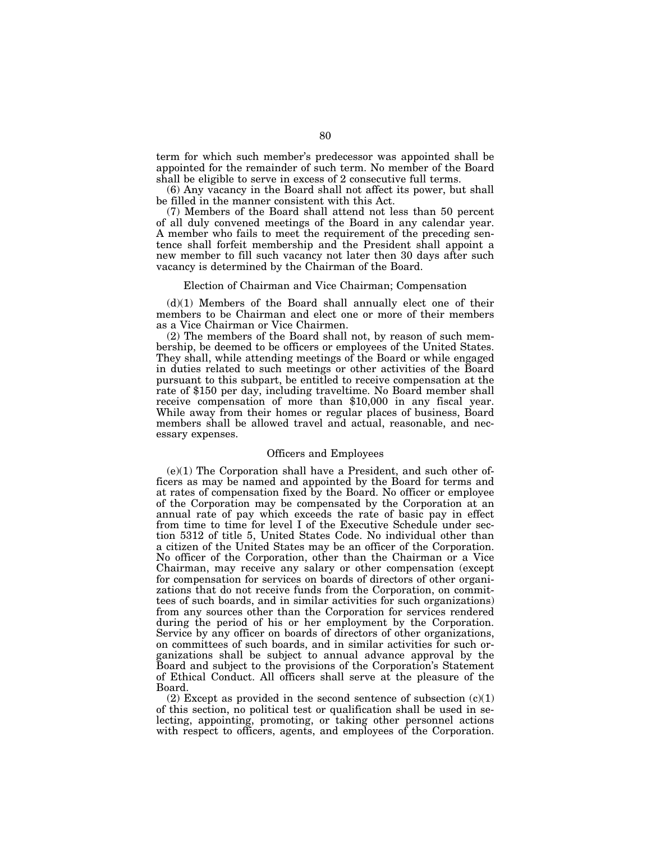term for which such member's predecessor was appointed shall be appointed for the remainder of such term. No member of the Board shall be eligible to serve in excess of 2 consecutive full terms.

(6) Any vacancy in the Board shall not affect its power, but shall be filled in the manner consistent with this Act.

(7) Members of the Board shall attend not less than 50 percent of all duly convened meetings of the Board in any calendar year. A member who fails to meet the requirement of the preceding sentence shall forfeit membership and the President shall appoint a new member to fill such vacancy not later then 30 days after such vacancy is determined by the Chairman of the Board.

#### Election of Chairman and Vice Chairman; Compensation

(d)(1) Members of the Board shall annually elect one of their members to be Chairman and elect one or more of their members as a Vice Chairman or Vice Chairmen.

(2) The members of the Board shall not, by reason of such membership, be deemed to be officers or employees of the United States. They shall, while attending meetings of the Board or while engaged in duties related to such meetings or other activities of the Board pursuant to this subpart, be entitled to receive compensation at the rate of \$150 per day, including traveltime. No Board member shall receive compensation of more than \$10,000 in any fiscal year. While away from their homes or regular places of business, Board members shall be allowed travel and actual, reasonable, and necessary expenses.

#### Officers and Employees

 $(e)(1)$  The Corporation shall have a President, and such other officers as may be named and appointed by the Board for terms and at rates of compensation fixed by the Board. No officer or employee of the Corporation may be compensated by the Corporation at an annual rate of pay which exceeds the rate of basic pay in effect from time to time for level I of the Executive Schedule under section 5312 of title 5, United States Code. No individual other than a citizen of the United States may be an officer of the Corporation. No officer of the Corporation, other than the Chairman or a Vice Chairman, may receive any salary or other compensation (except for compensation for services on boards of directors of other organizations that do not receive funds from the Corporation, on committees of such boards, and in similar activities for such organizations) from any sources other than the Corporation for services rendered during the period of his or her employment by the Corporation. Service by any officer on boards of directors of other organizations, on committees of such boards, and in similar activities for such organizations shall be subject to annual advance approval by the Board and subject to the provisions of the Corporation's Statement of Ethical Conduct. All officers shall serve at the pleasure of the Board.

(2) Except as provided in the second sentence of subsection  $(c)(1)$ of this section, no political test or qualification shall be used in selecting, appointing, promoting, or taking other personnel actions with respect to officers, agents, and employees of the Corporation.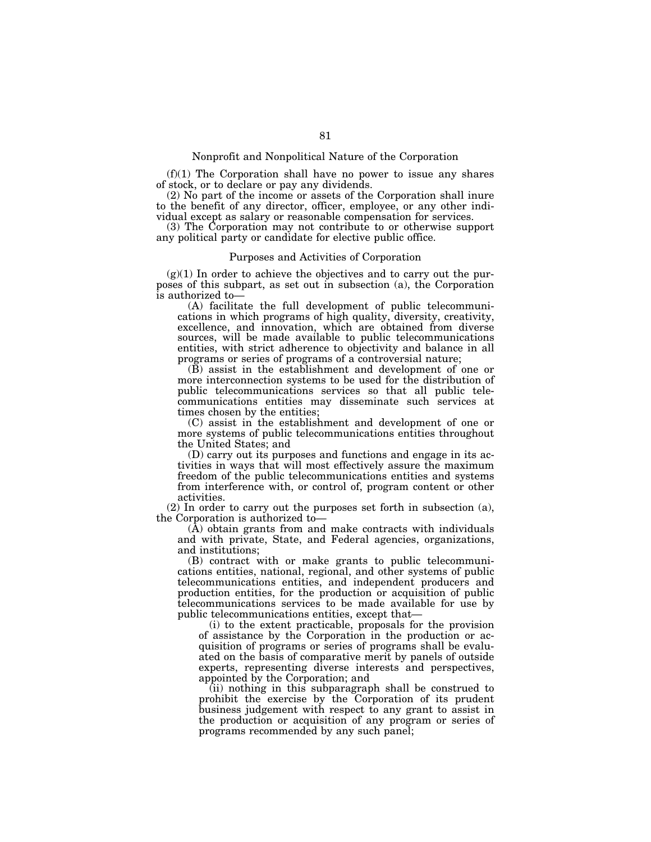#### Nonprofit and Nonpolitical Nature of the Corporation

 $(f)(1)$  The Corporation shall have no power to issue any shares of stock, or to declare or pay any dividends.

(2) No part of the income or assets of the Corporation shall inure to the benefit of any director, officer, employee, or any other individual except as salary or reasonable compensation for services.

(3) The Corporation may not contribute to or otherwise support any political party or candidate for elective public office.

#### Purposes and Activities of Corporation

 $(g)(1)$  In order to achieve the objectives and to carry out the purposes of this subpart, as set out in subsection (a), the Corporation is authorized to—

(A) facilitate the full development of public telecommunications in which programs of high quality, diversity, creativity, excellence, and innovation, which are obtained from diverse sources, will be made available to public telecommunications entities, with strict adherence to objectivity and balance in all programs or series of programs of a controversial nature;

(B) assist in the establishment and development of one or more interconnection systems to be used for the distribution of public telecommunications services so that all public telecommunications entities may disseminate such services at times chosen by the entities;

(C) assist in the establishment and development of one or more systems of public telecommunications entities throughout the United States; and

(D) carry out its purposes and functions and engage in its activities in ways that will most effectively assure the maximum freedom of the public telecommunications entities and systems from interference with, or control of, program content or other activities.

(2) In order to carry out the purposes set forth in subsection (a), the Corporation is authorized to—

(A) obtain grants from and make contracts with individuals and with private, State, and Federal agencies, organizations, and institutions;

(B) contract with or make grants to public telecommunications entities, national, regional, and other systems of public telecommunications entities, and independent producers and production entities, for the production or acquisition of public telecommunications services to be made available for use by public telecommunications entities, except that—

(i) to the extent practicable, proposals for the provision of assistance by the Corporation in the production or acquisition of programs or series of programs shall be evaluated on the basis of comparative merit by panels of outside experts, representing diverse interests and perspectives, appointed by the Corporation; and

(ii) nothing in this subparagraph shall be construed to prohibit the exercise by the Corporation of its prudent business judgement with respect to any grant to assist in the production or acquisition of any program or series of programs recommended by any such panel;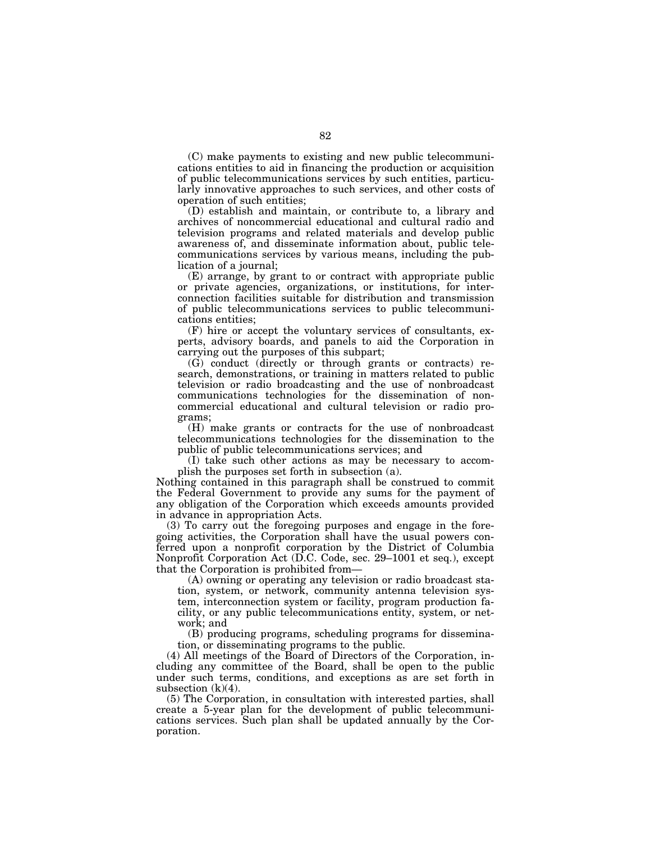(C) make payments to existing and new public telecommunications entities to aid in financing the production or acquisition of public telecommunications services by such entities, particularly innovative approaches to such services, and other costs of operation of such entities;

(D) establish and maintain, or contribute to, a library and archives of noncommercial educational and cultural radio and television programs and related materials and develop public awareness of, and disseminate information about, public telecommunications services by various means, including the publication of a journal;

(E) arrange, by grant to or contract with appropriate public or private agencies, organizations, or institutions, for interconnection facilities suitable for distribution and transmission of public telecommunications services to public telecommunications entities;

(F) hire or accept the voluntary services of consultants, experts, advisory boards, and panels to aid the Corporation in carrying out the purposes of this subpart;

(G) conduct (directly or through grants or contracts) research, demonstrations, or training in matters related to public television or radio broadcasting and the use of nonbroadcast communications technologies for the dissemination of noncommercial educational and cultural television or radio programs;

(H) make grants or contracts for the use of nonbroadcast telecommunications technologies for the dissemination to the public of public telecommunications services; and

(I) take such other actions as may be necessary to accomplish the purposes set forth in subsection (a).

Nothing contained in this paragraph shall be construed to commit the Federal Government to provide any sums for the payment of any obligation of the Corporation which exceeds amounts provided in advance in appropriation Acts.

(3) To carry out the foregoing purposes and engage in the foregoing activities, the Corporation shall have the usual powers conferred upon a nonprofit corporation by the District of Columbia Nonprofit Corporation Act (D.C. Code, sec. 29–1001 et seq.), except that the Corporation is prohibited from—

(A) owning or operating any television or radio broadcast station, system, or network, community antenna television system, interconnection system or facility, program production facility, or any public telecommunications entity, system, or network; and

(B) producing programs, scheduling programs for dissemination, or disseminating programs to the public.

(4) All meetings of the Board of Directors of the Corporation, including any committee of the Board, shall be open to the public under such terms, conditions, and exceptions as are set forth in subsection  $(k)(4)$ .

(5) The Corporation, in consultation with interested parties, shall create a 5-year plan for the development of public telecommunications services. Such plan shall be updated annually by the Corporation.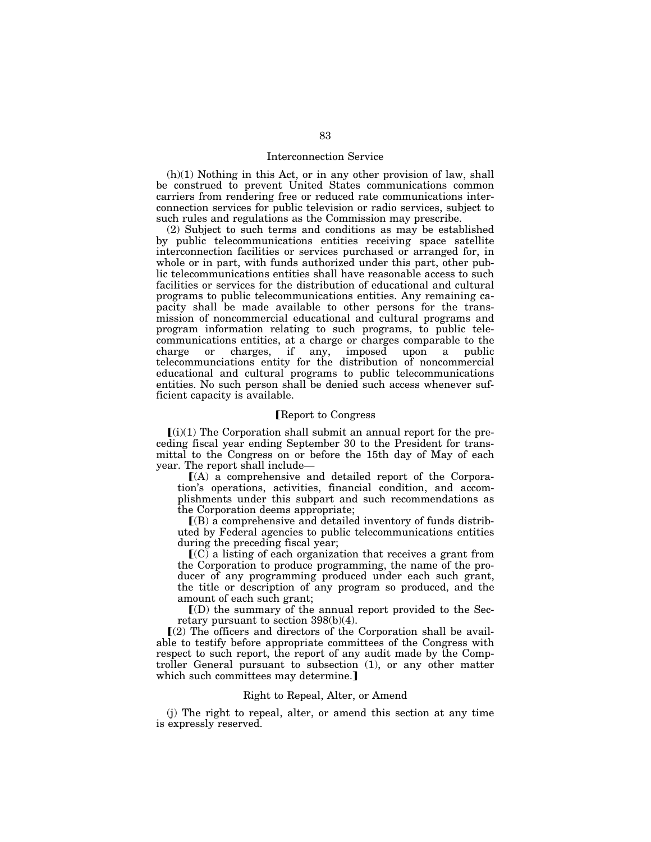#### Interconnection Service

(h)(1) Nothing in this Act, or in any other provision of law, shall be construed to prevent United States communications common carriers from rendering free or reduced rate communications interconnection services for public television or radio services, subject to such rules and regulations as the Commission may prescribe.

(2) Subject to such terms and conditions as may be established by public telecommunications entities receiving space satellite interconnection facilities or services purchased or arranged for, in whole or in part, with funds authorized under this part, other public telecommunications entities shall have reasonable access to such facilities or services for the distribution of educational and cultural programs to public telecommunications entities. Any remaining capacity shall be made available to other persons for the transmission of noncommercial educational and cultural programs and program information relating to such programs, to public telecommunications entities, at a charge or charges comparable to the charge or charges, if any, imposed upon a public or charges, if any, imposed upon a public telecommunciations entity for the distribution of noncommercial educational and cultural programs to public telecommunications entities. No such person shall be denied such access whenever sufficient capacity is available.

#### øReport to Congress

 $(i)(1)$  The Corporation shall submit an annual report for the preceding fiscal year ending September 30 to the President for transmittal to the Congress on or before the 15th day of May of each year. The report shall include—

 $I(A)$  a comprehensive and detailed report of the Corporation's operations, activities, financial condition, and accomplishments under this subpart and such recommendations as the Corporation deems appropriate;

 $\Gamma(B)$  a comprehensive and detailed inventory of funds distributed by Federal agencies to public telecommunications entities during the preceding fiscal year;

 $\mathbb{I}(C)$  a listing of each organization that receives a grant from the Corporation to produce programming, the name of the producer of any programming produced under each such grant, the title or description of any program so produced, and the amount of each such grant;

 $\mathcal{I}(D)$  the summary of the annual report provided to the Secretary pursuant to section 398(b)(4).

 $(2)$  The officers and directors of the Corporation shall be available to testify before appropriate committees of the Congress with respect to such report, the report of any audit made by the Comptroller General pursuant to subsection (1), or any other matter which such committees may determine.

#### Right to Repeal, Alter, or Amend

(j) The right to repeal, alter, or amend this section at any time is expressly reserved.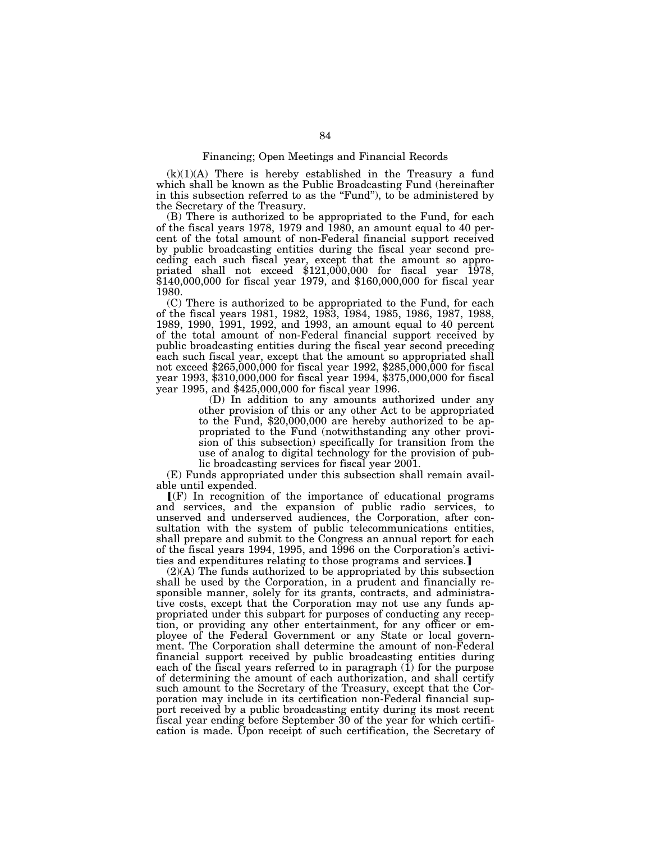#### Financing; Open Meetings and Financial Records

 $(k)(1)(A)$  There is hereby established in the Treasury a fund which shall be known as the Public Broadcasting Fund (hereinafter in this subsection referred to as the ''Fund''), to be administered by the Secretary of the Treasury.

(B) There is authorized to be appropriated to the Fund, for each of the fiscal years 1978, 1979 and 1980, an amount equal to 40 percent of the total amount of non-Federal financial support received by public broadcasting entities during the fiscal year second preceding each such fiscal year, except that the amount so appropriated shall not exceed \$121,000,000 for fiscal year 1978, \$140,000,000 for fiscal year 1979, and \$160,000,000 for fiscal year 1980.

(C) There is authorized to be appropriated to the Fund, for each of the fiscal years 1981, 1982, 1983, 1984, 1985, 1986, 1987, 1988, 1989, 1990, 1991, 1992, and 1993, an amount equal to 40 percent of the total amount of non-Federal financial support received by public broadcasting entities during the fiscal year second preceding each such fiscal year, except that the amount so appropriated shall not exceed \$265,000,000 for fiscal year 1992, \$285,000,000 for fiscal year 1993, \$310,000,000 for fiscal year 1994, \$375,000,000 for fiscal year 1995, and \$425,000,000 for fiscal year 1996.

(D) In addition to any amounts authorized under any other provision of this or any other Act to be appropriated to the Fund, \$20,000,000 are hereby authorized to be appropriated to the Fund (notwithstanding any other provision of this subsection) specifically for transition from the use of analog to digital technology for the provision of public broadcasting services for fiscal year 2001.

(E) Funds appropriated under this subsection shall remain available until expended.

 $\Gamma(F)$  In recognition of the importance of educational programs and services, and the expansion of public radio services, to unserved and underserved audiences, the Corporation, after consultation with the system of public telecommunications entities, shall prepare and submit to the Congress an annual report for each of the fiscal years 1994, 1995, and 1996 on the Corporation's activities and expenditures relating to those programs and services.]

(2)(A) The funds authorized to be appropriated by this subsection shall be used by the Corporation, in a prudent and financially responsible manner, solely for its grants, contracts, and administrative costs, except that the Corporation may not use any funds appropriated under this subpart for purposes of conducting any reception, or providing any other entertainment, for any officer or employee of the Federal Government or any State or local government. The Corporation shall determine the amount of non-Federal financial support received by public broadcasting entities during each of the fiscal years referred to in paragraph  $(1)$  for the purpose of determining the amount of each authorization, and shall certify such amount to the Secretary of the Treasury, except that the Corporation may include in its certification non-Federal financial support received by a public broadcasting entity during its most recent fiscal year ending before September 30 of the year for which certification is made. Upon receipt of such certification, the Secretary of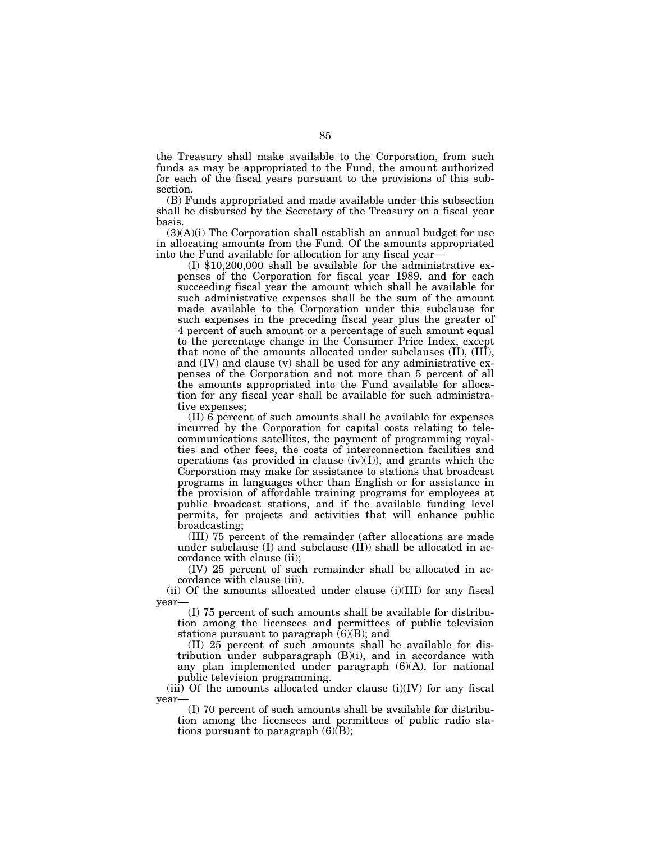the Treasury shall make available to the Corporation, from such funds as may be appropriated to the Fund, the amount authorized for each of the fiscal years pursuant to the provisions of this subsection.

(B) Funds appropriated and made available under this subsection shall be disbursed by the Secretary of the Treasury on a fiscal year basis.

 $(3)(A)(i)$  The Corporation shall establish an annual budget for use in allocating amounts from the Fund. Of the amounts appropriated into the Fund available for allocation for any fiscal year—

(I) \$10,200,000 shall be available for the administrative expenses of the Corporation for fiscal year 1989, and for each succeeding fiscal year the amount which shall be available for such administrative expenses shall be the sum of the amount made available to the Corporation under this subclause for such expenses in the preceding fiscal year plus the greater of 4 percent of such amount or a percentage of such amount equal to the percentage change in the Consumer Price Index, except that none of the amounts allocated under subclauses (II), (III), and (IV) and clause (v) shall be used for any administrative expenses of the Corporation and not more than 5 percent of all the amounts appropriated into the Fund available for allocation for any fiscal year shall be available for such administrative expenses;

(II) 6 percent of such amounts shall be available for expenses incurred by the Corporation for capital costs relating to telecommunications satellites, the payment of programming royalties and other fees, the costs of interconnection facilities and operations (as provided in clause (iv)(I)), and grants which the Corporation may make for assistance to stations that broadcast programs in languages other than English or for assistance in the provision of affordable training programs for employees at public broadcast stations, and if the available funding level permits, for projects and activities that will enhance public broadcasting;

(III) 75 percent of the remainder (after allocations are made under subclause (I) and subclause (II)) shall be allocated in accordance with clause (ii);

(IV) 25 percent of such remainder shall be allocated in accordance with clause (iii).

(ii) Of the amounts allocated under clause (i)(III) for any fiscal year—

(I) 75 percent of such amounts shall be available for distribution among the licensees and permittees of public television stations pursuant to paragraph (6)(B); and

(II) 25 percent of such amounts shall be available for distribution under subparagraph (B)(i), and in accordance with any plan implemented under paragraph (6)(A), for national public television programming.

 $(iii)$  Of the amounts allocated under clause  $(i)(IV)$  for any fiscal year—

(I) 70 percent of such amounts shall be available for distribution among the licensees and permittees of public radio stations pursuant to paragraph  $(6)(\bar{B})$ ;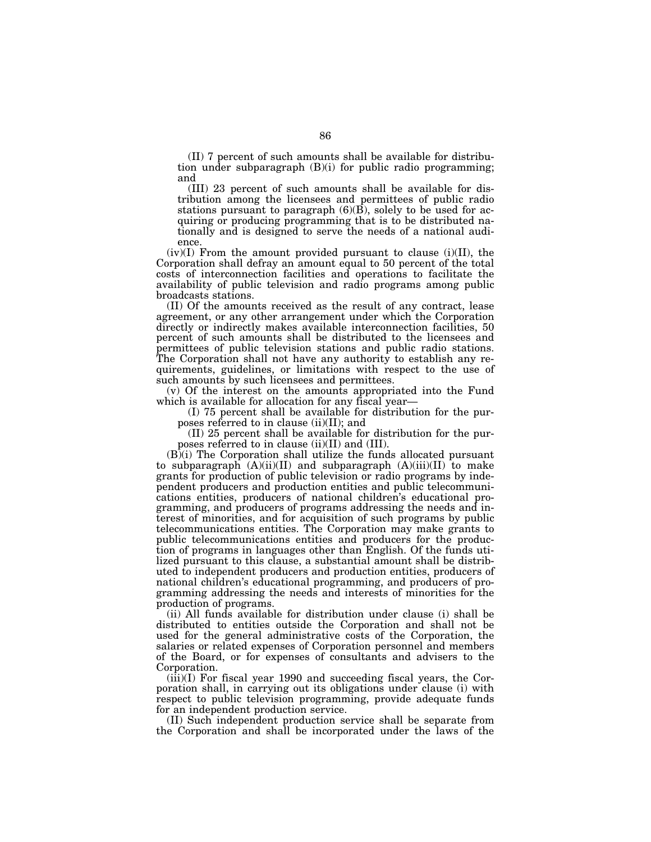(II) 7 percent of such amounts shall be available for distribution under subparagraph (B)(i) for public radio programming; and

(III) 23 percent of such amounts shall be available for distribution among the licensees and permittees of public radio stations pursuant to paragraph  $(6)(\overline{B})$ , solely to be used for acquiring or producing programming that is to be distributed nationally and is designed to serve the needs of a national audience.

 $(iv)(I)$  From the amount provided pursuant to clause  $(i)(II)$ , the Corporation shall defray an amount equal to 50 percent of the total costs of interconnection facilities and operations to facilitate the availability of public television and radio programs among public broadcasts stations.

(II) Of the amounts received as the result of any contract, lease agreement, or any other arrangement under which the Corporation directly or indirectly makes available interconnection facilities, 50 percent of such amounts shall be distributed to the licensees and permittees of public television stations and public radio stations. The Corporation shall not have any authority to establish any requirements, guidelines, or limitations with respect to the use of such amounts by such licensees and permittees.

(v) Of the interest on the amounts appropriated into the Fund which is available for allocation for any fiscal year—

(I) 75 percent shall be available for distribution for the purposes referred to in clause (ii)(II); and

(II) 25 percent shall be available for distribution for the purposes referred to in clause (ii)(II) and (III).

(B)(i) The Corporation shall utilize the funds allocated pursuant to subparagraph  $(A)(ii)(II)$  and subparagraph  $(A)(iii)(II)$  to make grants for production of public television or radio programs by independent producers and production entities and public telecommunications entities, producers of national children's educational programming, and producers of programs addressing the needs and interest of minorities, and for acquisition of such programs by public telecommunications entities. The Corporation may make grants to public telecommunications entities and producers for the production of programs in languages other than English. Of the funds utilized pursuant to this clause, a substantial amount shall be distributed to independent producers and production entities, producers of national children's educational programming, and producers of programming addressing the needs and interests of minorities for the production of programs.

(ii) All funds available for distribution under clause (i) shall be distributed to entities outside the Corporation and shall not be used for the general administrative costs of the Corporation, the salaries or related expenses of Corporation personnel and members of the Board, or for expenses of consultants and advisers to the Corporation.

 $(iii)(I)$  For fiscal year 1990 and succeeding fiscal years, the Corporation shall, in carrying out its obligations under clause (i) with respect to public television programming, provide adequate funds for an independent production service.

(II) Such independent production service shall be separate from the Corporation and shall be incorporated under the laws of the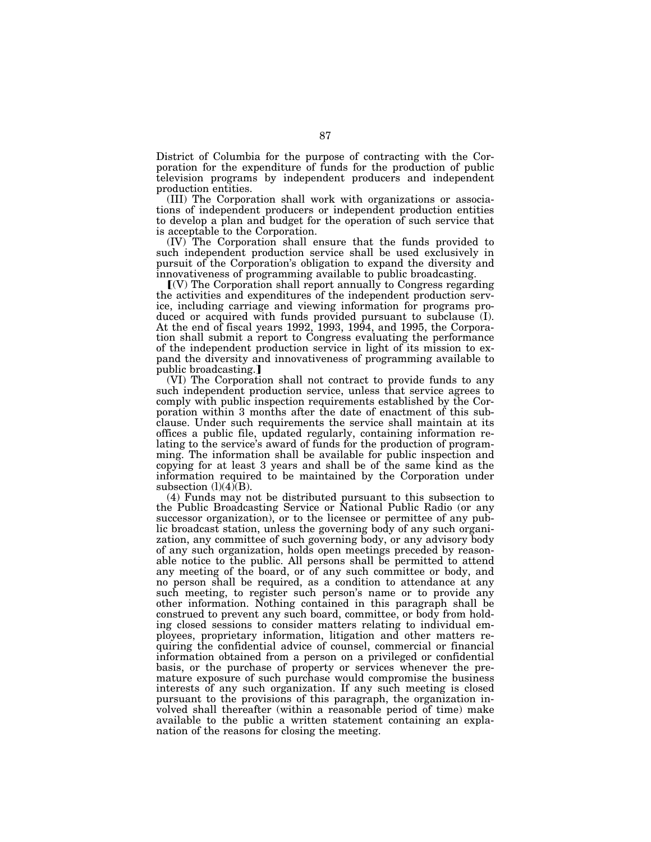District of Columbia for the purpose of contracting with the Corporation for the expenditure of funds for the production of public television programs by independent producers and independent production entities.

(III) The Corporation shall work with organizations or associations of independent producers or independent production entities to develop a plan and budget for the operation of such service that is acceptable to the Corporation.

(IV) The Corporation shall ensure that the funds provided to such independent production service shall be used exclusively in pursuit of the Corporation's obligation to expand the diversity and innovativeness of programming available to public broadcasting.

 $\left[$  (V) The Corporation shall report annually to Congress regarding the activities and expenditures of the independent production service, including carriage and viewing information for programs produced or acquired with funds provided pursuant to subclause (I). At the end of fiscal years 1992, 1993, 1994, and 1995, the Corporation shall submit a report to Congress evaluating the performance of the independent production service in light of its mission to expand the diversity and innovativeness of programming available to public broadcasting.

(VI) The Corporation shall not contract to provide funds to any such independent production service, unless that service agrees to comply with public inspection requirements established by the Corporation within 3 months after the date of enactment of this subclause. Under such requirements the service shall maintain at its offices a public file, updated regularly, containing information relating to the service's award of funds for the production of programming. The information shall be available for public inspection and copying for at least 3 years and shall be of the same kind as the information required to be maintained by the Corporation under subsection  $(l)(4)(B)$ .

(4) Funds may not be distributed pursuant to this subsection to the Public Broadcasting Service or National Public Radio (or any successor organization), or to the licensee or permittee of any public broadcast station, unless the governing body of any such organization, any committee of such governing body, or any advisory body of any such organization, holds open meetings preceded by reasonable notice to the public. All persons shall be permitted to attend any meeting of the board, or of any such committee or body, and no person shall be required, as a condition to attendance at any such meeting, to register such person's name or to provide any other information. Nothing contained in this paragraph shall be construed to prevent any such board, committee, or body from holding closed sessions to consider matters relating to individual employees, proprietary information, litigation and other matters requiring the confidential advice of counsel, commercial or financial information obtained from a person on a privileged or confidential basis, or the purchase of property or services whenever the premature exposure of such purchase would compromise the business interests of any such organization. If any such meeting is closed pursuant to the provisions of this paragraph, the organization involved shall thereafter (within a reasonable period of time) make available to the public a written statement containing an explanation of the reasons for closing the meeting.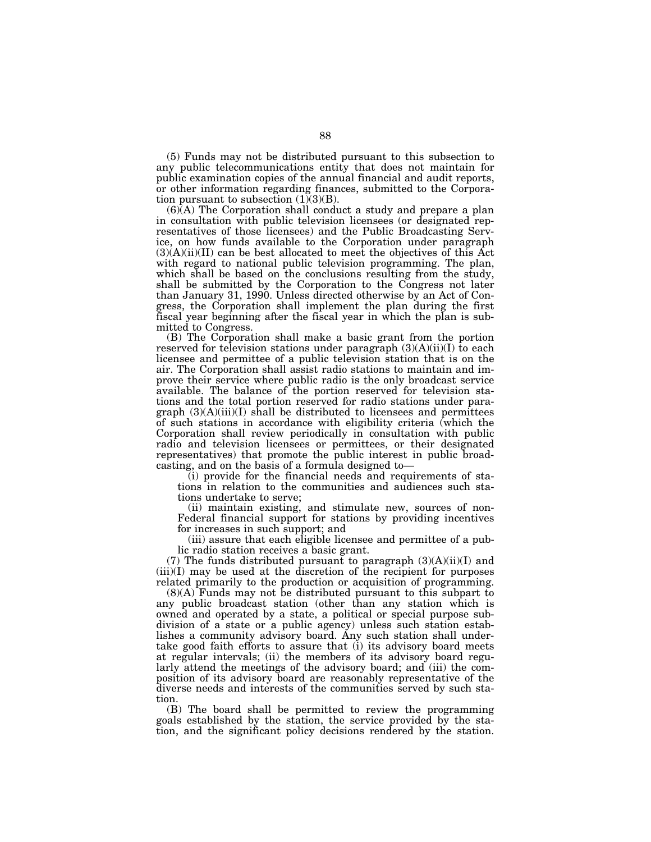(5) Funds may not be distributed pursuant to this subsection to any public telecommunications entity that does not maintain for public examination copies of the annual financial and audit reports, or other information regarding finances, submitted to the Corporation pursuant to subsection  $(1)(3)(B)$ .

 $(6)$  $(A)$  The Corporation shall conduct a study and prepare a plan in consultation with public television licensees (or designated representatives of those licensees) and the Public Broadcasting Service, on how funds available to the Corporation under paragraph  $(3)(A)(ii)(II)$  can be best allocated to meet the objectives of this Act with regard to national public television programming. The plan, which shall be based on the conclusions resulting from the study, shall be submitted by the Corporation to the Congress not later than January 31, 1990. Unless directed otherwise by an Act of Congress, the Corporation shall implement the plan during the first fiscal year beginning after the fiscal year in which the plan is submitted to Congress.

(B) The Corporation shall make a basic grant from the portion reserved for television stations under paragraph  $(3)(A)(ii)(I)$  to each licensee and permittee of a public television station that is on the air. The Corporation shall assist radio stations to maintain and improve their service where public radio is the only broadcast service available. The balance of the portion reserved for television stations and the total portion reserved for radio stations under paragraph  $(3)(A)(iii)(I)$  shall be distributed to licensees and permittees of such stations in accordance with eligibility criteria (which the Corporation shall review periodically in consultation with public radio and television licensees or permittees, or their designated representatives) that promote the public interest in public broadcasting, and on the basis of a formula designed to—

(i) provide for the financial needs and requirements of stations in relation to the communities and audiences such stations undertake to serve;

(ii) maintain existing, and stimulate new, sources of non-Federal financial support for stations by providing incentives for increases in such support; and

(iii) assure that each eligible licensee and permittee of a public radio station receives a basic grant.

(7) The funds distributed pursuant to paragraph  $(3)(A)(ii)(I)$  and  $(iii)(I)$  may be used at the discretion of the recipient for purposes related primarily to the production or acquisition of programming.

(8)(A) Funds may not be distributed pursuant to this subpart to any public broadcast station (other than any station which is owned and operated by a state, a political or special purpose subdivision of a state or a public agency) unless such station establishes a community advisory board. Any such station shall undertake good faith efforts to assure that (i) its advisory board meets at regular intervals; (ii) the members of its advisory board regularly attend the meetings of the advisory board; and (iii) the composition of its advisory board are reasonably representative of the diverse needs and interests of the communities served by such station.

(B) The board shall be permitted to review the programming goals established by the station, the service provided by the station, and the significant policy decisions rendered by the station.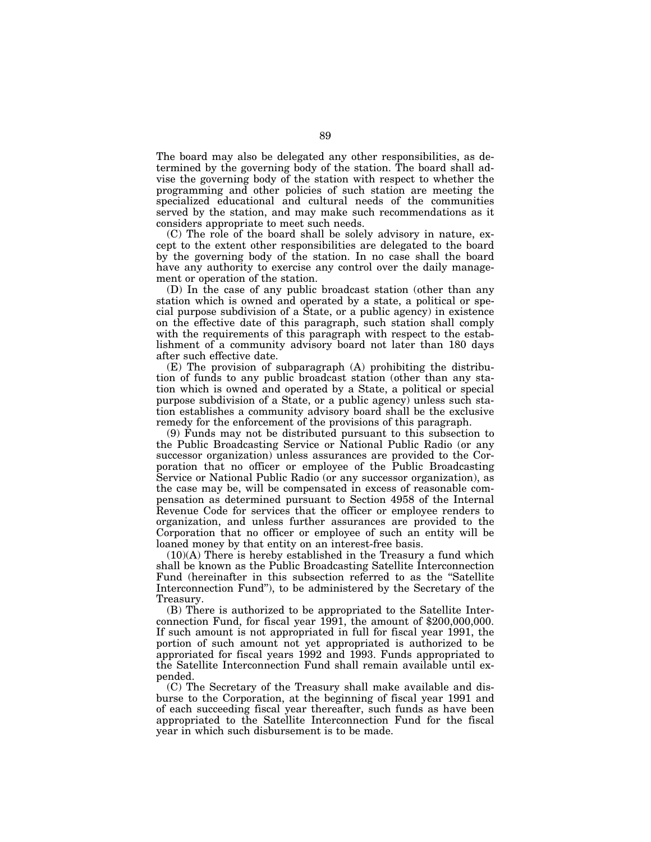The board may also be delegated any other responsibilities, as determined by the governing body of the station. The board shall advise the governing body of the station with respect to whether the programming and other policies of such station are meeting the specialized educational and cultural needs of the communities served by the station, and may make such recommendations as it considers appropriate to meet such needs.

(C) The role of the board shall be solely advisory in nature, except to the extent other responsibilities are delegated to the board by the governing body of the station. In no case shall the board have any authority to exercise any control over the daily management or operation of the station.

(D) In the case of any public broadcast station (other than any station which is owned and operated by a state, a political or special purpose subdivision of a State, or a public agency) in existence on the effective date of this paragraph, such station shall comply with the requirements of this paragraph with respect to the establishment of a community advisory board not later than 180 days after such effective date.

(E) The provision of subparagraph (A) prohibiting the distribution of funds to any public broadcast station (other than any station which is owned and operated by a State, a political or special purpose subdivision of a State, or a public agency) unless such station establishes a community advisory board shall be the exclusive remedy for the enforcement of the provisions of this paragraph.

(9) Funds may not be distributed pursuant to this subsection to the Public Broadcasting Service or National Public Radio (or any successor organization) unless assurances are provided to the Corporation that no officer or employee of the Public Broadcasting Service or National Public Radio (or any successor organization), as the case may be, will be compensated in excess of reasonable compensation as determined pursuant to Section 4958 of the Internal Revenue Code for services that the officer or employee renders to organization, and unless further assurances are provided to the Corporation that no officer or employee of such an entity will be loaned money by that entity on an interest-free basis.

(10)(A) There is hereby established in the Treasury a fund which shall be known as the Public Broadcasting Satellite Interconnection Fund (hereinafter in this subsection referred to as the ''Satellite Interconnection Fund''), to be administered by the Secretary of the Treasury.

(B) There is authorized to be appropriated to the Satellite Interconnection Fund, for fiscal year 1991, the amount of \$200,000,000. If such amount is not appropriated in full for fiscal year 1991, the portion of such amount not yet appropriated is authorized to be approriated for fiscal years 1992 and 1993. Funds appropriated to the Satellite Interconnection Fund shall remain available until expended.

(C) The Secretary of the Treasury shall make available and disburse to the Corporation, at the beginning of fiscal year 1991 and of each succeeding fiscal year thereafter, such funds as have been appropriated to the Satellite Interconnection Fund for the fiscal year in which such disbursement is to be made.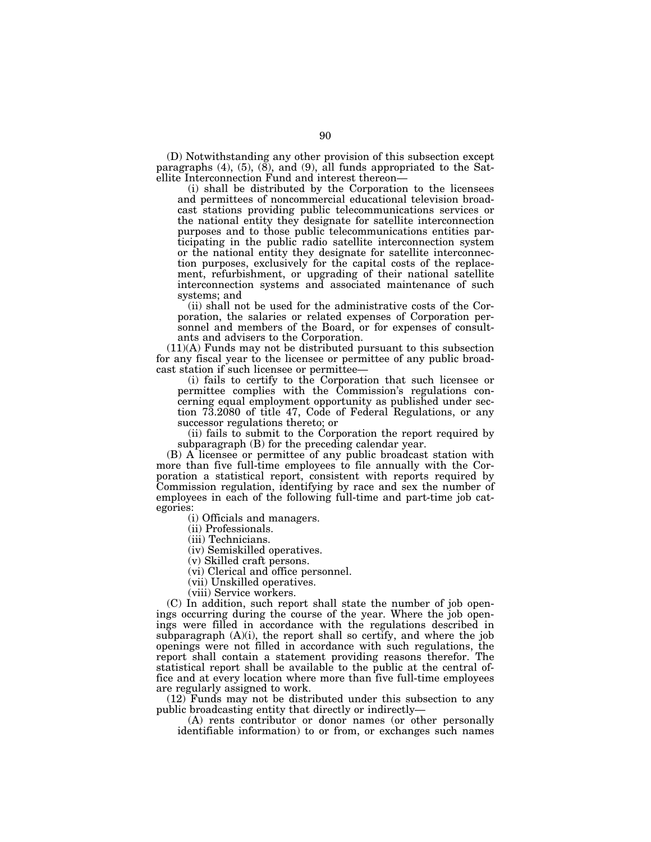(D) Notwithstanding any other provision of this subsection except paragraphs (4), (5), (8), and (9), all funds appropriated to the Satellite Interconnection Fund and interest thereon—

(i) shall be distributed by the Corporation to the licensees and permittees of noncommercial educational television broadcast stations providing public telecommunications services or the national entity they designate for satellite interconnection purposes and to those public telecommunications entities participating in the public radio satellite interconnection system or the national entity they designate for satellite interconnection purposes, exclusively for the capital costs of the replacement, refurbishment, or upgrading of their national satellite interconnection systems and associated maintenance of such systems; and

(ii) shall not be used for the administrative costs of the Corporation, the salaries or related expenses of Corporation personnel and members of the Board, or for expenses of consultants and advisers to the Corporation.

(11)(A) Funds may not be distributed pursuant to this subsection for any fiscal year to the licensee or permittee of any public broadcast station if such licensee or permittee—

(i) fails to certify to the Corporation that such licensee or permittee complies with the Commission's regulations concerning equal employment opportunity as published under section 73.2080 of title 47, Code of Federal Regulations, or any successor regulations thereto; or

(ii) fails to submit to the Corporation the report required by subparagraph (B) for the preceding calendar year.

(B) A licensee or permittee of any public broadcast station with more than five full-time employees to file annually with the Corporation a statistical report, consistent with reports required by Commission regulation, identifying by race and sex the number of employees in each of the following full-time and part-time job categories:

(i) Officials and managers.

(ii) Professionals.

(iii) Technicians.

(iv) Semiskilled operatives.

(v) Skilled craft persons.

(vi) Clerical and office personnel.

(vii) Unskilled operatives.

(viii) Service workers.

(C) In addition, such report shall state the number of job openings occurring during the course of the year. Where the job openings were filled in accordance with the regulations described in subparagraph  $(A)(i)$ , the report shall so certify, and where the job openings were not filled in accordance with such regulations, the report shall contain a statement providing reasons therefor. The statistical report shall be available to the public at the central office and at every location where more than five full-time employees are regularly assigned to work.

(12) Funds may not be distributed under this subsection to any public broadcasting entity that directly or indirectly—

(A) rents contributor or donor names (or other personally identifiable information) to or from, or exchanges such names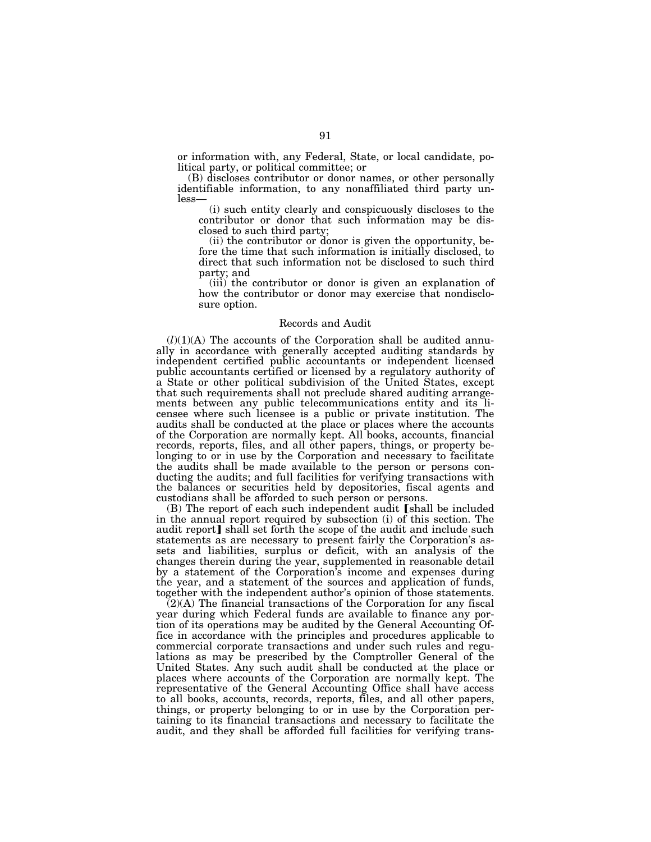or information with, any Federal, State, or local candidate, political party, or political committee; or

(B) discloses contributor or donor names, or other personally identifiable information, to any nonaffiliated third party unless—

(i) such entity clearly and conspicuously discloses to the contributor or donor that such information may be disclosed to such third party;

(ii) the contributor or donor is given the opportunity, before the time that such information is initially disclosed, to direct that such information not be disclosed to such third party; and

(iii) the contributor or donor is given an explanation of how the contributor or donor may exercise that nondisclosure option.

#### Records and Audit

 $(l)(1)(A)$  The accounts of the Corporation shall be audited annually in accordance with generally accepted auditing standards by independent certified public accountants or independent licensed public accountants certified or licensed by a regulatory authority of a State or other political subdivision of the United States, except that such requirements shall not preclude shared auditing arrangements between any public telecommunications entity and its licensee where such licensee is a public or private institution. The audits shall be conducted at the place or places where the accounts of the Corporation are normally kept. All books, accounts, financial records, reports, files, and all other papers, things, or property belonging to or in use by the Corporation and necessary to facilitate the audits shall be made available to the person or persons conducting the audits; and full facilities for verifying transactions with the balances or securities held by depositories, fiscal agents and custodians shall be afforded to such person or persons.

(B) The report of each such independent audit [shall be included in the annual report required by subsection (i) of this section. The audit report] shall set forth the scope of the audit and include such statements as are necessary to present fairly the Corporation's assets and liabilities, surplus or deficit, with an analysis of the changes therein during the year, supplemented in reasonable detail by a statement of the Corporation's income and expenses during the year, and a statement of the sources and application of funds, together with the independent author's opinion of those statements.

 $(2)$ (A) The financial transactions of the Corporation for any fiscal year during which Federal funds are available to finance any portion of its operations may be audited by the General Accounting Office in accordance with the principles and procedures applicable to commercial corporate transactions and under such rules and regulations as may be prescribed by the Comptroller General of the United States. Any such audit shall be conducted at the place or places where accounts of the Corporation are normally kept. The representative of the General Accounting Office shall have access to all books, accounts, records, reports, files, and all other papers, things, or property belonging to or in use by the Corporation pertaining to its financial transactions and necessary to facilitate the audit, and they shall be afforded full facilities for verifying trans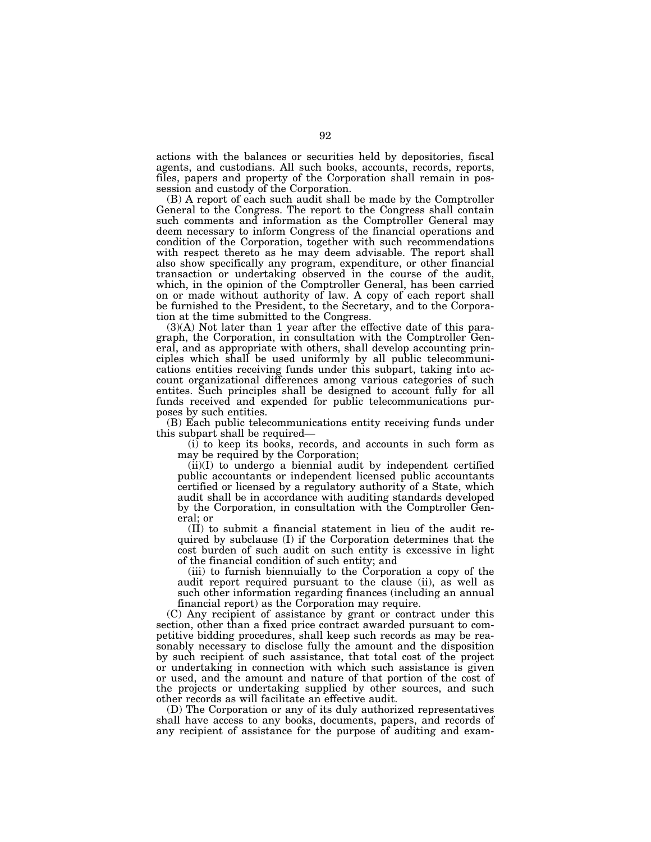actions with the balances or securities held by depositories, fiscal agents, and custodians. All such books, accounts, records, reports, files, papers and property of the Corporation shall remain in possession and custody of the Corporation.

(B) A report of each such audit shall be made by the Comptroller General to the Congress. The report to the Congress shall contain such comments and information as the Comptroller General may deem necessary to inform Congress of the financial operations and condition of the Corporation, together with such recommendations with respect thereto as he may deem advisable. The report shall also show specifically any program, expenditure, or other financial transaction or undertaking observed in the course of the audit, which, in the opinion of the Comptroller General, has been carried on or made without authority of law. A copy of each report shall be furnished to the President, to the Secretary, and to the Corporation at the time submitted to the Congress.

(3)(A) Not later than 1 year after the effective date of this paragraph, the Corporation, in consultation with the Comptroller General, and as appropriate with others, shall develop accounting principles which shall be used uniformly by all public telecommunications entities receiving funds under this subpart, taking into account organizational differences among various categories of such entites. Such principles shall be designed to account fully for all funds received and expended for public telecommunications purposes by such entities.

(B) Each public telecommunications entity receiving funds under this subpart shall be required—

(i) to keep its books, records, and accounts in such form as may be required by the Corporation;

(ii)(I) to undergo a biennial audit by independent certified public accountants or independent licensed public accountants certified or licensed by a regulatory authority of a State, which audit shall be in accordance with auditing standards developed by the Corporation, in consultation with the Comptroller General; or

(II) to submit a financial statement in lieu of the audit required by subclause (I) if the Corporation determines that the cost burden of such audit on such entity is excessive in light of the financial condition of such entity; and

(iii) to furnish biennuially to the Corporation a copy of the audit report required pursuant to the clause (ii), as well as such other information regarding finances (including an annual financial report) as the Corporation may require.

(C) Any recipient of assistance by grant or contract under this section, other than a fixed price contract awarded pursuant to competitive bidding procedures, shall keep such records as may be reasonably necessary to disclose fully the amount and the disposition by such recipient of such assistance, that total cost of the project or undertaking in connection with which such assistance is given or used, and the amount and nature of that portion of the cost of the projects or undertaking supplied by other sources, and such other records as will facilitate an effective audit.

(D) The Corporation or any of its duly authorized representatives shall have access to any books, documents, papers, and records of any recipient of assistance for the purpose of auditing and exam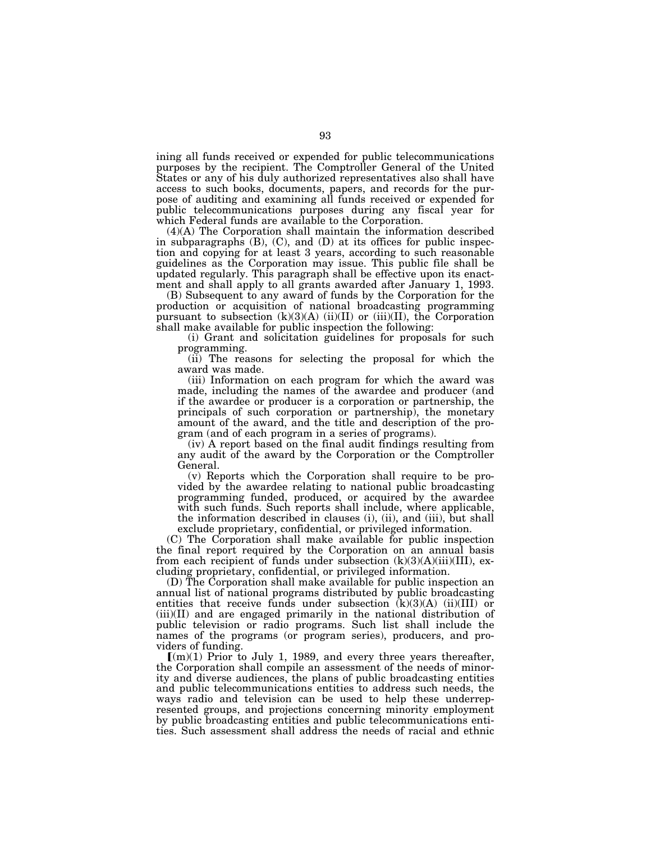ining all funds received or expended for public telecommunications purposes by the recipient. The Comptroller General of the United States or any of his duly authorized representatives also shall have access to such books, documents, papers, and records for the purpose of auditing and examining all funds received or expended for public telecommunications purposes during any fiscal year for which Federal funds are available to the Corporation.

(4)(A) The Corporation shall maintain the information described in subparagraphs (B), (C), and (D) at its offices for public inspection and copying for at least 3 years, according to such reasonable guidelines as the Corporation may issue. This public file shall be updated regularly. This paragraph shall be effective upon its enactment and shall apply to all grants awarded after January 1, 1993.

(B) Subsequent to any award of funds by the Corporation for the production or acquisition of national broadcasting programming pursuant to subsection  $(k)(3)(A)$  (ii)(II) or (iii)(II), the Corporation shall make available for public inspection the following:

(i) Grant and solicitation guidelines for proposals for such programming.

(ii) The reasons for selecting the proposal for which the award was made.

(iii) Information on each program for which the award was made, including the names of the awardee and producer (and if the awardee or producer is a corporation or partnership, the principals of such corporation or partnership), the monetary amount of the award, and the title and description of the program (and of each program in a series of programs).

(iv) A report based on the final audit findings resulting from any audit of the award by the Corporation or the Comptroller General.

(v) Reports which the Corporation shall require to be provided by the awardee relating to national public broadcasting programming funded, produced, or acquired by the awardee with such funds. Such reports shall include, where applicable, the information described in clauses (i), (ii), and (iii), but shall exclude proprietary, confidential, or privileged information.

(C) The Corporation shall make available for public inspection the final report required by the Corporation on an annual basis from each recipient of funds under subsection  $(k)(3)(A)(iii)(III)$ , excluding proprietary, confidential, or privileged information.

(D) The Corporation shall make available for public inspection an annual list of national programs distributed by public broadcasting entities that receive funds under subsection  $(k)(3)(A)$  (ii)(III) or (iii)(II) and are engaged primarily in the national distribution of public television or radio programs. Such list shall include the names of the programs (or program series), producers, and providers of funding.

 $\lceil (m)(1) \rceil$  Prior to July 1, 1989, and every three years thereafter, the Corporation shall compile an assessment of the needs of minority and diverse audiences, the plans of public broadcasting entities and public telecommunications entities to address such needs, the ways radio and television can be used to help these underrepresented groups, and projections concerning minority employment by public broadcasting entities and public telecommunications entities. Such assessment shall address the needs of racial and ethnic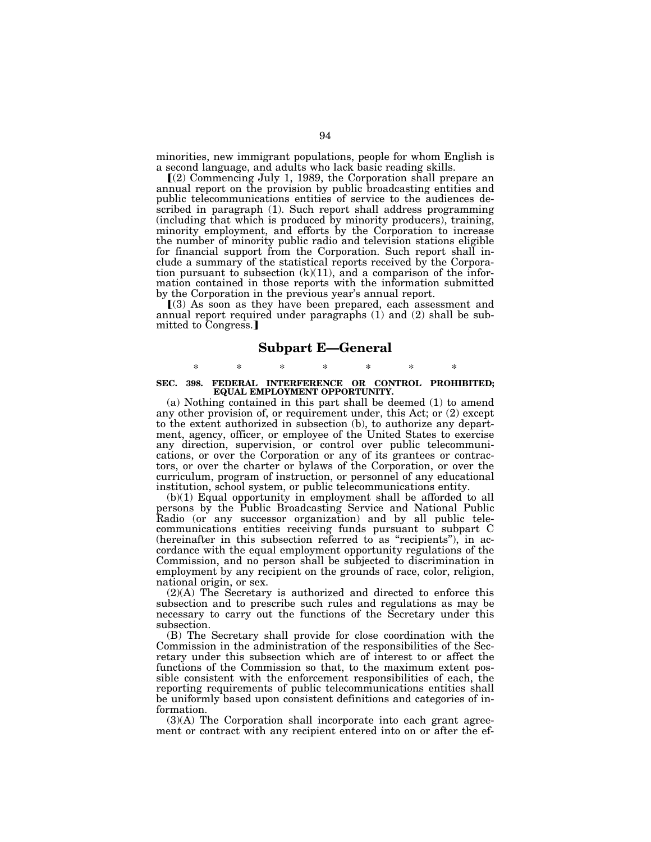minorities, new immigrant populations, people for whom English is a second language, and adults who lack basic reading skills.

 $(2)$  Commencing July 1, 1989, the Corporation shall prepare an annual report on the provision by public broadcasting entities and public telecommunications entities of service to the audiences described in paragraph (1). Such report shall address programming (including that which is produced by minority producers), training, minority employment, and efforts by the Corporation to increase the number of minority public radio and television stations eligible for financial support from the Corporation. Such report shall include a summary of the statistical reports received by the Corporation pursuant to subsection  $(k)(11)$ , and a comparison of the information contained in those reports with the information submitted by the Corporation in the previous year's annual report.

 $(3)$  As soon as they have been prepared, each assessment and annual report required under paragraphs (1) and (2) shall be submitted to Congress.

#### **Subpart E—General**

# \* \* \* \* \* \* \* **SEC. 398. FEDERAL INTERFERENCE OR CONTROL PROHIBITED; EQUAL EMPLOYMENT OPPORTUNITY.**

(a) Nothing contained in this part shall be deemed (1) to amend any other provision of, or requirement under, this Act; or (2) except to the extent authorized in subsection (b), to authorize any department, agency, officer, or employee of the United States to exercise any direction, supervision, or control over public telecommunications, or over the Corporation or any of its grantees or contractors, or over the charter or bylaws of the Corporation, or over the curriculum, program of instruction, or personnel of any educational institution, school system, or public telecommunications entity.

(b)(1) Equal opportunity in employment shall be afforded to all persons by the Public Broadcasting Service and National Public Radio (or any successor organization) and by all public telecommunications entities receiving funds pursuant to subpart C (hereinafter in this subsection referred to as ''recipients''), in accordance with the equal employment opportunity regulations of the Commission, and no person shall be subjected to discrimination in employment by any recipient on the grounds of race, color, religion, national origin, or sex.

(2)(A) The Secretary is authorized and directed to enforce this subsection and to prescribe such rules and regulations as may be necessary to carry out the functions of the Secretary under this subsection.

(B) The Secretary shall provide for close coordination with the Commission in the administration of the responsibilities of the Secretary under this subsection which are of interest to or affect the functions of the Commission so that, to the maximum extent possible consistent with the enforcement responsibilities of each, the reporting requirements of public telecommunications entities shall be uniformly based upon consistent definitions and categories of information.

 $(3)(A)$  The Corporation shall incorporate into each grant agreement or contract with any recipient entered into on or after the ef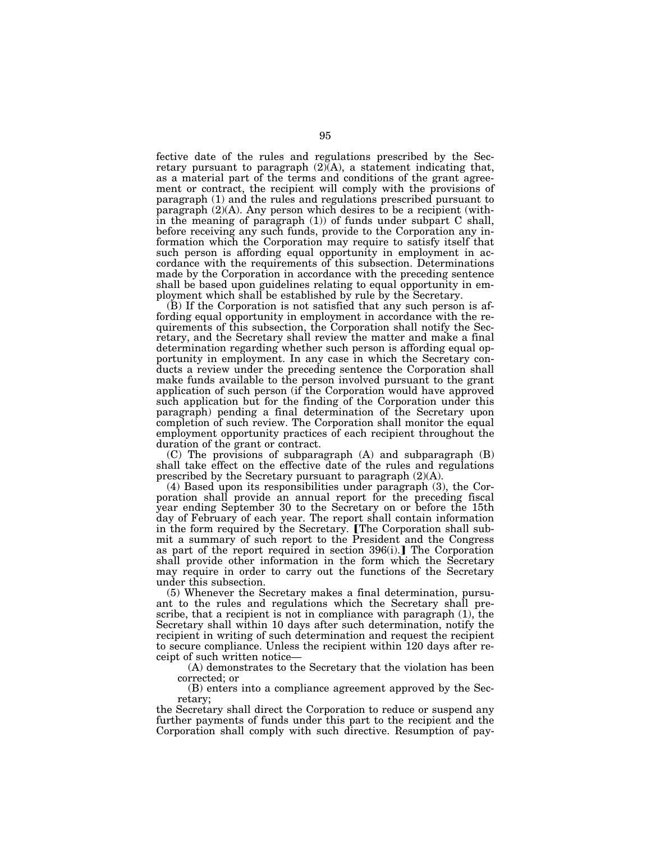fective date of the rules and regulations prescribed by the Secretary pursuant to paragraph  $(2)(A)$ , a statement indicating that, as a material part of the terms and conditions of the grant agreement or contract, the recipient will comply with the provisions of paragraph (1) and the rules and regulations prescribed pursuant to paragraph (2)(A). Any person which desires to be a recipient (within the meaning of paragraph (1)) of funds under subpart C shall, before receiving any such funds, provide to the Corporation any information which the Corporation may require to satisfy itself that such person is affording equal opportunity in employment in accordance with the requirements of this subsection. Determinations made by the Corporation in accordance with the preceding sentence shall be based upon guidelines relating to equal opportunity in employment which shall be established by rule by the Secretary.

(B) If the Corporation is not satisfied that any such person is affording equal opportunity in employment in accordance with the requirements of this subsection, the Corporation shall notify the Secretary, and the Secretary shall review the matter and make a final determination regarding whether such person is affording equal opportunity in employment. In any case in which the Secretary conducts a review under the preceding sentence the Corporation shall make funds available to the person involved pursuant to the grant application of such person (if the Corporation would have approved such application but for the finding of the Corporation under this paragraph) pending a final determination of the Secretary upon completion of such review. The Corporation shall monitor the equal employment opportunity practices of each recipient throughout the duration of the grant or contract.

(C) The provisions of subparagraph (A) and subparagraph (B) shall take effect on the effective date of the rules and regulations prescribed by the Secretary pursuant to paragraph (2)(A).

(4) Based upon its responsibilities under paragraph (3), the Corporation shall provide an annual report for the preceding fiscal year ending September 30 to the Secretary on or before the 15th day of February of each year. The report shall contain information in the form required by the Secretary. The Corporation shall submit a summary of such report to the President and the Congress as part of the report required in section  $396(i)$ . The Corporation shall provide other information in the form which the Secretary may require in order to carry out the functions of the Secretary under this subsection.

(5) Whenever the Secretary makes a final determination, pursuant to the rules and regulations which the Secretary shall prescribe, that a recipient is not in compliance with paragraph (1), the Secretary shall within 10 days after such determination, notify the recipient in writing of such determination and request the recipient to secure compliance. Unless the recipient within 120 days after receipt of such written notice—

(A) demonstrates to the Secretary that the violation has been corrected; or

(B) enters into a compliance agreement approved by the Secretary;

the Secretary shall direct the Corporation to reduce or suspend any further payments of funds under this part to the recipient and the Corporation shall comply with such directive. Resumption of pay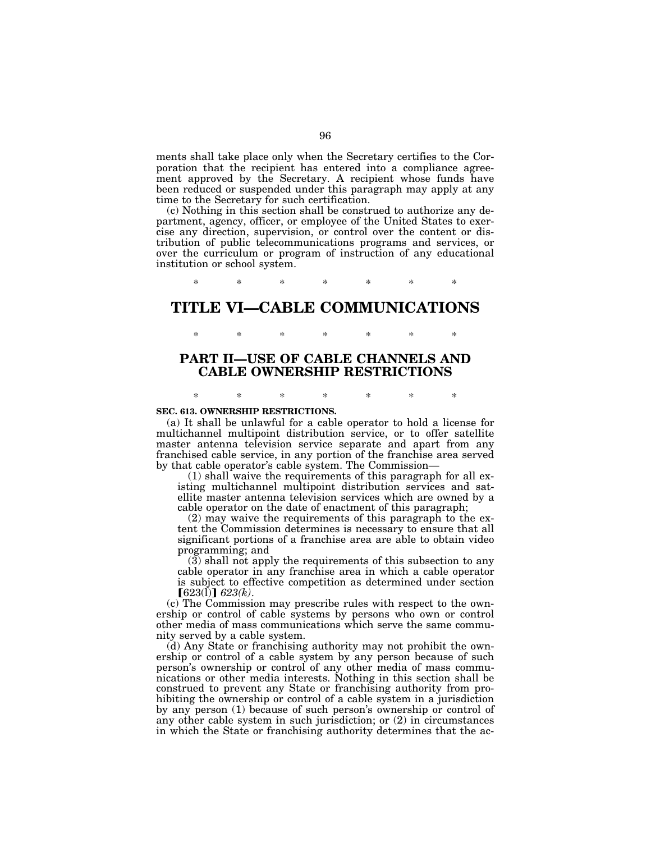ments shall take place only when the Secretary certifies to the Corporation that the recipient has entered into a compliance agreement approved by the Secretary. A recipient whose funds have been reduced or suspended under this paragraph may apply at any time to the Secretary for such certification.

(c) Nothing in this section shall be construed to authorize any department, agency, officer, or employee of the United States to exercise any direction, supervision, or control over the content or distribution of public telecommunications programs and services, or over the curriculum or program of instruction of any educational institution or school system.

\* \* \* \* \* \* \*

## **TITLE VI—CABLE COMMUNICATIONS**

## **PART II—USE OF CABLE CHANNELS AND CABLE OWNERSHIP RESTRICTIONS**

\* \* \* \* \* \* \*

\* \* \* \* \* \* \*

#### **SEC. 613. OWNERSHIP RESTRICTIONS.**

(a) It shall be unlawful for a cable operator to hold a license for multichannel multipoint distribution service, or to offer satellite master antenna television service separate and apart from any franchised cable service, in any portion of the franchise area served by that cable operator's cable system. The Commission—

 $(1)$  shall waive the requirements of this paragraph for all existing multichannel multipoint distribution services and satellite master antenna television services which are owned by a cable operator on the date of enactment of this paragraph;

(2) may waive the requirements of this paragraph to the extent the Commission determines is necessary to ensure that all significant portions of a franchise area are able to obtain video programming; and

(3) shall not apply the requirements of this subsection to any cable operator in any franchise area in which a cable operator is subject to effective competition as determined under section  $[623(1)]$   $623(k)$ .

(c) The Commission may prescribe rules with respect to the ownership or control of cable systems by persons who own or control other media of mass communications which serve the same community served by a cable system.

(d) Any State or franchising authority may not prohibit the ownership or control of a cable system by any person because of such person's ownership or control of any other media of mass communications or other media interests. Nothing in this section shall be construed to prevent any State or franchising authority from prohibiting the ownership or control of a cable system in a jurisdiction by any person (1) because of such person's ownership or control of any other cable system in such jurisdiction; or (2) in circumstances in which the State or franchising authority determines that the ac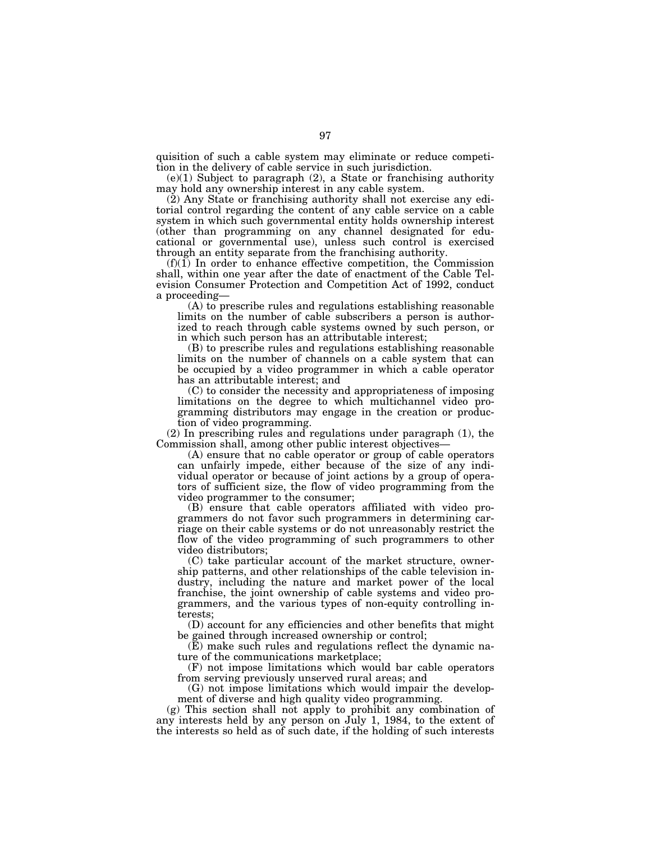quisition of such a cable system may eliminate or reduce competition in the delivery of cable service in such jurisdiction.

(e)(1) Subject to paragraph (2), a State or franchising authority may hold any ownership interest in any cable system.

(2) Any State or franchising authority shall not exercise any editorial control regarding the content of any cable service on a cable system in which such governmental entity holds ownership interest (other than programming on any channel designated for educational or governmental use), unless such control is exercised through an entity separate from the franchising authority.

 $(f)(1)$  In order to enhance effective competition, the Commission shall, within one year after the date of enactment of the Cable Television Consumer Protection and Competition Act of 1992, conduct a proceeding—

(A) to prescribe rules and regulations establishing reasonable limits on the number of cable subscribers a person is authorized to reach through cable systems owned by such person, or in which such person has an attributable interest;

(B) to prescribe rules and regulations establishing reasonable limits on the number of channels on a cable system that can be occupied by a video programmer in which a cable operator has an attributable interest; and

(C) to consider the necessity and appropriateness of imposing limitations on the degree to which multichannel video programming distributors may engage in the creation or production of video programming.

(2) In prescribing rules and regulations under paragraph (1), the Commission shall, among other public interest objectives—

(A) ensure that no cable operator or group of cable operators can unfairly impede, either because of the size of any individual operator or because of joint actions by a group of operators of sufficient size, the flow of video programming from the video programmer to the consumer;

(B) ensure that cable operators affiliated with video programmers do not favor such programmers in determining carriage on their cable systems or do not unreasonably restrict the flow of the video programming of such programmers to other video distributors;

(C) take particular account of the market structure, ownership patterns, and other relationships of the cable television industry, including the nature and market power of the local franchise, the joint ownership of cable systems and video programmers, and the various types of non-equity controlling interests;

(D) account for any efficiencies and other benefits that might be gained through increased ownership or control;

(E) make such rules and regulations reflect the dynamic nature of the communications marketplace;

(F) not impose limitations which would bar cable operators from serving previously unserved rural areas; and

(G) not impose limitations which would impair the development of diverse and high quality video programming.

(g) This section shall not apply to prohibit any combination of any interests held by any person on July 1, 1984, to the extent of the interests so held as of such date, if the holding of such interests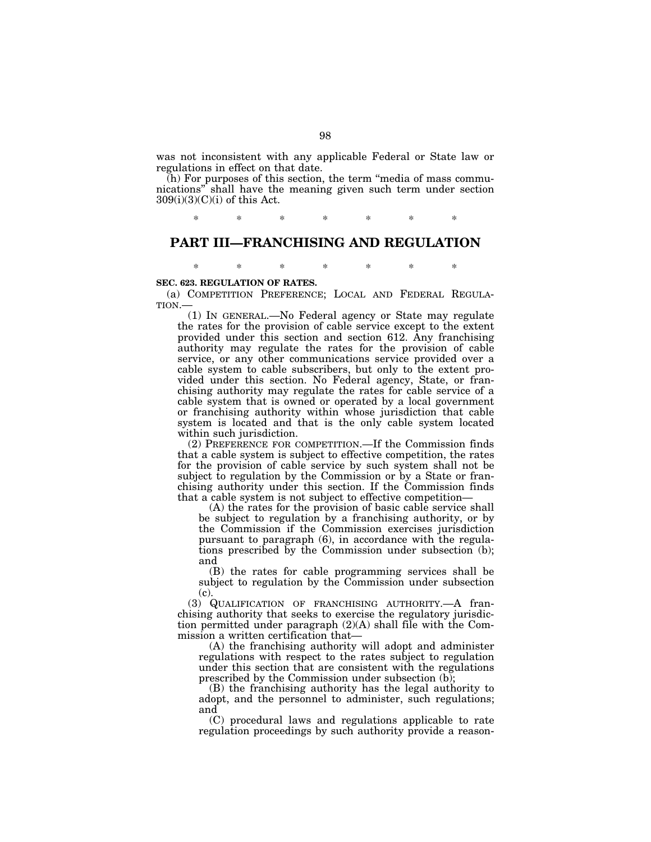was not inconsistent with any applicable Federal or State law or regulations in effect on that date.

(h) For purposes of this section, the term ''media of mass communications'' shall have the meaning given such term under section 309(i)(3)(C)(i) of this Act.

\* \* \* \* \* \* \*

### **PART III—FRANCHISING AND REGULATION**

\* \* \* \* \* \* \*

#### **SEC. 623. REGULATION OF RATES.**

(a) COMPETITION PREFERENCE; LOCAL AND FEDERAL REGULA-TION.—

(1) IN GENERAL.—No Federal agency or State may regulate the rates for the provision of cable service except to the extent provided under this section and section 612. Any franchising authority may regulate the rates for the provision of cable service, or any other communications service provided over a cable system to cable subscribers, but only to the extent provided under this section. No Federal agency, State, or franchising authority may regulate the rates for cable service of a cable system that is owned or operated by a local government or franchising authority within whose jurisdiction that cable system is located and that is the only cable system located within such jurisdiction.

(2) PREFERENCE FOR COMPETITION.—If the Commission finds that a cable system is subject to effective competition, the rates for the provision of cable service by such system shall not be subject to regulation by the Commission or by a State or franchising authority under this section. If the Commission finds that a cable system is not subject to effective competition—

(A) the rates for the provision of basic cable service shall be subject to regulation by a franchising authority, or by the Commission if the Commission exercises jurisdiction pursuant to paragraph (6), in accordance with the regulations prescribed by the Commission under subsection (b); and

(B) the rates for cable programming services shall be subject to regulation by the Commission under subsection  $(c)$ .

(3) QUALIFICATION OF FRANCHISING AUTHORITY.—A franchising authority that seeks to exercise the regulatory jurisdiction permitted under paragraph (2)(A) shall file with the Commission a written certification that—

(A) the franchising authority will adopt and administer regulations with respect to the rates subject to regulation under this section that are consistent with the regulations prescribed by the Commission under subsection (b);

(B) the franchising authority has the legal authority to adopt, and the personnel to administer, such regulations; and

(C) procedural laws and regulations applicable to rate regulation proceedings by such authority provide a reason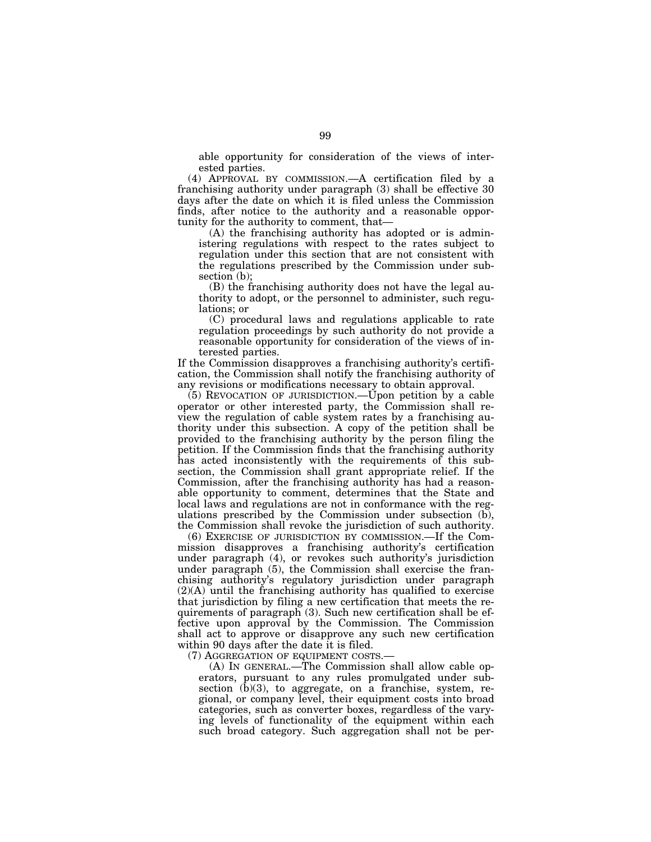able opportunity for consideration of the views of interested parties.

(4) APPROVAL BY COMMISSION.—A certification filed by a franchising authority under paragraph (3) shall be effective 30 days after the date on which it is filed unless the Commission finds, after notice to the authority and a reasonable opportunity for the authority to comment, that—

(A) the franchising authority has adopted or is administering regulations with respect to the rates subject to regulation under this section that are not consistent with the regulations prescribed by the Commission under subsection (b);

(B) the franchising authority does not have the legal authority to adopt, or the personnel to administer, such regulations; or

(C) procedural laws and regulations applicable to rate regulation proceedings by such authority do not provide a reasonable opportunity for consideration of the views of interested parties.

If the Commission disapproves a franchising authority's certification, the Commission shall notify the franchising authority of any revisions or modifications necessary to obtain approval.

 $(5)$  REVOCATION OF JURISDICTION.—Upon petition by a cable operator or other interested party, the Commission shall review the regulation of cable system rates by a franchising authority under this subsection. A copy of the petition shall be provided to the franchising authority by the person filing the petition. If the Commission finds that the franchising authority has acted inconsistently with the requirements of this subsection, the Commission shall grant appropriate relief. If the Commission, after the franchising authority has had a reasonable opportunity to comment, determines that the State and local laws and regulations are not in conformance with the regulations prescribed by the Commission under subsection  $(b)$ , the Commission shall revoke the jurisdiction of such authority.

(6) EXERCISE OF JURISDICTION BY COMMISSION.—If the Commission disapproves a franchising authority's certification under paragraph (4), or revokes such authority's jurisdiction under paragraph (5), the Commission shall exercise the franchising authority's regulatory jurisdiction under paragraph  $(2)$ (A) until the franchising authority has qualified to exercise that jurisdiction by filing a new certification that meets the requirements of paragraph (3). Such new certification shall be effective upon approval by the Commission. The Commission shall act to approve or disapprove any such new certification within 90 days after the date it is filed.

(7) AGGREGATION OF EQUIPMENT COSTS.—

(A) IN GENERAL.—The Commission shall allow cable operators, pursuant to any rules promulgated under subsection  $(b)(3)$ , to aggregate, on a franchise, system, regional, or company level, their equipment costs into broad categories, such as converter boxes, regardless of the varying levels of functionality of the equipment within each such broad category. Such aggregation shall not be per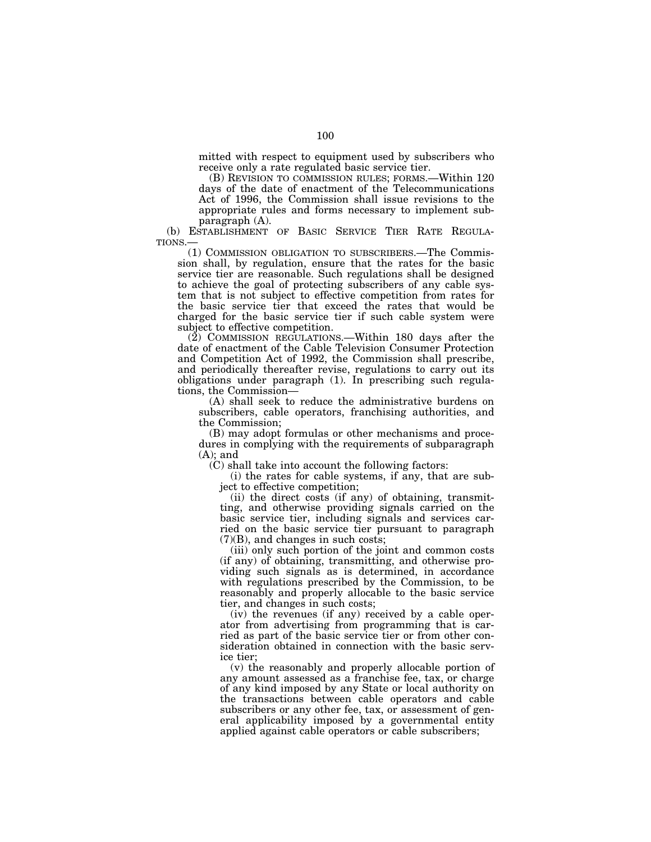mitted with respect to equipment used by subscribers who receive only a rate regulated basic service tier.

(B) REVISION TO COMMISSION RULES; FORMS.—Within 120 days of the date of enactment of the Telecommunications Act of 1996, the Commission shall issue revisions to the appropriate rules and forms necessary to implement subparagraph (A).

(b) ESTABLISHMENT OF BASIC SERVICE TIER RATE REGULA- TIONS.—

(1) COMMISSION OBLIGATION TO SUBSCRIBERS.—The Commission shall, by regulation, ensure that the rates for the basic service tier are reasonable. Such regulations shall be designed to achieve the goal of protecting subscribers of any cable system that is not subject to effective competition from rates for the basic service tier that exceed the rates that would be charged for the basic service tier if such cable system were subject to effective competition.

(2) COMMISSION REGULATIONS.—Within 180 days after the date of enactment of the Cable Television Consumer Protection and Competition Act of 1992, the Commission shall prescribe, and periodically thereafter revise, regulations to carry out its obligations under paragraph (1). In prescribing such regulations, the Commission—

(A) shall seek to reduce the administrative burdens on subscribers, cable operators, franchising authorities, and the Commission;

(B) may adopt formulas or other mechanisms and procedures in complying with the requirements of subparagraph  $(A)$ ; and

(C) shall take into account the following factors:

(i) the rates for cable systems, if any, that are subject to effective competition;

(ii) the direct costs (if any) of obtaining, transmitting, and otherwise providing signals carried on the basic service tier, including signals and services carried on the basic service tier pursuant to paragraph  $(7)(B)$ , and changes in such costs;

(iii) only such portion of the joint and common costs (if any) of obtaining, transmitting, and otherwise providing such signals as is determined, in accordance with regulations prescribed by the Commission, to be reasonably and properly allocable to the basic service tier, and changes in such costs;

(iv) the revenues (if any) received by a cable operator from advertising from programming that is carried as part of the basic service tier or from other consideration obtained in connection with the basic service tier;

(v) the reasonably and properly allocable portion of any amount assessed as a franchise fee, tax, or charge of any kind imposed by any State or local authority on the transactions between cable operators and cable subscribers or any other fee, tax, or assessment of general applicability imposed by a governmental entity applied against cable operators or cable subscribers;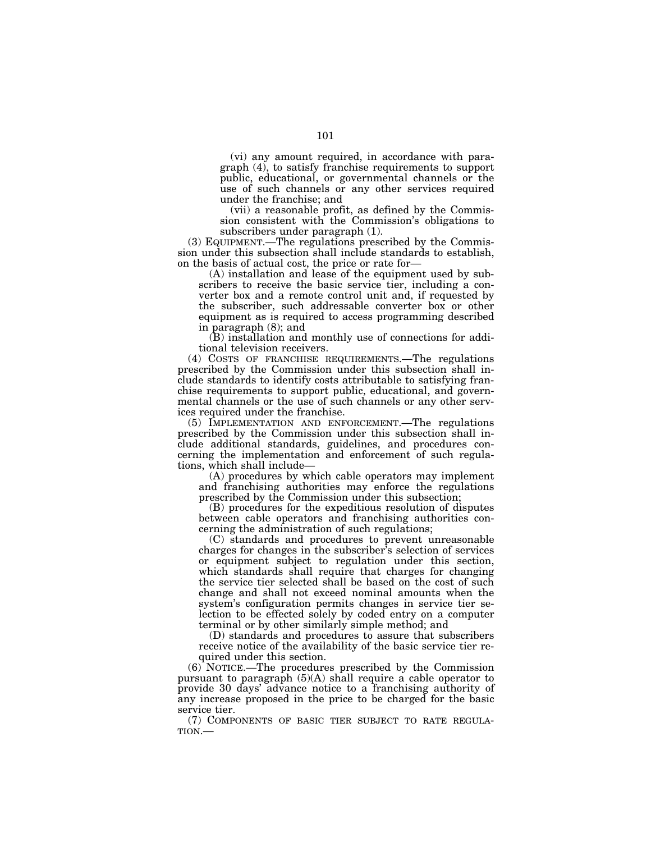(vi) any amount required, in accordance with paragraph (4), to satisfy franchise requirements to support public, educational, or governmental channels or the use of such channels or any other services required under the franchise; and

(vii) a reasonable profit, as defined by the Commission consistent with the Commission's obligations to subscribers under paragraph (1).

(3) EQUIPMENT.—The regulations prescribed by the Commission under this subsection shall include standards to establish, on the basis of actual cost, the price or rate for—

(A) installation and lease of the equipment used by subscribers to receive the basic service tier, including a converter box and a remote control unit and, if requested by the subscriber, such addressable converter box or other equipment as is required to access programming described in paragraph (8); and

(B) installation and monthly use of connections for additional television receivers.

(4) COSTS OF FRANCHISE REQUIREMENTS.—The regulations prescribed by the Commission under this subsection shall include standards to identify costs attributable to satisfying franchise requirements to support public, educational, and governmental channels or the use of such channels or any other services required under the franchise.

(5) IMPLEMENTATION AND ENFORCEMENT.—The regulations prescribed by the Commission under this subsection shall include additional standards, guidelines, and procedures concerning the implementation and enforcement of such regulations, which shall include—

(A) procedures by which cable operators may implement and franchising authorities may enforce the regulations prescribed by the Commission under this subsection;

(B) procedures for the expeditious resolution of disputes between cable operators and franchising authorities concerning the administration of such regulations;

(C) standards and procedures to prevent unreasonable charges for changes in the subscriber's selection of services or equipment subject to regulation under this section, which standards shall require that charges for changing the service tier selected shall be based on the cost of such change and shall not exceed nominal amounts when the system's configuration permits changes in service tier selection to be effected solely by coded entry on a computer terminal or by other similarly simple method; and

(D) standards and procedures to assure that subscribers receive notice of the availability of the basic service tier required under this section.

(6) NOTICE.—The procedures prescribed by the Commission pursuant to paragraph (5)(A) shall require a cable operator to provide 30 days' advance notice to a franchising authority of any increase proposed in the price to be charged for the basic service tier.

(7) COMPONENTS OF BASIC TIER SUBJECT TO RATE REGULA-TION.—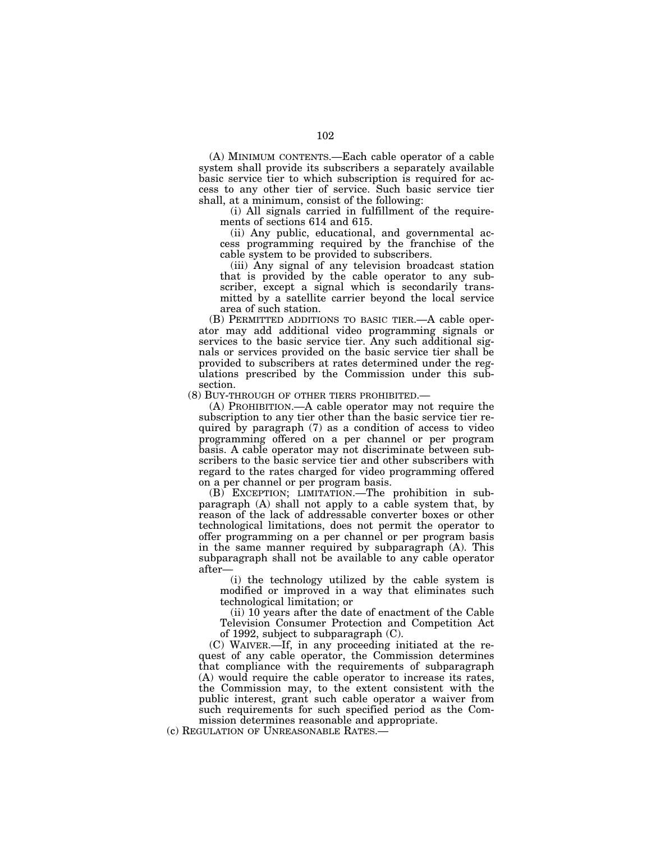(A) MINIMUM CONTENTS.—Each cable operator of a cable system shall provide its subscribers a separately available basic service tier to which subscription is required for access to any other tier of service. Such basic service tier shall, at a minimum, consist of the following:

(i) All signals carried in fulfillment of the requirements of sections 614 and 615.

(ii) Any public, educational, and governmental access programming required by the franchise of the cable system to be provided to subscribers.

(iii) Any signal of any television broadcast station that is provided by the cable operator to any subscriber, except a signal which is secondarily transmitted by a satellite carrier beyond the local service area of such station.

(B) PERMITTED ADDITIONS TO BASIC TIER.—A cable operator may add additional video programming signals or services to the basic service tier. Any such additional signals or services provided on the basic service tier shall be provided to subscribers at rates determined under the regulations prescribed by the Commission under this subsection.

(8) BUY-THROUGH OF OTHER TIERS PROHIBITED.—

(A) PROHIBITION.—A cable operator may not require the subscription to any tier other than the basic service tier required by paragraph (7) as a condition of access to video programming offered on a per channel or per program basis. A cable operator may not discriminate between subscribers to the basic service tier and other subscribers with regard to the rates charged for video programming offered on a per channel or per program basis.

(B) EXCEPTION; LIMITATION.—The prohibition in subparagraph (A) shall not apply to a cable system that, by reason of the lack of addressable converter boxes or other technological limitations, does not permit the operator to offer programming on a per channel or per program basis in the same manner required by subparagraph (A). This subparagraph shall not be available to any cable operator after—

(i) the technology utilized by the cable system is modified or improved in a way that eliminates such technological limitation; or

(ii) 10 years after the date of enactment of the Cable Television Consumer Protection and Competition Act of 1992, subject to subparagraph (C).

(C) WAIVER.—If, in any proceeding initiated at the request of any cable operator, the Commission determines that compliance with the requirements of subparagraph (A) would require the cable operator to increase its rates, the Commission may, to the extent consistent with the public interest, grant such cable operator a waiver from such requirements for such specified period as the Commission determines reasonable and appropriate.

(c) REGULATION OF UNREASONABLE RATES.—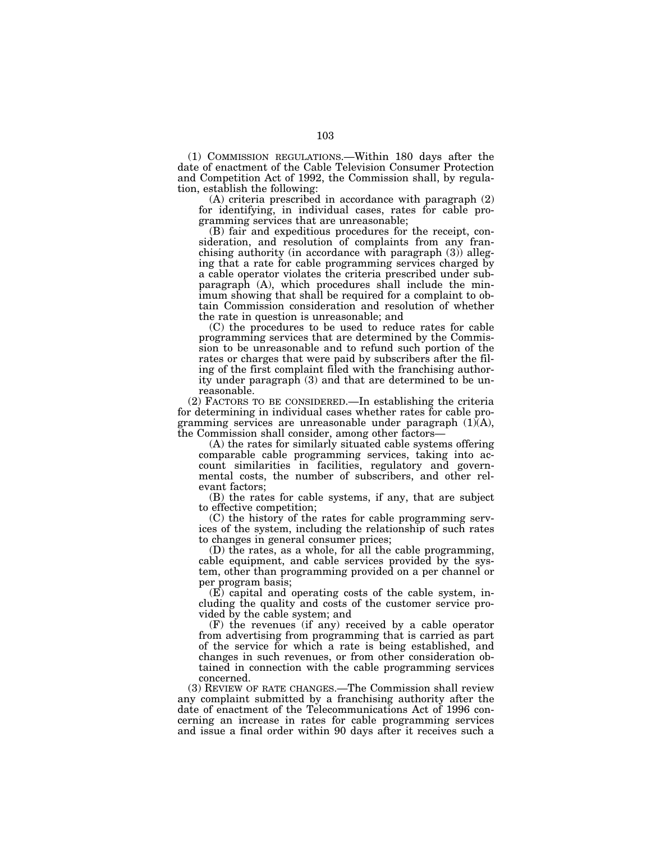(1) COMMISSION REGULATIONS.—Within 180 days after the date of enactment of the Cable Television Consumer Protection and Competition Act of 1992, the Commission shall, by regulation, establish the following:

(A) criteria prescribed in accordance with paragraph (2) for identifying, in individual cases, rates for cable programming services that are unreasonable;

(B) fair and expeditious procedures for the receipt, consideration, and resolution of complaints from any franchising authority (in accordance with paragraph  $(3)$ ) alleging that a rate for cable programming services charged by a cable operator violates the criteria prescribed under subparagraph (A), which procedures shall include the minimum showing that shall be required for a complaint to obtain Commission consideration and resolution of whether the rate in question is unreasonable; and

(C) the procedures to be used to reduce rates for cable programming services that are determined by the Commission to be unreasonable and to refund such portion of the rates or charges that were paid by subscribers after the filing of the first complaint filed with the franchising authority under paragraph (3) and that are determined to be unreasonable.

(2) FACTORS TO BE CONSIDERED.—In establishing the criteria for determining in individual cases whether rates for cable programming services are unreasonable under paragraph  $(1)(A)$ , the Commission shall consider, among other factors—

(A) the rates for similarly situated cable systems offering comparable cable programming services, taking into account similarities in facilities, regulatory and governmental costs, the number of subscribers, and other relevant factors;

(B) the rates for cable systems, if any, that are subject to effective competition;

(C) the history of the rates for cable programming services of the system, including the relationship of such rates to changes in general consumer prices;

(D) the rates, as a whole, for all the cable programming, cable equipment, and cable services provided by the system, other than programming provided on a per channel or per program basis;

(E) capital and operating costs of the cable system, including the quality and costs of the customer service provided by the cable system; and

(F) the revenues (if any) received by a cable operator from advertising from programming that is carried as part of the service for which a rate is being established, and changes in such revenues, or from other consideration obtained in connection with the cable programming services concerned.

(3) REVIEW OF RATE CHANGES.—The Commission shall review any complaint submitted by a franchising authority after the date of enactment of the Telecommunications Act of 1996 concerning an increase in rates for cable programming services and issue a final order within 90 days after it receives such a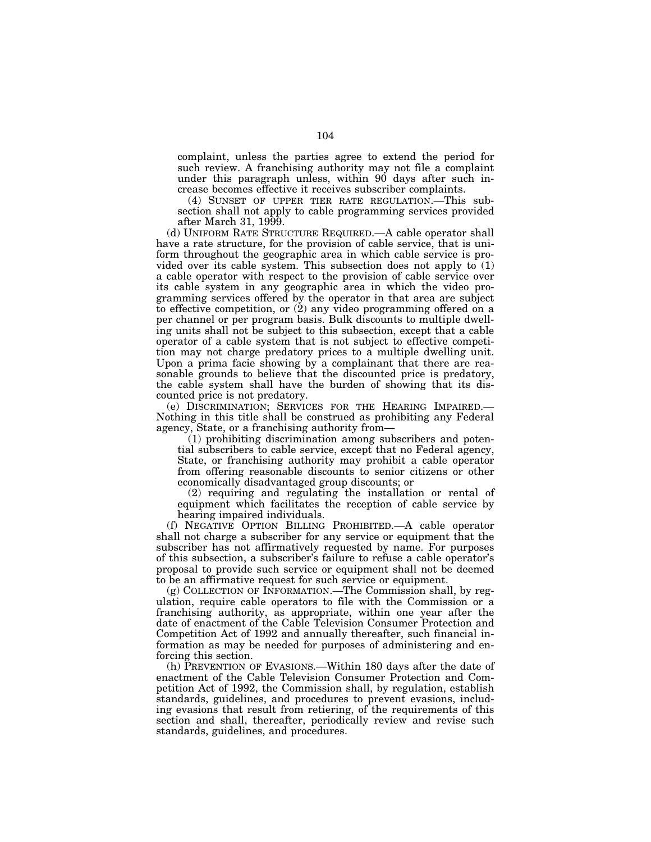complaint, unless the parties agree to extend the period for such review. A franchising authority may not file a complaint under this paragraph unless, within 90 days after such increase becomes effective it receives subscriber complaints.

(4) SUNSET OF UPPER TIER RATE REGULATION.—This subsection shall not apply to cable programming services provided after March 31, 1999.

(d) UNIFORM RATE STRUCTURE REQUIRED.—A cable operator shall have a rate structure, for the provision of cable service, that is uniform throughout the geographic area in which cable service is provided over its cable system. This subsection does not apply to (1) a cable operator with respect to the provision of cable service over its cable system in any geographic area in which the video programming services offered by the operator in that area are subject to effective competition, or (2) any video programming offered on a per channel or per program basis. Bulk discounts to multiple dwelling units shall not be subject to this subsection, except that a cable operator of a cable system that is not subject to effective competition may not charge predatory prices to a multiple dwelling unit. Upon a prima facie showing by a complainant that there are reasonable grounds to believe that the discounted price is predatory, the cable system shall have the burden of showing that its discounted price is not predatory.

(e) DISCRIMINATION; SERVICES FOR THE HEARING IMPAIRED.— Nothing in this title shall be construed as prohibiting any Federal agency, State, or a franchising authority from—

(1) prohibiting discrimination among subscribers and potential subscribers to cable service, except that no Federal agency, State, or franchising authority may prohibit a cable operator from offering reasonable discounts to senior citizens or other economically disadvantaged group discounts; or

(2) requiring and regulating the installation or rental of equipment which facilitates the reception of cable service by hearing impaired individuals.

(f) NEGATIVE OPTION BILLING PROHIBITED.—A cable operator shall not charge a subscriber for any service or equipment that the subscriber has not affirmatively requested by name. For purposes of this subsection, a subscriber's failure to refuse a cable operator's proposal to provide such service or equipment shall not be deemed to be an affirmative request for such service or equipment.

(g) COLLECTION OF INFORMATION.—The Commission shall, by regulation, require cable operators to file with the Commission or a franchising authority, as appropriate, within one year after the date of enactment of the Cable Television Consumer Protection and Competition Act of 1992 and annually thereafter, such financial information as may be needed for purposes of administering and enforcing this section.

(h) PREVENTION OF EVASIONS.—Within 180 days after the date of enactment of the Cable Television Consumer Protection and Competition Act of 1992, the Commission shall, by regulation, establish standards, guidelines, and procedures to prevent evasions, including evasions that result from retiering, of the requirements of this section and shall, thereafter, periodically review and revise such standards, guidelines, and procedures.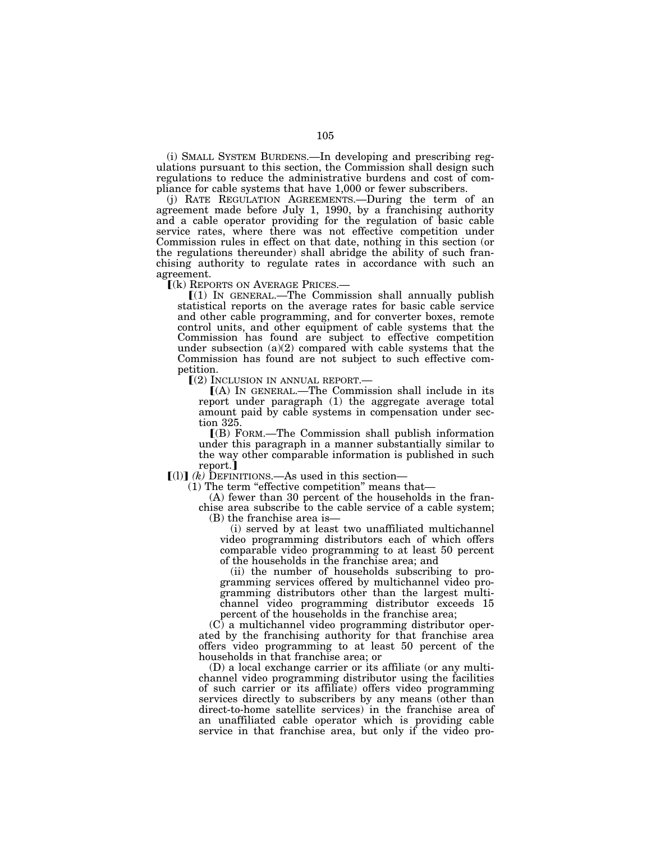(i) SMALL SYSTEM BURDENS.—In developing and prescribing regulations pursuant to this section, the Commission shall design such regulations to reduce the administrative burdens and cost of compliance for cable systems that have 1,000 or fewer subscribers.

(j) RATE REGULATION AGREEMENTS.—During the term of an agreement made before July 1, 1990, by a franchising authority and a cable operator providing for the regulation of basic cable service rates, where there was not effective competition under Commission rules in effect on that date, nothing in this section (or the regulations thereunder) shall abridge the ability of such franchising authority to regulate rates in accordance with such an agreement.

ø(k) REPORTS ON AVERAGE PRICES.—

 $(1)$  IN GENERAL.—The Commission shall annually publish statistical reports on the average rates for basic cable service and other cable programming, and for converter boxes, remote control units, and other equipment of cable systems that the Commission has found are subject to effective competition under subsection (a)(2) compared with cable systems that the Commission has found are not subject to such effective competition.

 $[(2)$  INCLUSION IN ANNUAL REPORT.—<br> $[(A)$  IN GENERAL.—The Commission shall include in its report under paragraph (1) the aggregate average total amount paid by cable systems in compensation under section 325.

ø(B) FORM.—The Commission shall publish information under this paragraph in a manner substantially similar to the way other comparable information is published in such report.

 $\lceil (1) \rceil$  (k) DEFINITIONS.—As used in this section—

(1) The term ''effective competition'' means that—

(A) fewer than 30 percent of the households in the franchise area subscribe to the cable service of a cable system;

(B) the franchise area is—

(i) served by at least two unaffiliated multichannel video programming distributors each of which offers comparable video programming to at least 50 percent of the households in the franchise area; and

(ii) the number of households subscribing to programming services offered by multichannel video programming distributors other than the largest multichannel video programming distributor exceeds 15 percent of the households in the franchise area;

(C) a multichannel video programming distributor operated by the franchising authority for that franchise area offers video programming to at least 50 percent of the households in that franchise area; or

(D) a local exchange carrier or its affiliate (or any multichannel video programming distributor using the facilities of such carrier or its affiliate) offers video programming services directly to subscribers by any means (other than direct-to-home satellite services) in the franchise area of an unaffiliated cable operator which is providing cable service in that franchise area, but only if the video pro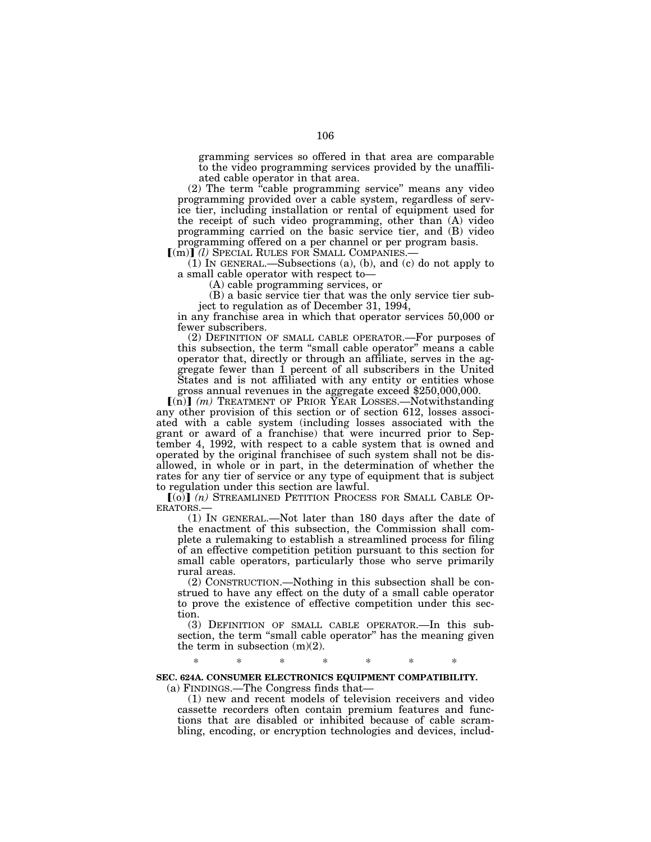gramming services so offered in that area are comparable to the video programming services provided by the unaffiliated cable operator in that area.

(2) The term "cable programming service" means any video programming provided over a cable system, regardless of service tier, including installation or rental of equipment used for the receipt of such video programming, other than (A) video programming carried on the basic service tier, and (B) video programming offered on a per channel or per program basis.<br> $\lceil (m) \rceil$  (*l*) SPECIAL RULES FOR SMALL COMPANIES.—

 $(1)$  In GENERAL.—Subsections  $(a)$ ,  $(b)$ , and  $(c)$  do not apply to a small cable operator with respect to—

(A) cable programming services, or

(B) a basic service tier that was the only service tier subject to regulation as of December 31, 1994,

in any franchise area in which that operator services 50,000 or fewer subscribers.

(2) DEFINITION OF SMALL CABLE OPERATOR.—For purposes of this subsection, the term ''small cable operator'' means a cable operator that, directly or through an affiliate, serves in the aggregate fewer than 1 percent of all subscribers in the United States and is not affiliated with any entity or entities whose gross annual revenues in the aggregate exceed \$250,000,000.

 $(n)$   $(m)$  TREATMENT OF PRIOR YEAR LOSSES.—Notwithstanding any other provision of this section or of section 612, losses associated with a cable system (including losses associated with the grant or award of a franchise) that were incurred prior to September 4, 1992, with respect to a cable system that is owned and operated by the original franchisee of such system shall not be disallowed, in whole or in part, in the determination of whether the rates for any tier of service or any type of equipment that is subject

to regulation under this section are lawful.

 $\lceil (0) \rceil$  *(n)* STREAMLINED PETITION PROCESS FOR SMALL CABLE OPERATORS.—

(1) IN GENERAL.—Not later than 180 days after the date of the enactment of this subsection, the Commission shall complete a rulemaking to establish a streamlined process for filing of an effective competition petition pursuant to this section for small cable operators, particularly those who serve primarily rural areas.

(2) CONSTRUCTION.—Nothing in this subsection shall be construed to have any effect on the duty of a small cable operator to prove the existence of effective competition under this section.

(3) DEFINITION OF SMALL CABLE OPERATOR.—In this subsection, the term "small cable operator" has the meaning given the term in subsection  $(m)(2)$ .

\* \* \* \* \* \* \*

### **SEC. 624A. CONSUMER ELECTRONICS EQUIPMENT COMPATIBILITY.**

(a) FINDINGS.—The Congress finds that—

(1) new and recent models of television receivers and video cassette recorders often contain premium features and functions that are disabled or inhibited because of cable scrambling, encoding, or encryption technologies and devices, includ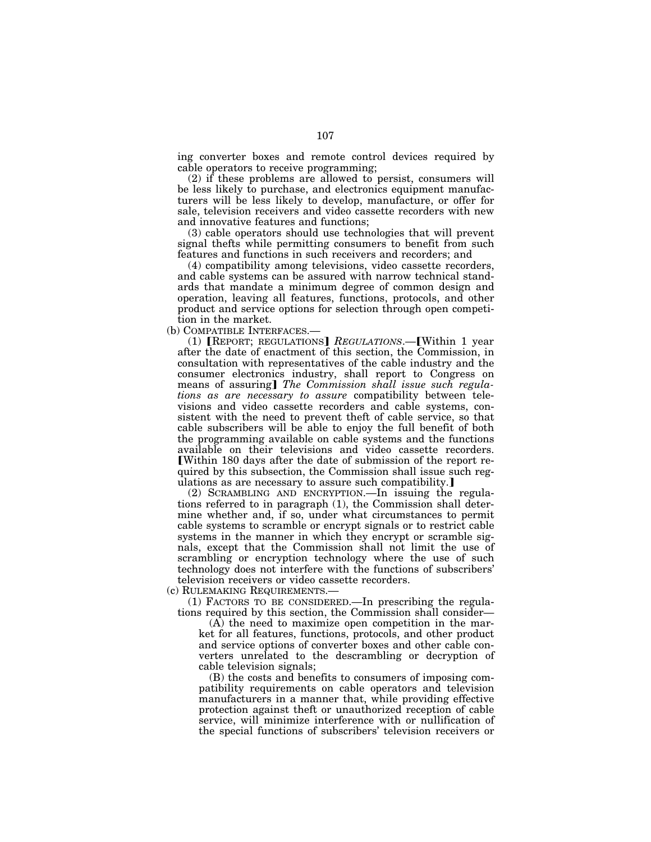ing converter boxes and remote control devices required by cable operators to receive programming;

(2) if these problems are allowed to persist, consumers will be less likely to purchase, and electronics equipment manufacturers will be less likely to develop, manufacture, or offer for sale, television receivers and video cassette recorders with new and innovative features and functions;

(3) cable operators should use technologies that will prevent signal thefts while permitting consumers to benefit from such features and functions in such receivers and recorders; and

(4) compatibility among televisions, video cassette recorders, and cable systems can be assured with narrow technical standards that mandate a minimum degree of common design and operation, leaving all features, functions, protocols, and other product and service options for selection through open competition in the market.

(b) COMPATIBLE INTERFACES.—

(1) **[REPORT; REGULATIONS]** *REGULATIONS***.**—**[Within 1 year** after the date of enactment of this section, the Commission, in consultation with representatives of the cable industry and the consumer electronics industry, shall report to Congress on means of assuring] The Commission shall issue such regula*tions as are necessary to assure* compatibility between televisions and video cassette recorders and cable systems, consistent with the need to prevent theft of cable service, so that cable subscribers will be able to enjoy the full benefit of both the programming available on cable systems and the functions available on their televisions and video cassette recorders. øWithin 180 days after the date of submission of the report required by this subsection, the Commission shall issue such regulations as are necessary to assure such compatibility.

(2) SCRAMBLING AND ENCRYPTION.—In issuing the regulations referred to in paragraph (1), the Commission shall determine whether and, if so, under what circumstances to permit cable systems to scramble or encrypt signals or to restrict cable systems in the manner in which they encrypt or scramble signals, except that the Commission shall not limit the use of scrambling or encryption technology where the use of such technology does not interfere with the functions of subscribers' television receivers or video cassette recorders.

(c) RULEMAKING REQUIREMENTS.—

(1) FACTORS TO BE CONSIDERED.—In prescribing the regulations required by this section, the Commission shall consider—

(A) the need to maximize open competition in the market for all features, functions, protocols, and other product and service options of converter boxes and other cable converters unrelated to the descrambling or decryption of cable television signals;

(B) the costs and benefits to consumers of imposing compatibility requirements on cable operators and television manufacturers in a manner that, while providing effective protection against theft or unauthorized reception of cable service, will minimize interference with or nullification of the special functions of subscribers' television receivers or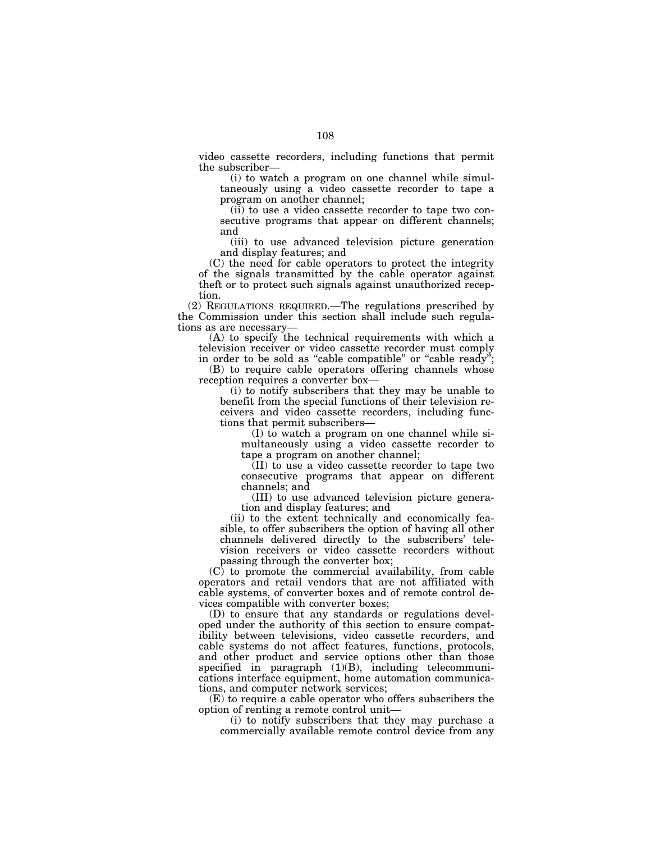video cassette recorders, including functions that permit the subscriber—

(i) to watch a program on one channel while simultaneously using a video cassette recorder to tape a program on another channel;

(ii) to use a video cassette recorder to tape two consecutive programs that appear on different channels; and

(iii) to use advanced television picture generation and display features; and

(C) the need for cable operators to protect the integrity of the signals transmitted by the cable operator against theft or to protect such signals against unauthorized reception.

(2) REGULATIONS REQUIRED.—The regulations prescribed by the Commission under this section shall include such regulations as are necessary—

(A) to specify the technical requirements with which a television receiver or video cassette recorder must comply in order to be sold as "cable compatible" or "cable ready"; (B) to require cable operators offering channels whose

reception requires a converter box—

(i) to notify subscribers that they may be unable to benefit from the special functions of their television receivers and video cassette recorders, including functions that permit subscribers—

(I) to watch a program on one channel while simultaneously using a video cassette recorder to tape a program on another channel;

(II) to use a video cassette recorder to tape two consecutive programs that appear on different channels; and

(III) to use advanced television picture generation and display features; and

(ii) to the extent technically and economically feasible, to offer subscribers the option of having all other channels delivered directly to the subscribers' television receivers or video cassette recorders without passing through the converter box;

(C) to promote the commercial availability, from cable operators and retail vendors that are not affiliated with cable systems, of converter boxes and of remote control devices compatible with converter boxes;

(D) to ensure that any standards or regulations developed under the authority of this section to ensure compatibility between televisions, video cassette recorders, and cable systems do not affect features, functions, protocols, and other product and service options other than those specified in paragraph (1)(B), including telecommunications interface equipment, home automation communications, and computer network services;

(E) to require a cable operator who offers subscribers the option of renting a remote control unit—

(i) to notify subscribers that they may purchase a commercially available remote control device from any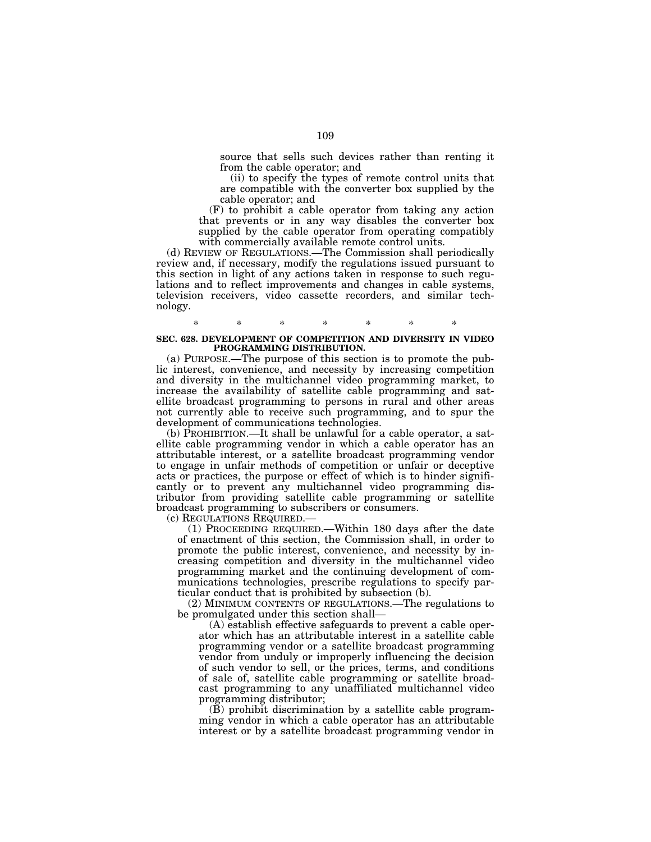source that sells such devices rather than renting it from the cable operator; and

(ii) to specify the types of remote control units that are compatible with the converter box supplied by the cable operator; and

(F) to prohibit a cable operator from taking any action that prevents or in any way disables the converter box supplied by the cable operator from operating compatibly with commercially available remote control units.

(d) REVIEW OF REGULATIONS.—The Commission shall periodically review and, if necessary, modify the regulations issued pursuant to this section in light of any actions taken in response to such regulations and to reflect improvements and changes in cable systems, television receivers, video cassette recorders, and similar technology.

### \* \* \* \* \* \* \* **SEC. 628. DEVELOPMENT OF COMPETITION AND DIVERSITY IN VIDEO PROGRAMMING DISTRIBUTION.**

(a) PURPOSE.—The purpose of this section is to promote the public interest, convenience, and necessity by increasing competition and diversity in the multichannel video programming market, to increase the availability of satellite cable programming and satellite broadcast programming to persons in rural and other areas not currently able to receive such programming, and to spur the development of communications technologies.

(b) PROHIBITION.—It shall be unlawful for a cable operator, a satellite cable programming vendor in which a cable operator has an attributable interest, or a satellite broadcast programming vendor to engage in unfair methods of competition or unfair or deceptive acts or practices, the purpose or effect of which is to hinder significantly or to prevent any multichannel video programming distributor from providing satellite cable programming or satellite broadcast programming to subscribers or consumers.

(1) PROCEEDING REQUIRED.—Within 180 days after the date of enactment of this section, the Commission shall, in order to promote the public interest, convenience, and necessity by increasing competition and diversity in the multichannel video programming market and the continuing development of communications technologies, prescribe regulations to specify particular conduct that is prohibited by subsection (b).

(2) MINIMUM CONTENTS OF REGULATIONS.—The regulations to be promulgated under this section shall—

(A) establish effective safeguards to prevent a cable operator which has an attributable interest in a satellite cable programming vendor or a satellite broadcast programming vendor from unduly or improperly influencing the decision of such vendor to sell, or the prices, terms, and conditions of sale of, satellite cable programming or satellite broadcast programming to any unaffiliated multichannel video programming distributor;

(B) prohibit discrimination by a satellite cable programming vendor in which a cable operator has an attributable interest or by a satellite broadcast programming vendor in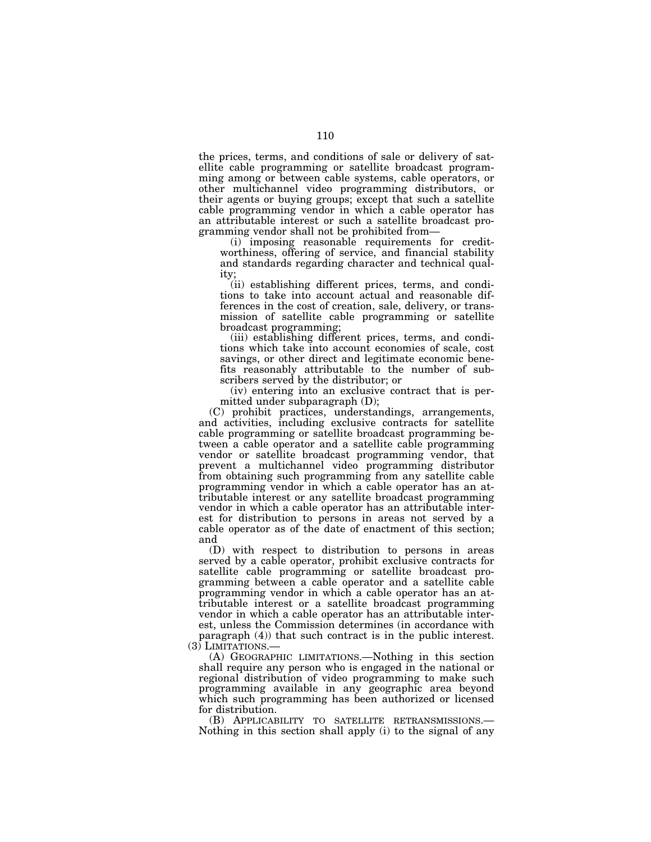the prices, terms, and conditions of sale or delivery of satellite cable programming or satellite broadcast programming among or between cable systems, cable operators, or other multichannel video programming distributors, or their agents or buying groups; except that such a satellite cable programming vendor in which a cable operator has an attributable interest or such a satellite broadcast programming vendor shall not be prohibited from—

(i) imposing reasonable requirements for creditworthiness, offering of service, and financial stability and standards regarding character and technical quality;

(ii) establishing different prices, terms, and conditions to take into account actual and reasonable differences in the cost of creation, sale, delivery, or transmission of satellite cable programming or satellite broadcast programming;

(iii) establishing different prices, terms, and conditions which take into account economies of scale, cost savings, or other direct and legitimate economic benefits reasonably attributable to the number of subscribers served by the distributor; or

(iv) entering into an exclusive contract that is permitted under subparagraph (D);

(C) prohibit practices, understandings, arrangements, and activities, including exclusive contracts for satellite cable programming or satellite broadcast programming between a cable operator and a satellite cable programming vendor or satellite broadcast programming vendor, that prevent a multichannel video programming distributor from obtaining such programming from any satellite cable programming vendor in which a cable operator has an attributable interest or any satellite broadcast programming vendor in which a cable operator has an attributable interest for distribution to persons in areas not served by a cable operator as of the date of enactment of this section; and

(D) with respect to distribution to persons in areas served by a cable operator, prohibit exclusive contracts for satellite cable programming or satellite broadcast programming between a cable operator and a satellite cable programming vendor in which a cable operator has an attributable interest or a satellite broadcast programming vendor in which a cable operator has an attributable interest, unless the Commission determines (in accordance with paragraph (4)) that such contract is in the public interest. (3) LIMITATIONS.—

(A) GEOGRAPHIC LIMITATIONS.—Nothing in this section shall require any person who is engaged in the national or regional distribution of video programming to make such programming available in any geographic area beyond which such programming has been authorized or licensed for distribution.

(B) APPLICABILITY TO SATELLITE RETRANSMISSIONS.— Nothing in this section shall apply (i) to the signal of any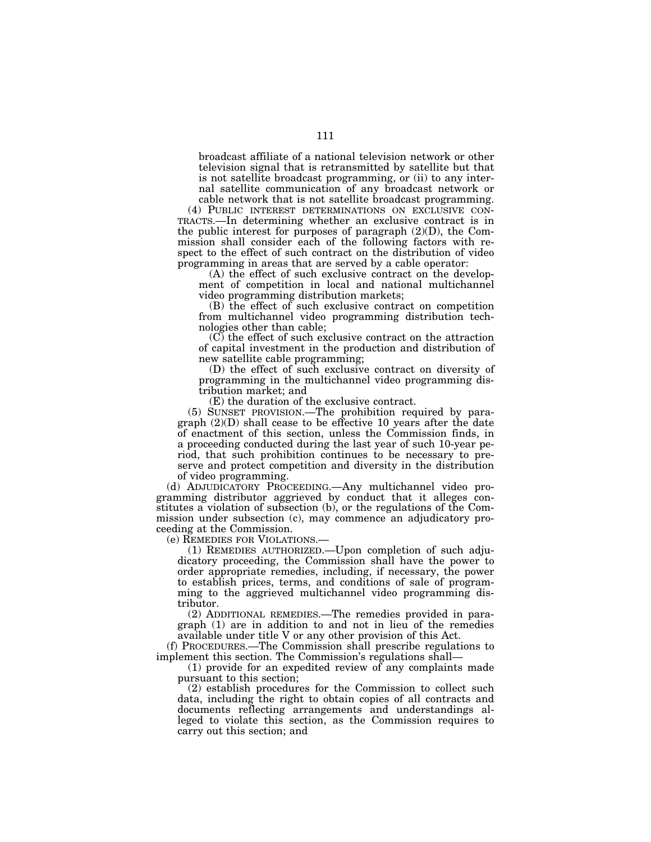broadcast affiliate of a national television network or other television signal that is retransmitted by satellite but that is not satellite broadcast programming, or (ii) to any internal satellite communication of any broadcast network or

cable network that is not satellite broadcast programming.<br>(4) PUBLIC INTEREST DETERMINATIONS ON EXCLUSIVE CON-TRACTS.—In determining whether an exclusive contract is in the public interest for purposes of paragraph (2)(D), the Commission shall consider each of the following factors with respect to the effect of such contract on the distribution of video programming in areas that are served by a cable operator:

(A) the effect of such exclusive contract on the development of competition in local and national multichannel video programming distribution markets;

(B) the effect of such exclusive contract on competition from multichannel video programming distribution technologies other than cable;

(C) the effect of such exclusive contract on the attraction of capital investment in the production and distribution of new satellite cable programming;

(D) the effect of such exclusive contract on diversity of programming in the multichannel video programming distribution market; and

(E) the duration of the exclusive contract.

(5) SUNSET PROVISION.—The prohibition required by paragraph (2)(D) shall cease to be effective 10 years after the date of enactment of this section, unless the Commission finds, in a proceeding conducted during the last year of such 10-year period, that such prohibition continues to be necessary to preserve and protect competition and diversity in the distribution of video programming.

(d) ADJUDICATORY PROCEEDING.—Any multichannel video programming distributor aggrieved by conduct that it alleges constitutes a violation of subsection (b), or the regulations of the Commission under subsection (c), may commence an adjudicatory proceeding at the Commission.<br>(e) REMEDIES FOR VIOLATIONS.—

(1) REMEDIES AUTHORIZED.—Upon completion of such adjudicatory proceeding, the Commission shall have the power to order appropriate remedies, including, if necessary, the power to establish prices, terms, and conditions of sale of programming to the aggrieved multichannel video programming distributor.

(2) ADDITIONAL REMEDIES.—The remedies provided in paragraph (1) are in addition to and not in lieu of the remedies available under title V or any other provision of this Act.

(f) PROCEDURES.—The Commission shall prescribe regulations to implement this section. The Commission's regulations shall—

(1) provide for an expedited review of any complaints made pursuant to this section;

(2) establish procedures for the Commission to collect such data, including the right to obtain copies of all contracts and documents reflecting arrangements and understandings alleged to violate this section, as the Commission requires to carry out this section; and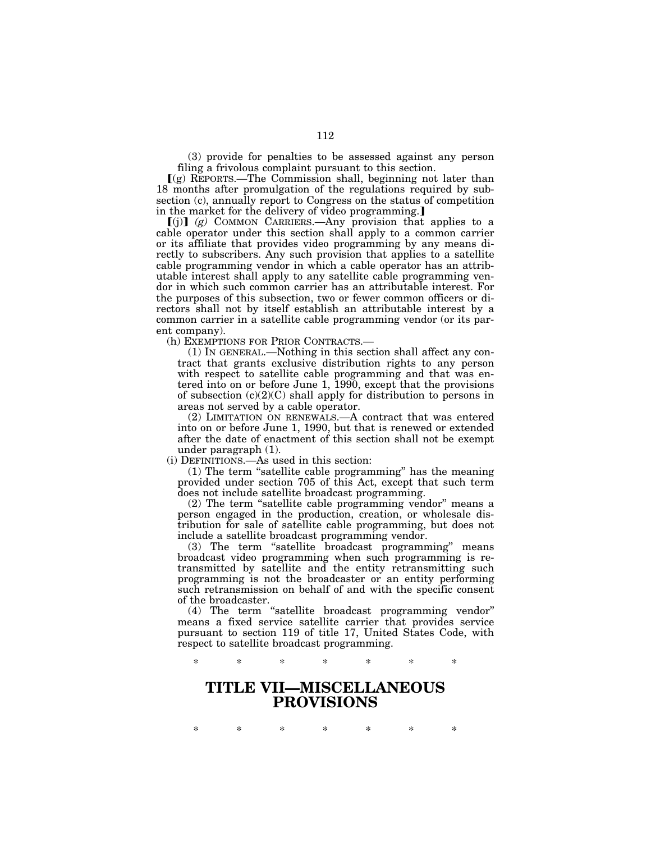(3) provide for penalties to be assessed against any person filing a frivolous complaint pursuant to this section.

 $(q)$  REPORTS.—The Commission shall, beginning not later than 18 months after promulgation of the regulations required by subsection (c), annually report to Congress on the status of competition in the market for the delivery of video programming.

 $[(j)]$   $(g)$  COMMON CARRIERS.—Any provision that applies to a cable operator under this section shall apply to a common carrier or its affiliate that provides video programming by any means directly to subscribers. Any such provision that applies to a satellite cable programming vendor in which a cable operator has an attributable interest shall apply to any satellite cable programming vendor in which such common carrier has an attributable interest. For the purposes of this subsection, two or fewer common officers or directors shall not by itself establish an attributable interest by a common carrier in a satellite cable programming vendor (or its parent company).

(h) EXEMPTIONS FOR PRIOR CONTRACTS.—

(1) IN GENERAL.—Nothing in this section shall affect any contract that grants exclusive distribution rights to any person with respect to satellite cable programming and that was entered into on or before June 1, 1990, except that the provisions of subsection  $(c)(2)(C)$  shall apply for distribution to persons in areas not served by a cable operator.

(2) LIMITATION ON RENEWALS.—A contract that was entered into on or before June 1, 1990, but that is renewed or extended after the date of enactment of this section shall not be exempt under paragraph (1).

(i) DEFINITIONS.—As used in this section:

(1) The term ''satellite cable programming'' has the meaning provided under section 705 of this Act, except that such term does not include satellite broadcast programming.

(2) The term ''satellite cable programming vendor'' means a person engaged in the production, creation, or wholesale distribution for sale of satellite cable programming, but does not include a satellite broadcast programming vendor.

(3) The term ''satellite broadcast programming'' means broadcast video programming when such programming is retransmitted by satellite and the entity retransmitting such programming is not the broadcaster or an entity performing such retransmission on behalf of and with the specific consent of the broadcaster.

(4) The term ''satellite broadcast programming vendor'' means a fixed service satellite carrier that provides service pursuant to section 119 of title 17, United States Code, with respect to satellite broadcast programming.

\* \* \* \* \* \* \*

# **TITLE VII—MISCELLANEOUS PROVISIONS**

\* \* \* \* \* \* \*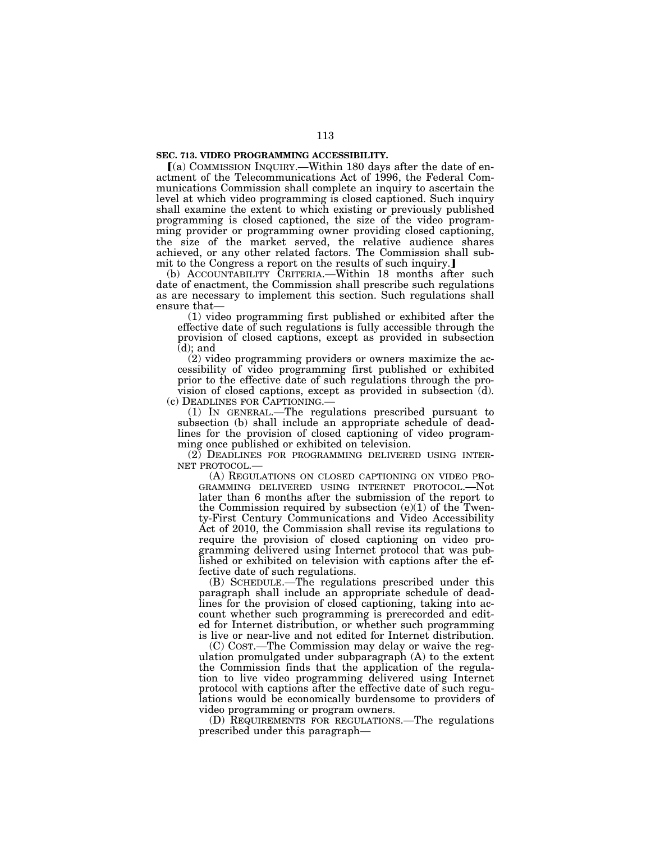### **SEC. 713. VIDEO PROGRAMMING ACCESSIBILITY.**

 $(a)$  COMMISSION INQUIRY.—Within 180 days after the date of enactment of the Telecommunications Act of 1996, the Federal Communications Commission shall complete an inquiry to ascertain the level at which video programming is closed captioned. Such inquiry shall examine the extent to which existing or previously published programming is closed captioned, the size of the video programming provider or programming owner providing closed captioning, the size of the market served, the relative audience shares achieved, or any other related factors. The Commission shall submit to the Congress a report on the results of such inquiry.

(b) ACCOUNTABILITY CRITERIA.—Within 18 months after such date of enactment, the Commission shall prescribe such regulations as are necessary to implement this section. Such regulations shall ensure that—

(1) video programming first published or exhibited after the effective date of such regulations is fully accessible through the provision of closed captions, except as provided in subsection (d); and

(2) video programming providers or owners maximize the accessibility of video programming first published or exhibited prior to the effective date of such regulations through the provision of closed captions, except as provided in subsection (d). (c) DEADLINES FOR CAPTIONING.—

(1) IN GENERAL.—The regulations prescribed pursuant to subsection (b) shall include an appropriate schedule of dead-

lines for the provision of closed captioning of video programming once published or exhibited on television.

(2) DEADLINES FOR PROGRAMMING DELIVERED USING INTER-NET PROTOCOL.—

(A) REGULATIONS ON CLOSED CAPTIONING ON VIDEO PRO-GRAMMING DELIVERED USING INTERNET PROTOCOL.—Not later than 6 months after the submission of the report to the Commission required by subsection  $(e)(1)$  of the Twenty-First Century Communications and Video Accessibility Act of 2010, the Commission shall revise its regulations to require the provision of closed captioning on video programming delivered using Internet protocol that was published or exhibited on television with captions after the effective date of such regulations.

(B) SCHEDULE.—The regulations prescribed under this paragraph shall include an appropriate schedule of deadlines for the provision of closed captioning, taking into account whether such programming is prerecorded and edited for Internet distribution, or whether such programming is live or near-live and not edited for Internet distribution.

(C) COST.—The Commission may delay or waive the regulation promulgated under subparagraph (A) to the extent the Commission finds that the application of the regulation to live video programming delivered using Internet protocol with captions after the effective date of such regulations would be economically burdensome to providers of video programming or program owners.

(D) REQUIREMENTS FOR REGULATIONS.—The regulations prescribed under this paragraph—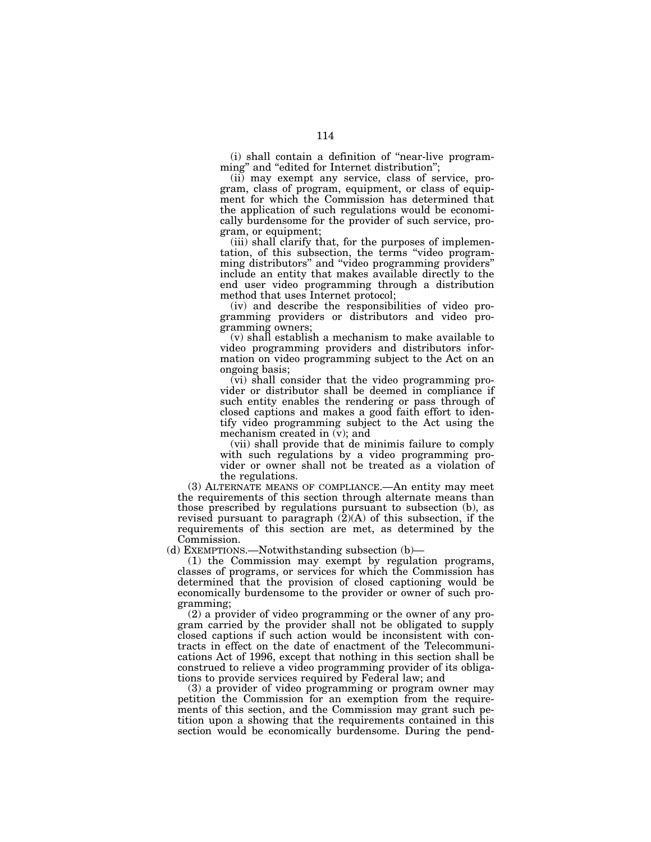(i) shall contain a definition of ''near-live programming'' and ''edited for Internet distribution'';

(ii) may exempt any service, class of service, program, class of program, equipment, or class of equipment for which the Commission has determined that the application of such regulations would be economically burdensome for the provider of such service, program, or equipment;

(iii) shall clarify that, for the purposes of implementation, of this subsection, the terms ''video programming distributors'' and ''video programming providers'' include an entity that makes available directly to the end user video programming through a distribution method that uses Internet protocol;

(iv) and describe the responsibilities of video programming providers or distributors and video programming owners;

(v) shall establish a mechanism to make available to video programming providers and distributors information on video programming subject to the Act on an ongoing basis;

(vi) shall consider that the video programming provider or distributor shall be deemed in compliance if such entity enables the rendering or pass through of closed captions and makes a good faith effort to identify video programming subject to the Act using the mechanism created in (v); and

(vii) shall provide that de minimis failure to comply with such regulations by a video programming provider or owner shall not be treated as a violation of the regulations.

(3) ALTERNATE MEANS OF COMPLIANCE.—An entity may meet the requirements of this section through alternate means than those prescribed by regulations pursuant to subsection (b), as revised pursuant to paragraph  $(2)(A)$  of this subsection, if the requirements of this section are met, as determined by the Commission.

(d) EXEMPTIONS.—Notwithstanding subsection (b)—

(1) the Commission may exempt by regulation programs, classes of programs, or services for which the Commission has determined that the provision of closed captioning would be economically burdensome to the provider or owner of such programming;

(2) a provider of video programming or the owner of any program carried by the provider shall not be obligated to supply closed captions if such action would be inconsistent with contracts in effect on the date of enactment of the Telecommunications Act of 1996, except that nothing in this section shall be construed to relieve a video programming provider of its obligations to provide services required by Federal law; and

(3) a provider of video programming or program owner may petition the Commission for an exemption from the requirements of this section, and the Commission may grant such petition upon a showing that the requirements contained in this section would be economically burdensome. During the pend-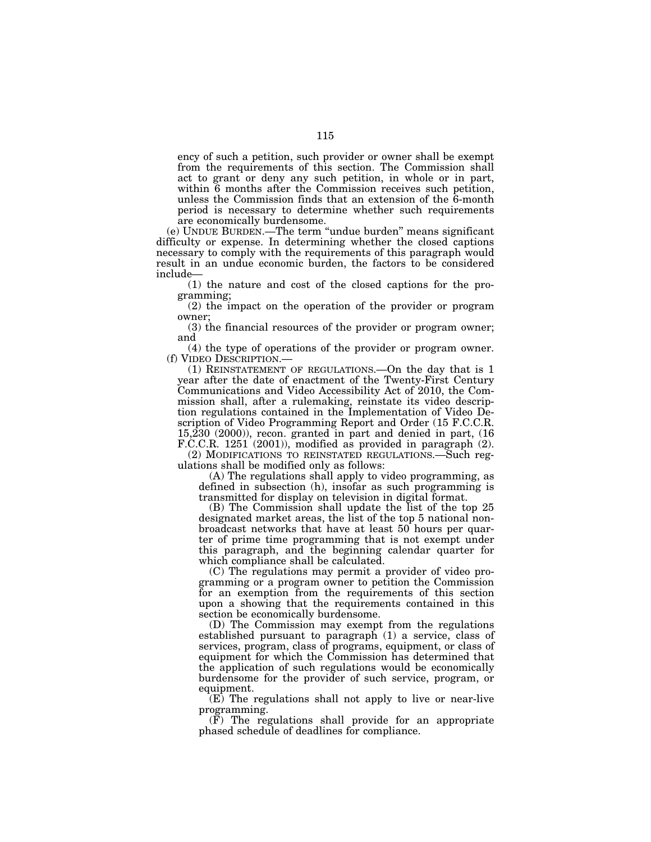ency of such a petition, such provider or owner shall be exempt from the requirements of this section. The Commission shall act to grant or deny any such petition, in whole or in part, within 6 months after the Commission receives such petition, unless the Commission finds that an extension of the 6-month period is necessary to determine whether such requirements are economically burdensome.

(e) UNDUE BURDEN.—The term ''undue burden'' means significant difficulty or expense. In determining whether the closed captions necessary to comply with the requirements of this paragraph would result in an undue economic burden, the factors to be considered include—

(1) the nature and cost of the closed captions for the programming;

(2) the impact on the operation of the provider or program owner;

(3) the financial resources of the provider or program owner; and

(4) the type of operations of the provider or program owner. (f) VIDEO DESCRIPTION.—

(1) REINSTATEMENT OF REGULATIONS.—On the day that is 1 year after the date of enactment of the Twenty-First Century Communications and Video Accessibility Act of 2010, the Commission shall, after a rulemaking, reinstate its video description regulations contained in the Implementation of Video Description of Video Programming Report and Order (15 F.C.C.R. 15,230 (2000)), recon. granted in part and denied in part, (16 F.C.C.R. 1251 (2001)), modified as provided in paragraph (2).

(2) MODIFICATIONS TO REINSTATED REGULATIONS.—Such regulations shall be modified only as follows:

(A) The regulations shall apply to video programming, as defined in subsection (h), insofar as such programming is transmitted for display on television in digital format.

(B) The Commission shall update the list of the top 25 designated market areas, the list of the top 5 national nonbroadcast networks that have at least 50 hours per quarter of prime time programming that is not exempt under this paragraph, and the beginning calendar quarter for which compliance shall be calculated.

(C) The regulations may permit a provider of video programming or a program owner to petition the Commission for an exemption from the requirements of this section upon a showing that the requirements contained in this section be economically burdensome.

(D) The Commission may exempt from the regulations established pursuant to paragraph (1) a service, class of services, program, class of programs, equipment, or class of equipment for which the Commission has determined that the application of such regulations would be economically burdensome for the provider of such service, program, or equipment.

(E) The regulations shall not apply to live or near-live programming.

(F) The regulations shall provide for an appropriate phased schedule of deadlines for compliance.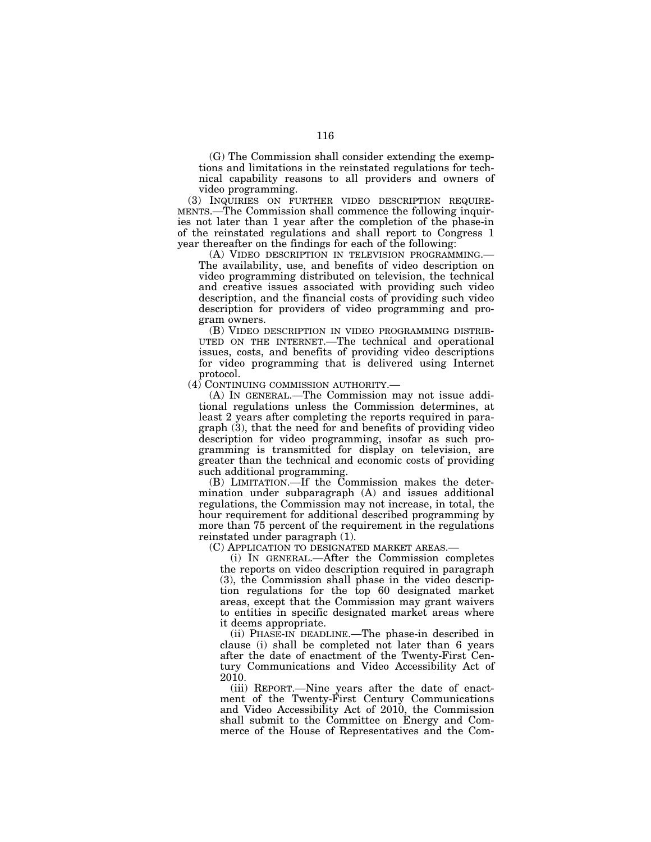(G) The Commission shall consider extending the exemptions and limitations in the reinstated regulations for technical capability reasons to all providers and owners of video programming.

(3) INQUIRIES ON FURTHER VIDEO DESCRIPTION REQUIRE-MENTS.—The Commission shall commence the following inquiries not later than 1 year after the completion of the phase-in of the reinstated regulations and shall report to Congress 1 year thereafter on the findings for each of the following:

(A) VIDEO DESCRIPTION IN TELEVISION PROGRAMMING.— The availability, use, and benefits of video description on video programming distributed on television, the technical and creative issues associated with providing such video description, and the financial costs of providing such video description for providers of video programming and program owners.

(B) VIDEO DESCRIPTION IN VIDEO PROGRAMMING DISTRIB-UTED ON THE INTERNET.—The technical and operational issues, costs, and benefits of providing video descriptions for video programming that is delivered using Internet protocol.

(4) CONTINUING COMMISSION AUTHORITY.—

(A) IN GENERAL.—The Commission may not issue additional regulations unless the Commission determines, at least 2 years after completing the reports required in paragraph (3), that the need for and benefits of providing video description for video programming, insofar as such programming is transmitted for display on television, are greater than the technical and economic costs of providing such additional programming.

(B) LIMITATION.—If the Commission makes the determination under subparagraph (A) and issues additional regulations, the Commission may not increase, in total, the hour requirement for additional described programming by more than 75 percent of the requirement in the regulations reinstated under paragraph (1).

(C) APPLICATION TO DESIGNATED MARKET AREAS.—

(i) IN GENERAL.—After the Commission completes the reports on video description required in paragraph (3), the Commission shall phase in the video description regulations for the top 60 designated market areas, except that the Commission may grant waivers to entities in specific designated market areas where it deems appropriate.

(ii) PHASE-IN DEADLINE.—The phase-in described in clause (i) shall be completed not later than 6 years after the date of enactment of the Twenty-First Century Communications and Video Accessibility Act of 2010.

(iii) REPORT.—Nine years after the date of enactment of the Twenty-First Century Communications and Video Accessibility Act of 2010, the Commission shall submit to the Committee on Energy and Commerce of the House of Representatives and the Com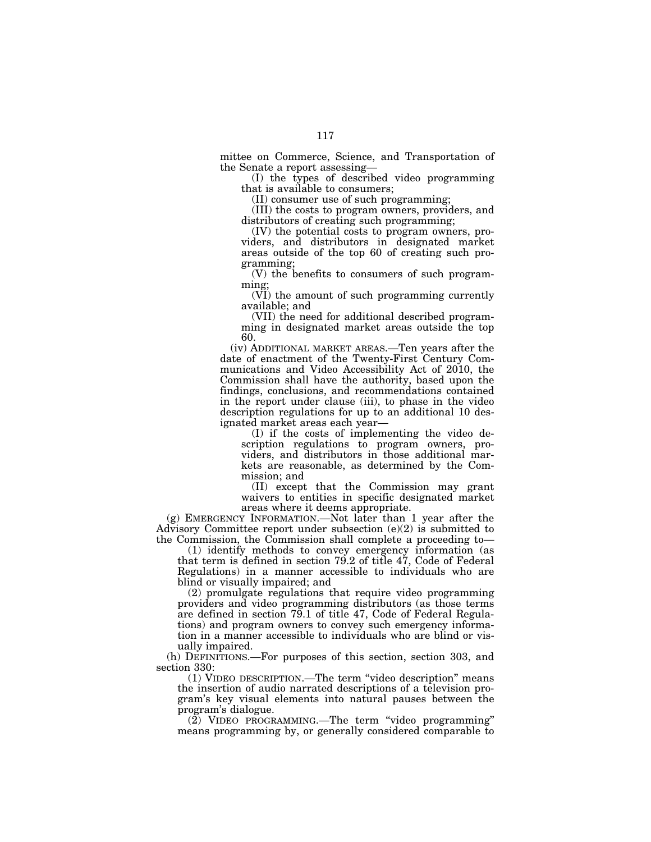mittee on Commerce, Science, and Transportation of the Senate a report assessing—

(I) the types of described video programming that is available to consumers;

(II) consumer use of such programming;

(III) the costs to program owners, providers, and distributors of creating such programming;

(IV) the potential costs to program owners, providers, and distributors in designated market areas outside of the top 60 of creating such programming;

(V) the benefits to consumers of such programming;

(VI) the amount of such programming currently available; and

(VII) the need for additional described programming in designated market areas outside the top 60.

(iv) ADDITIONAL MARKET AREAS.—Ten years after the date of enactment of the Twenty-First Century Communications and Video Accessibility Act of 2010, the Commission shall have the authority, based upon the findings, conclusions, and recommendations contained in the report under clause (iii), to phase in the video description regulations for up to an additional 10 designated market areas each year—

(I) if the costs of implementing the video description regulations to program owners, providers, and distributors in those additional markets are reasonable, as determined by the Commission; and

(II) except that the Commission may grant waivers to entities in specific designated market areas where it deems appropriate.

(g) EMERGENCY INFORMATION.—Not later than 1 year after the Advisory Committee report under subsection (e)(2) is submitted to the Commission, the Commission shall complete a proceeding to—

(1) identify methods to convey emergency information (as that term is defined in section 79.2 of title 47, Code of Federal Regulations) in a manner accessible to individuals who are blind or visually impaired; and

(2) promulgate regulations that require video programming providers and video programming distributors (as those terms are defined in section 79.1 of title 47, Code of Federal Regulations) and program owners to convey such emergency information in a manner accessible to individuals who are blind or visually impaired.

(h) DEFINITIONS.—For purposes of this section, section 303, and section 330:

(1) VIDEO DESCRIPTION.—The term ''video description'' means the insertion of audio narrated descriptions of a television program's key visual elements into natural pauses between the program's dialogue.

(2) VIDEO PROGRAMMING.—The term ''video programming'' means programming by, or generally considered comparable to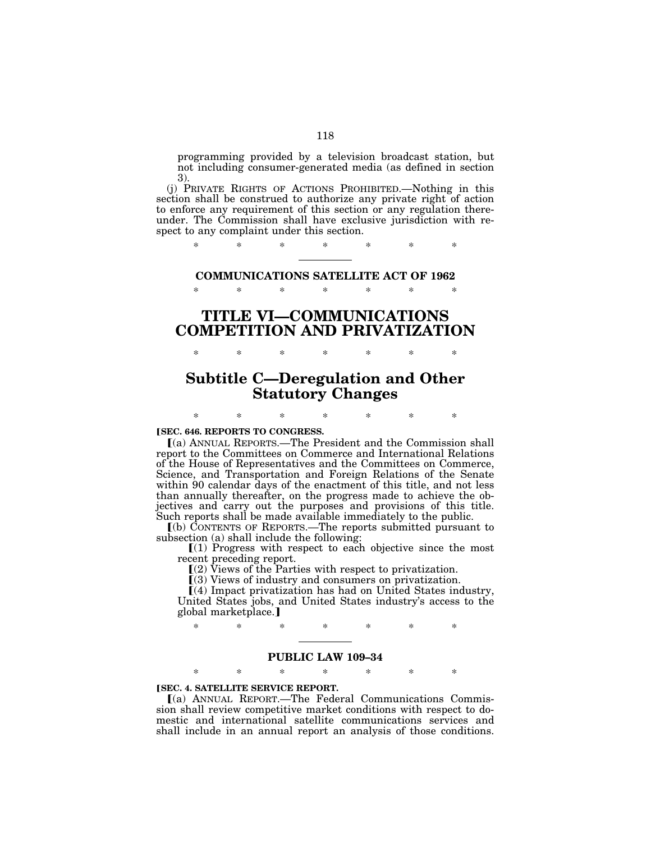programming provided by a television broadcast station, but not including consumer-generated media (as defined in section 3).

(j) PRIVATE RIGHTS OF ACTIONS PROHIBITED.—Nothing in this section shall be construed to authorize any private right of action to enforce any requirement of this section or any regulation thereunder. The Commission shall have exclusive jurisdiction with respect to any complaint under this section.

\* \* \* \* \* \* \*

### **COMMUNICATIONS SATELLITE ACT OF 1962**

\* \* \* \* \* \* \*

# **TITLE VI—COMMUNICATIONS COMPETITION AND PRIVATIZATION**

\* \* \* \* \* \* \*

# **Subtitle C—Deregulation and Other Statutory Changes**

\* \* \* \* \* \* \*

**[SEC. 646. REPORTS TO CONGRESS.** 

ø(a) ANNUAL REPORTS.—The President and the Commission shall report to the Committees on Commerce and International Relations of the House of Representatives and the Committees on Commerce, Science, and Transportation and Foreign Relations of the Senate within 90 calendar days of the enactment of this title, and not less than annually thereafter, on the progress made to achieve the objectives and carry out the purposes and provisions of this title. Such reports shall be made available immediately to the public.

ø(b) CONTENTS OF REPORTS.—The reports submitted pursuant to subsection (a) shall include the following:

 $(1)$  Progress with respect to each objective since the most recent preceding report.

 $(2)$  Views of the Parties with respect to privatization.

 $(3)$  Views of industry and consumers on privatization.

 $(4)$  Impact privatization has had on United States industry, United States jobs, and United States industry's access to the global marketplace.]

\* \* \* \* \* \* \*

## **PUBLIC LAW 109–34**  \* \* \* \* \* \* \*

### ø**SEC. 4. SATELLITE SERVICE REPORT.**

ø(a) ANNUAL REPORT.—The Federal Communications Commission shall review competitive market conditions with respect to domestic and international satellite communications services and shall include in an annual report an analysis of those conditions.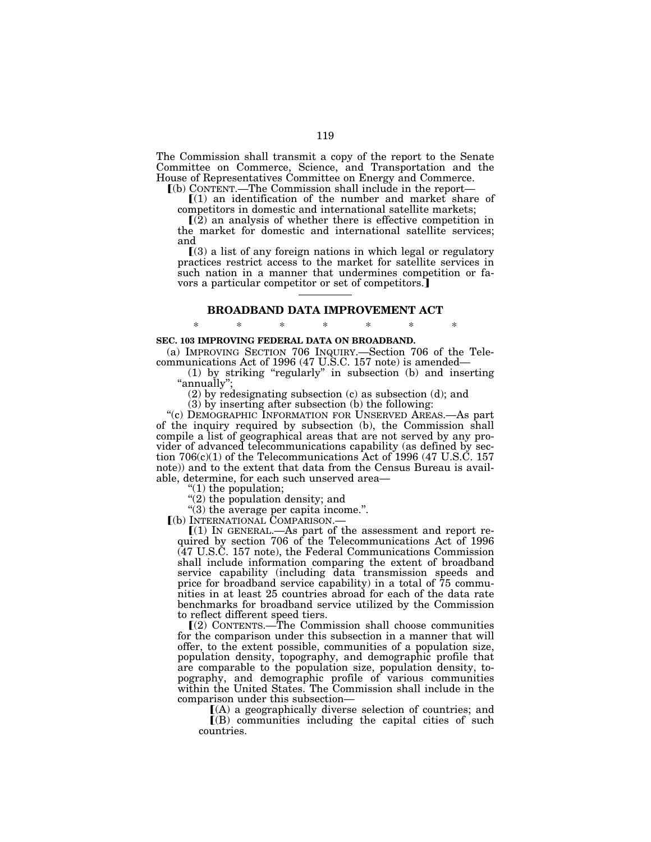The Commission shall transmit a copy of the report to the Senate Committee on Commerce, Science, and Transportation and the House of Representatives Committee on Energy and Commerce.

ø(b) CONTENT.—The Commission shall include in the report—

 $(1)$  an identification of the number and market share of competitors in domestic and international satellite markets;

 $(2)$  an analysis of whether there is effective competition in the market for domestic and international satellite services; and

 $(3)$  a list of any foreign nations in which legal or regulatory practices restrict access to the market for satellite services in such nation in a manner that undermines competition or favors a particular competitor or set of competitors.

## **BROADBAND DATA IMPROVEMENT ACT**

### \* \* \* \* \* \* \* **SEC. 103 IMPROVING FEDERAL DATA ON BROADBAND.**

(a) IMPROVING SECTION 706 INQUIRY.—Section 706 of the Telecommunications Act of 1996 (47 U.S.C. 157 note) is amended—

(1) by striking ''regularly'' in subsection (b) and inserting ''annually'';

(2) by redesignating subsection (c) as subsection (d); and

(3) by inserting after subsection (b) the following:

''(c) DEMOGRAPHIC INFORMATION FOR UNSERVED AREAS.—As part of the inquiry required by subsection (b), the Commission shall compile a list of geographical areas that are not served by any provider of advanced telecommunications capability (as defined by section 706(c)(1) of the Telecommunications Act of 1996 (47 U.S.C. 157 note)) and to the extent that data from the Census Bureau is available, determine, for each such unserved area—

''(1) the population;

''(2) the population density; and

 $\frac{1}{3}$  the average per capita income.".<br>
[(b) INTERNATIONAL COMPARISON.

 $[(1)$  IN GENERAL.—As part of the assessment and report required by section 706 of the Telecommunications Act of 1996 (47 U.S.C. 157 note), the Federal Communications Commission shall include information comparing the extent of broadband service capability (including data transmission speeds and price for broadband service capability) in a total of 75 communities in at least 25 countries abroad for each of the data rate benchmarks for broadband service utilized by the Commission to reflect different speed tiers.

 $(2)$  CONTENTS.—The Commission shall choose communities for the comparison under this subsection in a manner that will offer, to the extent possible, communities of a population size, population density, topography, and demographic profile that are comparable to the population size, population density, topography, and demographic profile of various communities within the United States. The Commission shall include in the comparison under this subsection—

 $(A)$  a geographically diverse selection of countries; and  $\Gamma(B)$  communities including the capital cities of such countries.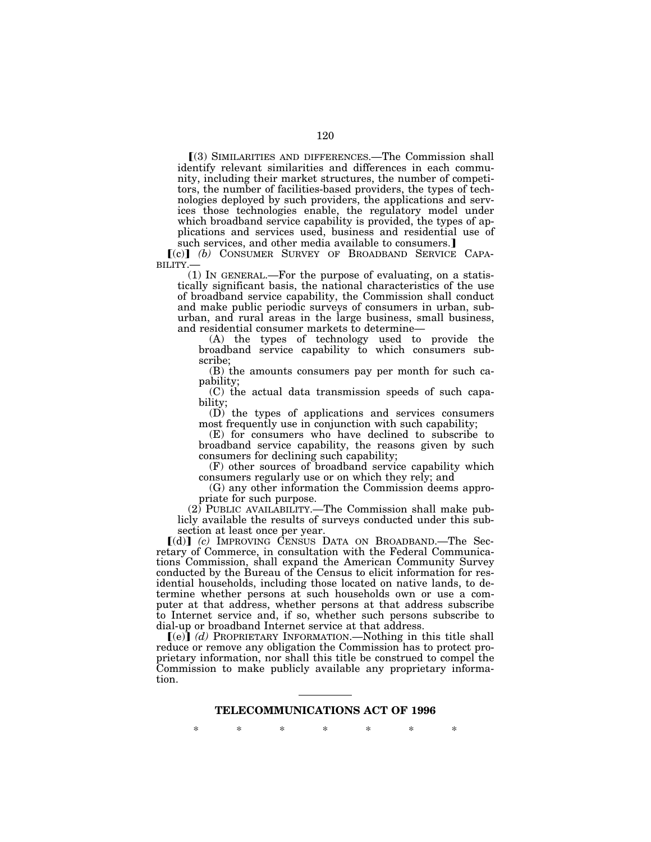ø(3) SIMILARITIES AND DIFFERENCES.—The Commission shall identify relevant similarities and differences in each community, including their market structures, the number of competitors, the number of facilities-based providers, the types of technologies deployed by such providers, the applications and services those technologies enable, the regulatory model under which broadband service capability is provided, the types of applications and services used, business and residential use of such services, and other media available to consumers.

ø(c)¿ *(b)* CONSUMER SURVEY OF BROADBAND SERVICE CAPA-BILITY.—

(1) IN GENERAL.—For the purpose of evaluating, on a statistically significant basis, the national characteristics of the use of broadband service capability, the Commission shall conduct and make public periodic surveys of consumers in urban, suburban, and rural areas in the large business, small business, and residential consumer markets to determine—

(A) the types of technology used to provide the broadband service capability to which consumers subscribe;

(B) the amounts consumers pay per month for such capability;

(C) the actual data transmission speeds of such capability;

(D) the types of applications and services consumers most frequently use in conjunction with such capability;

(E) for consumers who have declined to subscribe to broadband service capability, the reasons given by such consumers for declining such capability;

(F) other sources of broadband service capability which consumers regularly use or on which they rely; and

(G) any other information the Commission deems appropriate for such purpose.

(2) PUBLIC AVAILABILITY.—The Commission shall make publicly available the results of surveys conducted under this subsection at least once per year.

 $\lceil$ (d) $\rceil$  (c) IMPROVING CENSUS DATA ON BROADBAND.—The Secretary of Commerce, in consultation with the Federal Communications Commission, shall expand the American Community Survey conducted by the Bureau of the Census to elicit information for residential households, including those located on native lands, to determine whether persons at such households own or use a computer at that address, whether persons at that address subscribe to Internet service and, if so, whether such persons subscribe to dial-up or broadband Internet service at that address.

 $[(e)]$  *(d)* PROPRIETARY INFORMATION.—Nothing in this title shall reduce or remove any obligation the Commission has to protect proprietary information, nor shall this title be construed to compel the Commission to make publicly available any proprietary information.

\* \* \* \* \* \* \*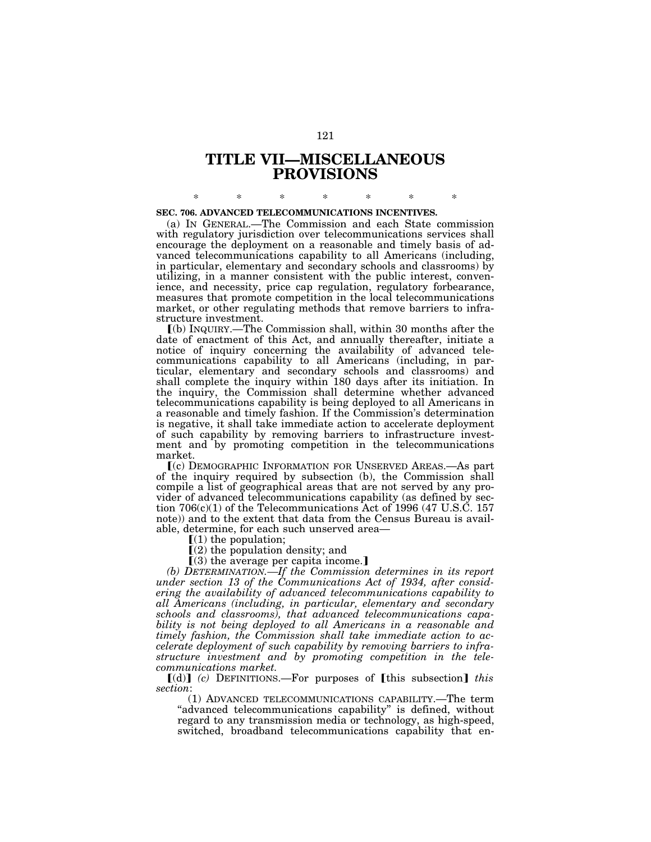## **TITLE VII—MISCELLANEOUS PROVISIONS**

\* \* \* \* \* \* \*

#### **SEC. 706. ADVANCED TELECOMMUNICATIONS INCENTIVES.**

(a) IN GENERAL.—The Commission and each State commission with regulatory jurisdiction over telecommunications services shall encourage the deployment on a reasonable and timely basis of advanced telecommunications capability to all Americans (including, in particular, elementary and secondary schools and classrooms) by utilizing, in a manner consistent with the public interest, convenience, and necessity, price cap regulation, regulatory forbearance, measures that promote competition in the local telecommunications market, or other regulating methods that remove barriers to infrastructure investment.

ø(b) INQUIRY.—The Commission shall, within 30 months after the date of enactment of this Act, and annually thereafter, initiate a notice of inquiry concerning the availability of advanced telecommunications capability to all Americans (including, in particular, elementary and secondary schools and classrooms) and shall complete the inquiry within 180 days after its initiation. In the inquiry, the Commission shall determine whether advanced telecommunications capability is being deployed to all Americans in a reasonable and timely fashion. If the Commission's determination is negative, it shall take immediate action to accelerate deployment of such capability by removing barriers to infrastructure investment and by promoting competition in the telecommunications market.

ø(c) DEMOGRAPHIC INFORMATION FOR UNSERVED AREAS.—As part of the inquiry required by subsection (b), the Commission shall compile a list of geographical areas that are not served by any provider of advanced telecommunications capability (as defined by section 706(c)(1) of the Telecommunications Act of 1996 (47 U.S.C. 157 note)) and to the extent that data from the Census Bureau is available, determine, for each such unserved area—

 $(1)$  the population;

 $(2)$  the population density; and

 $(3)$  the average per capita income.]

*(b) DETERMINATION.—If the Commission determines in its report under section 13 of the Communications Act of 1934, after considering the availability of advanced telecommunications capability to all Americans (including, in particular, elementary and secondary schools and classrooms), that advanced telecommunications capability is not being deployed to all Americans in a reasonable and timely fashion, the Commission shall take immediate action to accelerate deployment of such capability by removing barriers to infrastructure investment and by promoting competition in the telecommunications market.* 

 $[(d)]$   $(c)$  DEFINITIONS.—For purposes of  $[this$  subsection $]$  *this section*:

(1) ADVANCED TELECOMMUNICATIONS CAPABILITY.—The term "advanced telecommunications capability" is defined, without regard to any transmission media or technology, as high-speed, switched, broadband telecommunications capability that en